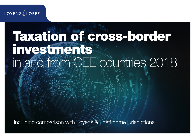## **LOYENS LOEFF**

## Taxation of cross-border investments in and from CEE countries 2018

Including comparison with Loyens & Loeff home jurisdictions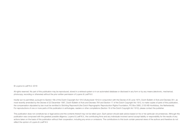#### © Loyens & Loeff N.V. 2018

All rights reserved. No part of this publication may be reproduced, stored in a retrieval system or in an automated database or disclosed in any form or by any means (electronic, mechanical, photocopy, recording or otherwise) without the prior written permission of Loyens & Loeff N.V.

Insofar as it is permitted, pursuant to Section 16b of the Dutch Copyright Act 1912 (Auteurswet 1912) in conjunction with the Decree of 20 June 1974, Dutch Bulletin of Acts and Decrees 351, as most recently amended by the Decree of 22 December 1997, Dutch Bulletin of Acts and Decrees 764 and Section 17 of the Dutch Copyright Act 1912, to make copies of parts of this publication, the compensation stipulated by law must be remitted to Stichting Reprorecht (the Dutch Reprographic Reproduction Rights Foundation, PO Box 3060, 2130 KB Hoofddorp, the Netherlands). For reproductions of one or more parts of this publication in anthologies, readers or other compilations (Section 16 of the Dutch Copyright Act 1912), please contact the publisher.

This publication does not constitute tax or legal advice and the contents thereof may not be relied upon. Each person should seek advice based on his or her particular circumstances. Although this publication was composed with the greatest possible diligence, Loyens & Loeff N.V., the contributing firms and any individuals involved cannot accept liability or responsibility for the results of any actions taken on the basis of this publication without their cooperation, including any errors or omissions. The contributions to this book contain personal views of the authors and therefore do not reflect the opinion of Loyens & Loeff N.V.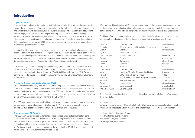#### Introduction

#### Loyens & Loeff

Loyens & Loeff is a leading firm and a natural choice when selecting a legal and tax partner if you are doing business in or from our home markets of the Netherlands, Belgium, Luxembourg and Switzerland. Our expertise includes the tax and legal aspects of mergers and acquisitions, restructurings, IPOs, structured and project financing, real estate investments, leasing transactions, intellectual property rights and much more. With a hundred-year track record of international (corporate) tax advice, today our team consists of high-level specialists including 350 international tax lawyers and 500 corporate/regulatory lawyers working from our offices in all the major global financial centres.

Through this integrated office network, you have access to Loyens & Loeff's full-service legal expertise across multiple time zones, complemented by our many country desks, each of which boasts specialists experienced in structuring investments around the world. And our reach goes further still, leveraging strong, long-standing relationships with other leading independent law firms and tax consultants in Europe, the United States, Russia and beyond.

This makes Loyens & Loeff the logical choice for large and medium-size enterprises, as well as banks and other financial institutions that operate on the international stage. The evidence is clear, with Loyens & Loeff winning the Who's Who Global Corporate Tax Firm 2016 Award and coming out top for tax advice in the 2015 editions of Legal 500, Chambers Global, Chambers Europe and World Tax.

#### A team for Central and Eastern Europe (CEE)

Since the accession of many new countries to the European Union, there has been an increase in the flow of inbound and outbound investments across these new member states. In order to establish a clearer picture of developments in the CEE region, Loyens & Loeff in 2002 created a dedicated team of expert attorneys and tax advisers, each with extensive experience in advising clients on transactions specifically relating to the CEE market.

The CEE team has since been involved in many investment structures taking place in the newer EU countries, in no small part due to the fact that the Netherlands and Luxembourg often provide an ideal location for (intermediary) holdings or financing companies.

#### A comparison of CEE countries

The CEE team has developed and maintained this concise and practical publication so tax practitioners can compare the main features of the tax regimes of our home markets and the most recent members of the European Union (listed below). It is intended as a tool for an initial comparison, with specific reference to holding companies that may also engage in financing and/or licensing activities, taking into account the impact of EU GAAR. This document should not be used as a substitute for obtaining local tax advice.

We hope that this publication will find its permanent place on the desks of practitioners involved in international tax planning in relation to these countries, and we gratefully acknowledge the contributions of each firm (listed below) who provided information on the various jurisdictions.

Additional information regarding the regimes in the selected jurisdictions may be obtained by contacting the undersigned or the contributing firms via their websites shown below.

| Belgium         | Lovens & Loeff                             | loyensloeff.com    |
|-----------------|--------------------------------------------|--------------------|
| <b>Bulgaria</b> | Djingov, Gouginski, Kyutchukov & Velichkov | dgkv.com           |
| Croatia         | LeitnerLeitner                             | leitnerleitner.hr  |
| Cyprus          | Elias Neocleous & Co LLC                   | neo.law            |
| Czech Republic  | White & Case LLP                           | whitecase.com      |
| Estonia         | Sorainen                                   | sorainen.ee        |
| Hungary         | Jalsovszky                                 | jalsovszky.com     |
| Latvia          | Sorainen                                   | sorainen.lv        |
| Lithuania       | Sorainen                                   | sorainen.lt        |
| Luxembourg      | Loyens & Loeff                             | loyensloeff.com    |
| Malta           | Francis J. Vassallo & Associates Limited   | fivassallo.com     |
| Poland          | <b>MDDP Tax Advisory Company</b>           | mddp.pl            |
| Romania         | Nestor Nestor Diculescu Kingston Petersen  | nndkp.com          |
| Slovakia        | PRK Partners s.r.o.                        | prkpartners.sk     |
| Slovenia        | LeitnerLeitner                             | leitnerleitner.com |
| Switzerland     | Lovens & Loeff                             | loyensloeff.ch     |
| The Netherlands | Lovens & Loeff                             | loyensloeff.com    |

The information contained in this publication is based on the applicable laws in effect as per 1 January 2018.

#### Yours sincerely,

Bartjan Zoetmulder (partner & team leader), Robert Wintgens (senior associate & team member), Arthur Smeijer (associate & team member) and Jasper Algera (associate & team member)

bartjan.zoetmulder@loyensloeff.com robert.wintgens@loyensloeff.com arthur.smeijer@loyensloeff.com jasper.algera@loyensloeff.com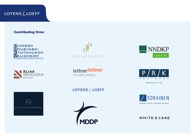## LOYENSLLOEFF

#### Contributing firms







**JALSOVSZKY** 

leitnerleitner tax audit advisory

LOYENSLLOEFF

**MDDP** 





attorneys at law



#### **WHITE & CASE**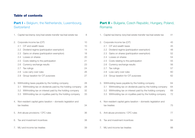#### Table of contents

#### **Part I - Belgium, the Netherlands, Luxembourg, Switzerland**

| 1. |     | Capital tax/stamp duty/real estate transfer tax/real estate tax | 8  |
|----|-----|-----------------------------------------------------------------|----|
| 2. |     | Corporate income tax (CIT)                                      | 10 |
|    | 2.1 | CIT and wealth taxes                                            | 10 |
|    | 2.2 | Dividend regime (participation exemption)                       | 14 |
|    | 2.3 | Gains on shares (participation exemption)                       | 18 |
|    | 2.4 | Losses on shares                                                | 20 |
|    | 2.5 | Costs relating to the participation                             | 21 |
|    | 2.6 | Currency exchange results                                       | 23 |
|    | 2.7 | Tax rulings                                                     | 24 |
|    | 2.8 | Loss carry over rules                                           | 26 |
|    | 2.9 | Group taxation for CIT purposes                                 | 27 |
| З. |     | Withholding taxes payable by the holding company                | 28 |
|    | 3.1 | Withholding tax on dividends paid by the holding company        | 28 |
|    | 3.2 | Withholding tax on interest paid by the holding company         | 32 |
|    | 3.3 | Withholding tax on royalties paid by the holding company        | 33 |
| 4. |     | Non-resident capital gains taxation – domestic legislation and  |    |
|    |     | tax treaties                                                    | 34 |
| 5. |     | Anti-abuse provisions / CFC rules                               | 36 |
| 6. |     | Tax and investment incentives                                   | 38 |
| 7. |     | MLI and income tax treaties                                     | 39 |

#### Part II - Bulgaria, Czech Republic, Hungary, Poland, Romania

| 1. | Capital tax/stamp duty/real estate transfer tax/real estate tax                                                                                                                                                                                                                                                                      | 41                                                 |
|----|--------------------------------------------------------------------------------------------------------------------------------------------------------------------------------------------------------------------------------------------------------------------------------------------------------------------------------------|----------------------------------------------------|
| 2. | Corporate income tax (CIT)<br>CIT and wealth taxes<br>2.1<br>2.2<br>Dividend regime (participation exemption)<br>2.3<br>Gains on shares (participation exemption)<br>2.4<br>Losses on shares<br>2.5<br>Costs relating to the participation<br>2.6<br>Currency exchange results<br>2.7<br>Tax rulings<br>2.8<br>Loss carry over rules | 45<br>45<br>48<br>52<br>54<br>55<br>56<br>57<br>60 |
| З. | Group taxation for CIT purposes<br>2.9<br>Withholding taxes payable by the holding company<br>Withholding tax on dividends paid by the holding company<br>3.1<br>Withholding tax on interest paid by the holding company<br>3.2<br>Withholding tax on royalties paid by the holding company<br>3.3                                   | 62<br>64<br>64<br>69<br>72                         |
| 4. | Non-resident capital gains taxation - domestic legislation and<br>tax treaties                                                                                                                                                                                                                                                       | 75                                                 |
| 5. | Anti-abuse provisions / CFC rules                                                                                                                                                                                                                                                                                                    | 77                                                 |
| 6. | Tax and investment incentives                                                                                                                                                                                                                                                                                                        | 84                                                 |
| 7. | MLI and income tax treaties                                                                                                                                                                                                                                                                                                          | 88                                                 |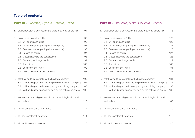#### Table of contents

## Part III - Slovakia, Cyprus, Estonia, Latvia

| 1. |     | Capital tax/stamp duty/real estate transfer tax/real estate tax | 91  |
|----|-----|-----------------------------------------------------------------|-----|
| 2. |     | Corporate income tax (CIT)                                      | 93  |
|    | 2.1 | CIT and wealth taxes                                            | 93  |
|    | 2.2 | Dividend regime (participation exemption)                       | 94  |
|    | 2.3 | Gains on shares (participation exemption)                       | 96  |
|    | 2.4 | Losses on shares                                                | 97  |
|    | 2.5 | Costs relating to the participation                             | 98  |
|    | 2.6 | Currency exchange results                                       | 99  |
|    | 2.7 | Tax rulings                                                     | 100 |
|    | 2.8 | Loss carry over rules                                           | 102 |
|    | 2.9 | Group taxation for CIT purposes                                 | 103 |
| 3. |     | Withholding taxes payable by the holding company                | 105 |
|    | 3.1 | Withholding tax on dividends paid by the holding company        | 105 |
|    | 3.2 | Withholding tax on interest paid by the holding company         | 107 |
|    | 3.3 | Withholding tax on royalties paid by the holding company        | 108 |
| 4. |     | Non-resident capital gains taxation – domestic legislation and  |     |
|    |     | tax treaties                                                    | 110 |
| 5. |     | Anti-abuse provisions / CFC rules                               | 111 |
| 6. |     | Tax and investment incentives                                   | 114 |
| 7. |     | MLI and income tax treaties                                     | 116 |

## Part IV - Lithuania, Malta, Slovenia, Croatia

| 1. |     | Capital tax/stamp duty/real estate transfer tax/real estate tax | 118 |
|----|-----|-----------------------------------------------------------------|-----|
| 2. |     | Corporate income tax (CIT)                                      | 120 |
|    | 2.1 | CIT and wealth taxes                                            | 120 |
|    | 2.2 | Dividend regime (participation exemption)                       | 121 |
|    | 2.3 | Gains on shares (participation exemption)                       | 125 |
|    | 2.4 | Losses on shares                                                | 127 |
|    | 2.5 | Costs relating to the participation                             | 128 |
|    | 2.6 | Currency exchange results                                       | 129 |
|    | 2.7 | Tax rulings                                                     | 130 |
|    | 2.8 | Loss carry over rules                                           | 131 |
|    | 2.9 | Group taxation for CIT purposes                                 | 132 |
| 3. |     | Withholding taxes payable by the holding company                | 134 |
|    | 3.1 | Withholding tax on dividends paid by the holding company        | 134 |
|    | 3.2 | Withholding tax on interest paid by the holding company         | 137 |
|    | 3.3 | Withholding tax on royalties paid by the holding company        | 138 |
| 4. |     | Non-resident capital gains taxation – domestic legislation and  |     |
|    |     | tax treaties                                                    | 139 |
| 5. |     | Anti-abuse provisions / CFC rules                               | 140 |
| 6. |     | Tax and investment incentives                                   | 143 |
| 7. |     | MLI and income tax treaties                                     | 145 |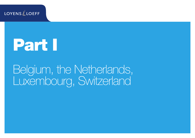**LOYENS LOEFF** 

# Part I

Belgium, the Netherlands, Luxembourg, Switzerland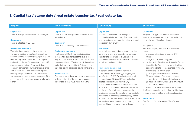## <span id="page-7-0"></span>1. Capital tax / stamp duty / real estate transfer tax / real estate tax

| <b>Capital tax</b><br><b>Capital tax</b><br>There is no tax on capital contributions in the<br>There is no capital contribution tax in Belgium.<br>Netherlands.<br><b>Stamp duty</b><br>There is a flat fee of EUR 50.<br><b>Stamp duty</b><br>There is no stamp duty in the Netherlands.                                                                                                                                                                                                                                                                                                                                                                                                                                                                                                                                                                                                                                                                                                                                                                                                                                           | <b>Capital tax</b><br>There is no ad valorem tax on capital                                                                                                                                                                                                                                                                                                                                                                                                                                                                                                                                                                                                                                                                                                                                                                                                                                                                                                                                                                                                               | <b>Capital tax</b><br>1% (stamp duty) of the amount contributed                                                                                                                                                                                                                                                                                                                                                                                                                                                                                                                                                                                                                                                                                                                                                                                                                                |
|-------------------------------------------------------------------------------------------------------------------------------------------------------------------------------------------------------------------------------------------------------------------------------------------------------------------------------------------------------------------------------------------------------------------------------------------------------------------------------------------------------------------------------------------------------------------------------------------------------------------------------------------------------------------------------------------------------------------------------------------------------------------------------------------------------------------------------------------------------------------------------------------------------------------------------------------------------------------------------------------------------------------------------------------------------------------------------------------------------------------------------------|---------------------------------------------------------------------------------------------------------------------------------------------------------------------------------------------------------------------------------------------------------------------------------------------------------------------------------------------------------------------------------------------------------------------------------------------------------------------------------------------------------------------------------------------------------------------------------------------------------------------------------------------------------------------------------------------------------------------------------------------------------------------------------------------------------------------------------------------------------------------------------------------------------------------------------------------------------------------------------------------------------------------------------------------------------------------------|------------------------------------------------------------------------------------------------------------------------------------------------------------------------------------------------------------------------------------------------------------------------------------------------------------------------------------------------------------------------------------------------------------------------------------------------------------------------------------------------------------------------------------------------------------------------------------------------------------------------------------------------------------------------------------------------------------------------------------------------------------------------------------------------------------------------------------------------------------------------------------------------|
| Real estate transfer tax<br>The sale of real estate in full ownership (or<br>Real estate transfer tax<br>The transfer of Dutch real estate is subject<br>the sale of residual property rights, such as<br>usufruct or bare ownership) is subject to a 10%<br>to real estate transfer tax at the level of the<br>(Flemish region) or 12.5% (Brussels Capital<br>acquirer. The tax rate is 6%. A 2% rate applies<br>for residential units. The transfer of shares in an<br>and Walloon Regions) transfer tax, unless VAT<br>entity that holds at least 30% Dutch real estate<br>applies. A contribution of real estate into a<br>company compensated with shares is exempt<br>may also be subject to real estate transfer tax.<br>from transfer tax unless it concerns a private<br>dwelling, subject to conditions. This transfer<br><b>Real estate tax</b><br>Real estate tax is due over the value as assessed<br>tax is computed on the acquisition value of the<br>real estate or its fair market value, whichever is<br>by the municipality. The tax rate is a certain<br>higher.<br>percentage of that value (rates may vary). | contributions in Luxembourg. The incorporation<br>of a Luxembourg company is subject to a fixed<br>registration duty of EUR 75.<br><b>Stamp duty</b><br>No ad valorem stamp duty is levied upon the<br>transfer of shares in a Luxembourg company.<br>Transfer of a receivable to a Luxembourg<br>company should be monitored in order to avoid<br>ad valorem registration duty.<br><b>Real estate transfer tax</b><br>In general, the transfer of ownership in<br>Luxembourg real estate triggers aggregate<br>transfer duty of 10% (for real estate situated<br>in Luxembourg City) and 7% (for real estate<br>located outside of Luxembourg City).<br>The aforementioned transfer duty will also be<br>applicable upon indirect transfers of real estate<br>via the transfer of interest in a partnership<br>owning real estate. The transfer of real estate to<br>a company in exchange for shares may benefit<br>from reduced transfer duties. Certain exemptions<br>are available regarding transfers occurring in the<br>course of internal group reorganizations. | (fair market value) with a minimum equal to the<br>nominal value of the shares issued.<br>Exemptions<br>Exemptions apply, inter alia, in the following<br>cases:<br>- share capital up to an amount of CHF 1<br>million;<br>immigration of a company; and<br>on the basis of the Merger Act and a Circular<br>issued by the Swiss federal tax authorities<br>concerning the tax consequences of this law,<br>exemptions are available for:<br>(i) mergers, divisions transformations;<br>contributions of separate business<br>(ii)<br>activity or qualifying participations, and<br>(iii) financial restructurings up to an amount<br>of CHF 10 million.<br>For exemptions based on the Merger Act and<br>the Circular issued in relation thereto, it is highly<br>recommended to obtain an advance tax ruling.<br><b>Stamp duty</b><br>See Section 2.3, sub-section 'Transfer stamp<br>tax'. |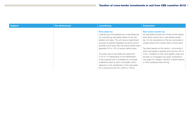| <b>Belgium</b> | <b>The Netherlands</b> | Luxembourg                                                                                                                                                                                                                                                                                                                                                                                                                                                                                                                                                                                                                                     | <b>Switzerland</b>                                                                                                                                                                                                                                                                                                                                                                                                                                                                                                                                              |
|----------------|------------------------|------------------------------------------------------------------------------------------------------------------------------------------------------------------------------------------------------------------------------------------------------------------------------------------------------------------------------------------------------------------------------------------------------------------------------------------------------------------------------------------------------------------------------------------------------------------------------------------------------------------------------------------------|-----------------------------------------------------------------------------------------------------------------------------------------------------------------------------------------------------------------------------------------------------------------------------------------------------------------------------------------------------------------------------------------------------------------------------------------------------------------------------------------------------------------------------------------------------------------|
|                |                        | <b>Real estate tax</b><br>Luxembourg municipalities levy a real estate tax<br>on Luxembourg real estate based on the real<br>estate's unit value. The unit value is determined<br>pursuant to specific legislative provisions and is<br>typically much lower than the actual market value<br>(generally 5% to 10% of actual market value).<br>The basic rate of real estate tax varies from<br>0.7% to 1% (depending on the classification<br>of the property) and is multiplied by municipal<br>coefficients fixed by each municipality which<br>depends on the classification of the real estate<br>(for Luxembourg city from 250% to 750%). | <b>Real estate transfer tax</b><br>No real estate transfer tax is levied at the federal<br>level. Most cantons levy a real estate transfer<br>tax. For the calculations of the tax, real estate is<br>usually valued at its market value or fiscal value.<br>Tax rates depend on the canton / community in<br>which real estate is situated and vary from 0% to<br>3.5%. In addition to that, land register costs and<br>tax fees on mortgages may apply. Exemptions<br>may apply for mergers, divisions, transformations<br>or other qualifying restructuring. |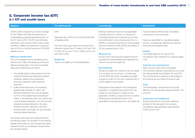#### <span id="page-9-1"></span><span id="page-9-0"></span>2. Corporate income tax (CIT) 2.1 CIT and wealth taxes

| <b>Belgium</b>                                                                                                                                                                                                                                                                                                                                                                                                                                                                                                                                                                                                                                                                                                                                                                                                                                                              | <b>The Netherlands</b>                                                                                                                                                                                                                                                                                             | <b>Luxembourg</b>                                                                                                                                                                                                                                                                                                                                                                                                                                                                                                                                                                                                                                                                                                                                                                                            | <b>Switzerland</b>                                                                                                                                                                                                                                                                                                                                                                                                                                                                                                                                                                                                                                                                            |
|-----------------------------------------------------------------------------------------------------------------------------------------------------------------------------------------------------------------------------------------------------------------------------------------------------------------------------------------------------------------------------------------------------------------------------------------------------------------------------------------------------------------------------------------------------------------------------------------------------------------------------------------------------------------------------------------------------------------------------------------------------------------------------------------------------------------------------------------------------------------------------|--------------------------------------------------------------------------------------------------------------------------------------------------------------------------------------------------------------------------------------------------------------------------------------------------------------------|--------------------------------------------------------------------------------------------------------------------------------------------------------------------------------------------------------------------------------------------------------------------------------------------------------------------------------------------------------------------------------------------------------------------------------------------------------------------------------------------------------------------------------------------------------------------------------------------------------------------------------------------------------------------------------------------------------------------------------------------------------------------------------------------------------------|-----------------------------------------------------------------------------------------------------------------------------------------------------------------------------------------------------------------------------------------------------------------------------------------------------------------------------------------------------------------------------------------------------------------------------------------------------------------------------------------------------------------------------------------------------------------------------------------------------------------------------------------------------------------------------------------------|
| 29.58% (29% increased by a crisis surcharge<br>of 2%). Please note that the government is<br>contemplating a gradual general reduction of<br>the CIT rate to 25%. The CIT rate will further<br>decrease to 25% as from 2020. Under certain<br>conditions, SMEs can benefit from a reduced<br>rate of 20.4% on the first tranche of €100,000<br>taxable income.<br><b>Minimum taxable base</b><br>30% of the taxable income exceeding a first<br>tranche of €1 million will qualify as a minimum<br>effective taxable basis. The minimum taxable<br>basis will be determined as follows:<br>1. The taxable basis is determined and (in this<br>order) the following are deducted: exempt<br>dividends, patent income deduction,<br>innovation deduction and investment<br>deduction.<br>2. If after those deductions, the remaining<br>taxable basis exceeds €1 million, the | 25%<br>Reduced rate of 20% for the first EUR 200,000<br>of taxable profits.<br>The new Dutch government announced that it<br>intends to reduce the CIT rates to 24% and 19%<br>in 2019, 22.5% and 17.5% in 2020, and to 21%<br>and 16% in 2021.<br><b>Wealth tax</b><br>There is no wealth tax in the Netherlands. | Effective combined maximum rate applicable<br>to profits is 26.01% in 2018, of national CIT,<br>municipal business tax (Luxembourg City rate)<br>and contribution to the unemployment fund. In<br>addition, companies that have an annual taxable<br>income of maximum EUR 25,000 are subject to<br>CIT at a reduced rate of 15%.<br><b>Minimum tax</b><br>As from 2016, the previously applied minimum<br>corporate tax was abolished and replaced by a<br>minimum annual net wealth tax.<br>Net wealth tax<br>Annual net wealth tax is levied on the net assets<br>of a company as per January 1 of each year.<br>The first EUR 500 million of taxable net wealth<br>is taxed at a rate of 0.5% and a reduced rate of<br>0.05% applies to any excess.<br>Participations that qualify for the participation | Taxes are levied at three levels, the federal,<br>cantonal and communal levels.<br>Taxes are deductible for calculating taxable<br>income. Consequently, effective tax rates are<br>lower than the statutory rates.<br><b>Federal</b><br>The federal statutory CIT rate is 8.5%.<br>The effective rate of federal CIT is approximately<br>7.8%.<br><b>Cantonal and communal tax</b><br>Rates vary per canton and municipality.<br>The combined statutory cantonal and communal<br>tax rates generally vary between 5% and 25%.<br>The communal tax is levied as a percentage of<br>the cantonal tax and follows the same rules.<br><b>Total</b><br>The total (federal, cantonal and communal) |
| following deductions can only be applied<br>to 70% of the taxable basis exceeding €1<br>million, in the following order: the current year<br>notional interest deduction, the carry-forward<br>dividends received deduction, the carry-<br>forward innovation deduction, the carry-<br>forward losses, and finally, the carry-forward<br>notional interest deduction.<br>The excess deductions are carried forward to                                                                                                                                                                                                                                                                                                                                                                                                                                                       |                                                                                                                                                                                                                                                                                                                    | exemption on dividends are exempt from net<br>wealth tax. See Section 2.2 below for the<br>applicable conditions, except for the 12 months<br>holding period requirement which is not<br>applicable for the exemption from net wealth tax.                                                                                                                                                                                                                                                                                                                                                                                                                                                                                                                                                                   | effective CIT rate generally ranges between 12%<br>and 25%.<br>Capital tax (=net wealth tax)<br>Annual cantonal and communal capital tax<br>is levied on the net equity of a company.<br>The effective rates generally range between<br>0.001% and 0.18%.                                                                                                                                                                                                                                                                                                                                                                                                                                     |
| the following years. An exception to the minimal                                                                                                                                                                                                                                                                                                                                                                                                                                                                                                                                                                                                                                                                                                                                                                                                                            |                                                                                                                                                                                                                                                                                                                    |                                                                                                                                                                                                                                                                                                                                                                                                                                                                                                                                                                                                                                                                                                                                                                                                              |                                                                                                                                                                                                                                                                                                                                                                                                                                                                                                                                                                                                                                                                                               |

taxable basis exists for carry-forward tax losses incurred by start-up companies during the first four taxable periods.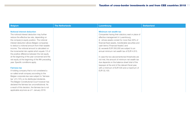| <b>Belgium</b>                                     | <b>The Netherlands</b> | <b>Luxembourg</b>                                   | <b>Switzerland</b> |
|----------------------------------------------------|------------------------|-----------------------------------------------------|--------------------|
|                                                    |                        |                                                     |                    |
| <b>Notional interest deduction</b>                 |                        | Minimum net wealth tax                              |                    |
| The notional interest deduction may further        |                        | Companies having their statutory seat or place of   |                    |
| reduce the effective tax rate, depending on        |                        | effective management in Luxembourg                  |                    |
| the company's equity position. The notional        |                        | (i) whose assets consist for more than 90% of       |                    |
| interest deduction allows Belgian companies        |                        | financial fixed assets, transferable securities and |                    |
| to deduct a notional amount from their taxable     |                        | cash items ('Financial Assets') and                 |                    |
| income. The notional amount is calculated on       |                        | (ii) exceeds EUR 350,000 are subject to an          |                    |
| the incremental risk capital which equals 1/5 of   |                        | annual minimum net wealth tax of EUR 4.815.         |                    |
| the positive difference between the net equity     |                        |                                                     |                    |
| at the beginning of the year concerned and the     |                        | In case the two abovementioned thresholds are       |                    |
| net equity at the beginning of the fifth preceding |                        | not met, the amount of minimum net wealth tax       |                    |
| year. Specific conditions apply.                   |                        | due depends on the balance sheet total of the       |                    |
|                                                    |                        | taxpayer at the end of the relevant fiscal year,    |                    |
| <b>Fairness tax</b>                                |                        | with a minimum of EUR 535 and a maximum of          |                    |
| A holding company that is not considered a         |                        | EUR 32,100.                                         |                    |
| so-called small company according to the           |                        |                                                     |                    |
| Belgian corporate law was subject to 'fairness     |                        |                                                     |                    |
| tax' of 5.15% on its distributed dividends.        |                        |                                                     |                    |
| The Belgian Constitutional Court however has       |                        |                                                     |                    |
| declared the fairness tax unconstitutional. As     |                        |                                                     |                    |
| a result of this decision, the fairness tax is not |                        |                                                     |                    |
| applicable anymore as of 1 January 2018.           |                        |                                                     |                    |
|                                                    |                        |                                                     |                    |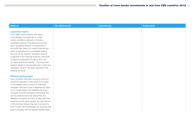| <b>Belgium</b>                                                                                                                                                                                                                                                                                                                                                                                                                                                                                                                                                                                                                                                                                          | <b>The Netherlands</b> | <b>Luxembourg</b> | <b>Switzerland</b> |
|---------------------------------------------------------------------------------------------------------------------------------------------------------------------------------------------------------------------------------------------------------------------------------------------------------------------------------------------------------------------------------------------------------------------------------------------------------------------------------------------------------------------------------------------------------------------------------------------------------------------------------------------------------------------------------------------------------|------------------------|-------------------|--------------------|
| <b>Liquidation reserve</b><br>A so-called small company according<br>to the Belgian corporate law is, under<br>certain conditions, allowed to include a<br>'liquidation reserve' in its financial accounts.<br>Such 'liquidation reserve' is constituted of<br>the profit after taxes of a certain financial year<br>which is allocated to an unavailable reserve<br>account. At the time the 'liquidation reserve'<br>is reported in the financial accounts, that profit<br>is taxed at a separate CIT rate of 10%, the<br>so-called 'advanced taxation'. The advanced<br>taxation relates to the financial year in which the<br>'liquidation reserve' has been reported in the<br>financial accounts. |                        |                   |                    |
| <b>Minimum Remuneration</b><br>Each company that does not pay a minimum<br>annual remuneration of the lower of $\in$ 45,000<br>or the taxable basis to one of its individual<br>managers will have to pay a separate tax equal<br>to 5% on the deficit. This separate tax does<br>not apply to small companies during their first<br>four tax periods and is tax deductible. For<br>affiliated companies of which at least half of the<br>directors are the same people, the total amount<br>of the minimum director fee has to amount to<br>EUR 75,000 and the separate tax would be due<br>by the company with the highest taxable basis.                                                             |                        |                   |                    |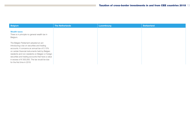| <b>Belgium</b>                                                                                                                                                                                                                                                                                                                                                                             | <b>The Netherlands</b> | <b>Luxembourg</b> | <b>Switzerland</b> |
|--------------------------------------------------------------------------------------------------------------------------------------------------------------------------------------------------------------------------------------------------------------------------------------------------------------------------------------------------------------------------------------------|------------------------|-------------------|--------------------|
| <b>Wealth taxes</b><br>There is in principle no general wealth tax in<br>Belgium.                                                                                                                                                                                                                                                                                                          |                        |                   |                    |
| The Belgian Parliament adopted an act<br>introducing a tax on securities and trading<br>accounts. It concerns an annual tax of 0.15%<br>on certain financial instruments held by Belgian<br>residents and non-residents on Belgian or foreign<br>securities and trading accounts that have a value<br>in excess of $\epsilon$ 500,000. The tax would be due<br>for the first time in 2018. |                        |                   |                    |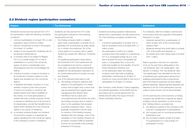| <b>Belgium</b>                                                                                                                                                                                                                                                                                                                                                                                                                                                                                                                                                                                                                                                                                                                                                                                                                                                                                                                                                                                                                                                                                                                                                                                                                                                                                                                                                                                                                                 | <b>The Netherlands</b>                                                                                                                                                                                                                                                                                                                                                                                                                                                                                                                                                                                                                                                                                                                                                                                                                                                                                                                                                                                                                                                                                                                                                                                                                                                                                                                                                                                                                                                                              | Luxembourg                                                                                                                                                                                                                                                                                                                                                                                                                                                                                                                                                                                                                                                                                                                                                                                                                                                                                                                                                                                                                                                                      | <b>Switzerland</b>                                                                                                                                                                                                                                                                                                                                                                                                                                                                                                                                                                                                                                                                                                                                                                                                                                                                                                                                                                                                                                                                                                                                                                                                                                                                                                                                                                                                                                                       |
|------------------------------------------------------------------------------------------------------------------------------------------------------------------------------------------------------------------------------------------------------------------------------------------------------------------------------------------------------------------------------------------------------------------------------------------------------------------------------------------------------------------------------------------------------------------------------------------------------------------------------------------------------------------------------------------------------------------------------------------------------------------------------------------------------------------------------------------------------------------------------------------------------------------------------------------------------------------------------------------------------------------------------------------------------------------------------------------------------------------------------------------------------------------------------------------------------------------------------------------------------------------------------------------------------------------------------------------------------------------------------------------------------------------------------------------------|-----------------------------------------------------------------------------------------------------------------------------------------------------------------------------------------------------------------------------------------------------------------------------------------------------------------------------------------------------------------------------------------------------------------------------------------------------------------------------------------------------------------------------------------------------------------------------------------------------------------------------------------------------------------------------------------------------------------------------------------------------------------------------------------------------------------------------------------------------------------------------------------------------------------------------------------------------------------------------------------------------------------------------------------------------------------------------------------------------------------------------------------------------------------------------------------------------------------------------------------------------------------------------------------------------------------------------------------------------------------------------------------------------------------------------------------------------------------------------------------------------|---------------------------------------------------------------------------------------------------------------------------------------------------------------------------------------------------------------------------------------------------------------------------------------------------------------------------------------------------------------------------------------------------------------------------------------------------------------------------------------------------------------------------------------------------------------------------------------------------------------------------------------------------------------------------------------------------------------------------------------------------------------------------------------------------------------------------------------------------------------------------------------------------------------------------------------------------------------------------------------------------------------------------------------------------------------------------------|--------------------------------------------------------------------------------------------------------------------------------------------------------------------------------------------------------------------------------------------------------------------------------------------------------------------------------------------------------------------------------------------------------------------------------------------------------------------------------------------------------------------------------------------------------------------------------------------------------------------------------------------------------------------------------------------------------------------------------------------------------------------------------------------------------------------------------------------------------------------------------------------------------------------------------------------------------------------------------------------------------------------------------------------------------------------------------------------------------------------------------------------------------------------------------------------------------------------------------------------------------------------------------------------------------------------------------------------------------------------------------------------------------------------------------------------------------------------------|
| Dividends received are fully exempt from CIT if<br>the participation meets the following cumulative<br>conditions:<br>i. minimum participation of at least 10% or with<br>acquisition value of EUR 2.5 million;<br>ii. held (or commitment to hold) in full property<br>for at least 12 months;<br>iii. subject-to-tax requirement: dividends will not<br>be exempt if distributed by:<br>a) a company that is not subject to Belgian<br>CIT or to a similar foreign CIT or that is<br>established in a country, the normal tax<br>regime of which is substantially more<br>advantageous than the normal Belgian tax<br>regime;<br>b) a finance company, a treasury company or<br>an investment company subject to a tax<br>regime that deviates from the normal tax<br>regime;<br>c) a regulated real estate company or a non-<br>resident company (i) the main purpose<br>of which is to acquire or construct real<br>estate property and make it available on<br>the market, or to hold participations in<br>entities that have a similar purpose, (ii) that<br>is required to distribute part of its income to<br>its shareholders, and (iii) that benefits from a<br>regime which deviates from the normal tax<br>regime in its country of residence;<br>d) a company receiving foreign non-dividend<br>income that is subject to a separate tax<br>regime deviating from the normal tax regime<br>in the company's country of residence; | Dividends are fully exempt from CIT under<br>the participation exemption if the following<br>requirements are met:<br>i. the holding company itself or a related<br>party holds a participation of at least 5% of,<br>generally, the nominal paid-up share capital<br>(or, in certain circumstances, 5% of the<br>voting rights) of a company with a capital<br>divided into shares (the 'Minimum Threshold<br>Test').<br>If a qualifying participation drops below<br>the threshold of 5%, this requirement will<br>be considered to be met for a period of<br>three years, provided that the participation<br>qualified for the participation exemption for<br>an uninterrupted period of at least one year<br>prior thereto;<br>ii. one of the following three tests is met:<br>a) the holding company's objective with<br>respect to its participation is to obtain<br>a return that is higher than a return that<br>may be expected from regular asset<br>management (the 'Motive Test').<br>The Motive Test is a facts-and-<br>circumstances test that will be met when<br>the holding company aims to obtain a<br>return on its subsidiary that exceeds<br>a portfolio investment return. This is<br>generally considered to be the case,<br>for instance, if the holding company<br>interferes with the manage- ment of the<br>subsidiary or if the holding company (or<br>its parent company) fulfils an essential<br>function for the benefit of the business<br>enterprise of the group. | Dividends (including liquidation distributions)<br>derived from a participation are fully exempt from<br>CIT if the following cumulative conditions are<br>met:<br>- a minimum participation of at least 10% or<br>with an acquisition price of at least EUR 1.2<br>million is held;<br>the participation is held in (i) a capital<br>$-$<br>company that is fully subject to Luxembourg<br>CIT or a comparable foreign tax (i.e. a tax<br>rate of at least 9% and a comparable tax<br>base; a 'Comparable Tax') or (ii) an EU<br>entity that qualifies for the benefits of the EU<br>Parent-Subsidiary Directive; and<br>on the distribution date, the holding<br>company must have held a qualifying<br>participation continuously for at least 12<br>months (or must commit itself to hold such a<br>participation for at least 12 months).<br>See, however, under Section 5 below regarding<br>the potential application of the GAAR and the<br>anti-hybrid rule to income derived from EU<br>entities that fall within the scope of the EU<br>Parent-Subsidiary Directive. | For dividends, relief from federal, cantonal and<br>communal income tax is granted ('Participation<br>Reduction') in case:<br>- dividends derived from a participation of<br>which at least 10% of the nominal share<br>capital is held;<br>dividends derived from profit rights to at least<br>$ \,$<br>10% of the profits and reserves; or<br>the shares have a fair market value of at least<br>CHF 1 million.<br>Relief is granted in the form of a reduction<br>of tax for the part that is attributable to the<br>'net dividends' (and 'net capital gains'; see<br>Section 2.3 below). The 'net dividends' (and<br>'net capital gains') are calculated as the sum<br>of dividends (and capital gains) derived from<br>qualifying participations less a proportional<br>part of the finance expenses and less related<br>general expenses. Related general expenses are<br>deemed to be 5% of the participation income,<br>unless a lower amount can be demonstrated.<br>On the cantonal and communal level, a holding<br>company can benefit from a special tax regime<br>entailing a full tax exemption on all its income<br>(the 'Holding Status'), provided that:<br>(i) the statutory purpose of the company is the<br>long-term management of participations;<br>(ii) the company has no commercial activities in<br>Switzerland: and<br>(iii) the company's assets consist of at least<br>2/3 participations or it has at least 2/3<br>participation income. |

## <span id="page-13-0"></span>2.2 Dividend regime (participation exemption)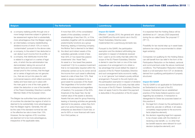tax benefit reasons were relevant for such decision (subjective element); and

|    | <b>Belgium</b>                                    | <b>The Netherlands</b>                        | <b>Luxembourg</b>                                     | <b>Switzerland</b>                                   |
|----|---------------------------------------------------|-----------------------------------------------|-------------------------------------------------------|------------------------------------------------------|
|    |                                                   |                                               |                                                       |                                                      |
|    | e) a company realising profits through one or     | If more than 50% of the consolidated          | <b>Impact EU GAAR</b>                                 | It is expected that the Holding Status will be       |
|    | more foreign branches subject in global to a      | assets of the subsidiary consist of           | Effective 1 January 2016, the general anti- abuse     | abolished as of 1 January 2020 (expected)            |
|    | tax assessment regime that is substantially       | shareholdings of less than 5%, or if the      | rule (GAAR) and the anti-hybrid rule in the EU        | during the so-called Swiss Tax proposal 17           |
|    | more advantageous than the Belgian regime;        | subsidiary (together with its subsidiaries)   | Parent-Subsidiary Directive were                      | (TP 17).                                             |
| f) | an intermediary company (re)distributing          | predominantly functions as a group            | implemented into Luxembourg domestic law.             |                                                      |
|    | dividend income of which 10% or more is           | financing, leasing or licencing company,      |                                                       | Possibility for tax neutral step-up in asset basis   |
|    | 'contaminated' pursuant to the above rules;       | the Motive Test is deemed to be failed;       | Pursuant to the GAAR, the participation               | (advance tax ruling is recommended to obtain         |
|    | g) a company, to the extent it has deducted or    | b) the direct and indirect assets of the      | exemption and the dividend withholding tax            | legal certainty).                                    |
|    | can deduct such income from its profits; or       | subsidiary generally consist of less          | exemption in respect of dividends received            |                                                      |
|    | h) a company, that distributes income that        | than 50% of 'low-taxed free passive           | from / paid to an EU entity that falls within the     | Companies not qualifying for the Holding Status      |
|    | is related to a legal act or a series of legal    | investments' (the 'Asset Test').              | scope of the EU Parent-Subsidiary Directive           | can still benefit from tax relief in the form of the |
|    | acts, of which the tax administration has         | An asset is a 'low-taxed free passive         | is denied in case the main or one of the main         | Participation Reduction on the federal, cantonal     |
|    | demonstrated, taking into account all             | investment' if (i) it is a passive investment | purposes of an arrangement is to obtain a             | and communal level under the above-mentioned         |
|    | relevant facts and circumstances and              | that is not reasonably required within the    | tax advantage that would defeat the object or         | conditions. The Participation Reduction indirectly   |
|    | except proof to the contrary, that the legal      | enterprise carried out by its owner and (ii)  | purpose of the EU Parent-Subsidiary Directive         | leads to a full exemption from CIT on dividends      |
|    | act or series of legal acts are not genuine       | the income from such asset is effectively     | and such arrangement lacks economic reality,          | derived from qualifying participations if properly   |
|    | (i.e., that are not put into place for valid      | taxed at a rate of less than 10%. Real        | i.e. is not 'genuine' but instead a purely artificial | structured.                                          |
|    | commercial reasons which reflect economic         | estate is always considered to be a           | arrangement. Pursuant to the anti-hybrid rule,        |                                                      |
|    | reality) and have been put in place with          | good asset for purposes of the Asset          | the participation exemption in respect of dividend    | <b>Impact EU GAAR</b>                                |
|    | the main goal or one of the main goals to         | Test (regardless of its function within       | income derived from an EU entity that falls within    | The EU GAAR is not applicable for Switzerland        |
|    | obtain the deduction or one of the benefits       | the owner's enterprise and regardless         | the scope of the EU Parent- Subsidiary Directive      | as Switzerland is not part of the EU.                |
|    | of the Parent-Subsidiary Directive in another     | of taxation). For purposes of the 50%         | does not apply if and to the extent the payment       | However, Switzerland has an established              |
|    | Member State of the European Union.               | threshold of the Asset Test, the fair         | is deductible in the jurisdiction of the EU payer.    | practice of the Swiss federal supreme court          |
|    |                                                   | market value of the assets is decisive.       |                                                       | regarding tax avoidance. A transaction is            |
|    | The Belgian tax authorities have published a list | Assets that are used for group financing,     |                                                       | disregarded for Swiss tax purposes based on          |
|    | of countries the standard tax regime of which is  | leasing or licensing activities are generally |                                                       | this practice if:                                    |
|    | deemed to be substantially more advantageous      | deemed to be passive, unless they form        |                                                       | (i) the legal form chosen by the participants is     |
|    | than the Belgian regime. Generally, this will     | part of an active financing or leasing        |                                                       | abnormal, peculiar or artificial, in all cases,      |
|    | be the case if the standard nominal tax rate      | enterprise as described in Dutch law, or      |                                                       | completely inappropriate to the economic             |
|    | or the effective tax rate is lower than 15%.      | are for 90% or more financed with loans       |                                                       | facts (objective element);                           |
|    | However, the tax regimes of EU countries          | from third parties; or                        |                                                       | (ii) the decision regarding legal form appears       |
|    | are deemed not to be more advantageous,           |                                               |                                                       | to be chosen solely with the intention of            |
|    | irrespective of the applicable rates.             |                                               |                                                       | receiving a tax benefit, i.e. no other than          |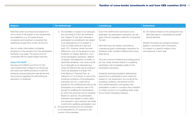| <b>Belgium</b>                                                                                                                                                                                                                                                                                                                                                                                                                                                                                                                                                                                                                                                                                                               | <b>The Netherlands</b>                                                                                                                                                                                                                                                                                                                                                                                                                                                                                                                                                                                                                                                                                                                                                                                                                                                                                                                                                                                                                                                                                                                                                                                                                                                                                                                                   | <b>Luxembourg</b>                                                                                                                                                                                                                                                                                                                                                                                                                                                                                                                                                                                                                                                                                                                                                                                                                                                                                                           | <b>Switzerland</b>                                                                                                                                                                                                                                                                            |
|------------------------------------------------------------------------------------------------------------------------------------------------------------------------------------------------------------------------------------------------------------------------------------------------------------------------------------------------------------------------------------------------------------------------------------------------------------------------------------------------------------------------------------------------------------------------------------------------------------------------------------------------------------------------------------------------------------------------------|----------------------------------------------------------------------------------------------------------------------------------------------------------------------------------------------------------------------------------------------------------------------------------------------------------------------------------------------------------------------------------------------------------------------------------------------------------------------------------------------------------------------------------------------------------------------------------------------------------------------------------------------------------------------------------------------------------------------------------------------------------------------------------------------------------------------------------------------------------------------------------------------------------------------------------------------------------------------------------------------------------------------------------------------------------------------------------------------------------------------------------------------------------------------------------------------------------------------------------------------------------------------------------------------------------------------------------------------------------|-----------------------------------------------------------------------------------------------------------------------------------------------------------------------------------------------------------------------------------------------------------------------------------------------------------------------------------------------------------------------------------------------------------------------------------------------------------------------------------------------------------------------------------------------------------------------------------------------------------------------------------------------------------------------------------------------------------------------------------------------------------------------------------------------------------------------------------------------------------------------------------------------------------------------------|-----------------------------------------------------------------------------------------------------------------------------------------------------------------------------------------------------------------------------------------------------------------------------------------------|
| Note that under circumstances exceptions to<br>one or some of the subject-to-tax requirements<br>are available for e.g. EU-based finance<br>companies and investment companies that<br>redistribute at least 90% of their net income.<br>Also for certain intermediary companies,<br>exceptions to the exclusion from the participation<br>exemption may apply. The same is true for<br>companies with low taxed foreign branches.<br><b>Impact EU GAAR</b><br>Directives 2014/86/EU and 2015/121/EU<br>were implemented in Belgium by introducing<br>anti-hybrid and GAAR provisions in both the<br>dividends received deduction (see above) and<br>the provisions regarding the withholding tax<br>exemption on dividends. | the subsidiary is subject to an adequate<br>$\circ$<br>levy according to Dutch tax standards<br>(the 'Subject-To-Tax Test') Generally a<br>participation is considered to be subject<br>to an adequate levy if it is subject to<br>a tax on profits levied at a rate of at<br>least 10%. However, certain tax base<br>differences, such as the absence of any<br>limitations on interest deduction, a too<br>broad participation exemption, deferral<br>of taxation until distribution of profits, or<br>deductible dividends, may cause a profit<br>tax to disqualify as an adequate levy,<br>unless the effective tax rate according to<br>Dutch tax standards is at least 10%.<br>If the Minimum Threshold Test, as<br>referred to in 2.2 (i) hereof, is met but the<br>remaining conditions of the participation<br>exemption are not, a credit will be<br>granted for the underlying tax paid by the<br>participation at a maximum rate of 5%<br>(except for qualifying EU participations,<br>for which the actual tax can be credited).<br>Based on case law, the participation<br>exemption also applies to option rights<br>and warrants if, upon exercise, the holder<br>would hold a qualifying participation; and<br>iii. the payment received from the subsidiary<br>is not deductible for CIT purposes in the<br>country of the subsidiary. | Even if the GAAR and/or anti-hybrid rule is<br>applicable, the participation exemption can still<br>apply if the EU subsidiary meets the Comparable<br>Tax test.<br>Note that many tax treaties concluded by<br>Luxembourg grant a participation exemption for<br>dividends under conditions different than those<br>listed above.<br>Once the minimum threshold and holding period<br>are met, newly acquired shares of a qualifying<br>participation will immediately qualify for the<br>participation exemption.<br>Dividends (excluding liquidation distributions)<br>derived from a participation which meets the<br>subject-to- tax requirement, but not (all of) the<br>remaining conditions, are exempt for 50%.<br>Such partial exemption only applies if the<br>participation is held in a company that is resident<br>in a treaty country or is a qualifying entity under<br>the EU Parent-Subsidiary Directive. | (iii) the method chosen by the participants had<br>effectively lead to a substantial tax benefit<br>(factual element).<br>Whether the Swiss tax avoidance practice<br>applies in connection with a transaction,<br>it is subject to a specific analysis of the<br>circumstances in each case. |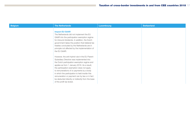| <b>Belgium</b> | <b>The Netherlands</b>                                                                                                                                                                                                                                                                                                                                                                                                                                                       | <b>Luxembourg</b> | <b>Switzerland</b> |
|----------------|------------------------------------------------------------------------------------------------------------------------------------------------------------------------------------------------------------------------------------------------------------------------------------------------------------------------------------------------------------------------------------------------------------------------------------------------------------------------------|-------------------|--------------------|
|                | <b>Impact EU GAAR</b><br>The Netherlands did not implement the EU<br>GAAR into the participation exemption regime<br>for inbound dividends. In addition, the Dutch<br>government takes the position that bilateral tax<br>treaties concluded by the Netherlands are in<br>principle not affected by the implementation of<br>the EU GAAR.                                                                                                                                    |                   |                    |
|                | However, the anti-hybrid rule in the EU Parent-<br>Subsidiary Directive was implemented into<br>the Dutch participation exemption regime and<br>applies as from 1 January 2016. As a result,<br>the participation exemption does not apply<br>to remunerations of or payments by a body<br>in which the participation is held insofar this<br>remuneration or payment can by law or in fact<br>be deducted directly or indirectly from the base<br>of the profit tax levied. |                   |                    |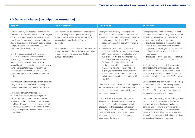#### <span id="page-17-0"></span>2.3 Gains on shares (participation exemption)

| <b>Belgium</b>                                                                                                                                                                                                                                                                                                                                                                                                                                                                                                                                                                                                                                                                                                                                                                                                                                                                                                                                                                                                                                                                                                                                                                                                                                                                                               | <b>The Netherlands</b>                                                                                                                                                                                                                                                                                                                                                                        | <b>Luxembourg</b>                                                                                                                                                                                                                                                                                                                                                                                                                                                                                                                                                                                                                                                                                                                                                                                                                                                                                                                                                                                                                                                                                                                                                                                                                                                                                                                                                | <b>Switzerland</b>                                                                                                                                                                                                                                                                                                                                                                                                                                                                                                                                                                                                                                                                                                                                                                                                                                                                                                                                                                                                                                                                                                                                                                                                                                                                                                                                                                                                                |
|--------------------------------------------------------------------------------------------------------------------------------------------------------------------------------------------------------------------------------------------------------------------------------------------------------------------------------------------------------------------------------------------------------------------------------------------------------------------------------------------------------------------------------------------------------------------------------------------------------------------------------------------------------------------------------------------------------------------------------------------------------------------------------------------------------------------------------------------------------------------------------------------------------------------------------------------------------------------------------------------------------------------------------------------------------------------------------------------------------------------------------------------------------------------------------------------------------------------------------------------------------------------------------------------------------------|-----------------------------------------------------------------------------------------------------------------------------------------------------------------------------------------------------------------------------------------------------------------------------------------------------------------------------------------------------------------------------------------------|------------------------------------------------------------------------------------------------------------------------------------------------------------------------------------------------------------------------------------------------------------------------------------------------------------------------------------------------------------------------------------------------------------------------------------------------------------------------------------------------------------------------------------------------------------------------------------------------------------------------------------------------------------------------------------------------------------------------------------------------------------------------------------------------------------------------------------------------------------------------------------------------------------------------------------------------------------------------------------------------------------------------------------------------------------------------------------------------------------------------------------------------------------------------------------------------------------------------------------------------------------------------------------------------------------------------------------------------------------------|-----------------------------------------------------------------------------------------------------------------------------------------------------------------------------------------------------------------------------------------------------------------------------------------------------------------------------------------------------------------------------------------------------------------------------------------------------------------------------------------------------------------------------------------------------------------------------------------------------------------------------------------------------------------------------------------------------------------------------------------------------------------------------------------------------------------------------------------------------------------------------------------------------------------------------------------------------------------------------------------------------------------------------------------------------------------------------------------------------------------------------------------------------------------------------------------------------------------------------------------------------------------------------------------------------------------------------------------------------------------------------------------------------------------------------------|
| Gains realised by the holding company on the<br>alienation of shares are fully exempt from Belgian<br>CIT, to the extent that potential income derived<br>from those shares would be exempt under the<br>dividend participation exemption (see 2.2 above)<br>and provided that the shares have been held in<br>full property for at least 12 months.<br>Only the net gain realised will be exempt,<br><i>i.e.</i> after the deduction of the alienation costs<br>(e.g. notary fees, bank fees, commissions,<br>publicity costs, consultancy costs, etc.).<br>A specific anti-abuse provision applies to capital<br>gains on shares following a temporarily tax-<br>exempt exchange of shares at the occasion of<br>which the subject-to-tax requirement was not<br>fulfilled.<br>The minimum participation requirement does not<br>apply to insurance and reinsurance companies<br>that hold participations to hedge their liabilities.<br>Any holding company that meets the<br>minimum participation and the 'subject-to-<br>tax' requirement but that does not meet the<br>requirement to hold the shares in full property<br>for at least 12 months, is subject to tax at a rate<br>of 25.75% (25% increased by a crisis surcharge<br>of 3%) tax on gains realised on the alienation of<br>those shares. | Gains realised on the alienation of a participation<br>(including foreign exchange results) are fully<br>exempt from CIT under the same conditions<br>as described under Section 2.2 above for<br>dividends.<br>Gains realised on option rights and warrants are<br>exempt pursuant to the participation exemption<br>if, upon exercise, the holder would hold a<br>qualifying participation. | Gains (including currency exchange gains)<br>realised on the alienation of a participation are<br>exempt from CIT under the following conditions:<br>$-$ a minimum participation of 10% or with an<br>acquisition price of at least EUR 6 million is<br>held:<br>the participation is held in (i) a capital<br>$-$<br>company that is fully subject to Luxembourg<br>CIT or a comparable foreign tax (i.e. a tax<br>rate of at least 9% and a comparable tax<br>base) or (ii) an EU entity qualifying under the<br>EU Parent- Subsidiary Directive; and<br>on the date on which the capital gain is<br>$-$<br>realised, the holding company has held<br>a qualifying participation continuously for<br>at least 12 months (or must commit itself<br>to hold such a participation for at least 12<br>months).<br>Once the minimum threshold and holding period<br>are met, newly acquired shares of a qualifying<br>participation will immediately qualify for the<br>participation exemption.<br>The capital gains exemption described in<br>this paragraph does not apply to the extent<br>of previously deducted expenses and write-<br>offs relating to the respective participation<br>(recapture). Such a recapture can in principle<br>be offset against any carry forward losses<br>(e.g. resulting from previously deducted<br>expenses and write-offs). | For capital gains, relief from federal, cantonal<br>and communal income tax is granted in the form<br>of the Participation Reduction (see Section 2.2<br>above) under the following conditions:<br>- the shares disposed of represent at least<br>10% of the participation's nominal share<br>capital or the capital gain derives from profit<br>rights to at least 10% of the profits and<br>reserves; and<br>- the shares or profit rights disposed of must<br>have been held for at least 12 months.<br>If, after the sale of at least 10% of a qualifying<br>participation, the remaining participation falls<br>below the 10% threshold, relief from federal<br>tax will still apply if the fair market value of the<br>remaining participation is at least CHF 1 million.<br>On the cantonal and communal level, a holding<br>company can qualify for the Holding Status,<br>entailing a full tax exemption on all its income.<br>See Section 2.2 above for the conditions and<br>contemplated changes in the future.<br>Companies not qualifying for the Holding Status<br>can still benefit from tax relief in the form of<br>the Participation Reduction on the federal,<br>cantonal and communal level if the conditions<br>mentioned above are met. The Participation<br>Reduction indirectly leads to a full exemption<br>from CIT on capital gains derived from qualifying<br>participations if properly structured. |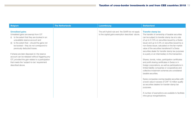| <b>Belgium</b>                                                                                                                                                                                                                                                                                                                                                                                                                                                                                    | <b>The Netherlands</b> | Luxembourg                                                                                        | <b>Switzerland</b>                                                                                                                                                                                                                                                                                                                                                                                                                                                                                                                                                                                                                                                                                                                                                                                                                                                                                                                                                                                |
|---------------------------------------------------------------------------------------------------------------------------------------------------------------------------------------------------------------------------------------------------------------------------------------------------------------------------------------------------------------------------------------------------------------------------------------------------------------------------------------------------|------------------------|---------------------------------------------------------------------------------------------------|---------------------------------------------------------------------------------------------------------------------------------------------------------------------------------------------------------------------------------------------------------------------------------------------------------------------------------------------------------------------------------------------------------------------------------------------------------------------------------------------------------------------------------------------------------------------------------------------------------------------------------------------------------------------------------------------------------------------------------------------------------------------------------------------------------------------------------------------------------------------------------------------------------------------------------------------------------------------------------------------------|
| <b>Unrealised gains</b><br>Unrealised gains are exempt from CIT<br>(i) to the extent that they are booked in an<br>unavailable reserve account and<br>to the extent that - should the gains not<br>be booked – they do not correspond to<br>previously deducted losses.<br>If shares are later disposed of, the reserve<br>account can be released without triggering any<br>CIT, provided the gain relates to a participation<br>that meets the 'subject-to-tax' requirement<br>described above. |                        | The anti-hybrid rule and the GAAR do not apply<br>to the capital gains exemption described above. | <b>Transfer stamp tax</b><br>The transfer of ownership of taxable securities<br>can be subject to transfer stamp tax at a rate<br>of up to 0.15% on securities issued by a Swiss<br>issuer and up to 0.3% on securities issued by a<br>non-Swiss issuer, calculated on the fair market<br>value of the securities transferred if a Swiss<br>securities dealer for transfer stamp tax purposes<br>is a party or an intermediary to the transaction.<br>Shares, bonds, notes, participation certificates<br>and profit sharing certificates in Swiss or in<br>foreign corporations, as well as participations in<br>limited liability companies or cooperatives and<br>collective investment schemes are considered<br>taxable securities.<br>Swiss companies owning taxable securities with<br>a book value in excess of CHF 10 million qualify<br>as securities dealers for transfer stamp tax<br>purposes.<br>A number of exemptions are available to facilitate<br>intra-group reorganisations. |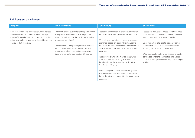#### <span id="page-19-0"></span>2.4 Losses on shares

| <b>Belgium</b>                                                                                                                                                                                                                               | <b>The Netherlands</b>                                                                                                                                                                                                                                                                                                                                                                | <b>Luxembourg</b>                                                                                                                                                                                                                                                                                                                                                                                                                                                                                                                                                                                                                                                                       | <b>Switzerland</b>                                                                                                                                                                                                                                                                                                                                                                                                                                         |
|----------------------------------------------------------------------------------------------------------------------------------------------------------------------------------------------------------------------------------------------|---------------------------------------------------------------------------------------------------------------------------------------------------------------------------------------------------------------------------------------------------------------------------------------------------------------------------------------------------------------------------------------|-----------------------------------------------------------------------------------------------------------------------------------------------------------------------------------------------------------------------------------------------------------------------------------------------------------------------------------------------------------------------------------------------------------------------------------------------------------------------------------------------------------------------------------------------------------------------------------------------------------------------------------------------------------------------------------------|------------------------------------------------------------------------------------------------------------------------------------------------------------------------------------------------------------------------------------------------------------------------------------------------------------------------------------------------------------------------------------------------------------------------------------------------------------|
| Losses incurred on a participation, both realised<br>and unrealised, cannot be deducted, except for<br>(realised) losses incurred upon liquidation of the<br>subsidiary up to the amount of the paid-up share<br>capital of that subsidiary. | Losses on shares qualifying for the participation<br>exemption are not deductible, except in the<br>event of a liquidation of the participation (subject)<br>to stringent conditions).<br>Losses incurred on option rights and warrants<br>are not deductible in case the participation<br>exemption applies in respect of such option<br>rights and warrants. See Section 2.3 above. | Losses on the disposal of shares qualifying for<br>the participation exemption are tax deductible.<br>Write-offs on a participation (including currency<br>exchange losses) are deductible in a year, to<br>the extent the write-offs exceed the tax exempt<br>income realised from said participation in the<br>same year.<br>Tax deductible write-offs may be recaptured<br>in a future year if a capital gain is realized on<br>the alienation of the respective participation.<br>See Section 2.3 above.<br>Note that impairments on receivables granted<br>to a participation are assimilated to a write-off of<br>the participation and subject to the same rule of<br>recapture. | Losses are deductible, unless anti-abuse rules<br>apply. Losses can be carried forward for seven<br>years. Loss carry back is not possible.<br>Upon realisation of a capital gain, any earlier<br>depreciation needs to be recovered before<br>applying the participation reduction.<br>Write-downs of qualifying participations can be<br>scrutinised by the tax authorities and added<br>back to taxable profit in case they are no longer<br>justified. |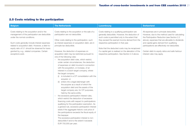#### <span id="page-20-0"></span>2.5 Costs relating to the participation

| <b>Belgium</b>                                                                                                                                                                                                                                                                                                                                                | <b>The Netherlands</b>                                                                                                                                                                                                                                                                                                                                                                                                                                                                                                                                                                                                                                                                                                                                                                                                                                                                                                                                                                                                                                                                                                                                                                                                                                                                                                                                                                    | <b>Luxembourg</b>                                                                                                                                                                                                                                                                                                                                                                                                  | <b>Switzerland</b>                                                                                                                                                                                                                                                                                                                                                              |
|---------------------------------------------------------------------------------------------------------------------------------------------------------------------------------------------------------------------------------------------------------------------------------------------------------------------------------------------------------------|-------------------------------------------------------------------------------------------------------------------------------------------------------------------------------------------------------------------------------------------------------------------------------------------------------------------------------------------------------------------------------------------------------------------------------------------------------------------------------------------------------------------------------------------------------------------------------------------------------------------------------------------------------------------------------------------------------------------------------------------------------------------------------------------------------------------------------------------------------------------------------------------------------------------------------------------------------------------------------------------------------------------------------------------------------------------------------------------------------------------------------------------------------------------------------------------------------------------------------------------------------------------------------------------------------------------------------------------------------------------------------------------|--------------------------------------------------------------------------------------------------------------------------------------------------------------------------------------------------------------------------------------------------------------------------------------------------------------------------------------------------------------------------------------------------------------------|---------------------------------------------------------------------------------------------------------------------------------------------------------------------------------------------------------------------------------------------------------------------------------------------------------------------------------------------------------------------------------|
| Costs relating to the acquisition and/or the<br>management of the participation are deductible<br>under the normal conditions.<br>Such costs generally include interest expenses<br>related to acquisition debt. However, a debt-to-<br>equity ratio of 5:1 should be observed for loans<br>granted by, e.g., related companies. Certain<br>exceptions exist. | Costs relating to the acquisition or the sale of a<br>participation are not deductible.<br>Other costs relating to the participation, such<br>as interest expenses on acquisition debt, are in<br>principle tax deductible.<br>However, the deduction of expenses on<br>acquisition debt may be restricted pursuant to<br>one of the following rules:<br>- the acquisition debt rules, which restrict,<br>under certain circumstances, the deduction<br>of expenses on debt incurred in connection<br>with the acquisition, or increase, of an<br>interest in a Dutch target company, where<br>the target company<br>(i) is included in a CIT consolidation with the<br>acquirer; or<br>(ii) enters into a legal (de)merger with<br>the acquirer as a result of which the<br>acquisition debt and the assets of the<br>target company are, for CIT purposes,<br>held by the same entity;<br>the excessive participation interest rules,<br>which restrict the deduction of excessive<br>financing costs with respect to participations<br>qualifying for the participation exemption. As<br>a general rule, excessive participation interest<br>exists if the aggregate historic cost price of<br>the participations exceeds the fiscal equity of<br>the taxpayer.<br>The excessive participation interest is non-<br>deductible if and to the extent it exceeds<br>EUR 750,000 per year; | Costs relating to a qualifying participation are<br>generally deductible. However, the deduction of<br>such costs is permitted only to the extent that<br>they exceed the exempt income derived from the<br>respective participation in that year.<br>Note that the deducted costs may be recaptured<br>if a capital gain is realised on the alienation of the<br>respective participation. See Section 2.3 above. | All expenses are in principle deductible.<br>However, due to the method used for calculating<br>the Participation Reduction (see Section 2.2)<br>above), expenses that are allocable to dividends<br>and capital gains derived from qualifying<br>participations are effectively not deductible.<br>Certain debt-to-equity ratios and safe harbour<br>interest rules may apply. |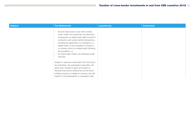| <b>Belgium</b> | <b>The Netherlands</b>                                                                                                                                                                                                                                                                                                                                                                                                                                                                                                                                                                                                                                                                                                                                                                              | <b>Luxembourg</b> | <b>Switzerland</b> |
|----------------|-----------------------------------------------------------------------------------------------------------------------------------------------------------------------------------------------------------------------------------------------------------------------------------------------------------------------------------------------------------------------------------------------------------------------------------------------------------------------------------------------------------------------------------------------------------------------------------------------------------------------------------------------------------------------------------------------------------------------------------------------------------------------------------------------------|-------------------|--------------------|
|                | the anti-base erosion rules which restrict,<br>$\overline{\phantom{a}}$<br>under certain circumstances, the deduction<br>of expenses on related party debt incurred in<br>connection with certain tainted transactions,<br>including the distribution of a dividend to a<br>related party, or the acquisition of shares in<br>a company which is a related party following<br>the acquisition; or<br>the hybrid debt criteria, as developed under<br>$\qquad \qquad -$<br>case law.<br>Subject to advance confirmation from the Dutch<br>tax authorities, the participation exemption will<br>apply upon request to gains and losses on<br>financial instruments entered into by the Dutch<br>holding company to hedge its currency risk with<br>respect to its participations or acquisition debt. |                   |                    |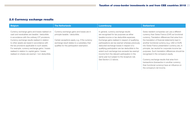#### <span id="page-22-0"></span>2.6 Currency exchange results

| <b>Belgium</b>                                                                                                                                                                                                                                                                                                                                                                                                                                              | <b>The Netherlands</b>                                                                                                                                                                                                       | Luxembourg                                                                                                                                                                                                                                                                                                                                                                                                                                                                                                            | <b>Switzerland</b>                                                                                                                                                                                                                                                                                                                                                                                                                                                                                                                                                                                                                    |
|-------------------------------------------------------------------------------------------------------------------------------------------------------------------------------------------------------------------------------------------------------------------------------------------------------------------------------------------------------------------------------------------------------------------------------------------------------------|------------------------------------------------------------------------------------------------------------------------------------------------------------------------------------------------------------------------------|-----------------------------------------------------------------------------------------------------------------------------------------------------------------------------------------------------------------------------------------------------------------------------------------------------------------------------------------------------------------------------------------------------------------------------------------------------------------------------------------------------------------------|---------------------------------------------------------------------------------------------------------------------------------------------------------------------------------------------------------------------------------------------------------------------------------------------------------------------------------------------------------------------------------------------------------------------------------------------------------------------------------------------------------------------------------------------------------------------------------------------------------------------------------------|
| Currency exchange gains and losses realised on<br>cash and receivables are taxable / deductible<br>in accordance with the ordinary CIT provisions.<br>Currency exchange results realised in relation<br>to other assets are taxed in accordance with<br>the tax provisions applicable to such assets.<br>For example, currency exchange gains / losses<br>realised in relation to capital gains / losses<br>realised on shares are exempt / non-deductible. | Currency exchange gains and losses are in<br>principle taxable / deductible.<br>Certain exceptions apply, e.g. if the currency<br>exchange result relates to a subsidiary that<br>qualifies for the participation exemption. | In general, currency exchange results<br>are recognised for tax purposes as either<br>taxable income or tax deductible expenses.<br>Exchange gains realised in respect of qualifying<br>participations are tax exempt whereas previously<br>deducted exchange losses in respect of a<br>qualifying participation are tax deductible to the<br>extent such exchange loss exceeds tax exempt<br>income from the relevant participation in the<br>same year but subject to the recapture rule.<br>See Section 2.3 above. | Swiss resident companies can use a different<br>currency than Swiss Francs (CHF) as functional<br>currency. Translation differences that arise from<br>the translation of financial statements kept in<br>another functional currency (e.g. USD or EUR)<br>into Swiss Francs presentation currency are, in<br>principle, tax neutral for corporate income tax<br>purposes. Such translation differences should be<br>recognised in the company's equity.<br>Currency exchange results that arise from<br>transactions (transaction in another currency<br>than functional currency) have an influence on<br>the company's net income. |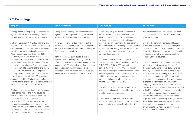#### <span id="page-23-0"></span>2.7 Tax rulings

| <b>Belgium</b>                                                                                                                                                                                                                                                                                                                                                                                                                                                                                                                                                                                                                                                                                                                                                                                                                                                                                                                                                                                                                                                                                                                                                                                                                                                                                                                                                                   | <b>The Netherlands</b>                                                                                                                                                                                                                                                                                                                                                                                                                                                                                                                                                                                                                                                           | <b>Luxembourg</b>                                                                                                                                                                                                                                                                                                                                                                                                                                                                                                                                                                                                                                                                                                                                                                                                                                                                                                                                                                                                                                                                                                                                                                     | <b>Switzerland</b>                                                                                                                                                                                                                                                                                                                                                                                                                                                                                                                                                                                                                                                                                                                                                                                                                                                                                                                                                                                                                                                                                                                                                                                                                                                                    |
|----------------------------------------------------------------------------------------------------------------------------------------------------------------------------------------------------------------------------------------------------------------------------------------------------------------------------------------------------------------------------------------------------------------------------------------------------------------------------------------------------------------------------------------------------------------------------------------------------------------------------------------------------------------------------------------------------------------------------------------------------------------------------------------------------------------------------------------------------------------------------------------------------------------------------------------------------------------------------------------------------------------------------------------------------------------------------------------------------------------------------------------------------------------------------------------------------------------------------------------------------------------------------------------------------------------------------------------------------------------------------------|----------------------------------------------------------------------------------------------------------------------------------------------------------------------------------------------------------------------------------------------------------------------------------------------------------------------------------------------------------------------------------------------------------------------------------------------------------------------------------------------------------------------------------------------------------------------------------------------------------------------------------------------------------------------------------|---------------------------------------------------------------------------------------------------------------------------------------------------------------------------------------------------------------------------------------------------------------------------------------------------------------------------------------------------------------------------------------------------------------------------------------------------------------------------------------------------------------------------------------------------------------------------------------------------------------------------------------------------------------------------------------------------------------------------------------------------------------------------------------------------------------------------------------------------------------------------------------------------------------------------------------------------------------------------------------------------------------------------------------------------------------------------------------------------------------------------------------------------------------------------------------|---------------------------------------------------------------------------------------------------------------------------------------------------------------------------------------------------------------------------------------------------------------------------------------------------------------------------------------------------------------------------------------------------------------------------------------------------------------------------------------------------------------------------------------------------------------------------------------------------------------------------------------------------------------------------------------------------------------------------------------------------------------------------------------------------------------------------------------------------------------------------------------------------------------------------------------------------------------------------------------------------------------------------------------------------------------------------------------------------------------------------------------------------------------------------------------------------------------------------------------------------------------------------------------|
| The application of the participation exemption<br>regime does not require obtaining a ruling,<br>although in principle this would be possible.<br>As from 1 January 2017, Belgium (and all other<br>EU Member States) is required to automatically<br>exchange certain information on cross-border<br>tax rulings and advanced pricing agreements<br>(APAs) issued on or after 1 January 2017.<br>In addition, certain tax rulings and APAs issued,<br>amended or renewed after 1 January 2012 that<br>were still valid on or after 1 January 2014 are<br>also subject to exchange. Belgium is technically<br>not yet required to automatically exchange tax<br>rulings and APAs since it did not implement<br>this requirement into domestic tax law as per<br>today. However, the Minister of Finance has<br>announced that the Belgian tax authorities will<br>automatically exchange cross-border rulings and<br>APAs issued as from 1 January 2015.<br>Belgium has also committed itself to exchange<br>cross-border rulings and APAs issued as<br>from 1 January 2010 if still valid on or after<br>1 January 2014. This commitment was<br>made in the OECD framework regarding<br>the mandatory exchange information on tax<br>rulings. The categories of tax rulings on which<br>information must be exchanged are identified in<br>the OECD BEPS Action 5 Final Report. | The application of the participation exemption<br>regime does not require obtaining an advance<br>tax ruling (ATR), although this is possible.<br>ATRs are regularly granted in relation to the<br>participation exemption, non-resident taxation<br>and the dividend withholding taxation rules (see<br>Sections 3.1 and 4 below).<br>As from 1 January 2017, the Netherlands is<br>required to automatically exchange certain<br>information on tax rulings and advanced pricing<br>agreements (APAs) issued on or after 1 January<br>2017. In addition, the Netherlands did also<br>exchange certain tax rulings and APAs issued,<br>amended or renewed after 1 January 2012. | Luxembourg law provides for the possibility to<br>request confirmation from the tax authorities in<br>relation to the application of Luxembourg tax<br>law to an anticipated transaction. Such request<br>may relate to, among others, the application of<br>the participation exemption (e.g. the comparable<br>tax test), transfer pricing matters and any other<br>tax matters that may be relevant for a holding<br>company (e.g. financing).<br>A request for confirmation is subject to<br>payment of a fee to the authorities ranging from<br>EUR 3,000 to EUR 10,000 (depending on the<br>complexity of the request). Any confirmation<br>obtained is binding on the tax authorities and is<br>valid for a period of maximum five fiscal years<br>(subject to accuracy of the facts presented,<br>subsequent changes to the facts and changes in<br>national, EU or international law).<br>In respect of debt-funded intragroup finance<br>activities, certain conditions must be met in order<br>to obtain advance confirmation.<br>Luxembourg is required to automatically<br>exchange certain information on tax rulings and<br>advanced pricing agreements within the EU. | The application of the Participation Reduction<br>has to be claimed in the tax return and does not<br>require a tax ruling.<br>Similarly, the cantonal / communal Holding<br>Status (see Sections 2.2 and 2.3 above) has to<br>be claimed in the tax return and does not require<br>a tax ruling. However, in practice, it is advisable<br>to request a tax ruling for application of the<br>Holding Status in advance.<br>Switzerland started spontaneously exchanging<br>information on advance tax rulings as of<br>1 January 2018 for tax years 2018 onwards.<br>Not only new rulings but also existing rulings<br>applicable as from 1 January 2010 that are still<br>applicable on 1 January 2018 are subject to<br>the spontaneous exchange. The spontaneous<br>exchange of information on advance tax<br>rulings by Switzerland is based on the OECD<br>Convention on Mutual Administrative Assistance<br>in Tax Matters (MAC) and exchange may take<br>place to the countries where the MAC has<br>entered into force. The MAC as well as the<br>required Swiss domestic legislation (the Swiss<br>Tax Administrative Assistance Ordinance) for<br>the spontaneous exchange of information<br>on advance tax rulings entered into force in<br>Switzerland on 1 January 2017. |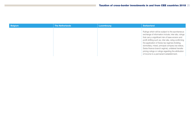| <b>Belgium</b> | <b>The Netherlands</b> | Luxembourg | <b>Switzerland</b>                                                                                                                                                                                                                                                                                                                                                                                                                                                                     |
|----------------|------------------------|------------|----------------------------------------------------------------------------------------------------------------------------------------------------------------------------------------------------------------------------------------------------------------------------------------------------------------------------------------------------------------------------------------------------------------------------------------------------------------------------------------|
|                |                        |            | Rulings which will be subject to the spontaneous<br>exchange of information include, inter alia, rulings<br>that carry a significant risk of base erosion and<br>profit shifting such as, inter alia, ruling confirming<br>the application of Swiss tax regimes (holding,<br>domiciliary, mixed, principal company tax status,<br>Swiss finance branch regime), unilateral transfer<br>pricing rulings or rulings regarding the attribution<br>of income to a permanent establishment. |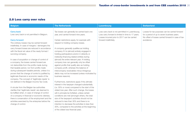#### <span id="page-25-0"></span>2.8 Loss carry over rules

| <b>Belgium</b>                                                                                                                                                                                                                                                                                                                                                                                                                                                                                                                                                                                                                                                                                                                                                                                                                                                                                                                                                                                                                                                                                                    | <b>The Netherlands</b>                                                                                                                                                                                                                                                                                                                                                                                                                                                                                                                                                                                                                                                                                                                                                                                                                                                                                                                                                                                                                                                                                                                                                                                                                               | <b>Luxembourg</b>                                                                                                                                                              | <b>Switzerland</b>                                                                                                                                                |
|-------------------------------------------------------------------------------------------------------------------------------------------------------------------------------------------------------------------------------------------------------------------------------------------------------------------------------------------------------------------------------------------------------------------------------------------------------------------------------------------------------------------------------------------------------------------------------------------------------------------------------------------------------------------------------------------------------------------------------------------------------------------------------------------------------------------------------------------------------------------------------------------------------------------------------------------------------------------------------------------------------------------------------------------------------------------------------------------------------------------|------------------------------------------------------------------------------------------------------------------------------------------------------------------------------------------------------------------------------------------------------------------------------------------------------------------------------------------------------------------------------------------------------------------------------------------------------------------------------------------------------------------------------------------------------------------------------------------------------------------------------------------------------------------------------------------------------------------------------------------------------------------------------------------------------------------------------------------------------------------------------------------------------------------------------------------------------------------------------------------------------------------------------------------------------------------------------------------------------------------------------------------------------------------------------------------------------------------------------------------------------|--------------------------------------------------------------------------------------------------------------------------------------------------------------------------------|-------------------------------------------------------------------------------------------------------------------------------------------------------------------|
| <b>Carry back</b><br>Loss carry back is not permitted in Belgium.<br><b>Carry forward</b><br>The ordinary losses may be carried forward<br>indefinitely. In case of mergers / demergers the<br>carry forward losses are reduced in accordance<br>with the fiscal net value of the newly formed /<br>surviving company.<br>In case of acquisition or change of control of<br>a company, the losses carried forward are<br>not deductible from the profits made during<br>that taxable period, nor from profits made<br>during subsequent taxable periods, unless it is<br>proven that the change of control is justified by<br>legitimate financial or economic needs of the<br>company. The concept of 'legitimate needs' is<br>not defined in the Belgian Income Tax Code.<br>A circular from the Belgian tax authorities<br>clarifies that 'legitimate needs' are deemed to<br>be fulfilled when, in case of change of control<br>of a company in financial or economic distress,<br>there is conservation of the employment and the<br>activities exercised by the enterprise before the<br>change of control. | Tax losses can generally be carried back one<br>year, and carried forward nine years.<br>Certain restrictions apply, for example with<br>respect to holding company losses.<br>A company generally qualifies as holding<br>company if it is (almost) entirely engaged in<br>holding participations and/or in (directly or<br>indirectly) financing related entities during<br>(almost) the entire relevant year. A holding<br>company loss can generally only be offset<br>against profits that qualify also as holding<br>company profit, whereas the balance of<br>intercompany receivables minus intragroup<br>debts may not be increased (unless motivated by<br>business reasons).<br>Furthermore, restrictions apply if the ultimate<br>interest in the taxpayer changed substantially<br>(i.e. 30% or more) compared to the start of the<br>oldest loss year. After such change, the losses<br>will in principle be forfeited, unless certain<br>conditions are met (amongst others, the total<br>size of the taxpayer's activities should not be<br>reduced to less than 30% and there is no<br>intention to decrease the activities to less than<br>30%, compared to the activities at the beginning<br>of the oldest loss financial year). | Loss carry back is not permitted in Luxembourg.<br>Loss carry forward is limited in time to 17 years.<br>Losses incurred prior to 2017 can be carried<br>forward indefinitely. | Losses for tax purposes can be carried forward<br>for a period of up to seven business years.<br>No offset of losses carried forward in case of tax<br>avoidance. |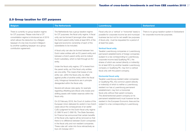## <span id="page-26-0"></span>2.9 Group taxation for CIT purposes

| <b>Belgium</b>                                                                                                                                                                                                                                                                                             | <b>The Netherlands</b>                                                                                                                                                                                                                                                                                                                                                                                                                                                                                                                                                                                                                                                                                                                                                                                                                                                                                                                                                                                                                                                                       | <b>Luxembourg</b>                                                                                                                                                                                                                                                                                                                                                                                                                                                                                                                                                                                                                                                      | <b>Switzerland</b>                                                                     |
|------------------------------------------------------------------------------------------------------------------------------------------------------------------------------------------------------------------------------------------------------------------------------------------------------------|----------------------------------------------------------------------------------------------------------------------------------------------------------------------------------------------------------------------------------------------------------------------------------------------------------------------------------------------------------------------------------------------------------------------------------------------------------------------------------------------------------------------------------------------------------------------------------------------------------------------------------------------------------------------------------------------------------------------------------------------------------------------------------------------------------------------------------------------------------------------------------------------------------------------------------------------------------------------------------------------------------------------------------------------------------------------------------------------|------------------------------------------------------------------------------------------------------------------------------------------------------------------------------------------------------------------------------------------------------------------------------------------------------------------------------------------------------------------------------------------------------------------------------------------------------------------------------------------------------------------------------------------------------------------------------------------------------------------------------------------------------------------------|----------------------------------------------------------------------------------------|
| There is currently no group taxation regime<br>for CIT purposes. Please note that a CIT<br>consolidation regime is introduced as of 2019<br>which allows the deduction by a Belgian<br>taxpayer of a tax loss incurred in Belgium<br>by another qualifying taxpayer via a group<br>contribution agreement. | The Netherlands has a group taxation regime<br>for CIT purposes; the fiscal unity regime. A fiscal<br>unity can be formed if (amongst other criteria)<br>the Dutch parent entity holds at least 95% of the<br>legal and economic ownership of each of the<br>subsidiaries to be included.<br>A fiscal unity can also be formed between two<br>Dutch sister entities with an EU parent entity and<br>between a Dutch parent entity and its indirect<br>Dutch subsidiary, which is held through an EU<br>entity.                                                                                                                                                                                                                                                                                                                                                                                                                                                                                                                                                                               | Fiscal unity (on a 'vertical' or 'horizontal' basis) is<br>possible for corporate income tax and municipal<br>business tax but not for net wealth tax purposes.<br>A fiscal unity must be requested for a period of<br>at least five years.<br><b>Vertical fiscal unity</b><br>Taxable Luxembourg companies or Luxembourg<br>permanent establishments of foreign companies<br>(subject to a tax corresponding to Luxembourg<br>corporate income tax)('Qualifying PE'), the<br>shares of which are owned (directly or indirectly)                                                                                                                                       | There is no group taxation system in Switzerland<br>for corporate income tax purposes. |
|                                                                                                                                                                                                                                                                                                            | Under the fiscal unity regime, CIT is levied from<br>the parent entity, as if the fiscal unity entities<br>are one entity. This means that losses of one<br>entity can, within the fiscal unity, be offset<br>against profits of another entity within the fiscal<br>unity. Intragroup transactions are in principle<br>disregarded within the fiscal unity.<br>Several anti-abuse rules apply, for example<br>regarding offsetting (pre-)fiscal unity losses and<br>shifting assets with hidden reserves within the<br>fiscal unity.<br>On 22 February 2018, the Court of Justice of the<br>European Union delivered its verdict in two Dutch<br>cases about the consequences of an earlier<br>CJEU judgment for the Dutch fiscal unity regime<br>(C-398/16 and C-399/16). The State Secretary<br>for Finance has announced that certain benefits<br>of the fiscal unity regime will be removed so that<br>there is no difference between Dutch companies<br>in the fiscal unity and non-resident companies.<br>These rules will enter into force retroactively as<br>from 25 October 2017. | for at least 95% by another taxable Luxembourg<br>company or Qualifying PE, may form a vertical<br>fiscal unity with the parent company.<br><b>Horizontal fiscal unity</b><br>Taxable Luxembourg resident sister companies<br>or Qualifying PEs, the common parent (directly<br>or indirectly) of which is neither a Luxembourg<br>resident nor has a Luxembourg permanent<br>establishment, may form a horizontal<br>fiscal unity without their parent company.<br>The aforementioned parent company (or its<br>permanent establishment) must however be tax<br>resident in the European Economic Area and be<br>subject to a tax corresponding to Luxembourg<br>CIT. |                                                                                        |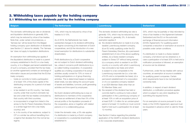#### <span id="page-27-1"></span><span id="page-27-0"></span>3. Withholding taxes payable by the holding company 3.1 Withholding tax on dividends paid by the holding company

| The domestic withholding tax rate on dividends<br>15%, which may be reduced by virtue of tax<br>The domestic dividend withholding tax rate is<br>and liquidation distributions is generally 30%,<br>generally 15%, which may be reduced by virtue<br>treaties to 0-10%.<br>which may be reduced by virtue of tax treaties.<br>of tax treaties to, generally, 5%. A domestic<br>Switzerland and the EU on the automatic<br>As of 2018, the Netherlands has made<br>exchange of financial account information<br>Note that, under certain circumstances, a<br>exemption applies if:<br>(a) the dividend distribution is made to (i) a fully<br>(CH/EU Agreement). For qualifying parent<br>'fairness tax' will be levied from the Belgian<br>substantial changes to its dividend withholding<br>tax regime concerning (i) the treatment of Dutch<br>taxable Luxembourg resident company,<br>holding company upon distribution of dividends<br>(see Section 2.1 above for details). The 'fairness<br>cooperatives, and (ii) the introduction of a new<br>(ii) an EU entity qualifying under the EU<br>possible under certain conditions.<br>tax' does not apply to liquidation distributions.<br>broad exemption for distributions to substantial<br>Parent-Subsidiary Directive, (iii) a permanent<br>establishment of one of the above qualifying<br>If a distribution is made to a Swiss resident<br>shareholders.<br>entities, (iv) a Swiss resident company<br>An exemption from withholding tax applies if<br>the (liquidation) distribution is made to a parent<br>Profit distributions by a Dutch cooperative<br>subject to Swiss CIT without being exempt,<br>company established in the EU or a tax treaty<br>are not subject to Dutch dividend withholding<br>(v) a company which is resident in an EEA<br>tax, unless it concerns profit distributions by a<br>country or a country with which Luxembourg<br>country, or to a Belgian permanent establishment<br>at source can be obtained.<br>of such a company, provided that the tax treaty<br>so-called holding cooperative. A cooperative<br>has concluded a tax treaty and which<br>(or another agreement) contains an exchange of<br>qualifies as a holding cooperative if its actual<br>is subject to a tax comparable to the<br>activities usually consist for 70% or more of<br>information clause and provided that the EU/tax<br>Luxembourg corporate tax (i.e. a tax rate<br>holding participations or of group financing<br>of 9.5% and a comparable tax base); (vi) a<br>for qualifying parent companies. Certain<br>treaty company:<br>- holds (or commits to hold) a participation<br>activities. This is determined based on balance<br>permanent establishment of a corporation<br>or of a co-operative company resident<br>of at least 10% of the share capital of the<br>sheet totals, but also taking into account types<br>ownership test).<br>in an EEA Member State other than an<br>distributing company for a period of at least<br>of assets and liabilities, turnover, profit generating<br>EU Member State; and<br>activities and time spent by employees.<br>In addition, in respect of each dividend<br>one year;<br>is tax resident in an EU country / tax treaty<br>(b) the recipient of the dividend has held or<br>No Dutch dividend withholding tax is due on<br>country under that country's domestic tax<br>commits itself to continue to hold a direct<br>which is subject to very strict deadlines for<br>distributions to members of the cooperative<br>law and under the tax treaties concluded by<br>participation in the Luxembourg company of<br>submitting the required forms. | <b>Belgium</b>                     | <b>The Netherlands</b>                          | <b>Luxembourg</b>                            | <b>Switzerland</b>                                                                                                                                                                                                                                                                                                                                                                                                                                                                                                                                                                                                                                                                |
|----------------------------------------------------------------------------------------------------------------------------------------------------------------------------------------------------------------------------------------------------------------------------------------------------------------------------------------------------------------------------------------------------------------------------------------------------------------------------------------------------------------------------------------------------------------------------------------------------------------------------------------------------------------------------------------------------------------------------------------------------------------------------------------------------------------------------------------------------------------------------------------------------------------------------------------------------------------------------------------------------------------------------------------------------------------------------------------------------------------------------------------------------------------------------------------------------------------------------------------------------------------------------------------------------------------------------------------------------------------------------------------------------------------------------------------------------------------------------------------------------------------------------------------------------------------------------------------------------------------------------------------------------------------------------------------------------------------------------------------------------------------------------------------------------------------------------------------------------------------------------------------------------------------------------------------------------------------------------------------------------------------------------------------------------------------------------------------------------------------------------------------------------------------------------------------------------------------------------------------------------------------------------------------------------------------------------------------------------------------------------------------------------------------------------------------------------------------------------------------------------------------------------------------------------------------------------------------------------------------------------------------------------------------------------------------------------------------------------------------------------------------------------------------------------------------------------------------------------------------------------------------------------------------------------------------------------------------------------------------------------------------------------------------------------------------------------------------------------------------------------------------------------------------------------------------------------------------------------------------------------------------------------------------------------------------------------------------------------------------------------------------------------------------------------------------------------------------------------------------------------------------------------------------------------------------------------------------------------------------------------------------------------------------------------------------|------------------------------------|-------------------------------------------------|----------------------------------------------|-----------------------------------------------------------------------------------------------------------------------------------------------------------------------------------------------------------------------------------------------------------------------------------------------------------------------------------------------------------------------------------------------------------------------------------------------------------------------------------------------------------------------------------------------------------------------------------------------------------------------------------------------------------------------------------|
| annual profits or the liquidation proceeds of<br>at least EUR 1.2 million for an uninterrupted<br>is incorporated in a legal form listed in the<br>annex to the EU Parent-Subsidiary Directive<br>the cooperative, alone or together with related<br>period of at least 12 months (or must commit<br>or a similar legal form (for a tax treaty<br>persons or in a collaborating group.<br>itself to hold such a participation for at least<br>country); and<br>12 months).<br>years.<br>is, in its country of tax residence, subject to<br>Under the domestic rules, a 0% rate applies<br>CIT or a similar tax without benefiting from<br>if a distribution is made by a Dutch company<br>See Section 5 below regarding the potential<br>or cooperative to a substantial shareholder<br>a regime that deviates from the normal tax<br>application of the GAAR to dividend distributions<br>established in:<br>to EU corporate shareholders.<br>regime.                                                                                                                                                                                                                                                                                                                                                                                                                                                                                                                                                                                                                                                                                                                                                                                                                                                                                                                                                                                                                                                                                                                                                                                                                                                                                                                                                                                                                                                                                                                                                                                                                                                                                                                                                                                                                                                                                                                                                                                                                                                                                                                                                                                                                                                                                                                                                                                                                                                                                                                                                                                                                                                                                                                                 | that country with third countries; | that have an entitlement of less than 5% of the | at least 10% or with an acquisition price of | 35%, which may be (partially or fully) refunded by<br>virtue of tax treaties or the Agreement between<br>companies a reduction or exemption at source is<br>company, a full refund can be obtained or, in<br>case a participation of at least 20% is held and a<br>notification procedure is followed, an exemption<br>Furthermore, under the tax treaties with various<br>countries, an exemption at source is available<br>strict requirements have to be met (beneficial<br>distribution, a notification procedure applies<br>For an exemption at source pursuant to a tax<br>treaty or the CH/EU Agreement, approval must<br>be requested in advance which is valid for three |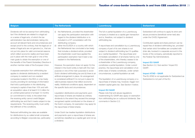| <b>Belgium</b>                                                                                                                                                                                                                                                                                                                                                                                                                                                                                                                                                                                                                                                                                                                                                                                                                                                                                                                                                                                                                                                                                                                                                                                                                                                                                                                                                                | <b>The Netherlands</b>                                                                                                                                                                                                                                                                                                                                                                                                                                                                                                                                                                                                                                                                                                                                                                                                                                                                                                                                                                                                                                                                                                                                                                                                                                       | Luxembourg                                                                                                                                                                                                                                                                                                                                                                                                                                                                                                                                                                                                                                                                                                                                                                                                                                                                                                                                                                                                                                                                                          | <b>Switzerland</b>                                                                                                                                                                                                                                                                                                                                                                                                                                                                                                                                                                                                                          |
|-------------------------------------------------------------------------------------------------------------------------------------------------------------------------------------------------------------------------------------------------------------------------------------------------------------------------------------------------------------------------------------------------------------------------------------------------------------------------------------------------------------------------------------------------------------------------------------------------------------------------------------------------------------------------------------------------------------------------------------------------------------------------------------------------------------------------------------------------------------------------------------------------------------------------------------------------------------------------------------------------------------------------------------------------------------------------------------------------------------------------------------------------------------------------------------------------------------------------------------------------------------------------------------------------------------------------------------------------------------------------------|--------------------------------------------------------------------------------------------------------------------------------------------------------------------------------------------------------------------------------------------------------------------------------------------------------------------------------------------------------------------------------------------------------------------------------------------------------------------------------------------------------------------------------------------------------------------------------------------------------------------------------------------------------------------------------------------------------------------------------------------------------------------------------------------------------------------------------------------------------------------------------------------------------------------------------------------------------------------------------------------------------------------------------------------------------------------------------------------------------------------------------------------------------------------------------------------------------------------------------------------------------------|-----------------------------------------------------------------------------------------------------------------------------------------------------------------------------------------------------------------------------------------------------------------------------------------------------------------------------------------------------------------------------------------------------------------------------------------------------------------------------------------------------------------------------------------------------------------------------------------------------------------------------------------------------------------------------------------------------------------------------------------------------------------------------------------------------------------------------------------------------------------------------------------------------------------------------------------------------------------------------------------------------------------------------------------------------------------------------------------------------|---------------------------------------------------------------------------------------------------------------------------------------------------------------------------------------------------------------------------------------------------------------------------------------------------------------------------------------------------------------------------------------------------------------------------------------------------------------------------------------------------------------------------------------------------------------------------------------------------------------------------------------------|
| Dividends will not be exempt from withholding<br>tax if the dividends are related to a legal act<br>or a series of legal acts, of which the tax<br>administration has demonstrated, taking into<br>account all relevant facts and circumstances and<br>except proof to the contrary, that the legal act or<br>series of legal acts are not genuine (i.e., that are<br>not put into place for valid commercial reasons<br>which reflect economic reality) and have been<br>put in place with the main goal or one of the<br>main goals to obtain the exemption or one of<br>the benefits of the Parent-Subsidiary Directive in<br>another member state of the European Union.<br>A separate exemption from withholding tax<br>applies to dividends distributed by a resident<br>company to resident and non-resident<br>companies located in the EEA or a tax treaty<br>country providing for exchange of information<br>that hold a participation in the distributing<br>company's capital of less than 10% and with<br>an acquisition value of at least $\epsilon$ 2.5 million for<br>an uninterrupted period of at least 12 months<br>(or commitment to hold), to the extent that<br>the receiving entity cannot credit Belgian<br>withholding tax and that it meets subject-to-tax<br>requirements. The receiving entity must certify<br>the fulfilment of the conditions. | (i) the Netherlands, provided the shareholder<br>can apply the participation exemption with<br>regard to the dividend distribution or is<br>included in a CIT consolidation with the<br>distributing company;<br>either the EU/EEA or a country with which<br>(ii)<br>the Netherlands has concluded a tax treaty<br>that includes a dividend article; provided<br>the shareholder could have applied the<br>participation exemption had it been a tax<br>resident in the Netherlands.<br>However, the exemption does not apply if (i) the<br>interest in the Dutch entity is held with the main<br>purpose or one of the main purposes to avoid<br>Dutch dividend withholding tax and (ii) there is an<br>artificial arrangement in place. An arrangement<br>is considered artificial if it is not put in place for<br>valid business reasons that reflect economic<br>reality. Additional conditions apply, dependent on<br>the specific facts and circumstances.<br>Liquidation distributions and payments upon<br>repurchase of shares are treated as ordinary<br>dividends to the extent they exceed the average<br>recognised capital contributed on the shares of<br>the Dutch company. An exemption may apply for<br>the repurchase of listed shares. | The full or partial liquidation of a Luxembourg<br>company is treated as a capital gain transaction<br>and is, therefore, not subject to dividend<br>withholding tax.<br>A repurchase and cancellation by a Luxembourg<br>company of part of its own shares is not<br>subject to dividend withholding tax if it qualifies<br>as a 'partial liquidation'. The repurchase and<br>immediate cancellation of all shares held by one<br>of the shareholders, who thereby ceases to be<br>a shareholder of the Luxembourg company,<br>constitutes a partial liquidation. Under current<br>practice, the repurchase and cancellation of an<br>entire class of shares constitutes, under certain<br>circumstances, a partial liquidation as well.<br>The liquidation of a Luxembourg company or a<br>repurchase of shares may, however, trigger non-<br>resident capital gains tax. See Section 4 below.<br><b>Impact EU GAAR</b><br>Please note that anti-abuse regulations<br>implementing EU GAAR also apply on exemption<br>from withholding tax on outbound dividends. See<br>comments in Section 2.2. | Switzerland will continue to apply its strict anti-<br>abuse provisions (beneficial owner test) also<br>under the CH/EU Agreement.<br>Contributed capital and share premium can be<br>repaid free of dividend withholding tax, provided<br>that certain strict formalities are complied with<br>(inter alia, booked in a separate account in the<br>books of the company, periodically reported to<br>the Federal Tax Administration).<br><b>Impact EU GAAR</b><br>See Section 2.2, Sub-section 'Impact EU<br>GAAR'.<br><b>Impact ATAD - GAAR</b><br>The EU ATAD is not applicable for Switzerland as<br>Switzerland is not part of the EU. |
| Reduced withholding tax rates are available<br>for distributions by so-called small companies<br>according to Belgian corporate law, particularly:                                                                                                                                                                                                                                                                                                                                                                                                                                                                                                                                                                                                                                                                                                                                                                                                                                                                                                                                                                                                                                                                                                                                                                                                                            | Under Dutch tax treaties liquidation distributions<br>and payments upon a repurchase of shares are<br>sometimes classified as a capital gain and not as<br>a dividend.                                                                                                                                                                                                                                                                                                                                                                                                                                                                                                                                                                                                                                                                                                                                                                                                                                                                                                                                                                                                                                                                                       |                                                                                                                                                                                                                                                                                                                                                                                                                                                                                                                                                                                                                                                                                                                                                                                                                                                                                                                                                                                                                                                                                                     |                                                                                                                                                                                                                                                                                                                                                                                                                                                                                                                                                                                                                                             |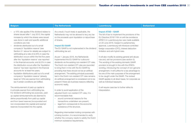| <b>Belgium</b>                                                                                                                                                                                                                                                                                                                                                                                                                                                                                                                                                                                                                                                                                                                                                                                                                                                                                                                                                                                                                                                                                                                                                                                                                                       | <b>The Netherlands</b>                                                                                                                                                                                                                                                                                                                                                                                                                                                                                                                                                                                                                                                                                                                                                                                                                                                                                                                                                                                                                                                                                                                                                                                                                                                                        | <b>Luxembourg</b>                                                                                                                                                                                                                                                                                                                                                                                                                                                                                                                                                                                                                                                                                                                                                                                                                                                                                                                               | <b>Switzerland</b> |
|------------------------------------------------------------------------------------------------------------------------------------------------------------------------------------------------------------------------------------------------------------------------------------------------------------------------------------------------------------------------------------------------------------------------------------------------------------------------------------------------------------------------------------------------------------------------------------------------------------------------------------------------------------------------------------------------------------------------------------------------------------------------------------------------------------------------------------------------------------------------------------------------------------------------------------------------------------------------------------------------------------------------------------------------------------------------------------------------------------------------------------------------------------------------------------------------------------------------------------------------------|-----------------------------------------------------------------------------------------------------------------------------------------------------------------------------------------------------------------------------------------------------------------------------------------------------------------------------------------------------------------------------------------------------------------------------------------------------------------------------------------------------------------------------------------------------------------------------------------------------------------------------------------------------------------------------------------------------------------------------------------------------------------------------------------------------------------------------------------------------------------------------------------------------------------------------------------------------------------------------------------------------------------------------------------------------------------------------------------------------------------------------------------------------------------------------------------------------------------------------------------------------------------------------------------------|-------------------------------------------------------------------------------------------------------------------------------------------------------------------------------------------------------------------------------------------------------------------------------------------------------------------------------------------------------------------------------------------------------------------------------------------------------------------------------------------------------------------------------------------------------------------------------------------------------------------------------------------------------------------------------------------------------------------------------------------------------------------------------------------------------------------------------------------------------------------------------------------------------------------------------------------------|--------------------|
| a 15% rate applies if the dividend relates to<br>shares issued after 1 July 2013, the capital<br>increase by which the shares were issued<br>was done in cash and specific additional<br>conditions are met;<br>dividends distributed out of a small<br>company's 'liquidation reserve' (see<br>Section 2.1 above for details) are subject to<br>withholding at a rate of (i) 20% in case the<br>distribution occurs within the first five years<br>after the 'liquidation reserve' was reported<br>in the financial accounts; and (ii) 5% in case<br>the distribution occurs after the 'liquidation<br>reserve' has been reported in the financial<br>accounts for at least five years;<br>liquidation distributions paid out of a small<br>company's 'liquidation reserve' (already<br>taxed at 10%) are exempt from withholding<br>tax if certain conditions are fulfilled.<br>The reimbursement of paid-up capital is<br>in principle exempt from withholding tax.<br>For dividend withholding tax purposes, paid-<br>up capital reimbursements are deemed to<br>derive proportionally from paid-up capital<br>and from taxed reserves (incorporated and<br>non-incorporated into capital) and exempt<br>reserves incorporated into the capital. | As a result, if such treaty is applicable, the<br>Netherlands may not be allowed to levy any tax<br>on the proceeds upon liquidation or repurchase<br>of shares.<br><b>Impact EU GAAR</b><br>The EU GAAR is not implemented in the dividend<br>withholding tax act.<br>As per 1 January 2016, the Netherlands<br>implemented the EU GAAR for outbound<br>dividends via the existing non-resident CIT rules.<br>The Dutch non-resident CIT rules are reworded<br>to bring them in line with the EU GAAR by<br>providing that there should not be an artificial<br>arrangement. The existing principal purpose(s)<br>test in the Dutch non-resident CIT rules remains.<br>An artificial arrangement is considered not to be<br>present if there are business reasons reflecting<br>economic reality.<br>In order to avoid application of the<br>adjusted Dutch non-resident CIT rules, it is<br>recommendable that:<br>- sound commercial reasons for the<br>transactions undertaken are present;<br>legal form corresponds to the economic<br>$\overline{\phantom{0}}$<br>substance of the structure.<br>Regarding intermediate holding companies with<br>a linking function, it is recommended to verify<br>whether the company needs to satisfy the Dutch<br>minimum substance requirements. | <b>Impact ATAD - GAAR</b><br>The bill of law to implement the provisions of the<br>EU Directive 2016/1164 on anti-tax avoidance<br>(ATAD I) in Luxembourg law was made available<br>on 20 June 2018. Subject to parliamentary<br>approval, Luxembourg will introduce controlled<br>foreign corporation (CFC), interest deduction<br>limitation and anti-hybrid rules.<br>It will also modify its existing general anti-abuse<br>rule and, exit tax provisions (see section 5).<br>The wording of the existing domestic GAAR<br>provision is brought in line with the ATAD's<br>wording, introducing the concept of non-genuine<br>arrangement. It will suffice for a tax advantage to<br>be one of the main purposes of the arrangement<br>to be caught under the GAAR. The revised<br>GAAR applies to all direct taxes, for corporate as<br>well as individual taxpayers.<br>It will require case law to further refine its<br>interpretation. |                    |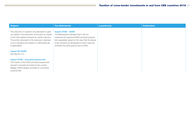| <b>Belgium</b>                                                                                                                                                                                                                                                                              | <b>The Netherlands</b>                                                                                                                                                                                                                                                     | <b>Luxembourg</b> | <b>Switzerland</b> |
|---------------------------------------------------------------------------------------------------------------------------------------------------------------------------------------------------------------------------------------------------------------------------------------------|----------------------------------------------------------------------------------------------------------------------------------------------------------------------------------------------------------------------------------------------------------------------------|-------------------|--------------------|
| The reduction of capital is only allocated to paid-<br>up capital in the proportion of the paid-up capital<br>in the total capital increased by certain reserves.<br>The portion allocated to the reserves is deemed<br>to be a dividend and subject to withholding tax<br>(if applicable). | <b>Impact ATAD - GAAR</b><br>The Netherlands indicated that it will not<br>implement the general (ATAD) principal purpose<br>test separately, based on the view that the abuse<br>of law-doctrine as developed in Dutch case law<br>achieves the same goal as set by ATAD. |                   |                    |
| <b>Impact EU GAAR</b><br>See Section 2.2.                                                                                                                                                                                                                                                   |                                                                                                                                                                                                                                                                            |                   |                    |
| Impact ATAD – principal purpose test<br>The impact of the ATAD principal purpose test<br>should in principle be limited as the current<br>Belgian GAAR already provides for a principal<br>purpose test.                                                                                    |                                                                                                                                                                                                                                                                            |                   |                    |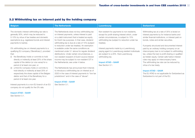#### <span id="page-31-0"></span>3.2 Withholding tax on interest paid by the holding company

| <b>Belgium</b>                                                                                                                                                                                                                                                                                                                                                                                                                                                                                                                                                                                                                                                                                                                                                                                                                                                                             | <b>The Netherlands</b>                                                                                                                                                                                                                                                                                                                                                                                                                                                                                                                                                                                                                                                                                                                                                                                                                                      | <b>Luxembourg</b>                                                                                                                                                                                                                                                                                                                                                                                                      | <b>Switzerland</b>                                                                                                                                                                                                                                                                                                                                                                                                                                                                                                                                                                                                                                                                               |
|--------------------------------------------------------------------------------------------------------------------------------------------------------------------------------------------------------------------------------------------------------------------------------------------------------------------------------------------------------------------------------------------------------------------------------------------------------------------------------------------------------------------------------------------------------------------------------------------------------------------------------------------------------------------------------------------------------------------------------------------------------------------------------------------------------------------------------------------------------------------------------------------|-------------------------------------------------------------------------------------------------------------------------------------------------------------------------------------------------------------------------------------------------------------------------------------------------------------------------------------------------------------------------------------------------------------------------------------------------------------------------------------------------------------------------------------------------------------------------------------------------------------------------------------------------------------------------------------------------------------------------------------------------------------------------------------------------------------------------------------------------------------|------------------------------------------------------------------------------------------------------------------------------------------------------------------------------------------------------------------------------------------------------------------------------------------------------------------------------------------------------------------------------------------------------------------------|--------------------------------------------------------------------------------------------------------------------------------------------------------------------------------------------------------------------------------------------------------------------------------------------------------------------------------------------------------------------------------------------------------------------------------------------------------------------------------------------------------------------------------------------------------------------------------------------------------------------------------------------------------------------------------------------------|
| The domestic interest withholding tax rate is<br>generally 30%, which may be reduced to<br>0-10% by virtue of tax treaties and domestic<br>exemptions (e.g. registered bonds and interest<br>payments to banks).<br>0% withholding tax on interest payments to a<br>qualifying EU company ('Beneficiary'), provided<br>that:<br>(i) the Beneficiary holds or commits to hold<br>directly or indirectly at least 25% of the share<br>capital of the debtor (or vice versa) for a<br>period of at least one year; or<br>(ii) a third EU company holds or commits to<br>hold directly or indirectly at least 25% of<br>respectively the share capital of the Belgian<br>debtor and that of the Beneficiary for a<br>period of at least one year.<br>Interest payments to a non-EU branch of an EU<br>company do not qualify for the 0% rate.<br><b>Impact ATAD - GAAR</b><br>See Section 3.1. | The Netherlands does not levy withholding tax<br>on interest payments, unless interest is paid<br>on a debt instrument that is treated as equity<br>for Dutch tax purposes. In that case, dividend<br>withholding tax is due at a rate of 15% (subject<br>to reduction under tax treaties). An exemption<br>is available under the same conditions as<br>mentioned under 3.1 above for regular dividend<br>distributions. Under certain circumstances, a<br>non-resident recipient of Dutch source interest<br>income may be subject to non-resident CIT in<br>the Netherlands; see under 4 below.<br>The Netherlands has announced that it intends<br>to introduce a withholding tax on interest as of<br>2020 in the case of interest payments to "low tax<br>jurisdictions" and in the case of "abuse".<br><b>Impact ATAD - GAAR</b><br>See Section 3.1. | Non-existent for payments to non-residents,<br>except for profit-sharing interest which, under<br>certain circumstances, is subject to 15%<br>withholding tax (subject to reduction under tax<br>treaties).<br>Interest payments made by a Luxembourg<br>paying agent to Luxembourg resident individuals<br>are subject to a 20% final Luxembourg<br>withholding tax.<br><b>Impact ATAD - GAAR</b><br>See Section 3.1. | Withholding tax at a rate of 35% is levied on<br>interest payments by for instance banks and<br>similar financial institutions, or interest paid on<br>bonds, notes and similar securities.<br>If properly structured and documented interest<br>paid by an ordinary holding company on an<br>intercompany loan is not subject to withholding<br>tax, unless the loan is profit sharing or qualified<br>as hidden equity. Certain safe harbor interest<br>rules may apply on intercompany loans.<br>The withholding tax rate can be reduced by<br>virtue of a tax treaty.<br><b>Impact ATAD - GAAR</b><br>The EU ATAD is not applicable for Switzerland as<br>Switzerland is not part of the EU. |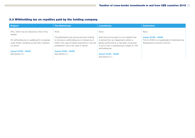#### <span id="page-32-0"></span>3.3 Withholding tax on royalties paid by the holding company

| <b>Belgium</b>                                          | <b>The Netherlands</b>                            | Luxembourg                                      | <b>Switzerland</b>                               |
|---------------------------------------------------------|---------------------------------------------------|-------------------------------------------------|--------------------------------------------------|
| 30%, which may be reduced by virtue of tax<br>treaties. | None.                                             | None.                                           | None.                                            |
|                                                         | The Netherlands has announced that it intends     | Note that income paid to a non-resident that    | <b>Impact ATAD - GAAR</b>                        |
| 0% withholding tax to qualifying EU companies           | to introduce a withholding tax on interest as of  | is derived from an independent artistic or      | The EU ATAD is not applicable for Switzerland as |
| under similar conditions as set forth in Section        | 2020 in the case of interest payments to "low tax | literary activity that is or has been conducted | Switzerland is not part of the EU.               |
| 3.2 above.                                              | jurisdictions" and in the case of "abuse".        | or put to use in Luxembourg is subject to 10%   |                                                  |
|                                                         |                                                   | withholding tax.                                |                                                  |
| <b>Impact ATAD - GAAR</b>                               | <b>Impact ATAD - GAAR</b>                         |                                                 |                                                  |
| See Section 3.1.                                        | See Section 3.1.                                  | <b>Impact ATAD - GAAR</b>                       |                                                  |
|                                                         |                                                   | See Section 3.1.                                |                                                  |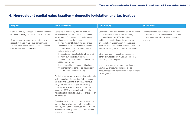## <span id="page-33-0"></span>4. Non-resident capital gains taxation – domestic legislation and tax treaties

| <b>Belgium</b>                                                                                                                                                                                                                                                                              | <b>The Netherlands</b>                                                                                                                                                                                                                                                                                                                                                                                                                                                                                                                                                                                                                                                                                                                                                                                                                                                                                                                                                                                                                                                                                                                                                                                                                                                                                                  | <b>Luxembourg</b>                                                                                                                                                                                                                                                                                                                                                                                                                                                                                                                                                                                                                                    | <b>Switzerland</b>                                                                                                                                        |
|---------------------------------------------------------------------------------------------------------------------------------------------------------------------------------------------------------------------------------------------------------------------------------------------|-------------------------------------------------------------------------------------------------------------------------------------------------------------------------------------------------------------------------------------------------------------------------------------------------------------------------------------------------------------------------------------------------------------------------------------------------------------------------------------------------------------------------------------------------------------------------------------------------------------------------------------------------------------------------------------------------------------------------------------------------------------------------------------------------------------------------------------------------------------------------------------------------------------------------------------------------------------------------------------------------------------------------------------------------------------------------------------------------------------------------------------------------------------------------------------------------------------------------------------------------------------------------------------------------------------------------|------------------------------------------------------------------------------------------------------------------------------------------------------------------------------------------------------------------------------------------------------------------------------------------------------------------------------------------------------------------------------------------------------------------------------------------------------------------------------------------------------------------------------------------------------------------------------------------------------------------------------------------------------|-----------------------------------------------------------------------------------------------------------------------------------------------------------|
| Gains realised by non-resident entities in respect<br>of shares in a Belgian company are not taxable.<br>Gains realised by non-resident individuals in<br>respect of shares in a Belgian company are<br>taxable under certain circumstances (if there is<br>no adequate treaty protection). | Capital gains realised by non-residents on<br>the alienation of shares in a Dutch company<br>are subject to Dutch taxation if the following<br>conditions are cumulatively met:<br>- the non-resident holds at the time of the<br>alienation directly or indirectly an interest<br>of 5% or more in the Dutch company (a<br>'substantial interest');<br>the substantial interest is held with (one of)<br>the main purpose(s) to avoid Dutch<br>personal income tax and/or Dutch dividend<br>withholding tax; and<br>there is an artificial arrangement in place.<br>$\overline{\phantom{m}}$<br>An arrangement is considered as artificial if it<br>does not reflect economic reality.<br>Capital gains realized by non-resident individuals<br>on the alienation of shares in a Dutch company<br>are subject to Dutch taxation if that individual<br>- together with his or her partner - directly or<br>indirectly holds an equity interest in the Dutch<br>company of 5% or more, unless that equity<br>interest is attributable to a business enterprise of<br>the individual.<br>If the above-mentioned conditions are met, the<br>non-resident taxation also applies to distributions<br>made by the Dutch company, as well as income<br>derived from loans granted by the non-resident<br>to the Dutch company. | Gains realised by non-residents on the alienation<br>of a substantial interest in a Luxembourg<br>company (more than 10%), including<br>distributions received upon liquidation and<br>proceeds from a redemption of shares, are<br>taxable if the gain is realised within a period of six<br>months following the acquisition of the shares.<br>Other rules apply in case the non-resident<br>transferor was resident in Luxembourg for at<br>least 15 years in the past.<br>In general, where a tax treaty is applicable,<br>taxation Luxembourg will in principle be<br>attributed restricted from levying its non-resident<br>capital gains tax. | Gains realised by non-resident individuals or<br>companies on the disposal of shares in a Swiss<br>company are normally not subject to Swiss<br>taxation. |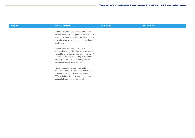| <b>Belgium</b> | <b>The Netherlands</b>                                                                                                                                                                                                                                                                       | <b>Luxembourg</b> | <b>Switzerland</b> |
|----------------|----------------------------------------------------------------------------------------------------------------------------------------------------------------------------------------------------------------------------------------------------------------------------------------------|-------------------|--------------------|
|                | If the non-resident taxation applies to a non-<br>resident individual, 25% personal income tax is<br>levied on all income derived from the substantial<br>interest (including capital gains and dividends) on<br>a net basis.                                                                |                   |                    |
|                | If the non-resident taxation applies to a<br>non-resident entity which holds the substantial<br>interest to avoid Dutch personal income tax, CIT<br>is levied at 25% on all income (i.e. dividends,<br>capital gains and interest income) from the<br>substantial interest (on a net basis). |                   |                    |
|                | If the non-resident taxation applies to a<br>non-resident entity which holds the substantial<br>interest to avoid Dutch personal income tax,<br>CIT is levied at 25% on all income from the<br>substantial interest (on a net basis).                                                        |                   |                    |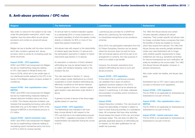## <span id="page-35-0"></span>5. Anti-abuse provisions / CFC rules

| <b>Belgium</b>                                                                                                                                                                                                                            | <b>The Netherlands</b>                                                                                                                                                                                                                      | <b>Luxembourg</b>                                                                                                                                                                                                                       | <b>Switzerland</b>                                                                                                                                                                                                                                                                              |
|-------------------------------------------------------------------------------------------------------------------------------------------------------------------------------------------------------------------------------------------|---------------------------------------------------------------------------------------------------------------------------------------------------------------------------------------------------------------------------------------------|-----------------------------------------------------------------------------------------------------------------------------------------------------------------------------------------------------------------------------------------|-------------------------------------------------------------------------------------------------------------------------------------------------------------------------------------------------------------------------------------------------------------------------------------------------|
| See under 2.2 above for the subject-to-tax rules<br>under the participation exemption, which, read<br>together, have the same effect as anti-abuse<br>provisions and contain an actual anti-abuse<br>provision.                           | An annual mark-to-market revaluation applies<br>to a substantial (25% or more) investment in a<br>low-taxed subsidiary of which the assets consist,<br>directly or indirectly, for 90% or more of 'low-<br>taxed free passive investments'. | Luxembourg law provides for a GAAR that<br>allows the Luxembourg Tax Authorities to<br>re-characterize transactions as tax avoidance<br>schemes.<br>Since 2016, the participation exemption from the                                    | The 1962 Anti-Abuse Decree and certain<br>Circulars stipulate unilateral anti-abuse<br>measures. They contain specific anti-abuse rules<br>for foreign controlled Swiss companies that claim<br>the benefits of Swiss tax treaties for income<br>which they receive from abroad. The 1962 Anti- |
| Belgian tax law is familiar with the sham doctrine<br>and it also contains a general anti- abuse<br>provision which is aimed at combating purely tax<br>driven structures.                                                                | Anti-abuse rules with respect to the deductibility<br>of interest apply (see Section 2.5 above) and<br>the participation exemption in relation to hybrid<br>instruments (see Section 2.2 iii above).                                        | EU Parent-Subsidiary Directive can be denied<br>where the structure does not exist for bona<br>fide commercial reasons and forms part of an<br>arrangement or scheme, the main purpose of<br>which is to obtain a tax benefit.          | Abuse Decree was recently partially abolished.<br>Under new rules Switzerland will no longer<br>verify whether specific requirements to treaty<br>entitlement are met (e.g. beneficial ownership)<br>for inbound transactions as such verification will                                         |
| <b>Impact ATAD - CFC legislation</b><br>ATAD I and ATAD II are transposed into Belgian<br>tax law by implementing measures relating<br>to CFC rules based on Model B (entry into<br>force in 2019), which aim to tax certain type of      | An exemption or reduction of Dutch dividend<br>withholding tax may be denied based on the<br>so called 'anti-dividend-stripping' rules in the<br>Dividend Tax Act.                                                                          | However, the domestic exemptions from<br>dividend withholding tax have no such anti-<br>abuse provisions.                                                                                                                               | solely be handled by the source state. The 1962<br>Anti-Abuse Decree still applies, however, to<br>abusive transactions.<br>Also under certain tax treaties, anti-abuse rules                                                                                                                   |
| non-distributed profits realized by the CFC in the<br>hands of the Belgian parent company (subject to<br>conditions).                                                                                                                     | The rules described in Section 3.1 above.<br>which subject certain distributions by a Dutch<br>cooperative to Dutch dividend withholding tax,<br>effectively constitute an anti-abuse measure.                                              | <b>Impact ATAD - CFC legislation</b><br>To the extent that a Luxembourg company<br>can establish that it does not perform<br>significant functions related to the CFC's                                                                 | apply.<br>Switzerland has no CFC rules in place and does<br>not plan to introduce such regulations.                                                                                                                                                                                             |
| <b>Impact ATAD - thin capitalisation rules /</b><br><b>EBITDA</b><br>ATAD I and ATAD II are transposed into Belgian<br>tax law by implementing measures relating to<br>interest deduction limitation (entry into force                    | The same applies to the non-resident capital<br>gains taxation rules described under Section 4<br>above.<br>A general concept of abuse of law (fraus legis)                                                                                 | activities, there should not be an adverse tax<br>impact in Luxembourg. In all cases, adequate<br>documentation of activities and/or functions is<br>recommended.                                                                       | <b>Impact ATAD - CFC legislation</b><br>The EU ATAD is not applicable for Switzerland as<br>Switzerland is not part of the EU.                                                                                                                                                                  |
| in 2020). This interest deduction limitation rule<br>foresees that exceeding borrowing costs will be<br>deductible only up to the higher of 30% of the<br>taxpayer's EBITDA or the threshold amount of<br>$\epsilon$ 3 million.           | applies based on case law.<br><b>Impact ATAD - CFC legislation</b><br>The Netherlands has indicated it will most<br>likely choose Model A with respect to the                                                                               | <b>Impact ATAD</b><br>Interest Deduction Limitation: The rule should not<br>impact the deductibility of interest in relation to<br>back-to-back financing activities on a standalone<br>basis. All companies that have other activities | Impact ATAD - thin capitalisation rules /<br><b>EBITDA</b><br>The EU ATAD is not applicable for Switzerland as<br>Switzerland is not part of the EU.                                                                                                                                            |
| <b>Impact ATAD - hybrid mismatch rules</b><br>ATAD I and ATAD II are transposed into Belgian<br>tax law by implementing measures relating to<br>neutralizing hybrid mismatches (entry into force<br>in 2019 or 2022 for reverse hybrids). | CFC-rule that has to be implemented pursuant<br>to the ATAD I. Legislative proposals on ATAD I<br>implementation are expected during the course<br>of 2018.                                                                                 | should assess the impact of this rule, and where<br>necessary adapt. This rule does not affect the<br>generally applicable absence of withholding tax<br>on interest, nor the debt qualification for net<br>wealth tax purposes.        | <b>Impact ATAD - hybrid mismatch rules</b><br>The EU ATAD is not applicable for Switzerland as<br>Switzerland is not part of the EU.                                                                                                                                                            |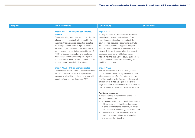| <b>Impact ATAD - thin capitalisation rules /</b><br><b>Impact ATAD</b><br><b>EBITDA</b><br>Anti-Hybrid rules: Intra-EU hybrid mismatches<br>The new Dutch government announced that the<br>were already targeted by the denial of the<br>rules prescribed by ATAD with respect to the<br>Luxembourg participation exemption if the<br>earnings stripping interest deduction limitation<br>payment was deductible at payer level. Under<br>will be implemented without a group escape<br>the new rules, Luxembourg payer companies<br>and without grandfathering. The deduction of<br>may be confronted with the non-deductibility of<br>net borrowing costs is limited to the highest of<br>interest. This rule does not affect the generally |  |
|-----------------------------------------------------------------------------------------------------------------------------------------------------------------------------------------------------------------------------------------------------------------------------------------------------------------------------------------------------------------------------------------------------------------------------------------------------------------------------------------------------------------------------------------------------------------------------------------------------------------------------------------------------------------------------------------------------------------------------------------------|--|
| (i) 30% of the earnings before interest, taxes,<br>applicable absence of withholding tax on<br>depreciation and amortisation (EBITDA) and<br>interest, nor the debt versus equity qualification<br>(ii) an amount of EUR 1 million. It will be possible<br>of financial instruments for Luxembourg net<br>to carry forward non-deductible interest.<br>wealth tax purposes.                                                                                                                                                                                                                                                                                                                                                                   |  |
| <b>Impact ATAD - hybrid mismatch rules</b><br><b>Impact ATAD</b><br>The Netherlands indicated that they will address<br>Exit Tax rules (as from 2020): The 5 year limit<br>the hybrid mismatch rules in a separate law<br>on the payment deferral may adversely impact<br>proposal which will be published later (and will<br>migrations and transfer of activities to another<br>enter into force as from 1 January 2020).<br>EU/EEA member state. Conversely, the explicit<br>entitlement to a step-up equal to the arm's<br>length exit value in the Member State of exit may<br>provide welcome certainty for such transactions.                                                                                                          |  |
| <b>Additional measures:</b><br>In addition to the implementation of the ATAD,<br>the bill of law includes:<br>- an amendment to the domestic interpretation<br>of the permanent establishment concept,<br>in order to mitigate the possibility of double<br>non-taxation with tax treaty jurisdictions, and<br>- the abolishment of the domestic roll-over<br>relief for a lender that converts loans into<br>shares issued by its debtor.                                                                                                                                                                                                                                                                                                    |  |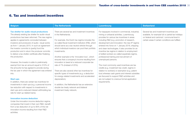### 6. Tax and investment incentives

| <b>Belgium</b>                                                                                                                                                                                                                                                                                                                                                                                                                                                                                                                                                                                                                                                                                                                                                                                                                                                                                                                                                                                                                                                                                                                                                                                                | <b>The Netherlands</b>                                                                                                                                                                                                                                                                                                                                                                                                                                                                                                                                                                                                                                                                                                                                                                             | <b>Luxembourg</b>                                                                                                                                                                                                                                                                                                                                                                                                                                                                                                                                                                                                                                                                                                                                                                                                                               | <b>Switzerland</b>                                                                                                                                                                                    |
|---------------------------------------------------------------------------------------------------------------------------------------------------------------------------------------------------------------------------------------------------------------------------------------------------------------------------------------------------------------------------------------------------------------------------------------------------------------------------------------------------------------------------------------------------------------------------------------------------------------------------------------------------------------------------------------------------------------------------------------------------------------------------------------------------------------------------------------------------------------------------------------------------------------------------------------------------------------------------------------------------------------------------------------------------------------------------------------------------------------------------------------------------------------------------------------------------------------|----------------------------------------------------------------------------------------------------------------------------------------------------------------------------------------------------------------------------------------------------------------------------------------------------------------------------------------------------------------------------------------------------------------------------------------------------------------------------------------------------------------------------------------------------------------------------------------------------------------------------------------------------------------------------------------------------------------------------------------------------------------------------------------------------|-------------------------------------------------------------------------------------------------------------------------------------------------------------------------------------------------------------------------------------------------------------------------------------------------------------------------------------------------------------------------------------------------------------------------------------------------------------------------------------------------------------------------------------------------------------------------------------------------------------------------------------------------------------------------------------------------------------------------------------------------------------------------------------------------------------------------------------------------|-------------------------------------------------------------------------------------------------------------------------------------------------------------------------------------------------------|
| Tax shelter for audio-visual productions<br>The already existing tax shelter for audio-visual<br>productions has been reformed. The new regime<br>applies to agreements concluded between<br>investors and producers of audio- visual works<br>as from 1 January 2015. In such an agreement<br>the investor commits to (partly) fund the<br>production and in return the producer commits<br>to deliver a tax shelter certificate after finalising<br>the production.<br>However, the investor is able to preliminarily<br>exempt from tax an amount equal to 310% of<br>the amounts he has agreed to provide during<br>the tax year in which the agreement was entered<br>into.<br><b>Start-ups</b><br>In addition, there are certain tax incentives for<br>investments in start-ups (e.g. a personal income<br>tax reduction with respect to investments in<br>start-ups and a reduced interest withholding tax<br>rate for start-up related loans).<br><b>Innovation income deduction</b><br>Under the innovation income deduction regime,<br>companies that invest in their own R&D, benefit<br>from a tax deduction of up to 85% of the net<br>innovation income resulting from their R&D<br>activities. | There are several tax and investment incentives<br>in the Netherlands.<br>For example, the Dutch tax regime includes the<br>so-called fiscal investment institution (FBI), which<br>should serve as a tax neutral vehicle through<br>which individual investors can pool their portfolio<br>investments.<br>Another example is the 'innovation box', which<br>ensures that a company's income resulting from<br>innovation is taxed at a reduced corporate tax<br>rate of 7% (instead of 25%).<br>There are also several other tax incentives for<br>specific types of investments (e.g. a deduction<br>for energy-related investments and accelerated<br>depreciation).<br>In addition, the Netherlands has an extensive<br>double tax treaty network and bilateral<br>investment treaty network. | For taxpayers involved in commercial, industrial,<br>mining or artisanal activities, Luxembourg<br>provides for various tax incentives in areas<br>including R&D (e.g. promotion of research,<br>development and innovation: the new IP regime<br>entered into force on 1 January 2018, shipping<br>and clean technologies. It also provides for an<br>incentive tax regime in relation to employment<br>of skilled workers so-called expatriate regime,<br>professional training and recruitment of<br>unemployed persons.<br>The most commonly used incentives are tax<br>credits (e.g. investment tax credit, regime in<br>relation to workers) or exemption (e.g. patent<br>box) whereas cash grants and interest subsidies<br>are favoured to support R&D activities and<br>are not subject to onerous formal application<br>requirements. | Several tax and investment incentives are<br>available, for example full or partial tax holidays<br>on federal and cantonal / communal level in<br>certain areas if certain conditions are fulfilled. |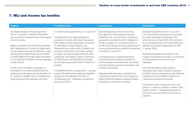### 7. MLI and income tax treaties

| The Belgian Minister of Finance signed the<br>The Netherlands signed the MLI on 7 June 2017.<br>Since the beginning of 2018, the MLI has                                                                                                                                                                                                                                                                                                                                                                                                                                                                                                                                                                                                                                                                                                                                                                                                                                                                                                                                                                                                                                                                                                                                                                                                                                                                                                                                                                                                                                                                                                                                                                                                                                                                                                                                                                                                                                                                                                                                                                                                                                                                                                                                                                |                                                                                                                                                                                                                                                                                                                                                                                                                                                                                                                                                                                                                                                                                                                                                                                                                                                                                                |
|---------------------------------------------------------------------------------------------------------------------------------------------------------------------------------------------------------------------------------------------------------------------------------------------------------------------------------------------------------------------------------------------------------------------------------------------------------------------------------------------------------------------------------------------------------------------------------------------------------------------------------------------------------------------------------------------------------------------------------------------------------------------------------------------------------------------------------------------------------------------------------------------------------------------------------------------------------------------------------------------------------------------------------------------------------------------------------------------------------------------------------------------------------------------------------------------------------------------------------------------------------------------------------------------------------------------------------------------------------------------------------------------------------------------------------------------------------------------------------------------------------------------------------------------------------------------------------------------------------------------------------------------------------------------------------------------------------------------------------------------------------------------------------------------------------------------------------------------------------------------------------------------------------------------------------------------------------------------------------------------------------------------------------------------------------------------------------------------------------------------------------------------------------------------------------------------------------------------------------------------------------------------------------------------------------|------------------------------------------------------------------------------------------------------------------------------------------------------------------------------------------------------------------------------------------------------------------------------------------------------------------------------------------------------------------------------------------------------------------------------------------------------------------------------------------------------------------------------------------------------------------------------------------------------------------------------------------------------------------------------------------------------------------------------------------------------------------------------------------------------------------------------------------------------------------------------------------------|
| MLI on 7 June 2017 on behalf of the federal<br>been signed by 76 signatories covering 78<br>jurisdictions. On 3 July 2018 the Luxembourg<br>government and the governments of the regions<br>The Netherlands has largely accepted all<br>and communities.<br>government submitted the bill for ratification of<br>provisions in the MLI, with limited reservations.<br>the MLI to parliament. The positions taken on<br>With regard to article 5 (Application of Methods<br>Belgium submitted a list of 98 of its tax treaties<br>for Elimination of Double Taxation), the<br>the MLI do not deviate from the provisional list of<br>that it designated as 'Covered Tax Agreements'.<br>choices and reservations notified by Luxembourg<br>Netherlands has chosen option A (disallow the<br>1 January 2020).<br>The tax treaties concluded with Germany, Japan,<br>exemption method for income that is exempt<br>to the OECD in June 2017.<br>Norway and the Netherlands were not notified.<br>or subject to a reduced treaty rate in the other<br>jurisdiction). With regard to article 7 (Prevention<br>Luxembourg chose to apply the principal<br>Currently, Belgium has mainly taken the position<br>to only implement the BEPS minimum standards<br>of Treaty Abuse), the Netherlands has chosen<br>purpose test which denies the benefits that<br>would otherwise be provided under tax treaties<br>through the MLI.<br>the 'principal purpose test' without 'limitation on<br>standards.<br>when the principal purposes of transaction was<br>benefits'.<br>The MLI has to be ratified via legislation to<br>to obtain such benefits.<br>The Netherlands will not apply article 11 (savings<br>be adopted in the federal parliament and the<br>parliaments of the regions and communities. As<br>clause). The Netherlands published a legislative<br>Regarding withholding tax on dividends, the<br>of 1 April 2018, Belgium has not published any<br>proposal for the ratification of the MLI on<br>Luxembourg indicated that it will not apply the<br>article 8 of the MLI related to dividend transfers<br>(draft) proposal for the ratification of the MLI.<br>20 December 2017. Ratification is expected in<br>the course of 2018.<br>transactions to its double tax treaties.<br>standard. | Switzerland signed the MLI on 7 June 2017.<br>The Federal Council submitted the Convention<br>for public consultation in December 2017,<br>which will end on 9 April 2018. Entry into force<br>is not anticipated prior to 2019 (thus becoming<br>effective for tax periods beginning on or after<br>Switzerland expressed reservations on the<br>majority of the articles of the MLI, i.e. committed<br>to the application of only the minimum<br>Note that Switzerland made a general<br>reservation that it might choose to implement<br>the BEPS minimum standards by way of bilateral<br>negotiations of its tax treaties instead of the<br>mechanisms introduced by the MLI.<br>Switzerland notified to apply the switch-over<br>clause, i.e. option A, in relation to article 5. With<br>regard to article 7, Switzerland will apply the<br>Principal Purpose Test (PPT) as the minimum |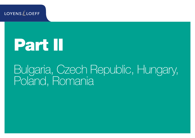**LOYENS LOEFF** 

# Part II

# Bulgaria, Czech Republic, Hungary, Poland, Romania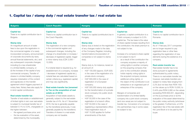# 1. Capital tax / stamp duty / real estate transfer tax / real estate tax

| <b>Bulgaria</b>                                                                                                                                                                                                                                                                                                                                                                                                                                                                                                                                                                                                                                                                                                                                                                                                                                                                                                                                                                                                                                                                     | <b>Czech Republic</b>                                                                                                                                                                                                                                                                                                                                                                                                                                                                                                                                                                                                                                                                                                                                                                                                                                                                                                                                                                                                                  | <b>Hungary</b>                                                                                                                                                                                                                                                                                                                                                                                                                                                                                                                                                                                                                                                                                                                                                                                                                                                                                                          | <b>Poland</b>                                                                                                                                                                                                                                                                                                                                                                                                                                                                                                                                                                                                                                                                                                                                                                                                                                                                                                                                                                                              | <b>Romania</b>                                                                                                                                                                                                                                                                                                                                                                                                                                                                                                                                                                                                                                                                                                                                                                                                                                                                                                                                                                |
|-------------------------------------------------------------------------------------------------------------------------------------------------------------------------------------------------------------------------------------------------------------------------------------------------------------------------------------------------------------------------------------------------------------------------------------------------------------------------------------------------------------------------------------------------------------------------------------------------------------------------------------------------------------------------------------------------------------------------------------------------------------------------------------------------------------------------------------------------------------------------------------------------------------------------------------------------------------------------------------------------------------------------------------------------------------------------------------|----------------------------------------------------------------------------------------------------------------------------------------------------------------------------------------------------------------------------------------------------------------------------------------------------------------------------------------------------------------------------------------------------------------------------------------------------------------------------------------------------------------------------------------------------------------------------------------------------------------------------------------------------------------------------------------------------------------------------------------------------------------------------------------------------------------------------------------------------------------------------------------------------------------------------------------------------------------------------------------------------------------------------------------|-------------------------------------------------------------------------------------------------------------------------------------------------------------------------------------------------------------------------------------------------------------------------------------------------------------------------------------------------------------------------------------------------------------------------------------------------------------------------------------------------------------------------------------------------------------------------------------------------------------------------------------------------------------------------------------------------------------------------------------------------------------------------------------------------------------------------------------------------------------------------------------------------------------------------|------------------------------------------------------------------------------------------------------------------------------------------------------------------------------------------------------------------------------------------------------------------------------------------------------------------------------------------------------------------------------------------------------------------------------------------------------------------------------------------------------------------------------------------------------------------------------------------------------------------------------------------------------------------------------------------------------------------------------------------------------------------------------------------------------------------------------------------------------------------------------------------------------------------------------------------------------------------------------------------------------------|-------------------------------------------------------------------------------------------------------------------------------------------------------------------------------------------------------------------------------------------------------------------------------------------------------------------------------------------------------------------------------------------------------------------------------------------------------------------------------------------------------------------------------------------------------------------------------------------------------------------------------------------------------------------------------------------------------------------------------------------------------------------------------------------------------------------------------------------------------------------------------------------------------------------------------------------------------------------------------|
| <b>Capital tax</b><br>There is no capital contribution tax in<br>Bulgaria.<br><b>Stamp duty</b><br>An insignificant amount of state<br>fees is due upon the registration in<br>the commercial register of a newly<br>incorporated company, announcement<br>of corporate documents (by-laws,<br>annual financial statements, etc.) and<br>any subsequent corporate changes,<br>including (i) a new shareholder<br>in a limited liability company, or<br>(ii) the increase of the capital of any<br>commercial company. Transfer of<br>shares in a limited liability company<br>requires notarisation of the content<br>and signatures on the transfer<br>agreement which triggers payment of<br>notary fees. Notary fees also apply for<br>in-kind capital contributions.<br><b>Real estate transfer tax</b><br>Transfer of real estate or establishment<br>of limited rights in rem over real estate<br>is subject to municipal transfer tax of<br>between 0.1% to 3.0%, chargeable on<br>the higher between:<br>the agreed purchase price; and<br>the tax evaluation of the asset. | <b>Capital tax</b><br>There is no capital contribution tax in<br>the Czech Republic.<br><b>Stamp duty</b><br>The registration of a new company<br>in the commercial register and<br>subsequent changes, including the<br>change of a shareholder or increase /<br>decrease of registered capital, trigger<br>a minor stamp duty (CZK 2,000 -<br>$12,000$ ).<br>If a notarial deed is required (e.g. for<br>establishment of a company, increase<br>/ decrease of registered capital etc.),<br>notarial fees are calculated based on<br>certain criteria (e.g. registered capital)<br>and may vary significantly.<br>Real estate transfer tax (renamed<br>to Tax on the acquisition of real<br>estate as of 2014)<br>Acquisition of real estate assets is,<br>generally, subject to the real estate<br>transfer tax of 4%. As of 1 November<br>2016, the tax is generally payable<br>by the transferee (previously, it was<br>generally payable by the transferor).<br>Transfers of shares in a real estate<br>company are not taxable. | <b>Capital tax</b><br>There is no capital (contribution) tax in<br>Hungary.<br><b>Stamp duty</b><br>Stamp duty is levied on the registration<br>of any changes made to the data<br>of the Company Register, including<br>transformations (incorporation of<br>companies is not subject to stamp<br>duty).<br>Stamp duty is, for instance, levied on<br>an amount of:<br>- HUF 100,000 (approx. EUR 325)<br>in the case of the registration of a<br>private stock company;<br>- HUF 600,000 in the case of<br>registration of a European<br>company;<br>- HUF 500,000 stamp duty applies<br>for the transformation of a private<br>stock company into public stock<br>company;<br>- HUF 50,000 in the case of the<br>registration of a branch office;<br>- HUF 50,000 in the case of<br>registering a representative office;<br>- Fixed registration duty of<br>HUF 15,000 applies for further<br>amendments of the AoA. | <b>Capital tax</b><br>In general, a capital contribution to a<br>Polish company is subject to 0.5%<br>capital tax. The tax base is the value<br>of share capital increase resulting from<br>the contribution; the share premium is<br>not subject to tax.<br>Increase of a company's share capital<br>is not subject to tax if:<br>- as a result of the contribution the<br>company acquires a majority of<br>voting rights in another company<br>(or the acquiring company that<br>prior to the contribution already<br>holds majority voting rights in<br>the acquired company receives<br>additional voting rights), or<br>the object of the contribution is an<br>$\equiv$<br>enterprise or an organised part of<br>enterprise of the company.<br>Mergers of companies and<br>transformation of a limited liability<br>company into a joint stock company<br>(and vice versa) are not subject to<br>transfer tax. Conversion of a company<br>into partnerships may in some cases<br>be subject to tax. | <b>Capital tax</b><br>There is no capital contribution tax in<br>Romania.<br><b>Stamp duty</b><br>As of 1 February 2017 companies<br>are no longer required to pay<br>registration fees or other fees<br>regarding the registration of new<br>elements during the existence of a<br>company.<br><b>Real estate transfer tax</b><br>Real estate transfer has to be<br>done pursuant to agreements<br>authenticated by public notary.<br>There is no real estate transfer tax;<br>however, real estate transfers are<br>subject to notary fees ranging from<br>2.2% (but not less than RON 150)<br>on the values up to RON 15,000, to<br>0.44% plus RON 5,080 on the values<br>exceeding RON 600,001, depending<br>on the (i) purchase price or (ii) the<br>evaluation of the asset determined by<br>the public notary authority (whichever<br>is the greater). Furthermore, a 0.5%<br>registration fee of the real estate with<br>the Land Book is to be paid by the<br>buyer. |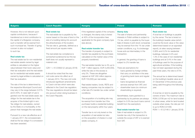| <b>Bulgaria</b>                                                                                                                                                                                                                                                                                                                                                                                                                                                                                                                                                                                                                            | <b>Czech Republic</b>                                                                                                                                                                                                                                                                                                                                                                                                                                                                                                                                         | <b>Hungary</b>                                                                                                                                                                                                                                                                                                                                                                                                                                                                                                                                                                                          | <b>Poland</b>                                                                                                                                                                                                                                                                                                                                                                                                                                                                                                                                                        | <b>Romania</b>                                                                                                                                                                                                                                                                                                                                                                                                                                                                                                                                                                                                                                           |
|--------------------------------------------------------------------------------------------------------------------------------------------------------------------------------------------------------------------------------------------------------------------------------------------------------------------------------------------------------------------------------------------------------------------------------------------------------------------------------------------------------------------------------------------------------------------------------------------------------------------------------------------|---------------------------------------------------------------------------------------------------------------------------------------------------------------------------------------------------------------------------------------------------------------------------------------------------------------------------------------------------------------------------------------------------------------------------------------------------------------------------------------------------------------------------------------------------------------|---------------------------------------------------------------------------------------------------------------------------------------------------------------------------------------------------------------------------------------------------------------------------------------------------------------------------------------------------------------------------------------------------------------------------------------------------------------------------------------------------------------------------------------------------------------------------------------------------------|----------------------------------------------------------------------------------------------------------------------------------------------------------------------------------------------------------------------------------------------------------------------------------------------------------------------------------------------------------------------------------------------------------------------------------------------------------------------------------------------------------------------------------------------------------------------|----------------------------------------------------------------------------------------------------------------------------------------------------------------------------------------------------------------------------------------------------------------------------------------------------------------------------------------------------------------------------------------------------------------------------------------------------------------------------------------------------------------------------------------------------------------------------------------------------------------------------------------------------------|
| However, this is not relevant upon<br>capital contributions, because if<br>transferred as in-kind contribution to<br>the capital of a Bulgarian company,<br>such a transfer will be exempt from<br>such municipal tax. Transfer of going<br>concern is also not subject<br>to such tax.<br><b>Real estate tax</b><br>The real estate tax for non-residential<br>real estate assets owned by legal<br>entities is calculated on the higher<br>value between their book value and<br>their tax evaluation and the real estate<br>tax for residential real estate assets<br>owned by legal entities is calculated on<br>their tax evaluation. | <b>Real estate tax</b><br>The real estate tax is payable by the<br>owner based on the area of land or the<br>size of a building taking into account<br>the attractiveness of the location.<br>The tax rate is, generally, defined as a<br>fixed amount per square metre.<br>The real estate tax compliance is<br>somewhat burdensome but the tax<br>itself does not usually represent a<br>material cost.<br>CZK 1 = € 0.03922 (2 January 2018)<br>It should be noted that the new<br>civil code came into effect as of<br>1 January 2014. The new civil code | If the registered capital of the company<br>is changed, the stamp duty is levied<br>at 40% of the incorporation fees<br>applicable for the given company type<br>(see above).<br><b>Real estate transfer tax</b><br>The transfer of property is subject to<br>transfer tax payable by the purchaser,<br>calculated on the market value of the<br>property transferred.<br>The real estate transfer tax is 4% up to<br>HUF 1 billion (approx. EUR 3,200,000),<br>while the rate on the excess is<br>only 2%. These are altogether<br>capped at HUF 200 million (approx.<br>EUR 733,000) per real estate. | <b>Stamp duty</b><br>The sale of shares and partnership<br>interests in Polish entities is subject to<br>1% tax, which is payable by the buyer.<br>Sale of shares in joint stock companies<br>may be exempt from the 1% tax under<br>certain conditions, e.g. if a brokerage<br>house acts as intermediary in the<br>transaction.<br>In general, the granting of loans is<br>subject to 2% transfer tax.<br>There are exemptions for:<br>- loans granted by foreign entities<br>that carry on activities in the area<br>of granting bank loans and regular<br>loans: | <b>Real estate tax</b><br>A local tax on buildings is payable<br>by the owner. The tax is levied on<br>the building's taxable value (which<br>could be the book value or the value<br>determined based on an appraisal<br>report), at rates varying between<br>0.08% and 0.2% for residential<br>buildings, between 0.2% and<br>1.3% in the case of non-residential<br>buildings and at 0.4% in the case<br>of buildings used for the purpose of<br>agricultural activities. If the building<br>has not been appraised during the<br>past three years, the rate is of 5%.<br>The annual tax is determined based<br>on the building's taxable value as of |
| The rate of the tax is determined by<br>the respective Municipal Council and<br>may vary in the range between 0.01%<br>and 0.45%. In case right of use is<br>granted over the real estate asset, tax<br>obligor for the real estate tax is the<br>acquirer of the limited right in rem.<br>Tax obligor for real estates, owned<br>by the State or a municipality, is the<br>person that manages the real estate.<br>Pursuant to a new rule effective as of<br>1 January 2017, the concessionaire<br>shall be the tax obligor if a concession<br>has been awarded.                                                                          | introduced significant amendments<br>to Czech civil law which were also<br>reflected in the Czech tax regulation.<br>The new regulations should be taken<br>into account when doing business in<br>the Czech Republic.                                                                                                                                                                                                                                                                                                                                        | Real estate traders, funds, REITs and<br>leasing companies may be subject to<br>a flat rate 2% transfer tax under certain<br>conditions.<br>The acquisition of a building site may<br>be exempt from transfer tax if the<br>purchaser builds a residential building<br>on the real property within four years.<br>Transfer tax is not only levied on the<br>acquisition of real estate but also<br>on the acquisition of shares in a real<br>estate company, if:                                                                                                                                        | loans recognised as financial<br>$\overline{\phantom{0}}$<br>services exempt from VAT; and<br>- shareholder loans (no minimum<br>shareholding is required).<br>Nevertheless, loans granted to a<br>partnership by its partners are always<br>subject to 0.5% tax (such loans cannot<br>benefit from the exemption).<br><b>Real estate transfer tax</b><br>Sale of real estate is subject to 2%<br>transfer tax only if the transaction is<br>outside the scope of VAT or is exempt<br>from VAT.                                                                      | 31 December of the previous year,<br>being valid throughout the following<br>year.<br>A local tax on land is payable by the<br>owners of land. The maximum rate is<br>RON 2.0706 per m2 for land located<br>in urban areas, while for land located<br>outside urban areas, the rate per m2<br>is up to RON 0.01456.<br>RON $1 = 60.2146(1)$ January 2018)                                                                                                                                                                                                                                                                                                |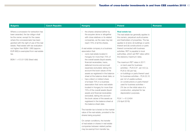| <b>Bulgaria</b>                                                                                                                                                                                                                                                                                                                                                                    | <b>Czech Republic</b> | <b>Hungary</b>                                                                                                                                                                                                                                                                                                                                                                                                                                                                                                                                                                                                                                                                                                                                                                                                                                                                                                                                                                                                                                                                                                                                                                                                  | <b>Poland</b>                                                                                                                                                                                                                                                                                                                                                                                                                                                                                                                                                                                                                                                                                                                                                                                                                                                   | Romania |
|------------------------------------------------------------------------------------------------------------------------------------------------------------------------------------------------------------------------------------------------------------------------------------------------------------------------------------------------------------------------------------|-----------------------|-----------------------------------------------------------------------------------------------------------------------------------------------------------------------------------------------------------------------------------------------------------------------------------------------------------------------------------------------------------------------------------------------------------------------------------------------------------------------------------------------------------------------------------------------------------------------------------------------------------------------------------------------------------------------------------------------------------------------------------------------------------------------------------------------------------------------------------------------------------------------------------------------------------------------------------------------------------------------------------------------------------------------------------------------------------------------------------------------------------------------------------------------------------------------------------------------------------------|-----------------------------------------------------------------------------------------------------------------------------------------------------------------------------------------------------------------------------------------------------------------------------------------------------------------------------------------------------------------------------------------------------------------------------------------------------------------------------------------------------------------------------------------------------------------------------------------------------------------------------------------------------------------------------------------------------------------------------------------------------------------------------------------------------------------------------------------------------------------|---------|
| Where a concession for extraction has<br>been awarded, the tax obligor shall<br>be the owner, except for the cases<br>where the concessionaire has been<br>granted with the right of use of the real<br>estate. Real estate with tax evaluation<br>not higher than BGN 1,680 (approx.<br>EUR 860) is exempted from real estate<br>tax.<br>BGN $1 = \epsilon$ 0.511292 (fixed rate) |                       | - the shares obtained (either by<br>the acquirer alone or altogether<br>with close relatives or its related<br>companies, as the case may be)<br>reach 75% of all the shares.<br>A real estate company is a business<br>association that:<br>- owns real estate located in<br>Hungary for more than 75% of<br>the overall assets (liquid assets,<br>financial receivables, loans,<br>deferred income and accrued<br>expenses excluded), taking into<br>account the book values of the<br>assets as registered in the balance<br>sheet at the balance sheet date; or<br>- has a direct or indirect share<br>of at least 75% in a business<br>association that owns real estate<br>located in Hungary for more than<br>75% of the overall assets (liquid<br>assets and financial receivables<br>excluded), taking into account<br>the book values of the assets as<br>registered in the balance sheet at<br>the balance sheet date.<br>The transfer tax is levied on the market<br>value of the real estate, prorated to the<br>shares being acquired.<br>On certain conditions, the transfer<br>of real estate or shares in real estate<br>companies between related parties<br>may be exempt from transfer tax. | <b>Real estate tax</b><br>The real estate tax generally applies to<br>the owners, perpetual usufructuaries<br>and freeholders of properties. The tax<br>applies to (i) land, (ii) buildings or parts<br>thereof and (iii) constructions or parts<br>thereof connected with business<br>activities. RET is payable to local<br>authorities, which set RET rates within<br>the statutory maximum rates.<br>The maximum RET rates in 2017:<br>- on land used for business<br>activities - PLN 0.91 per m2 (i.e.<br>PLN 9,100 per ha);<br>- on buildings or parts thereof used<br>for business activities - PLN 23,10<br>per m2 of usable surface;<br>- on constructions or parts thereof<br>used for business activities -<br>2% tax on the initial value of a<br>construction, adopted for tax<br>depreciation purposes.<br>PLN $1 = 60.2404$<br>(19 April 2018). |         |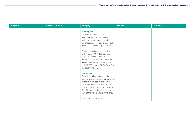| Bulgaria | <b>Czech Republic</b> | <b>Hungary</b>                                                                                                                                                                                                                                                                                              | <b>Poland</b> | Romania |
|----------|-----------------------|-------------------------------------------------------------------------------------------------------------------------------------------------------------------------------------------------------------------------------------------------------------------------------------------------------------|---------------|---------|
|          |                       | <b>Building tax</b><br>It may be imposed by local<br>municipalities. It is an annual levy<br>on the owners of buildings and<br>advertising spaces, registered as such<br>as of 1 January of the given tax year.                                                                                             |               |         |
|          |                       | The legislation fixes the upper limit<br>of the rate at HUF 1,100 (approx.<br>EUR 3.5) / m2 or at 3.6% of the<br>adjusted market value $(= 50\% \text{ of the})$<br>market value) of the building and at<br>HUF 12,000 (approx. EUR 3.5) / m2 of<br>the advertising space                                   |               |         |
|          |                       | <b>Tax on land</b><br>The owner of land situated in the<br>territory of an urban area may be taxed<br>by the relevant local municipalities.<br>The upper limit of the tax is fixed at<br>HUF 200 (approx. EUR 0.6) /m2 or at<br>3% of the adjusted market value (=<br>50% of the market value) of the land. |               |         |
|          |                       | HUF $1 = \text{\textsterling} 0.0032 \text{ (* } 2017)$                                                                                                                                                                                                                                                     |               |         |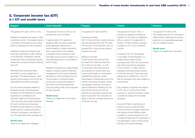#### 2. Corporate income tax (CIT) 2.1 CIT and wealth taxes

| The general CIT rate is 19% for tax<br>The general CIT rate is flat 9%.<br>The general CIT rate is 19%. A<br>The general CIT rate is 16%.<br>The general CIT rate in 2018 is 10%.<br>periods from 2010 onwards.<br>company is regarded a Polish tax<br>Resident companies are taxed on their<br>Licensing incentive<br>resident if it has either its registered<br>worldwide income. The taxable base is<br>A special rate of 5% applies to<br>50% of the profit from royalty revenues<br>office or place of management in<br>profits for non-deductible expenses<br>computed on the basis of accounting<br>taxable profits of certain investment<br>may be deducted from the CIT base.<br>Poland. A Polish resident company<br>and non-taxable income.<br>funds (generally retail funds or<br>The amount of the reduction may not<br>is subject to CIT on its worldwide<br>profit by adjusting it for tax purposes.                                                                                                                                                                                                                                                                                                                                                                                                                                                                                                                                                                                                                                                                                                                                                                                                                                                                                                                                                                                                                                                                                                                                                                                                                                                                                                                                                                                                                                                                                                                                                                                                                                                                                                                                                                                                                                                                                                                                                                                                                                                                                                                                                                                                                                                                                  |                                                                            |
|-------------------------------------------------------------------------------------------------------------------------------------------------------------------------------------------------------------------------------------------------------------------------------------------------------------------------------------------------------------------------------------------------------------------------------------------------------------------------------------------------------------------------------------------------------------------------------------------------------------------------------------------------------------------------------------------------------------------------------------------------------------------------------------------------------------------------------------------------------------------------------------------------------------------------------------------------------------------------------------------------------------------------------------------------------------------------------------------------------------------------------------------------------------------------------------------------------------------------------------------------------------------------------------------------------------------------------------------------------------------------------------------------------------------------------------------------------------------------------------------------------------------------------------------------------------------------------------------------------------------------------------------------------------------------------------------------------------------------------------------------------------------------------------------------------------------------------------------------------------------------------------------------------------------------------------------------------------------------------------------------------------------------------------------------------------------------------------------------------------------------------------------------------------------------------------------------------------------------------------------------------------------------------------------------------------------------------------------------------------------------------------------------------------------------------------------------------------------------------------------------------------------------------------------------------------------------------------------------------------------------------------------------------------------------------------------------------------------------------------------------------------------------------------------------------------------------------------------------------------------------------------------------------------------------------------------------------------------------------------------------------------------------------------------------------------------------------------------------------------------------------------------------------------------------------------------------------|----------------------------------------------------------------------------|
| <b>Wealth taxes</b><br>funds investing in certain securities).<br>exceed 50% of the pre-tax profits of<br>income.<br>Also a special rate of 0% applies<br>There is no wealth tax in Romania.<br>Collective investment schemes that<br>the given tax year.<br>have been admitted to public offering<br>to taxable profits of pension funds.<br>A lowered 15% CIT rate applies<br>in the Republic of Bulgaria, national<br>Domestic source income subject to a<br>Minimum tax base<br>to so-called 'small taxpayers' (i.e.<br>final withholding tax is not included in<br>If both the pre-tax profit and the<br>entities whose sales revenue.<br>investment funds and special purpose<br>the CIT base.<br>including output VAT, for the previous<br>investment companies shall be exempt<br>tax base of an entity are less than<br>from CIT.<br>the 'minimum tax base', i.e. 2%<br>year didn't exceed the equivalent<br>in PLN of EUR 1.2 million and for<br>Resident companies (i.e. legal entities<br>of the entity's total revenues and<br>Alternative final corporate taxes<br>seated or having a place of effective<br>are adjusted by certain items (e.g.<br>taxpayers starting business activity,<br>management in the Czech Republic)<br>in their first tax year. There are some<br>are levied on some categories of<br>income attributable to a permanent<br>are taxed on their worldwide income.<br>restrictions to benefit from 15% CIT<br>expenses. The taxed expense, when<br>establishment abroad, certain<br>properly documented, and the tax are<br>The tax base is computed based<br>percentage of shareholder loans), the<br>rate for taxpayers who were subject to<br>deductible for profit tax purposes.<br>on the accounting profit based on<br>minimum tax base will apply, unless<br>restructuring.<br>the Czech accounting standards.<br>the taxpayer chooses to provide a<br>Out-of-pocket expenses related to<br>The accounting profit is then adjusted<br>special declaration detailing its cost<br>Non-resident companies are subject<br>to CIT only on income from Polish<br>business activity, social expenses,<br>and income structure to the tax<br>for tax purposes.<br>rendered in-kind expenses (including<br>sources (i.e. earned in Poland), unless<br>authority proving that its general tax<br>expenses for contributions for<br><b>Wealth taxes</b><br>base is accurate. This rule does not<br>a double tax treaty (DTT) provides<br>There is no wealth tax in the Czech<br>voluntary health and social security,<br>apply in the pre-company period and<br>otherwise.<br>'Life' insurance and certain expenses<br>Republic.<br>in the first tax year.<br>for food vouchers) and expenses<br>Income of Polish investment and<br>rendered in-kind related to company<br>pension funds, as well as Polish-<br>assets used for private purposes by<br>sourced income of foreign investment<br>company employees, are subject to<br>and pension funds fulfilling certain<br>the 10% alternative final corporate tax.<br>conditions, may be exempt from CIT<br>in Poland Poland (the CIT exemption is<br><b>Wealth taxes</b><br>not applicable in case of some funds | The taxable base for CIT purposes is<br>determined by adjusting accounting |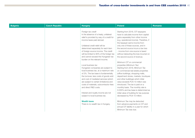| <b>Bulgaria</b> | <b>Czech Republic</b> | <b>Hungary</b>                                                                                                                                                                                                                                                                                                                                                                                                                                                                                                                                                                                                                                                                                                                                                                                                                                                     | Poland                                                                                                                                                                                                                                                                                                                                                                                                                                                                                                                                                                                                                                                                                                                                                                                                                                                                                                                                                                                                                        | Romania |
|-----------------|-----------------------|--------------------------------------------------------------------------------------------------------------------------------------------------------------------------------------------------------------------------------------------------------------------------------------------------------------------------------------------------------------------------------------------------------------------------------------------------------------------------------------------------------------------------------------------------------------------------------------------------------------------------------------------------------------------------------------------------------------------------------------------------------------------------------------------------------------------------------------------------------------------|-------------------------------------------------------------------------------------------------------------------------------------------------------------------------------------------------------------------------------------------------------------------------------------------------------------------------------------------------------------------------------------------------------------------------------------------------------------------------------------------------------------------------------------------------------------------------------------------------------------------------------------------------------------------------------------------------------------------------------------------------------------------------------------------------------------------------------------------------------------------------------------------------------------------------------------------------------------------------------------------------------------------------------|---------|
|                 |                       | Foreign tax credit<br>In the absence of a treaty, unilateral<br>relief is provided by way of a credit for<br>income taxes paid abroad.<br>Unilateral credit relief will be<br>determined separately for each item<br>of foreign-source income. The credit<br>will be limited to 90% of the foreign tax<br>and cannot exceed the Hungarian tax<br>burden on the relevant income.<br>Local business tax<br>Hungarian companies are subject to<br>local business tax, at a maximum rate<br>of 2%. The tax base is fundamentally<br>the turnover, less costs of goods sold<br>and cost of mediated services (which<br>are subject to certain limitations) and<br>costs of materials, subcontractor fees<br>and direct R&D costs.<br>Interest and royalty income are not<br>subject to local business tax.<br><b>Wealth taxes</b><br>There is no wealth tax in Hungary. | Starting from 2018, CIT taxpayers<br>have to calculate income from capital<br>gains separately from other income<br>(e.g. operational income). Therefore, if<br>the taxpayer earns income from<br>only one of these sources, and in<br>the second source incurs a tax loss<br>- income from one source is taxed<br>without deducting the loss incurred on<br>the second source of revenue.<br>Minimum CIT on commercial<br>properties (Minimum Tax)<br>Starting from 2018, Minimum Tax<br>on commercial real estate properties<br>(office buildings, shopping malls,<br>department stores, markets, boutiques<br>and other buildings) which initial<br>value exceeds PLN 10 million was<br>introduced. The tax is paid on a<br>monthly basis. The monthly rate is<br>0.035% and tax base is determined as<br>initial value of building for tax purpose<br>decreased by PLN 10 million.<br>Minimum Tax may be deducted<br>from advance payments on CIT and<br>annual CIT liability in a year for which<br>Minimum Tax was due. |         |
|                 |                       |                                                                                                                                                                                                                                                                                                                                                                                                                                                                                                                                                                                                                                                                                                                                                                                                                                                                    |                                                                                                                                                                                                                                                                                                                                                                                                                                                                                                                                                                                                                                                                                                                                                                                                                                                                                                                                                                                                                               |         |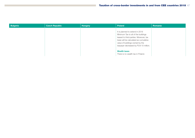| <b>Bulgaria</b> | <b>Czech Republic</b> | <b>Hungary</b> | Poland                                                                                                                                                                                                                                | Romania |
|-----------------|-----------------------|----------------|---------------------------------------------------------------------------------------------------------------------------------------------------------------------------------------------------------------------------------------|---------|
|                 |                       |                | It is planned to extend in 2019<br>Minimum Tax to all of the buildings<br>leased to third-parties. Moreover, tax<br>base will be calculated as cumulative<br>value of buildings owned by the<br>taxpayer decreased by PLN 10 million. |         |
|                 |                       |                | <b>Wealth taxes</b><br>There is no wealth tax in Poland.                                                                                                                                                                              |         |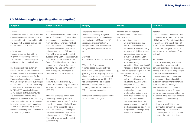# 2.2 Dividend regime (participation exemption)

| Bulgaria                                                                                                                                                                                                                                                                                                                                                                                                                                                                                                                                                                                                                                                                                                                                                                                                                                                                                                                                                                                                                                                                          | <b>Czech Republic</b>                                                                                                                                                                                                                                                                                                                                                                                                                                                                                                                                                                                                                                                                                                                                                                                                                                                                                                                                                                                                                                                                                                                    | <b>Hungary</b>                                                                                                                                                                                                                                                                                                                                                                                                                                                                                                                                                                                                                                                                                                                                                                         | <b>Poland</b>                                                                                                                                                                                                                                                                                                                                                                                                                                                                                                                                                                                                                                                                                                                                                                                                                                                                                                                                                 | <b>Romania</b>                                                                                                                                                                                                                                                                                                                                                                                                                                                                                                                                                                                                                                                                                                                                                                                                                                                                                                                                                                                                                                     |
|-----------------------------------------------------------------------------------------------------------------------------------------------------------------------------------------------------------------------------------------------------------------------------------------------------------------------------------------------------------------------------------------------------------------------------------------------------------------------------------------------------------------------------------------------------------------------------------------------------------------------------------------------------------------------------------------------------------------------------------------------------------------------------------------------------------------------------------------------------------------------------------------------------------------------------------------------------------------------------------------------------------------------------------------------------------------------------------|------------------------------------------------------------------------------------------------------------------------------------------------------------------------------------------------------------------------------------------------------------------------------------------------------------------------------------------------------------------------------------------------------------------------------------------------------------------------------------------------------------------------------------------------------------------------------------------------------------------------------------------------------------------------------------------------------------------------------------------------------------------------------------------------------------------------------------------------------------------------------------------------------------------------------------------------------------------------------------------------------------------------------------------------------------------------------------------------------------------------------------------|----------------------------------------------------------------------------------------------------------------------------------------------------------------------------------------------------------------------------------------------------------------------------------------------------------------------------------------------------------------------------------------------------------------------------------------------------------------------------------------------------------------------------------------------------------------------------------------------------------------------------------------------------------------------------------------------------------------------------------------------------------------------------------------|---------------------------------------------------------------------------------------------------------------------------------------------------------------------------------------------------------------------------------------------------------------------------------------------------------------------------------------------------------------------------------------------------------------------------------------------------------------------------------------------------------------------------------------------------------------------------------------------------------------------------------------------------------------------------------------------------------------------------------------------------------------------------------------------------------------------------------------------------------------------------------------------------------------------------------------------------------------|----------------------------------------------------------------------------------------------------------------------------------------------------------------------------------------------------------------------------------------------------------------------------------------------------------------------------------------------------------------------------------------------------------------------------------------------------------------------------------------------------------------------------------------------------------------------------------------------------------------------------------------------------------------------------------------------------------------------------------------------------------------------------------------------------------------------------------------------------------------------------------------------------------------------------------------------------------------------------------------------------------------------------------------------------|
| National<br>Dividends received from other resident<br>companies are exempt from income<br>tax, except for dividends distributed by<br>REITs, as well as cases qualifying as<br>hidden distribution of profit.<br>International<br>Inbound dividends derived by a<br>Bulgarian resident are part of the<br>taxable base of the receiving company<br>and taxed at the normal CIT rate.<br>Dividends distributed by foreign<br>entities that are tax residents of an<br>EU-member state, or a country, which<br>is a party to the Agreement for the<br>European Economic Area, are exempt<br>from CIT except for cases qualifying as<br>hidden distribution of profit and except<br>for dividends from distribution of profits<br>by EU or EEA based subsidiaries<br>as far as such distributed amounts<br>are expenses deductible for tax<br>purposes at the level of the distributing<br>subsidiary and/or lead to decrease of<br>its taxable financial result regardless<br>of how these amounts have been<br>booked accounting-wise at the level of<br>the distributing company. | National<br>A domestic distribution of dividends is<br>exempt from taxation if the recipient<br>is a company of a qualifying legal<br>form, beneficial owner and holds at<br>least 10% of the registered capital<br>of the distributing company for an<br>uninterrupted period of 12 months<br>(this holding period can be fulfilled<br>subsequently). Both companies must<br>have one of the forms listed in the<br>Parent- Subsidiary Directive or be a<br>cooperative (družstvo), the parent<br>company may also be Czech trust<br>fund, municipality, association of<br>municipalities or a family foundation.<br>International<br>Inbound dividends derived by a<br>Czech resident company constitute a<br>separate tax base that is subject to a<br>15% CIT.<br>Moreover, dividends received and<br>beneficially owned by a Czech<br>resident company from an EU resident<br>subsidiary are exempt in the Czech<br>Republic if the recipient holds at<br>least 10% of the registered capital<br>of the distributing company for an<br>uninterrupted period of 12 months<br>(this holding period can be fulfilled<br>subsequently). | National and international<br>Dividends received by Hungarian<br>companies either from Hungarian or<br>from foreign (both EU and non-EU)<br>subsidiaries are exempt from CIT<br>(except for dividends received from<br>CFCs) based on Hungarian domestic<br>law.<br>CFC rules<br>See Section 5 for the definition of CFC.<br>CFCs undistributed profits<br>In certain cases, the undistributed<br>profit of a CFC from certain income<br>types (e.g. interest, capital payments,<br>related party transactions) calculated<br>under Hungarian rules (as if the CFC<br>was a Hungarian tax resident) are<br>considered as corporate tax base<br>increasing items for the Hungarian<br>CFC shareholder companies.<br>Income from dividends received from a<br>CFC is taxable in Hungary. | National and international<br>Dividends received by a resident<br>company from:<br>(i) a resident company is:<br>CIT exempt provided that<br>certain conditions are met<br>(i.e. at least 10% shareholding<br>(as an owner), holding shares<br>for an uninterrupted period<br>of two years (the two years'<br>holding period does not have<br>to be met upfront); or<br>subject to 19% withholding CIT<br>if these conditions are not met:<br>(ii) a non-resident 'privileged' (e.g. EU,<br>EEA, Swiss) company is:<br>CIT exempt provided that<br>certain conditions are met<br>(i.e. at least 10% (for Swiss)<br>company - at least 25%)<br>shareholding (as an owner),<br>holding shares for an<br>uninterrupted period of two<br>years (the two-year holding<br>period does not have to<br>be met upfront); the above<br>exemption does not apply if<br>dividend is received as a result<br>of liquidation of the legal entity<br>making the payments; or | National<br>Dividend payments between resident<br>companies are subject to a 5% final<br>withholding tax. This rate is cut down<br>to 0% in case of a shareholding of<br>minimum 10% maintained for at least<br>one uninterrupted year. Dividends<br>are tax exempt in the hands of the<br>recipient.<br>International<br>Dividends received by a Romanian<br>company from a non-resident<br>company are included in the ordinary<br>income of the recipient company and<br>taxed at the general tax rate.<br>However, under the domestic law,<br>foreign-source dividends paid by a<br>subsidiary from another EU Member<br>State or a non-EU country with<br>which Romania has concluded a<br>double tax treaty, to its Romanian<br>parent company are exempt from tax<br>in Romania if the Romanian recipient<br>company meets the following<br>conditions:<br>it holds at least 10% of the<br>$ \,$<br>distributing company's shares;<br>the holding has existed for an<br>uninterrupted period of one year<br>prior to the distribution date. |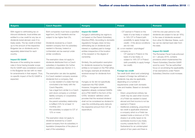| <b>Bulgaria</b>                                                                                                                                                                                                                                                                                                                                                                                                                                                                                                                                                                                                       | <b>Czech Republic</b>                                                                                                                                                                                                                                                                                                                                                                                                                                                                                                                                                                                                                                                                                                                                                                                                                                                                                                                                                                                                                                                                                                                                             | <b>Hungary</b>                                                                                                                                                                                                                                                                                                                                                                                                                                                                                                                                                                                                                                                                                                                                                                                                                                                                                                                                                               | <b>Poland</b>                                                                                                                                                                                                                                                                                                                                                                                                                                                                                                                                                                                                                                                                                                                                                                                                                                                                                                                                                                                                                                                                                                                                                                                   | Romania                                                                                                                                                                                                                                                                                                                                                                                                                                                                                                                                    |
|-----------------------------------------------------------------------------------------------------------------------------------------------------------------------------------------------------------------------------------------------------------------------------------------------------------------------------------------------------------------------------------------------------------------------------------------------------------------------------------------------------------------------------------------------------------------------------------------------------------------------|-------------------------------------------------------------------------------------------------------------------------------------------------------------------------------------------------------------------------------------------------------------------------------------------------------------------------------------------------------------------------------------------------------------------------------------------------------------------------------------------------------------------------------------------------------------------------------------------------------------------------------------------------------------------------------------------------------------------------------------------------------------------------------------------------------------------------------------------------------------------------------------------------------------------------------------------------------------------------------------------------------------------------------------------------------------------------------------------------------------------------------------------------------------------|------------------------------------------------------------------------------------------------------------------------------------------------------------------------------------------------------------------------------------------------------------------------------------------------------------------------------------------------------------------------------------------------------------------------------------------------------------------------------------------------------------------------------------------------------------------------------------------------------------------------------------------------------------------------------------------------------------------------------------------------------------------------------------------------------------------------------------------------------------------------------------------------------------------------------------------------------------------------------|-------------------------------------------------------------------------------------------------------------------------------------------------------------------------------------------------------------------------------------------------------------------------------------------------------------------------------------------------------------------------------------------------------------------------------------------------------------------------------------------------------------------------------------------------------------------------------------------------------------------------------------------------------------------------------------------------------------------------------------------------------------------------------------------------------------------------------------------------------------------------------------------------------------------------------------------------------------------------------------------------------------------------------------------------------------------------------------------------------------------------------------------------------------------------------------------------|--------------------------------------------------------------------------------------------------------------------------------------------------------------------------------------------------------------------------------------------------------------------------------------------------------------------------------------------------------------------------------------------------------------------------------------------------------------------------------------------------------------------------------------------|
| With regard to withholding tax on<br>inbound dividends, local entities are<br>entitled to a tax credit for any tax on<br>dividends levied abroad, even if no<br>treaty exists. The tax credit is limited<br>up to the amount of the respective<br>Bulgarian tax on dividends and is<br>separately determined for each<br>country.<br><b>Impact EU GAAR</b><br>Because of the existing tax evasion<br>rules in force having broader scope<br>the EU GAAR was considered covered<br>in the Bulgarian tax law with no need<br>for amendments in that respect. Thus,<br>no specific impact of the EU GAAR is<br>expected. | Both companies must have a specified<br>legal form, be EU residents and be<br>subject to tax higher than 0%.<br>Dividends received by a Czech<br>resident company from its subsidiary<br>resident in Norway, Iceland or<br>Lichtenstein are tax exempt under<br>similar conditions.<br>The exemption does not apply to<br>dividends distributed from a Czech<br>subsidiary in liquidation (for further<br>conditions please see Section 3.1).<br>The exemption can also be applied,<br>if a Czech resident company receives<br>dividends from a company, that:<br>is a tax resident of a state that has<br>concluded a tax treaty with the<br>Czech Republic;<br>has a legal form similar to a Czech<br>$\overline{\phantom{m}}$<br>joint stock company or a limited<br>liability company or cooperative;<br>and of which<br>the parent-subsidiary relationship<br>is fulfilled (10% for at least 12<br>months); and<br>the subsidiary is subject to CIT of<br>12% or more.<br>The exemption does not apply to<br>dividends received by a Czech<br>parent company from its subsidiary in<br>liquidation (irrespective of the place of<br>seat of the subsidiary). | <b>Impact EU GAAR</b><br>Hungary's withholding tax regime is<br>not based on the Parent-Subsidiary<br>Directive (PSD). According to domestic<br>regulations Hungary does not levy<br>withholding tax on dividends (and<br>interest or royalties) paid to foreign<br>entities irrespective of the location<br>of the recipient or the degree of<br>ownership.<br>Similarly, the participation exemption<br>for dividends received by Hungarian<br>entities is not based on the PSD either.<br>as Hungary exempts all dividends<br>received except for dividends from<br>CFCs.<br>Hungary so far did not specifically<br>implement the PSD GAAR.<br>However, Hungarian domestic<br>legislation already contained GAARs<br>and a PSD SAAR in the form of the<br>CITA's 'dividend' definition which<br>provides that the received dividend<br>shall not be considered as dividend in<br>case the contributing party deducts<br>the respective amount from CIT as<br>expenditure. | - CIT exempt in Poland on the<br>basis of a tax treaty or subject<br>to 19% CIT in Poland (with<br>possibility to apply foreign tax<br>credit) – if the above conditions<br>are not met;<br>(iii) a non-resident 'unprivileged'<br>company is:<br>CIT exempt in Poland on the<br>$\sim$<br>basis of a tax treaty; or<br>subject to 19% CIT in Poland<br>(with possibility to apply foreign<br>tax credit).<br><b>Foreign tax credit</b><br>Tax credit (both direct and underlying)<br>in respect of foreign tax withheld on<br>dividends may also be applicable,<br>depending on a number of<br>requirements under both domestic<br>rules and treaties. Based on domestic<br>rules:<br>- Direct, proportional ordinary tax<br>credit may be used when income<br>of a Polish tax resident is taxed<br>abroad and that income is not tax<br>exempt in Poland.<br>- Additional underlying, proportional<br>tax credit is applicable whenever<br>a company which is a Polish tax<br>resident holds a minimum of 75%<br>shares in an entity taxed on its<br>worldwide income in any treaty<br>country outside the EU / EEA /<br>Switzerland for an uninterrupted<br>period of two years and there is | Until the one-year period is met,<br>dividends are subject to tax (at 16%).<br>In the case of dividends received<br>from other EU Member States, such<br>tax can be claimed back later from<br>the state.<br><b>Impact EU GAAR</b><br>The Romanian Fiscal Code enforced<br>on 1 January 2016, contains<br>provisions which implemented the<br>Parent-Subsidiary Directive GAAR<br>word by word. The tax authorities'<br>focus on scrutinising the applicability<br>of tax exemptions under Parent-<br>Subsidiary Directive could increase. |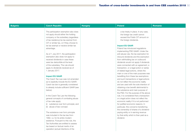| <b>Bulgaria</b> | <b>Czech Republic</b>                    | <b>Hungary</b> | <b>Poland</b>                             | <b>Romania</b> |
|-----------------|------------------------------------------|----------------|-------------------------------------------|----------------|
|                 | The participation exemption also does    |                | a tax treaty in place. In any case,       |                |
|                 | not apply should either the holding      |                | the foreign tax credit cannot             |                |
|                 | company or the subsidiary (regardless    |                | exceed the Polish CIT amount on           |                |
|                 | of tax residency) be tax exempt from     |                | the foreign dividends.                    |                |
|                 | CIT or similar tax, or if they choose to |                |                                           |                |
|                 | be tax exempt or receive similar tax     |                | <b>Impact EU GAAR</b>                     |                |
|                 | advantage.                               |                | Poland has introduced regulations         |                |
|                 |                                          |                | implementing PSD GAAR. Under the          |                |
|                 | As of 1 July 2017, the participation     |                | anti-abuse rule, the tax exemption for    |                |
|                 | exemption also does not apply to         |                | inbound dividends and the exemption       |                |
|                 | received dividends in case these         |                | from withholding tax on outbound          |                |
|                 | were tax deductible at the level         |                | dividends would not apply if dividends    |                |
|                 | of the subsidiary. The rule should       |                | were connected with an agreement, a       |                |
|                 | apply to dividends received as of        |                | transaction, or a legal action or series  |                |
|                 | 1 January 2017.                          |                | of related legal actions, where the       |                |
|                 |                                          |                | main or one of the main purposes was      |                |
|                 | <b>Impact EU GAAR</b>                    |                | benefiting from these tax exemptions      |                |
|                 | The Czech Tax Law was not amended        |                | and such transactions or legal actions    |                |
|                 | as to explicitly include the EU GAAR.    |                | do not reflect the economic reality       |                |
|                 | Czech tax law is generally considered    |                | and are used with the sole intention of   |                |
|                 | to already include sufficient GAAR (see  |                | obtaining a tax benefit detrimental to    |                |
|                 | below).                                  |                | the substance and main purpose of         |                |
|                 |                                          |                | the PSD. For the purpose of the above     |                |
|                 | In the Czech Tax Law the following       |                | rule, it is considered that a transaction |                |
|                 | general concepts of combating abuse      |                | or a legal action does not reflect the    |                |
|                 | of tax rules apply:                      |                | economic reality if it is not performed   |                |
|                 | (i) substance over form principle; and   |                | for justified economic reasons. In        |                |
|                 | (ii) abuse of law concept.               |                | particular, this concerns transferring    |                |
|                 |                                          |                | the ownership of shares of a dividend-    |                |
|                 | The substance over form principle        |                | paying entity or in earning revenue       |                |
|                 | was included in the tax law from         |                | by that entity which is then paid as a    |                |
|                 | 1992, i.e. for its entire modern         |                | dividend.                                 |                |
|                 | existence. Pursuant to this rule, the    |                |                                           |                |
|                 | Tax Authorities are entitled to assess   |                |                                           |                |
|                 | tax based on factual merits of an        |                |                                           |                |
|                 | operation (actual intentions of the      |                |                                           |                |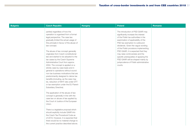| <b>Czech Republic</b><br><b>Bulgaria</b>                                                                                                                                                                                                                                                                                                                                                                                                                                                                                                                                                                                                                                                                                                                                                                                                                                                                                                                                                                                                                                                                                                                                                | <b>Hungary</b> | <b>Poland</b>                                                                                                                                                                                                                                                                                                                                                                                                                                                                       | Romania |
|-----------------------------------------------------------------------------------------------------------------------------------------------------------------------------------------------------------------------------------------------------------------------------------------------------------------------------------------------------------------------------------------------------------------------------------------------------------------------------------------------------------------------------------------------------------------------------------------------------------------------------------------------------------------------------------------------------------------------------------------------------------------------------------------------------------------------------------------------------------------------------------------------------------------------------------------------------------------------------------------------------------------------------------------------------------------------------------------------------------------------------------------------------------------------------------------|----------------|-------------------------------------------------------------------------------------------------------------------------------------------------------------------------------------------------------------------------------------------------------------------------------------------------------------------------------------------------------------------------------------------------------------------------------------------------------------------------------------|---------|
| parties) regardless of how the<br>operation is organised from a formal<br>legal perspective. The case law<br>gradually limited the actual usage of<br>this principle in favour of the abuse of<br>law concept.<br>The abuse of law concept generally<br>originates from Czech constitutional<br>law and started to be adopted to the<br>tax cases by the Czech Supreme<br>Administrative Court from approx.<br>2004. The concept is applied on a<br>strictly case-by-case basis and in<br>general to operations without sound<br>non-tax business motivations that are<br>predominantly designed to derive tax<br>benefits (including, as the case may<br>be, reduction of WHT rate under DTT<br>or tax exemption under the EU Parent-<br>Subsidiary Directive).<br>The application of the abuse of law<br>concept is generally in line with the<br>case law on abuse of law applied by<br>the Court of Justice of the European<br>Union.<br>There is a legislative proposal which<br>should explicitly include GAAR into<br>the Czech Tax Procedural Code as<br>of 2019. However, it is expected that<br>there would be no material change to<br>the current practice described above. |                | The introduction of PSD GAAR may<br>significantly increase the interest<br>of the Polish tax authorities in the<br>examination of applicability of the<br>PSD tax exemption to outbound<br>dividends. Given the vague wording<br>of the Polish provisions implementing<br>PSD GAAR, it is expected that they<br>may raise controversies and the<br>specific prerequisites of applying the<br>PSD GAAR will be shaped mainly by<br>jurisprudence of Polish administrative<br>courts. |         |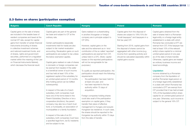### 2.3 Gains on shares (participation exemption)

| <b>Bulgaria</b>                                                                                                                                                                                                                                                                                                                                                                                                                                                                                                     | <b>Czech Republic</b>                                                                                                                                                                                                                                                                                                                                                                                                                                                                                                                                                                                                                                                                                                                                                                                                                                                                                                                                                                                                                                                                                                                                                | <b>Hungary</b>                                                                                                                                                                                                                                                                                                                                                                                                                                                                                                                                                                                                                                                                                                                                                                                                                                                                                                                                                                                                                                | <b>Poland</b>                                                                                                                                                                                                                                                                                                                                                          | Romania                                                                                                                                                                                                                                                                                                                                                                                                                                                                                                                                                                                                                                                                                                                                                                                                                                                                                                                                    |
|---------------------------------------------------------------------------------------------------------------------------------------------------------------------------------------------------------------------------------------------------------------------------------------------------------------------------------------------------------------------------------------------------------------------------------------------------------------------------------------------------------------------|----------------------------------------------------------------------------------------------------------------------------------------------------------------------------------------------------------------------------------------------------------------------------------------------------------------------------------------------------------------------------------------------------------------------------------------------------------------------------------------------------------------------------------------------------------------------------------------------------------------------------------------------------------------------------------------------------------------------------------------------------------------------------------------------------------------------------------------------------------------------------------------------------------------------------------------------------------------------------------------------------------------------------------------------------------------------------------------------------------------------------------------------------------------------|-----------------------------------------------------------------------------------------------------------------------------------------------------------------------------------------------------------------------------------------------------------------------------------------------------------------------------------------------------------------------------------------------------------------------------------------------------------------------------------------------------------------------------------------------------------------------------------------------------------------------------------------------------------------------------------------------------------------------------------------------------------------------------------------------------------------------------------------------------------------------------------------------------------------------------------------------------------------------------------------------------------------------------------------------|------------------------------------------------------------------------------------------------------------------------------------------------------------------------------------------------------------------------------------------------------------------------------------------------------------------------------------------------------------------------|--------------------------------------------------------------------------------------------------------------------------------------------------------------------------------------------------------------------------------------------------------------------------------------------------------------------------------------------------------------------------------------------------------------------------------------------------------------------------------------------------------------------------------------------------------------------------------------------------------------------------------------------------------------------------------------------------------------------------------------------------------------------------------------------------------------------------------------------------------------------------------------------------------------------------------------------|
| Capital gains on the sale of shares<br>are included in the taxable base of<br>resident companies and taxed at the<br>normal CIT rate, except for capital<br>gains from transfer of certain financial<br>instruments (including of shares<br>in collective investment schemes<br>and national investment funds, and<br>of shares, rights and government<br>securities, performed on a regulated<br>market within the meaning of the Law<br>on Financial Instruments Market),<br>which decrease the financial result. | Capital gains are part of the general<br>tax base and subject to CIT at the<br>ordinary rate.<br>Certain participations (especially<br>investments held for trade) are also<br>subject to fair market revaluation<br>accounting. Revaluation gains on such<br>participations are subject to tax unless<br>the below exemption applies.<br>Capital gains realised on sale of shares<br>in domestic or foreign companies can<br>be exempt from taxation if the seller<br>is a beneficial owner of such income<br>and has held at least 10% of the<br>registered capital of the subsidiary for<br>an uninterrupted period of 12 months<br>(this holding period can be fulfilled<br>subsequently).<br>In respect of the sale of a Czech<br>subsidiary, both companies must<br>have one of the forms listed in the<br>Parent-Subsidiary Directive or be a<br>cooperative (družstvo), the parent<br>company may also be a Czech trust<br>fund, a municipality, an association of<br>municipalities or a family foundation.<br>In respect of the sale of an EU<br>subsidiary, both companies must have<br>a specified legal form, be EU residents<br>and be subject to tax. | Gains realised on a shareholding<br>in another (Hungarian or foreign)<br>company are in principle subject to<br>CIT (9%).<br>However, capital gains on the<br>sale and the retirement as in- kind<br>contribution of the so called 'reported'<br>participations are exempt from CIT,<br>unless held in a CFC. (Note: capital<br>losses on the reported participations<br>will not be recognisable for tax<br>purposes.)<br>To qualify as reported participation, the<br>participation should reach the following<br>requirements:<br>- the participation has been held for<br>at least one year; and<br>- has been reported to the tax<br>authority within 75 days of<br>acquisition.<br>Foreign companies holding shares<br>could also avail of the participation<br>exemption on capital gains, if they<br>transfer their place of effective<br>management to Hungary and acquire<br>Hungarian tax residence. In such case,<br>the shares should be reported to the<br>Hungarian tax authority within 75 days<br>from the date of transfer. | Capital gains from the disposal of<br>shares are subject to 19%/15% (for<br>"small-taxpayers" and taxpayers in a<br>first tax year) CIT.<br>Starting from 2018, capital gains from<br>the disposal of shares cannot be<br>aggregated with other income (e.g.<br>income from operating activity) and<br>should be calculated separately within<br>capital gains source. | Capital gains obtained from the<br>sale of shares held in a Romanian<br>legal entity or a foreign legal entity<br>established in a state with which<br>Romania has concluded a DTT are<br>exempt from CIT, if the taxpayer has<br>held at least 10% of the relevant<br>entity's share capital for a minimal<br>uninterrupted period of one year<br>as of the date of share transfer.<br>Otherwise, capital gains are treated<br>as ordinary business income and<br>taxed accordingly.<br><b>Liquidation</b><br>Income obtained by a Romanian<br>company from the liquidation of<br>another Romanian legal person or<br>of a foreign legal entity established<br>in a state with which Romania has<br>concluded a DTT are exempt from<br>CIT provided that it has held at least<br>10% of the liquidated entity's share<br>capital for an uninterrupted period of<br>one year. Otherwise, such income is<br>subject to the general 16% CIT. |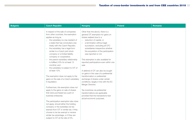| <b>Czech Republic</b>                                                                                                                                                                                                                                                                                                                                                                                                                                                                                                                                                                                                                                                                                                                                                                                                                  | <b>Hungary</b>                                                                                                                                                                                                                                                                                                                                                                                                                                                                                                                                                                                                                                                                                                                                                      | <b>Poland</b> | Romania |
|----------------------------------------------------------------------------------------------------------------------------------------------------------------------------------------------------------------------------------------------------------------------------------------------------------------------------------------------------------------------------------------------------------------------------------------------------------------------------------------------------------------------------------------------------------------------------------------------------------------------------------------------------------------------------------------------------------------------------------------------------------------------------------------------------------------------------------------|---------------------------------------------------------------------------------------------------------------------------------------------------------------------------------------------------------------------------------------------------------------------------------------------------------------------------------------------------------------------------------------------------------------------------------------------------------------------------------------------------------------------------------------------------------------------------------------------------------------------------------------------------------------------------------------------------------------------------------------------------------------------|---------------|---------|
| In respect of the sale of companies<br>from other countries, the exemption<br>applies as long as<br>- the subsidiary is a tax resident of<br>a state that has concluded a tax<br>treaty with the Czech Republic;<br>the subsidiary has a legal form<br>similar to a Czech joint stock<br>company or a limited liability<br>company or cooperative;<br>the parent-subsidiary relationship<br>is fulfilled (10% for at least 12<br>months); and<br>the subsidiary is subject to CIT of<br>at least 12%.<br>The exemption does not apply to the<br>gains on the sale of a Czech subsidiary<br>in liquidation.<br>Furthermore, the exemption does not<br>apply to the gains on sale of shares<br>that were purchased as a part of<br>business enterprise.<br>The participation exemption also does<br>not apply, should either the holding | Other than the above, there is a<br>general CIT exemption for gains on<br>shares realised due to a<br>- reduction of capital, or<br>- a termination without legal<br>succession, excluding all CFC<br>subsidiaries irrespective whether<br>the acquisition of the participation<br>was reported or not.<br>This exemption is also available for<br>reported participations even within one<br>year.<br>A deferral of CIT can also be sought<br>on gains in the case of a preferential<br>transformation or preferential<br>exchange of shares under certain<br>conditions, largely in line with the EC<br>Merger Directive.<br>Tax incentives via preferential<br>transformations are applicable<br>provided that the transactions had<br>actual economic purposes. |               |         |
| company or the subsidiary be tax<br>exempt from CIT or similar tax, if they<br>choose to be tax exempt or receive<br>similar tax advantage, or if they are<br>subject to CIT at the rate of 0%.                                                                                                                                                                                                                                                                                                                                                                                                                                                                                                                                                                                                                                        |                                                                                                                                                                                                                                                                                                                                                                                                                                                                                                                                                                                                                                                                                                                                                                     |               |         |
|                                                                                                                                                                                                                                                                                                                                                                                                                                                                                                                                                                                                                                                                                                                                                                                                                                        |                                                                                                                                                                                                                                                                                                                                                                                                                                                                                                                                                                                                                                                                                                                                                                     |               |         |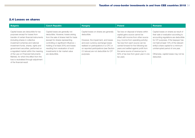#### 2.4 Losses on shares

| <b>Bulgaria</b>                                                                                                                                                                                                                                                                                                                                                                                                                                                            | <b>Czech Republic</b>                                                                                                                                                                                                                                                                                                              | <b>Hungary</b>                                                                                                                                                                                                                                                               | <b>Poland</b>                                                                                                                                                                                                                                                                                                                                                                 | Romania                                                                                                                                                                                                                                                                                                                                     |
|----------------------------------------------------------------------------------------------------------------------------------------------------------------------------------------------------------------------------------------------------------------------------------------------------------------------------------------------------------------------------------------------------------------------------------------------------------------------------|------------------------------------------------------------------------------------------------------------------------------------------------------------------------------------------------------------------------------------------------------------------------------------------------------------------------------------|------------------------------------------------------------------------------------------------------------------------------------------------------------------------------------------------------------------------------------------------------------------------------|-------------------------------------------------------------------------------------------------------------------------------------------------------------------------------------------------------------------------------------------------------------------------------------------------------------------------------------------------------------------------------|---------------------------------------------------------------------------------------------------------------------------------------------------------------------------------------------------------------------------------------------------------------------------------------------------------------------------------------------|
| Capital losses are deductible for tax<br>purposes except for losses from<br>transfer of certain financial instruments<br>(including shares in collective<br>investment schemes and national<br>investment funds, shares, rights and<br>government securities, performed on<br>a regulated market within the meaning<br>of the Law on Financial Instruments<br>Market), for which the effect from the<br>loss is neutralised through adjustment<br>of the financial result. | Capital losses are generally not<br>deductible. However, losses arising<br>from the sale of shares held for trade<br>(except for shares representing<br>controlling or significant influence =<br>holding of at least 20%) and losses<br>resulting from revaluation of such<br>investments to fair market value<br>are deductible. | Capital losses on shares are generally<br>deductible.<br>However, the impairment, and losses<br>and even currency exchange losses<br>realised on participations in a CFC or<br>on reported participations (see Section<br>2.3 above) are not deductible for CIT<br>purposes. | Tax loss on disposal of shares within<br>capital gains source cannot be<br>offset with income from other source<br>(e.g. income from operating activity).<br>Tax loss from each source can be<br>carried forward for five following tax<br>years and settled against profit from<br>the same source of revenue (up to<br>50% of tax loss from given year in one<br>tax year). | Capital losses on shares as result of<br>their sale or evaluation according to<br>accounting regulations are deductible<br>for CIT purposes, if the taxpayer has<br>not held at least 10% of the relevant<br>entity's share capital for a minimum<br>uninterrupted period of one year.<br>Otherwise, capital losses may not be<br>deducted. |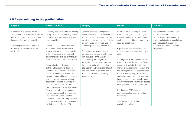### 2.5 Costs relating to the participation

| <b>Bulgaria</b>                                                                                                                                                                                                                                            | <b>Czech Republic</b>                                                                                                                                                                                                                                                                                                                                                                                                                                                                                                                                                                                                                                                                                                                                                                                                                                                                                                                                                                                    | <b>Hungary</b>                                                                                                                                                                                                                                                                                                                                                                                                                                                                                                                                                                                                     | <b>Poland</b>                                                                                                                                                                                                                                                                                                                                                                                                                                                                                                                                                                                                                                                                                                                                                                                                                                           | Romania                                                                                                                                                                                                                              |
|------------------------------------------------------------------------------------------------------------------------------------------------------------------------------------------------------------------------------------------------------------|----------------------------------------------------------------------------------------------------------------------------------------------------------------------------------------------------------------------------------------------------------------------------------------------------------------------------------------------------------------------------------------------------------------------------------------------------------------------------------------------------------------------------------------------------------------------------------------------------------------------------------------------------------------------------------------------------------------------------------------------------------------------------------------------------------------------------------------------------------------------------------------------------------------------------------------------------------------------------------------------------------|--------------------------------------------------------------------------------------------------------------------------------------------------------------------------------------------------------------------------------------------------------------------------------------------------------------------------------------------------------------------------------------------------------------------------------------------------------------------------------------------------------------------------------------------------------------------------------------------------------------------|---------------------------------------------------------------------------------------------------------------------------------------------------------------------------------------------------------------------------------------------------------------------------------------------------------------------------------------------------------------------------------------------------------------------------------------------------------------------------------------------------------------------------------------------------------------------------------------------------------------------------------------------------------------------------------------------------------------------------------------------------------------------------------------------------------------------------------------------------------|--------------------------------------------------------------------------------------------------------------------------------------------------------------------------------------------------------------------------------------|
| In principle, all expenses related to<br>the business operations of the taxable<br>persons and supported by sufficient<br>documentation are tax deductible.<br>Interest expenses would be regulated<br>by the thin capitalisation rule (see<br>Section 5). | Generally, costs related to the holding<br>of any participation/share (e.g. interest<br>on a loan, shareholder costs) are tax<br>non-deductible.<br>Interest on loans received as far as<br>six months before an acquisition of<br>a subsidiary are tax non-deductible,<br>unless it is proved and specifically<br>documented by a taxpayer that such<br>loan is unrelated to the shareholding.<br>Non-deductible indirect costs related<br>to the participation are deemed<br>equal to 5% of the actual received<br>dividends; unless it is proved that<br>the actual incurred indirect costs are<br>lower. However, these provisions<br>apply only in respect to participations<br>in companies that fulfill Parent-<br>Subsidiary conditions, i.e. EU, Iceland,<br>Norway and Lichtenstein companies,<br>and companies residing in countries<br>with which the Czech Republic<br>concluded a valid tax treaty, with the<br>10% ownership for 12 months criteria<br>fulfilled, etc. (see Section 2.2). | Generally all costs and expenses<br>related to the business operations are<br>tax deductible. Costs relating to the<br>participation are generally deductible,<br>but thin capitalisation rules apply to<br>interest expenses (see Section 5).<br>Cost relating to the purchase of<br>participations however may become<br>non-deductible if the acquisition<br>is followed by the merger with the<br>target (debt push-down) based on<br>the general anti-avoidance rules<br>(see Section 5). Deductibility of cost<br>following a debt-push down should<br>always be secured by a binding<br>advance tax ruling. | Polish tax law does not provide for<br>rules pertaining to costs relating to<br>the participation. Thus, deductibility of<br>such costs should be analysed on a<br>case-by-case basis.<br>Expenses incurred on the disposal of<br>a capital asset are deductible for the<br>seller.<br>Starting from 2018 interest on loans<br>taken to acquire shares in the Target<br>cannot be tax deductible after the<br>merger of the acquiring company and<br>the Target (and in case of some other<br>forms of restructuring). Thus, as tax<br>deductible costs cannot be regarded<br>interest resulting from the debt push<br>down transactions, which were applied<br>during acquisition of the companies.<br>Starting from 2018, interest on<br>profit participating loans is not tax<br>deductible.<br>See Section 5 for the thin-<br>capitalisation rules. | The legislation does not contain<br>specific provisions on the<br>deductibility of costs related to<br>holding participation / shareholding.<br>Such deductibility is currently<br>debatable and open to various<br>interpretations. |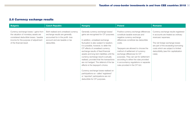### 2.6 Currency exchange results

| <b>Bulgaria</b>                                                                                                                                                                             | <b>Czech Republic</b>                                                                                                                                        | <b>Hungary</b>                                                                                                                                                                                                                                                                                                                                                                                                                                                                                                                                                                                                                                                 | <b>Poland</b>                                                                                                                                                                                                                                                                                                                                                                                                                        | <b>Romania</b>                                                                                                                                                                                                                                                         |
|---------------------------------------------------------------------------------------------------------------------------------------------------------------------------------------------|--------------------------------------------------------------------------------------------------------------------------------------------------------------|----------------------------------------------------------------------------------------------------------------------------------------------------------------------------------------------------------------------------------------------------------------------------------------------------------------------------------------------------------------------------------------------------------------------------------------------------------------------------------------------------------------------------------------------------------------------------------------------------------------------------------------------------------------|--------------------------------------------------------------------------------------------------------------------------------------------------------------------------------------------------------------------------------------------------------------------------------------------------------------------------------------------------------------------------------------------------------------------------------------|------------------------------------------------------------------------------------------------------------------------------------------------------------------------------------------------------------------------------------------------------------------------|
| Currency exchange losses / gains from<br>the valuation of monetary assets are<br>considered deductible losses / taxable<br>income for the purpose of adjustment<br>of the financial result. | Both realised and unrealised currency<br>exchange results are generally<br>accounted for in the profit-loss<br>account and are taxable or tax<br>deductible. | Generally currency exchange losses/<br>gains are recognised for CIT purposes.<br>In addition, unrealised exchange<br>fluctuation is also subject to taxation.<br>It is possible, however, to defer the<br>CIT effects of unrealised currency<br>exchange results of fixed financial<br>assets and long-term liabilities until the<br>currency exchange result is actually<br>realised, provided that the transactions<br>are not hedged. The deferral of the tax<br>effects is the taxpayer's choice.<br>Currency exchange losses realised on<br>participations so-called 'registered'<br>or 'reported' participations are not<br>deductible for CIT purposes. | Positive currency exchange differences<br>constitute taxable revenues and<br>negative currency exchange<br>differences constitute tax deductible<br>costs.<br>Taxpayers are allowed to choose the<br>method of settlement of currency<br>exchange differences for CIT<br>purposes. They can opt for settlement<br>according to either the rules provided<br>in accountancy regulations or separate<br>rules provided in the CIT Act. | Currency exchange results registered<br>in accounts are treated as ordinary<br>revenues/expenses.<br>The net foreign exchange losses<br>are part of the exceeding borrowing<br>costs which are subject to limited<br>deductibility (see thin capitalization<br>rules). |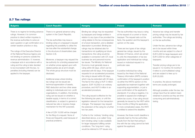### 2.7 Tax rulings

| <b>Bulgaria</b>                                                                                                                                                                                                                                                                                                                                                                                                                                                                                                                                                                                       | <b>Czech Republic</b>                                                                                                                                                                                                                                                                                                                                                                                                                                                                                                                                                                                                                                                                                                                                                                                                                                                                                                                                                                                                                                                                                  | <b>Hungary</b>                                                                                                                                                                                                                                                                                                                                                                                                                                                                                                                                                                                                                                                                                                                                                                                                                                                                                                                                                                                                                                                                                                                                                                                                                                                                                                                                                                            | <b>Poland</b>                                                                                                                                                                                                                                                                                                                                                                                                                                                                                                                                                                                                                                                                                                                                                                                                                                                                                                                                                                                                                                                                                                                                                                                                                                                                             | Romania                                                                                                                                                                                                                                                                                                                                                                                                                                                                                                                                                                                                                                                                                                                                                      |
|-------------------------------------------------------------------------------------------------------------------------------------------------------------------------------------------------------------------------------------------------------------------------------------------------------------------------------------------------------------------------------------------------------------------------------------------------------------------------------------------------------------------------------------------------------------------------------------------------------|--------------------------------------------------------------------------------------------------------------------------------------------------------------------------------------------------------------------------------------------------------------------------------------------------------------------------------------------------------------------------------------------------------------------------------------------------------------------------------------------------------------------------------------------------------------------------------------------------------------------------------------------------------------------------------------------------------------------------------------------------------------------------------------------------------------------------------------------------------------------------------------------------------------------------------------------------------------------------------------------------------------------------------------------------------------------------------------------------------|-------------------------------------------------------------------------------------------------------------------------------------------------------------------------------------------------------------------------------------------------------------------------------------------------------------------------------------------------------------------------------------------------------------------------------------------------------------------------------------------------------------------------------------------------------------------------------------------------------------------------------------------------------------------------------------------------------------------------------------------------------------------------------------------------------------------------------------------------------------------------------------------------------------------------------------------------------------------------------------------------------------------------------------------------------------------------------------------------------------------------------------------------------------------------------------------------------------------------------------------------------------------------------------------------------------------------------------------------------------------------------------------|-------------------------------------------------------------------------------------------------------------------------------------------------------------------------------------------------------------------------------------------------------------------------------------------------------------------------------------------------------------------------------------------------------------------------------------------------------------------------------------------------------------------------------------------------------------------------------------------------------------------------------------------------------------------------------------------------------------------------------------------------------------------------------------------------------------------------------------------------------------------------------------------------------------------------------------------------------------------------------------------------------------------------------------------------------------------------------------------------------------------------------------------------------------------------------------------------------------------------------------------------------------------------------------------|--------------------------------------------------------------------------------------------------------------------------------------------------------------------------------------------------------------------------------------------------------------------------------------------------------------------------------------------------------------------------------------------------------------------------------------------------------------------------------------------------------------------------------------------------------------------------------------------------------------------------------------------------------------------------------------------------------------------------------------------------------------|
| There is no regime for binding advance<br>rulings. However, it is common<br>practice to direct written inquiries to<br>the revenue authorities to solve an<br>open question or get confirmation on a<br>certain taxation practice or duty.<br>The rulings of the Executive Director<br>of the National Revenue Agency are<br>not binding on persons outside the<br>revenue administration. If, however,<br>a taxpayer acts in accordance with a<br>ruling and the ruling is later decided<br>to be inconsistent with the law, no<br>penalties (including interest) can be<br>applied to the taxpayer. | There is no general advance ruling<br>system in the Czech Republic.<br>The tax authorities may issue a<br>binding ruling on a taxpayer's request<br>regarding the possibility to utilise the<br>tax loss after the substantial change<br>in the structure of shareholders (see<br>Section 2.8).<br>Moreover, a taxpayer may request the<br>tax authority for a binding assessment<br>on whether prices agreed upon with<br>related parties are at arm's length.<br>The whole group structure must be<br>disclosed.<br>Additional areas where binding<br>tax rulings can be issued are<br>technical appreciation of assets,<br>R&D deduction and two other areas<br>relating to individuals and non- profit<br>organisations. In addition, the binding<br>ruling can be issued on whether a<br>taxable supply, in terms of a correct<br>classification, is subject to general or<br>reduced tax rate or reverse charge<br>mechanism for the VAT purposes.<br>A fee of CZK 10,000 will be charged<br>for the filing of a request. None of<br>those are frequently used because of<br>practical problems. | Binding tax rulings may be requested<br>by taxpayers and foreign entities in<br>relation to any type of tax provided the<br>ruling relates to the tax consequences<br>of a future transaction, and a detailed<br>description is provided. Binding tax<br>rulings may be obtained also for<br>transactions not qualifying as future<br>transactions; this ruling would be<br>available in connection with CIT, local<br>business tax and personal income<br>tax issues. The Ministry for National<br>Economy must generally issue a<br>ruling within 90 days, which can be<br>extended with 60 days. If the taxpayer<br>requests for an accelerated procedure,<br>the ruling is issued within 60 days,<br>which may be extended with 30 days.<br>The fee for the ruling is HUF 5 million<br>(approx. EUR 16,200) in an ordinary<br>procedure, and HUF 8 million in an<br>accelerated procedure.<br>The ruling issued is effective for the<br>five following tax years, or until the<br>legislation relevant for the transaction<br>changes. The taxpayer may request<br>the extension of the ruling for a further<br>two tax years.<br>Further to the 'ordinary' binding ruling<br>described above, a so-called 'long-<br>term binding ruling' is also available<br>for larger taxpayers fulfilling certain<br>conditions. The 'long-term' ruling<br>would be referred to CIT issues only. | The tax authorities may issue a ruling<br>at the request of a current or future<br>taxpayer. The request sets out the<br>facts, the question and the taxpayer's<br>opinion on the case.<br>There are two types of tax rulings:<br>general tax rulings, issued by the<br>Minister of Finance, which are aimed<br>to unify the interpretation of tax law<br>application and individual tax rulings,<br>issued on individual request in a<br>particular case.<br>A positive individual tax ruling<br>issued by the Head of the National<br>Treasury Information (HNTI) contains<br>confirmation of the taxpayer's position<br>via either the HNTI's opinion on the<br>applicable tax treatment together with<br>supporting argumentation, or just a<br>pure confirmation of the applicant's<br>standpoint. If a ruling is negative, it is<br>possible to appeal and challenge it<br>before tax courts. A tax ruling should<br>generally be issued by the HNTI within<br>three months of filing the application.<br>In more complicated cases, the HNTI<br>is entitled to extend the deadline.<br>However, the three-month deadline is<br>generally kept by the tax authorities.<br>results from the fact that acting in<br>line with the tax ruling cannot be held<br>against the applicant. | Advance tax rulings and transfer<br>pricing rulings may be issued by tax<br>authorities. The rulings are binding<br>on the tax authorities.<br>Under the law, advance tax rulings<br>are to be issued within three<br>months and are subject to a fee of<br>EUR 5,000 for large taxpayers and<br>EUR 3,000 for other categories of<br>taxpayers.<br>Transfer pricing rulings are to be<br>issued in 12 months (18 months if<br>it refers to a bi/multilateral ruling)<br>and are subject to fees up to<br>EUR 20,000.<br>In practice, the above-mentioned<br>terms are usually prolonged.<br>Although possible under the law, tax<br>rulings have thus far seldom been<br>obtained in practice as they are time<br>consuming and administratively<br>taxing. |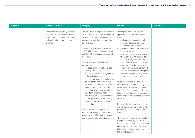| <b>Bulgaria</b> | <b>Czech Republic</b>                                                                                                                                                   | <b>Hungary</b>                                                                                                                                                                                                                                                                                                                                                                                                                                                                                                                                                                                                                                                                                                                                                                                                                                                                                                                                                                                                                                     | <b>Poland</b>                                                                                                                                                                                                                                                                                                                                                                                                                                                                                                                                                                                                                                                                                                                                                                                                                                                                                                                                                                                                                                                                                                                                                                                                                                                      | Romania |
|-----------------|-------------------------------------------------------------------------------------------------------------------------------------------------------------------------|----------------------------------------------------------------------------------------------------------------------------------------------------------------------------------------------------------------------------------------------------------------------------------------------------------------------------------------------------------------------------------------------------------------------------------------------------------------------------------------------------------------------------------------------------------------------------------------------------------------------------------------------------------------------------------------------------------------------------------------------------------------------------------------------------------------------------------------------------------------------------------------------------------------------------------------------------------------------------------------------------------------------------------------------------|--------------------------------------------------------------------------------------------------------------------------------------------------------------------------------------------------------------------------------------------------------------------------------------------------------------------------------------------------------------------------------------------------------------------------------------------------------------------------------------------------------------------------------------------------------------------------------------------------------------------------------------------------------------------------------------------------------------------------------------------------------------------------------------------------------------------------------------------------------------------------------------------------------------------------------------------------------------------------------------------------------------------------------------------------------------------------------------------------------------------------------------------------------------------------------------------------------------------------------------------------------------------|---------|
|                 | There is also a possibility to apply for<br>an opinion of the General Finance<br>Directorate on interpretative issues,<br>but such opinions are not legally<br>binding. | The 'long-term' ruling would remain in<br>force for three financial years (including<br>the year of request) and cannot be<br>extended, even if the underlying tax<br>laws change.<br>The fee for the 'long-term' ruling is<br>HUF 8 million in an ordinary procedure,<br>and HUF 11 million in an accelerated<br>procedure.<br>The taxpayer and the foreign entity<br>may request<br>the ascertainment that an already<br>existing binding ruling is still<br>applicable despite due legislative<br>or factual changes if these<br>changes have no substantial effect<br>on the conclusion of the ruling;<br>to extend the scope of the already<br>existing binding ruling with an<br>additional two years (excluding<br>long-term binding rulings);<br>simultaneously the ascertainment<br>of the applicability of the binding<br>ruling and the extension of the<br>scope thereof.<br>Related parties may request the<br>National Tax Authority to issue an<br>advance ruling (APA) on the transfer<br>pricing aspects of a future transaction. | This implies that as long as the<br>applicant acts in line with the tax<br>ruling:<br>- no tax penal proceedings will<br>be initiated against persons<br>responsible for tax matters;<br>- no penalty interest will be charged<br>if any tax is due;<br>- applicant will not have to pay any<br>tax arrears that have arisen as a<br>result of acting in line with the tax<br>ruling. This tax exemption is only<br>applicable if the transaction or<br>other event has been performed<br>after the receipt of the ruling; that<br>is why receiving the ruling before<br>the transaction is so crucial.<br>Generally speaking the protection<br>lasts until the tax ruling is changed<br>or dismissed by the tax authorities<br>(e.g. if they find it incorrect or the law<br>changes). Detailed rules are provided<br>in this respect. An appeal procedure is<br>available.<br>Similar protection applies in case of<br>general tax rulings, however it is not<br>possible to challenge them to the tax<br>court.<br>The protection resulting from the tax<br>ruling does not apply inter alia in case<br>the facts or the future event described<br>in the tax ruling is a part of activities<br>being subject to decision issued under<br>the GAAR regulations. |         |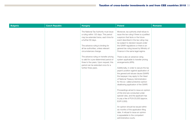| <b>Bulgaria</b> | <b>Czech Republic</b> | <b>Hungary</b>                                                                                                                                                                                                                                     | <b>Poland</b>                                                                                                                                                                                                                                                                                                                         | Romania |
|-----------------|-----------------------|----------------------------------------------------------------------------------------------------------------------------------------------------------------------------------------------------------------------------------------------------|---------------------------------------------------------------------------------------------------------------------------------------------------------------------------------------------------------------------------------------------------------------------------------------------------------------------------------------|---------|
|                 |                       | The National Tax Authority must issue<br>a ruling within 120 days. This period<br>may be extended twice, each time for<br>a further 60 days.<br>The advance ruling is binding for<br>all tax authorities, unless relevant<br>circumstances change. | Moreover, tax authority shall refuse to<br>issue the tax ruling if there is a justified<br>suspicion that facts or the future<br>event described in the tax ruling may<br>be subject to decision issued under<br>the GAAR regulations or there is an<br>general tax ruling issued by Ministry of<br>Finance in the same legal regime. |         |
|                 |                       | The advance ruling on transfer pricing<br>is valid for a pre-determined period of<br>three to five years. Upon request, this<br>period can be extended once for a                                                                                  | There is also an advance ruling<br>system applicable to transfer pricing<br>arrangements (APA).                                                                                                                                                                                                                                       |         |
|                 |                       | further three years.                                                                                                                                                                                                                               | Additionally, in order to secure the tax<br>payer's position against application of<br>the general anti-abuse clause (GAAR)<br>the taxpayer may apply to the Head<br>of National Treasury Administration<br>for the so- called protective opinion<br>disallowing application of the GAAR.                                             |         |
|                 |                       |                                                                                                                                                                                                                                                    | Proceedings aimed to issue an opinion<br>of this kind are conducted under<br>special rules, and the applicant has<br>to pay a fee of PLN 20,000 (approx.<br>EUR 5,000).                                                                                                                                                               |         |
|                 |                       |                                                                                                                                                                                                                                                    | An opinion should be issued within<br>six months of the application filing<br>date. A refusal to issue an opinion<br>is appealable to the competent<br>administrative courts.                                                                                                                                                         |         |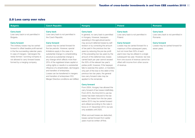#### 2.8 Loss carry over rules

| <b>Bulgaria</b>                         | <b>Czech Republic</b>                      | <b>Hungary</b>                              | <b>Poland</b>                           | Romania                             |
|-----------------------------------------|--------------------------------------------|---------------------------------------------|-----------------------------------------|-------------------------------------|
| <b>Carry back</b>                       | <b>Carry back</b>                          | <b>Carry back</b>                           | <b>Carry back</b>                       | <b>Carry back</b>                   |
| Loss carry back is not permitted in     | Loss carry back is not permitted in        | In general, no carry back is permitted      | Loss carry back is not permitted in     | Loss carry back is not permitted in |
| Bulgaria.                               | the Czech Republic.                        | in Hungary. However, taxpayers              | Poland.                                 | Romania.                            |
|                                         |                                            | operating in the agricultural sector        |                                         |                                     |
| <b>Carry forward</b>                    | <b>Carry forward</b>                       | may account deferred losses by self-        | <b>Carry forward</b>                    | <b>Carry forward</b>                |
| The ordinary losses may be carried      | Losses may be carried forward for          | revision or by correcting the amount        | Losses may be carried forward for a     | Losses may be carried forward for   |
| forward to offset taxable profit earned | five tax periods. However, special         | of tax paid in the previous two tax         | maximum of five subsequent years,       | seven years.                        |
| in the five succeeding calendar years.  | limitations apply in the case of a         | years by reducing the pre-tax profit        | but not more than 50% of each           |                                     |
| In case of mergers / demergers the      | substantial change in a shareholding       | of the preceding two tax years by the       | year's loss may be utilised in a single |                                     |
| newly formed / surviving company is     | structure (a substantial change is         | amount of the deferred loss; losses         | subsequent tax year. However, tax loss  |                                     |
| not allowed to carry forward losses     | any change which affects more than         | carried back per year cannot exceed         | from one source of revenue cannot be    |                                     |
| formed by a merging company.            | 25% of the registered share capital or     | the 30% of the relevant tax year's          | offset with income from other source    |                                     |
|                                         | voting rights or results in a substantial  | pretax profit, however, if the taxpayer     | of revenue.                             |                                     |
|                                         | influence of a shareholder), de/mergers    | fails to exercise this option, or transfers |                                         |                                     |
|                                         | and transfers of enterprises.              | only part of the loss to the debit of the   |                                         |                                     |
|                                         | Losses can be transferred in mergers       | previous two tax years, the general         |                                         |                                     |
|                                         | and transfers of enterprises if EU         | loss carry forward rules may be             |                                         |                                     |
|                                         | Merger Directive conditions are fulfilled. | applied to the remainder.                   |                                         |                                     |
|                                         |                                            |                                             |                                         |                                     |
|                                         |                                            | <b>Carry forward</b>                        |                                         |                                     |
|                                         |                                            | From 2004, Hungary has allowed the          |                                         |                                     |
|                                         |                                            | carry forward of tax losses indefinitely.   |                                         |                                     |
|                                         |                                            | From 2015, the time limit to use tax        |                                         |                                     |
|                                         |                                            | losses has been reduced to five tax         |                                         |                                     |
|                                         |                                            | years. Tax losses from the tax years        |                                         |                                     |
|                                         |                                            | before 2015 may be carried forward          |                                         |                                     |
|                                         |                                            | and utilised according to the rules in      |                                         |                                     |
|                                         |                                            | force on 31 December 2014, but are          |                                         |                                     |
|                                         |                                            | only available until 2025.                  |                                         |                                     |
|                                         |                                            |                                             |                                         |                                     |
|                                         |                                            | When accrued losses are deducted.           |                                         |                                     |
|                                         |                                            | losses carried forward from earlier         |                                         |                                     |
|                                         |                                            | years must be written off first.            |                                         |                                     |
|                                         |                                            |                                             |                                         |                                     |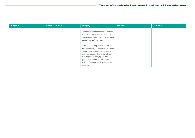| <b>Bulgaria</b> | <b>Czech Republic</b> | <b>Hungary</b>                                                                                                                                                                                                                                                                                    | Poland | Romania |
|-----------------|-----------------------|---------------------------------------------------------------------------------------------------------------------------------------------------------------------------------------------------------------------------------------------------------------------------------------------------|--------|---------|
|                 |                       | Carried forward losses are deductible<br>up to 50% of the relevant year's CIT<br>base (as calculated without the losses<br>carried forward) per year.                                                                                                                                             |        |         |
|                 |                       | In the case of corporate restructurings<br>and acquisitions, losses can be carried<br>forward by the successor company<br>only if certain conditions are fulfilled<br>with respect to carrying on and<br>generating income from the business<br>activity of the acquired or successor<br>company. |        |         |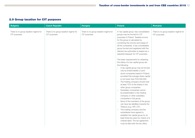### 2.9 Group taxation for CIT purposes

| <b>Bulgaria</b>                                        | <b>Czech Republic</b>                                  | <b>Hungary</b>                                         | <b>Poland</b>                                                                                                                                                                                                                                                                                                                                                                                                                                                                                                                                                                                                                                                                                                               | Romania                                                |
|--------------------------------------------------------|--------------------------------------------------------|--------------------------------------------------------|-----------------------------------------------------------------------------------------------------------------------------------------------------------------------------------------------------------------------------------------------------------------------------------------------------------------------------------------------------------------------------------------------------------------------------------------------------------------------------------------------------------------------------------------------------------------------------------------------------------------------------------------------------------------------------------------------------------------------------|--------------------------------------------------------|
| There is no group taxation regime for<br>CIT purposes. | There is no group taxation regime for<br>CIT purposes. | There is no group taxation regime for<br>CIT purposes. | A 'tax capital group' (tax consolidated<br>group) may be formed for CIT<br>purposes in Poland. Taxable income<br>for the group is calculated by<br>combining the income and losses of<br>all the companies. A tax consolidated<br>group formed and registered with the<br>relevant tax authorities is treated as a<br>separate taxpayer for CIT purposes.                                                                                                                                                                                                                                                                                                                                                                   | There is no group taxation regime for<br>CIT purposes. |
|                                                        |                                                        |                                                        | The basic requirements for obtaining<br>the status of a tax capital group are<br>the following:<br>- A tax capital group may be formed<br>only by limited liability or joint-<br>stock companies based in Poland,<br>provided that average share capital<br>is not lower than PLN 500,000.<br>- The holding company should hold<br>at least 75% of the shares in the<br>other group companies.<br>Subsidiary companies cannot<br>$\overline{\phantom{0}}$<br>be shareholders in the holding<br>company or other subsidiary<br>companies in the group.<br>- None of the members of the group<br>can have tax liabilities towards the<br>Treasury (e.g. VAT, CIT).<br>The holding company and the<br>$\overline{\phantom{0}}$ |                                                        |
|                                                        |                                                        |                                                        | subsidiaries have agreed to<br>establish the capital group for at<br>least three tax years by means of a<br>notarial deed. The tax agreement<br>must be filed with the tax office.                                                                                                                                                                                                                                                                                                                                                                                                                                                                                                                                          |                                                        |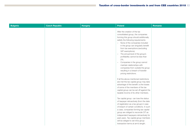| <b>Bulgaria</b> | <b>Czech Republic</b> | <b>Hungary</b> | <b>Poland</b>                                                                                                                                                                                                                                                                                                                                                                                                                                                                                                                                                                                                                                                                                                                                                                                                                                                                                | Romania |
|-----------------|-----------------------|----------------|----------------------------------------------------------------------------------------------------------------------------------------------------------------------------------------------------------------------------------------------------------------------------------------------------------------------------------------------------------------------------------------------------------------------------------------------------------------------------------------------------------------------------------------------------------------------------------------------------------------------------------------------------------------------------------------------------------------------------------------------------------------------------------------------------------------------------------------------------------------------------------------------|---------|
|                 |                       |                | After the creation of the tax<br>consolidated group, the companies<br>forming this group should additionally<br>satisfy the following requirements:<br>- None of the companies included<br>in the group can singularly benefit<br>from tax exemptions (excluding<br>VAT exemptions).<br>- The annual level of the group's<br>profitability cannot be less than<br>2%.<br>Companies in the group cannot<br>$-$<br>maintain relationships with<br>companies from outside the group<br>resulting in a breach of transfer<br>pricing restrictions.<br>If all the above-mentioned restrictions<br>are met the tax capital group may take<br>advantage of the benefit i.e.the losses<br>of some of the members of the tax<br>capital group can be set off against the<br>taxable income of its other members.<br>Tax capital group can lose the status<br>of taxpayer retroactively (from the date |         |
|                 |                       |                | of registration as a tax group) in case                                                                                                                                                                                                                                                                                                                                                                                                                                                                                                                                                                                                                                                                                                                                                                                                                                                      |         |
|                 |                       |                | of breach of certain conditions. In such<br>a case, companies forming tax capital<br>group are obliged to reconcile CIT as<br>independent taxpayers retroactively for                                                                                                                                                                                                                                                                                                                                                                                                                                                                                                                                                                                                                                                                                                                        |         |
|                 |                       |                | past years. Tax capital group members<br>will be obliged to set intra-group<br>transaction terms at arm's length.                                                                                                                                                                                                                                                                                                                                                                                                                                                                                                                                                                                                                                                                                                                                                                            |         |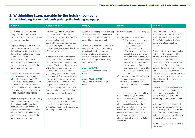#### 3. Withholding taxes payable by the holding company 3.1 Withholding tax on dividends paid by the holding company

| <b>Bulgaria</b>                                                                                                                                                                                                                                                                                                                                                                                                                                                                                                                                                                                                                                                                                                                                                                                                                                                                                                                                                                                                                                                                                              | <b>Czech Republic</b>                                                                                                                                                                                                                                                                                                                                                                                                                                                                                                                                                                                                                                                                                                                                                                                                                                                                                                                                                                                                                                 | <b>Hungary</b>                                                                                                                                                                                                                                                                                                                                                                                                                                                                                                                                                        | <b>Poland</b>                                                                                                                                                                                                                                                                                                                                                                                                                                                                                                                                                                                                                                                                                                                                                                                                                                                                                                                                                                                                                                                                           | Romania                                                                                                                                                                                                                                                                                                                                                                                                                                                                                                                                                                                                                                                                                                                                                                                                                                                                                                                                                                                                                                                                                                                           |
|--------------------------------------------------------------------------------------------------------------------------------------------------------------------------------------------------------------------------------------------------------------------------------------------------------------------------------------------------------------------------------------------------------------------------------------------------------------------------------------------------------------------------------------------------------------------------------------------------------------------------------------------------------------------------------------------------------------------------------------------------------------------------------------------------------------------------------------------------------------------------------------------------------------------------------------------------------------------------------------------------------------------------------------------------------------------------------------------------------------|-------------------------------------------------------------------------------------------------------------------------------------------------------------------------------------------------------------------------------------------------------------------------------------------------------------------------------------------------------------------------------------------------------------------------------------------------------------------------------------------------------------------------------------------------------------------------------------------------------------------------------------------------------------------------------------------------------------------------------------------------------------------------------------------------------------------------------------------------------------------------------------------------------------------------------------------------------------------------------------------------------------------------------------------------------|-----------------------------------------------------------------------------------------------------------------------------------------------------------------------------------------------------------------------------------------------------------------------------------------------------------------------------------------------------------------------------------------------------------------------------------------------------------------------------------------------------------------------------------------------------------------------|-----------------------------------------------------------------------------------------------------------------------------------------------------------------------------------------------------------------------------------------------------------------------------------------------------------------------------------------------------------------------------------------------------------------------------------------------------------------------------------------------------------------------------------------------------------------------------------------------------------------------------------------------------------------------------------------------------------------------------------------------------------------------------------------------------------------------------------------------------------------------------------------------------------------------------------------------------------------------------------------------------------------------------------------------------------------------------------------|-----------------------------------------------------------------------------------------------------------------------------------------------------------------------------------------------------------------------------------------------------------------------------------------------------------------------------------------------------------------------------------------------------------------------------------------------------------------------------------------------------------------------------------------------------------------------------------------------------------------------------------------------------------------------------------------------------------------------------------------------------------------------------------------------------------------------------------------------------------------------------------------------------------------------------------------------------------------------------------------------------------------------------------------------------------------------------------------------------------------------------------|
| Dividends paid to non-resident<br>companies are subject to final<br>withholding tax of 5%, unless a lower<br>tax treaty rate applies.<br>A special exemption from withholding<br>taxation (save for cases of hidden<br>distribution of profit) is provided for<br>dividends distributed to companies<br>that are tax residents of an EU<br>Member tax residents in an EU<br>Member State, or a country which<br>is a party to the Agreement for the<br>European Economic Area.<br><b>Liquidation / Share repurchase</b><br>Liquidation quotas are subject to<br>withholding tax at the rate of 5%<br>chargeable on the balance between<br>the market value of the quotas and<br>the documented acquisition price of<br>the respective shares. This rule applies<br>unless a tax treaty relief applies.<br>A special exemption from withholding<br>taxation (save for cases of hidden<br>distribution of profit) is provided<br>for liquidation quotas distributed<br>to company tax residents of an EU<br>Member State, or a country which<br>is a party to the Agreement for the<br>European Economic Area. | Dividend payments from resident<br>companies to other resident<br>companies are subject to a 15% final<br>withholding tax. Double taxation is<br>avoided by not including dividends,<br>which were subject to a 15%<br>withholding tax in the general tax base<br>of receiving companies.<br>A domestic distribution of dividends<br>can be exempt from taxation if the<br>recipient - beneficial owner - holds<br>at least 10% of the registered capital<br>of the distributing company for an<br>uninterrupted period of 12 months<br>(this holding period can be fulfilled<br>subsequently). Both companies must<br>have one of the forms listed in the<br>Parent-Subsidiary Directive or be a<br>cooperative (družstvo), the parent<br>company may also be a Czech trust<br>fund, a municipality, an association of<br>municipalities or a family foundation.<br>The exemption does not apply to<br>dividends distributed from a Czech<br>subsidiary in liquidation, unless<br>distributed by such a subsidiary to EU<br>resident parent company. | Hungary does not impose withholding<br>taxes on dividend distributions (even<br>to tax haven countries) unless the<br>recipient is a private individual.<br>Dividend distributions to individuals are<br>subject to 15% dividend withholding<br>tax, unless limited by a tax treaty<br>to a lower rate, and health fund<br>contribution obligations capped at<br>HUF 450,000 (approx. EUR 1,400)<br>/ year may apply.<br><b>Impact EU GAAR</b><br>See our comments in Section 2.2<br>above.<br><b>Impact ATAD - GAAR</b><br>See our comments in Section 2.2<br>above. | Dividends paid by a resident company<br>to:<br>non-resident 'privileged' (e.g. EU,<br>(i)<br>EEA, Swiss) parent company are:<br>withholding tax exempt<br>provided that certain<br>conditions are met (i.e. at least<br>10% (for Swiss company - at<br>least 25%) shareholding (as<br>an owner), holding shares for<br>an uninterrupted period of two<br>years - this condition does not<br>have to be met upfront);<br>taxed according to relevant tax<br>treaty - if these conditions are<br>not met:<br>(ii) non-resident 'unprivileged' parent<br>company is taxed according<br>to relevant tax treaty or 19%<br>withholding tax if no tax treaty can<br>be applied.<br>To benefit from the lower withholding<br>rate (or exemption), a certificate<br>of tax residency must be provided<br>by the company receiving the<br>dividends. Additionally, in order to<br>apply the exemption resulting from<br>EU Parent-Subsidiary regime, a<br>written confirmation is required from<br>the company receiving the dividends<br>stating that it fulfills requirements for<br>exemption. | Outbound dividends paid by<br>Romanian companies are subject<br>to withholding of 5% unless the EU<br>Parent-Subsidiary Directive (see<br>below) or a different treaty rate<br>applies.<br>Dividends distributed to companies<br>resident in EU are exempt of tax<br>providing that at the distribution<br>moment the recipient holds a<br>participation of at least 10% in the<br>share capital of the distributing<br>company for at least one continuous<br>year (the EU Parent-Subsidiary<br>Directive). Until the one-year period is<br>met, dividends are subject to tax (at<br>5%) which can later be claimed back<br>from the state.<br><b>Liquidation / Share repurchase</b><br>In case the liquidation share of a<br>Romanian company is lower than<br>the paid-in capital, there is no<br>withholding on the paid-out amount.<br>In the opposite case, the amount<br>of the liquidation share exceeding<br>the paid-in capital would be subject<br>to withholding if remitted to non-<br>residents, however the provisions of<br>the tax treaties would prevail.<br>Redemption of shares is not taxable<br>as dividend |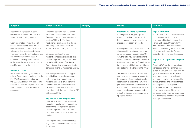| <b>Bulgaria</b>                         | <b>Czech Republic</b>                    | <b>Hungary</b> | <b>Poland</b>                            | <b>Romania</b>                          |
|-----------------------------------------|------------------------------------------|----------------|------------------------------------------|-----------------------------------------|
|                                         |                                          |                |                                          |                                         |
| Income from liquidation quotas          | Dividends paid to a non-EU or non-       |                | <b>Liquidation / Share repurchase</b>    | <b>Impact EU GAAR</b>                   |
| obtained by a contractual fund is not   | EEA country with whom the Czech          |                | Starting from 2018, participation        | The Romanian Fiscal Code enforced       |
| subject to withholding taxation.        | Republic does not have a tax treaty      |                | exemption regime does not apply          | on 1 January 2016, contains             |
|                                         | in place (DTT or TIEA (bilateral or      |                | to income earned on redemption of        | provisions which implemented the        |
| Upon redemption / repurchase of         | multilateral)), or in cases that the tax |                | shares or liquidation proceeds           | Parent-Subsidiary Directive GAAR        |
| shares, the company shall form a        | residency is not ascertained, are        |                |                                          | word by word. The tax authorities'      |
| reserve in the amount of the nominal    | subject to a withholding tax of 35%.     |                | Although incomes from redemption of      | focus on scrutinising the applicability |
| value of all the repurchased shares.    |                                          |                | shares and liquidation proceeds are      | of tax exemptions under Parent-         |
| This reserve may be distributed among   | Dividends paid to other non-             |                | no longer exempt based on the CIT        | Subsidiary Directive could increase.    |
| the shareholders only in case of        | resident companies are subject to a      |                | Act, they still may be withholding tax   |                                         |
| reduction of the capital by the amount  | withholding tax of 15%, which may        |                | exempt in Poland based on the double     | <b>Impact ATAD - principal purpose</b>  |
| of the repurchased shares, or may be    | be reduced by virtue of tax treaties or  |                | tax treaty concluded by Poland or may    | test                                    |
| used for increase of the capital.       | Parent-Subsidiary exemptions (under      |                | be subject to withholding tax at lower   | Certain ATAD provisions have been       |
|                                         | same conditions as mentioned above).     |                | rate determined in the given tax treaty. | transposed into the Romanian tax        |
| <b>Impact EU GAAR</b>                   |                                          |                |                                          | law as of January 2018, including the   |
| Because of the existing tax evasion     | The exemptions also do not apply,        |                | The income of a Polish tax resident      | general anti-abuse rule applicable      |
| rules in force having broader scope the | should either the holding company        |                | company from disposal of shares for      | to an arrangement or a series of        |
| EU GAAR was considered covered in       | or the subsidiary (regardless of tax     |                | the purpose of redemption (voluntary     | arrangements which, with regard to      |
| the Bulgarian tax law with no need for  | residency) be tax exempt from CIT        |                | redemption) is subject to 19%/15%        | all relevant facts and circumstances.   |
| amendments in that respect. Thus, no    | or similar tax, if they choose to be     |                | (for "small taxpayers or taxpayers in a  | are not genuine, having been            |
| specific impact of the EU GAAR is       | tax exempt or receive similar tax        |                | first tax year) CIT within capital gains | undertaken for the main purpose         |
| expected.                               | advantage, or if they are subject to CIT |                | sources and cannot be aggregated         | of, or having as one of the main        |
|                                         | at the rate of 0%.                       |                | with other income (e.g. income from      | purposes, obtaining a tax advantage     |
|                                         |                                          |                | operating activity).                     | that defeats the object or purpose of   |
|                                         | <b>Liquidation / Share repurchase</b>    |                |                                          | the applicable tax law.                 |
|                                         | Liquidation share proceeds exceeding     |                |                                          |                                         |
|                                         | the paid-in capital (or the acquisition  |                |                                          |                                         |
|                                         | costs of the share) are subject to a     |                |                                          |                                         |
|                                         | withholding tax of 15%. This rate        |                |                                          |                                         |
|                                         | can be reduced by virtue of most tax     |                |                                          |                                         |
|                                         | treaties.                                |                |                                          |                                         |
|                                         |                                          |                |                                          |                                         |
|                                         | Redemption / repurchase of shares        |                |                                          |                                         |
|                                         | is generally not considered a partial    |                |                                          |                                         |
|                                         | liquidation.                             |                |                                          |                                         |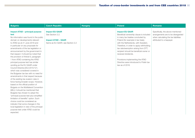| <b>Bulgaria</b>                                                                                                                                                                                                                                                                                                                                                                                                                                                                                                                                                                                                                                                                                                                                                                                                                                                                                                                                                                                                                                                                                                                       | <b>Czech Republic</b>                                                                                      | <b>Hungary</b> | <b>Poland</b>                                                                                                                                                                                                                                                                                                                                                                                                                             | Romania                                                                                                                                      |
|---------------------------------------------------------------------------------------------------------------------------------------------------------------------------------------------------------------------------------------------------------------------------------------------------------------------------------------------------------------------------------------------------------------------------------------------------------------------------------------------------------------------------------------------------------------------------------------------------------------------------------------------------------------------------------------------------------------------------------------------------------------------------------------------------------------------------------------------------------------------------------------------------------------------------------------------------------------------------------------------------------------------------------------------------------------------------------------------------------------------------------------|------------------------------------------------------------------------------------------------------------|----------------|-------------------------------------------------------------------------------------------------------------------------------------------------------------------------------------------------------------------------------------------------------------------------------------------------------------------------------------------------------------------------------------------------------------------------------------------|----------------------------------------------------------------------------------------------------------------------------------------------|
| <b>Impact ATAD - principal purpose</b><br>test<br>No information was found in the public<br>domain on developments relevant<br>to ATAD as at 21 June 2018 and<br>in particular on any proposals for<br>amendments of the tax legislation or<br>announcement by the government in<br>that respect. It should be noted that<br>the provision of Article 6, paragraph<br>1 from ATAD containing the ATAD<br>principal purpose test has similar<br>wording as the EU GAAR under<br>Council Directive (EU) 2015/121,<br>which was considered covered in<br>the Bulgarian tax law with no need for<br>amendments in that respect because<br>of the existing tax evasion rules in<br>force having broader scope. However,<br>based on the official position of<br>Bulgaria on the Multilateral Convention<br>(MLI), it should be mentioned that<br>Bulgaria has chosen to adopt the<br>"principal purpose test plus simplified<br>limitation of benefits" option. Such<br>choice could be considered as<br>indicator that some changes in the<br>local legislation in view of the principal<br>purpose test under ATAD could be<br>expected. | <b>Impact EU GAAR</b><br>See Section 2.2.<br><b>Impact ATAD - GAAR</b><br>Same as EU GAAR, see Section 2.2 |                | <b>Impact EU GAAR</b><br>Beneficial ownership clause is included<br>in many tax treaties concluded by<br>Poland (for example in tax treaty<br>with the Netherlands, with Sweden).<br>Therefore, in order to apply withholding<br>tax rate/exemption arising from DTT,<br>recipient should be beneficial owner or<br>received dividends.<br>Provisions implementing the ATAD<br>Directive were introduced to Polish tax<br>law as of 2018. | Specifically, the above-mentioned<br>arrangements are to be disregarded<br>when calculating the tax liabilities<br>attributed to a taxpayer. |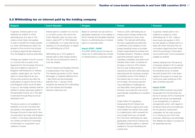### 3.2 Withholding tax on interest paid by the holding company

| Bulgaria                                   | <b>Czech Republic</b>                       | <b>Hungary</b>                             | <b>Poland</b>                            | <b>Romania</b>                         |
|--------------------------------------------|---------------------------------------------|--------------------------------------------|------------------------------------------|----------------------------------------|
|                                            |                                             |                                            |                                          |                                        |
| In general, interests paid to non-         | Interest paid to a resident of a non-EU     | Based on domestic tax law (which is        | There is a 20% withholding tax on        | In general, interest paid to non-      |
| residents are subject to a final           | or non-EEA country with whom the            | applicable irrespective of tax treaties or | interest paid to foreign lenders that    | residents is subject to a final        |
| withholding tax at a rate of 10%,          | Czech Republic does not have a tax          | the EU Interest and Royalties Directive)   | may be reduced by virtue of tax          | withholding tax of 16%, unless a       |
| unless a lower treaty rate applies.        | treaty in place (DTT or TIEA (bilateral     | there is no withholding tax on interest    | treaties. The reduced withholding        | lower treaty rate applies. A 50%       |
| In order to benefit from treaty benefits   | or multilateral)), or in cases that the tax | paid to a corporate entity.                | tax rate is applicable provided that     | tax rate applies to interest paid to a |
| (i.e. lower withholding tax rates), the    | residency is not ascertained, is subject    |                                            | a certificate of tax residency of the    | state with which Romania has not       |
| recipient of the income must acquire       | to a withholding tax of 35%.                | <b>Impact ATAD - GAAR</b>                  | foreign beneficial owner is provided.    | concluded a legal instrument under     |
| an advance approval (tax clearance)        |                                             | The ATAD GAAR should not have an           | Poland implemented the Interest and      | which the exchange of information      |
| from the Bulgarian revenue authorities.    | Withholding tax of 15% applies to           | impact as no withholding tax is levied     | Royalties Directive. Therefore, interest | can be performed, if such transaction  |
|                                            | interest paid to other foreign lenders.     | on interest paid to a corporate entity.    | payments between parent and              | qualifies as artificial.               |
| A foreign tax resident of an EU country    | This rate can be reduced by virtue of       |                                            | subsidiary, subsidiary and parent and    |                                        |
| or a country that is a party to the        | most tax treaties.                          |                                            | between direct sister companies (in      | Interest obtained from Romania by      |
| Agreement for the European Economic        |                                             |                                            | all cases a minimum 25% interest         | companies resident in EU is exempt     |
| Area and is liable for payment of          | The EU Interest and Royalties Directive     |                                            | and two-year holding period is           | from withholding tax provided that     |
| Bulgarian withholding tax on interest,     | is implemented in the Czech law.            |                                            | required) are free from withholding tax, | the beneficial owner of interest       |
| royalties, capital gains, etc. has the     | The interest payments to (i) EU, Swiss,     |                                            | assuming that the receiving company      | has held at least 25% in the share     |
| option to recalculate the tax due.         | Norwegian or Icelandic (effective from      |                                            | is beneficial owner of the interest. If  | capital of the payer for at least two  |
| The tax that would be due after the        | 1 May 2004) and (ii) Lichtenstein           |                                            | the interest rate on a loan is not at    | continuous years ending as of the      |
| recalculation is equal to the tax that a   | (effective from 1 January 2016)             |                                            | arm's length, the excess payment         | date of interest payment.              |
| local Bulgarian entity would be liable     | recipients are exempt from withholding      |                                            | may potentially be challenged as         |                                        |
| to pay (i.e. the foreign resident shall be | tax if the Interest and Royalties           |                                            | not deductible under general rules.      | <b>Impact ATAD</b>                     |
| entitled to deduct expenses related to     | Directive criteria are met.                 |                                            | However, such payment may not be         | Certain ATAD provisions have been      |
| the generated income, etc.) This right     |                                             |                                            | automatically reclassified as a dividend | transposed into the Romanian tax       |
| is exercised through filing an annual      |                                             |                                            | payment.                                 | law as of January 2018, including the  |
| declaration form.                          |                                             |                                            |                                          | general anti-abuse rule applicable     |
|                                            |                                             |                                            | Under Polish CIT regulations             | to an arrangement or a series of       |
| The above option is not available to       |                                             |                                            | transposing the EU Interest and          | arrangements which, with regard to     |
| residents of non-EU-countries that         |                                             |                                            | Royalties Directive regime and under     | all relevant facts and circumstances.  |
| are parties to the Agreement for the       |                                             |                                            | most treaties the interest that is paid  | are not genuine, having been           |
| European Economic Area which have          |                                             |                                            | to a related party which exceeds the     | undertaken for the main purpose        |
| not executed a tax treaty with Bulgaria    |                                             |                                            | arm's length level may not benefit       | of, or having as one of the main       |
| in effect, or the treaty executed does     |                                             |                                            | from the lower withholding tax rates     | purposes, obtaining a tax advantage    |
| not contain provisions for exchange        |                                             |                                            | (applicable under the EU Interest and    | that defeats the object or purpose of  |
| of information or cooperation upon         |                                             |                                            | Royalties Directive regime or relevant   | the applicable tax law.                |
| collection of taxes.                       |                                             |                                            | treaties) for the part exceeding the     |                                        |

market level.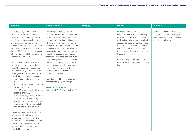| <b>Bulgaria</b>                         | <b>Czech Republic</b>                     | <b>Hungary</b> | <b>Poland</b>                           | Romania                              |
|-----------------------------------------|-------------------------------------------|----------------|-----------------------------------------|--------------------------------------|
|                                         |                                           |                |                                         |                                      |
| Following expiry of the agreed          | The exemption can be applied              |                | <b>Impact ATAD - GAAR</b>               | Specifically, the above-mentioned    |
| transitional period for Bulgaria,       | provided that the recipient (beneficial   |                | In order to benefit from withholding    | arrangements are to be disregarded   |
| interest and royalty income payable     | owner of interest payment) and the        |                | tax exemption, recipient of interest    | when calculating the tax liabilities |
| by a Bulgarian tax resident entity      | interest payer are directly related       |                | shall be beneficial owner of received   | attributed to a taxpayer.            |
| to an associated company from           | (direct shareholding or voting power      |                | interest. Beneficial ownership clause   |                                      |
| another Member State shall enjoy full   | of at least 25%; if a person meets the    |                | is also included in many tax treaties   |                                      |
| exemption from Bulgarian withholding    | criteria in respect to more entities, all |                | concluded by Poland (for example in     |                                      |
| tax from 2015 onwards in compliance     | these entities are considered directly    |                | tax treaty with the Netherlands, with   |                                      |
| with the Interest and Royalty Directive | related) for an uninterrupted period      |                | Sweden).                                |                                      |
| (Directive 2003/49/EC).                 | of at least 24 months (can be fulfilled   |                |                                         |                                      |
|                                         | subsequently) and only if the interest    |                | Provisions implementing the ATAD        |                                      |
| For purposes of application of the      | payment (income) is not attributable      |                | Directive were introduced to Polish tax |                                      |
| exemption, the law provides that        | to a permanent establishment located      |                | law.                                    |                                      |
| one entity is considered associated     | (i) in the Czech Republic or (ii) in a    |                |                                         |                                      |
| with another entity should one of the   | country other than EU country, EEA        |                |                                         |                                      |
| following conditions be fulfilled as of | country or Switzerland.                   |                |                                         |                                      |
| accrual of the income for a preceding   |                                           |                |                                         |                                      |
| uninterrupted period of at least two    | Prior decision of the tax authorities is  |                |                                         |                                      |
| years:                                  | necessary to apply the exemption.         |                |                                         |                                      |
| Entity (A) holds at least 25% in the    |                                           |                |                                         |                                      |
| capital of entity (B).                  | <b>Impact ATAD - GAAR</b>                 |                |                                         |                                      |
| Entity (B) holds at least 25% in the    | Same as EU GAAR, see Section 2.2.         |                |                                         |                                      |
| capital of entity (A).                  |                                           |                |                                         |                                      |
| - A third entity (C), which is either a |                                           |                |                                         |                                      |
| local company or a company tax          |                                           |                |                                         |                                      |
| resident of another Member State,       |                                           |                |                                         |                                      |
| holds at least 25% in the capital       |                                           |                |                                         |                                      |
| both of entity (A) and entity (B).      |                                           |                |                                         |                                      |
|                                         |                                           |                |                                         |                                      |
| Interest and royalty income might be    |                                           |                |                                         |                                      |
| exempt from withholding tax prior to    |                                           |                |                                         |                                      |
| the expiration of the minimum two-      |                                           |                |                                         |                                      |
| year term in case ownership over the    |                                           |                |                                         |                                      |
| required minimum of share capital is    |                                           |                |                                         |                                      |
| not interrupted as of the moment of     |                                           |                |                                         |                                      |
| accrual of the income.                  |                                           |                |                                         |                                      |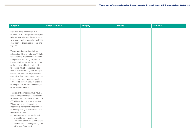| <b>Bulgaria</b>                                                                  | <b>Czech Republic</b> | <b>Hungary</b> | <b>Poland</b> | Romania |
|----------------------------------------------------------------------------------|-----------------------|----------------|---------------|---------|
|                                                                                  |                       |                |               |         |
| However, if the possession of the                                                |                       |                |               |         |
| required minimum capital is interrupted                                          |                       |                |               |         |
| prior to the expiration of the minimum<br>two-year term, the general rate of 10% |                       |                |               |         |
| shall apply to the interest income and                                           |                       |                |               |         |
| royalties.                                                                       |                       |                |               |         |
|                                                                                  |                       |                |               |         |
| The withholding tax due shall be                                                 |                       |                |               |         |
| adjusted as if the tax rate was 10%. In                                          |                       |                |               |         |
| relation to the difference between due                                           |                       |                |               |         |
| and paid in withholding tax, default                                             |                       |                |               |         |
| interest shall accrue for the period as                                          |                       |                |               |         |
| of the date on which the withholding                                             |                       |                |               |         |
| tax should have been paid and the                                                |                       |                |               |         |
| date of its effective payment. Foreign                                           |                       |                |               |         |
| entities that meet the requirements for                                          |                       |                |               |         |
| exemption, but nevertheless have their                                           |                       |                |               |         |
| interest and royalty income levied at                                            |                       |                |               |         |
| 10%, could request and get a refund                                              |                       |                |               |         |
| of overpaid tax not later than one year                                          |                       |                |               |         |
| of the request thereof.                                                          |                       |                |               |         |
| The relevant companies must have a                                               |                       |                |               |         |
| legal form listed in the EU Interest and                                         |                       |                |               |         |
| Royalties Directive and be subject to a                                          |                       |                |               |         |
| CIT without the option for exemption.                                            |                       |                |               |         |
| Whenever the beneficiary of the                                                  |                       |                |               |         |
| income is a permanent establishment                                              |                       |                |               |         |
| of a foreign entity, the exemption shall                                         |                       |                |               |         |
| be applied in case                                                               |                       |                |               |         |
| such permanent establishment<br>$-$                                              |                       |                |               |         |
| is established in another EU                                                     |                       |                |               |         |
| Member State and is a permanent                                                  |                       |                |               |         |
| establishment of foreign entity from                                             |                       |                |               |         |
| a Member State; and                                                              |                       |                |               |         |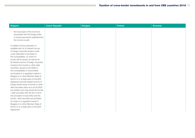| <b>Bulgaria</b>                                                                                                                                                                                                                                                                                                                                                                                                                                                                                                                                                                                                                                                                                                                                                                  | <b>Czech Republic</b> | <b>Hungary</b> | <b>Poland</b> | Romania |
|----------------------------------------------------------------------------------------------------------------------------------------------------------------------------------------------------------------------------------------------------------------------------------------------------------------------------------------------------------------------------------------------------------------------------------------------------------------------------------------------------------------------------------------------------------------------------------------------------------------------------------------------------------------------------------------------------------------------------------------------------------------------------------|-----------------------|----------------|---------------|---------|
| the local payer of the income is<br>$\overline{\phantom{m}}$<br>associated with the foreign entity<br>to whose permanent establishment<br>the income is paid.                                                                                                                                                                                                                                                                                                                                                                                                                                                                                                                                                                                                                    |                       |                |               |         |
| In addition full tax exemption is<br>available also for (i) interest income<br>of foreign corporate lenders under<br>a loan extended to the State or<br>the municipalities, on which no<br>bonds will be issued, as well as for<br>(ii) interest income of foreign corporate<br>investors from bonds or other debt<br>securities, issued by the State or<br>the municipalities or local entities<br>and traded on a regulated market in<br>Bulgaria or in other Member State of<br>the EU or in a state party to the EEA<br>Agreement and (iii) interest income of<br>foreign lender issuer of bonds or other<br>debt securities when he is an EU/EEA<br>tax resident who has issued the bonds<br>/ debt securities with the aim to lend<br>the proceeds to local entity and the |                       |                |               |         |
| bonds / debt securities are admitted<br>for trade on a regulated market in<br>Bulgaria or in other Member State of<br>the EU or in a state party to the EEA<br>Agreement.                                                                                                                                                                                                                                                                                                                                                                                                                                                                                                                                                                                                        |                       |                |               |         |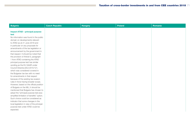| <b>Bulgaria</b>                                                                                                                                                                                                                                                                                                                                                                                                                                                                                                                                                                                                                                                                                                                                                                                                                                                                                                               | <b>Czech Republic</b> | <b>Hungary</b> | <b>Poland</b> | Romania |
|-------------------------------------------------------------------------------------------------------------------------------------------------------------------------------------------------------------------------------------------------------------------------------------------------------------------------------------------------------------------------------------------------------------------------------------------------------------------------------------------------------------------------------------------------------------------------------------------------------------------------------------------------------------------------------------------------------------------------------------------------------------------------------------------------------------------------------------------------------------------------------------------------------------------------------|-----------------------|----------------|---------------|---------|
| <b>Impact ATAD - principal purpose</b><br>test<br>No information was found in the public<br>domain on developments relevant<br>to ATAD as at 21 June 2018 and<br>in particular on any proposals for<br>amendments of the tax legislation or<br>announcement by the government in<br>that respect. It should be noted that<br>the provision of Article 6, paragraph<br>1 from ATAD containing the ATAD<br>principal purpose test has similar<br>wording as the EU GAAR under<br>Council Directive (EU) 2015/121,<br>which was considered covered in<br>the Bulgarian tax law with no need<br>for amendments in that respect<br>because of the existing tax evasion<br>rules in force having broader scope.<br>However, based on the official position<br>of Bulgaria on the MLI, it should be<br>mentioned that Bulgaria has chosen to<br>adopt the "principal purpose test plus<br>simplified limitation of benefits" option. |                       |                |               |         |
| Such choice could be considered as<br>indicator that some changes in the<br>local legislation in view of the principal<br>purpose test under ATAD could be                                                                                                                                                                                                                                                                                                                                                                                                                                                                                                                                                                                                                                                                                                                                                                    |                       |                |               |         |
| expected.                                                                                                                                                                                                                                                                                                                                                                                                                                                                                                                                                                                                                                                                                                                                                                                                                                                                                                                     |                       |                |               |         |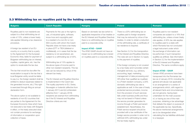### 3.3 Withholding tax on royalties paid by the holding company

| <b>Bulgaria</b>                                                                                                                                                                                                                                                                                                                                                                                                                                                                                                                                                                                                                                                                                                                                                                                                                                                                                                                                                                                                                                                                                                                                   | <b>Czech Republic</b>                                                                                                                                                                                                                                                                                                                                                                                                                                                                                                                                                                                                                                                                                                                                                                                                                                                                                                                        | <b>Hungary</b>                                                                                                                                                                                                                                                                                                                                                  | <b>Poland</b>                                                                                                                                                                                                                                                                                                                                                                                                                                                                                                                                                                                                                                                                                                                                                                                                                                                                                                                                                                                                                                                                                                                                                                                                                                     | Romania                                                                                                                                                                                                                                                                                                                                                                                                                                                                                                                                                                                                                                                                                                                                                                                                                                                                                                                                                                                                                                                                                                                                                                                |
|---------------------------------------------------------------------------------------------------------------------------------------------------------------------------------------------------------------------------------------------------------------------------------------------------------------------------------------------------------------------------------------------------------------------------------------------------------------------------------------------------------------------------------------------------------------------------------------------------------------------------------------------------------------------------------------------------------------------------------------------------------------------------------------------------------------------------------------------------------------------------------------------------------------------------------------------------------------------------------------------------------------------------------------------------------------------------------------------------------------------------------------------------|----------------------------------------------------------------------------------------------------------------------------------------------------------------------------------------------------------------------------------------------------------------------------------------------------------------------------------------------------------------------------------------------------------------------------------------------------------------------------------------------------------------------------------------------------------------------------------------------------------------------------------------------------------------------------------------------------------------------------------------------------------------------------------------------------------------------------------------------------------------------------------------------------------------------------------------------|-----------------------------------------------------------------------------------------------------------------------------------------------------------------------------------------------------------------------------------------------------------------------------------------------------------------------------------------------------------------|---------------------------------------------------------------------------------------------------------------------------------------------------------------------------------------------------------------------------------------------------------------------------------------------------------------------------------------------------------------------------------------------------------------------------------------------------------------------------------------------------------------------------------------------------------------------------------------------------------------------------------------------------------------------------------------------------------------------------------------------------------------------------------------------------------------------------------------------------------------------------------------------------------------------------------------------------------------------------------------------------------------------------------------------------------------------------------------------------------------------------------------------------------------------------------------------------------------------------------------------------|----------------------------------------------------------------------------------------------------------------------------------------------------------------------------------------------------------------------------------------------------------------------------------------------------------------------------------------------------------------------------------------------------------------------------------------------------------------------------------------------------------------------------------------------------------------------------------------------------------------------------------------------------------------------------------------------------------------------------------------------------------------------------------------------------------------------------------------------------------------------------------------------------------------------------------------------------------------------------------------------------------------------------------------------------------------------------------------------------------------------------------------------------------------------------------------|
| Royalties paid to non-residents are<br>subject to a final withholding tax at<br>a rate of 10%, unless a lower treaty<br>rate applies following a tax clearance<br>procedure.<br>A foreign tax resident of an EU-<br>country or a country that is a party<br>to the Agreement for the European<br>Economic Area, liable for payment of<br>Bulgarian withholding tax on interest,<br>royalties, capital gains, etc. has the<br>option to recalculate the tax due.<br>The tax that would be due after the<br>recalculation is equal to the tax that a<br>local Bulgarian entity would be liable<br>to pay (i.e. the foreign resident shall be<br>entitled to deduct expenses related to<br>the generated income, etc.) This right<br>is exercised through filing an annual<br>declaration form.<br>The above option is not available to<br>residents of non-EU countries that<br>are parties to the Agreement for the<br>European Economic Area which have<br>not executed a tax treaty with Bulgaria<br>in effect, or the treaty executed does<br>not contain provisions for exchange<br>of information or cooperation upon<br>collection of taxes. | Payments for the use or the right to<br>use, of industrial rights, software,<br>know-how and copyrights paid<br>to a resident of a non-EU or non-<br>EEA country with whom the Czech<br>Republic does not have a tax treaty<br>in place (DTT or TIEA (bilateral or<br>multilateral)), or in cases that the tax<br>residency is not ascertained, are<br>subject to a withholding tax of 35%.<br>Withholding tax of 15% applies to<br>the above types of income paid to<br>other non-resident recipients. This tax<br>rate can be reduced by virtue of the<br>relevant tax treaty.<br>The EU Interest and Royalties Directive<br>is implemented in the Czech law:<br>The royalty payments to EU, Swiss,<br>Norwegian or Icelandic (effective from<br>1 January 2011) and (ii) Lichtenstein<br>(effective from 1 January 2016)<br>recipients are exempt from withholding<br>tax if the EU Interest and Royalties<br>Directive criteria are met. | Based on domestic tax law (which is<br>applicable irrespective of tax treaties or<br>the EU Interest and Royalties Directive)<br>there is no withholding tax on royalties<br>paid to a corporate entity.<br><b>Impact ATAD - GAAR</b><br>The ATAD GAAR should not have an<br>impact as no withholding tax is levied<br>on royalties paid to a corporate entity. | There is a 20% withholding tax on<br>royalties paid to foreign recipients<br>that may be reduced by virtue of tax<br>treaties. In order to obtain a reduction<br>of the withholding rate, a certificate of<br>tax residence is required.<br>See Section 3.2 for the transposition<br>of the Interest and Royalties Directive.<br>The rules set out in Section 3.2 apply<br>to the payment of royalties.<br>If the foreign company is not covered<br>by a tax treaty and it provides certain<br>intangible services, e.g. advisory,<br>accounting, legal, marketing,<br>management of data processing and<br>HR (other than qualified as royalties)<br>to a Polish resident company, a 20%<br>domestic withholding tax rate is<br>applicable as well. In the case of treaty<br>protected service providers, income<br>from the provision of such services<br>falls under business profits and thus<br>may not be taxed in Poland unless<br>the service provider generates its<br>income through a Polish permanent<br>establishment. Nevertheless, the<br>Polish service recipient should be<br>provided with a tax certificate of the<br>foreign service provider in order not to<br>withhold 20% withholding tax under<br>the tax treaty regime. | Royalties paid to non-resident<br>companies are subject to a 16% final<br>withholding tax, unless a lower treaty<br>rate applies. A 50% tax rate applies<br>to royalties paid to a state with<br>which Romania has not concluded<br>a legal instrument under which<br>the exchange of information can<br>be performed, if such transaction<br>qualifies as artificial. See information<br>in Section 3.2 for the implementation<br>of the EU Interest and Royalties<br>Directive. The same conditions apply.<br><b>Impact ATAD - GAAR</b><br>Certain ATAD provisions have been<br>transposed into the Romanian tax<br>law as of January 2018, including the<br>general anti-abuse rule applicable<br>to an arrangement or a series of<br>arrangements which, with regard to<br>all relevant facts and circumstances.<br>are not genuine, having been<br>undertaken for the main purpose<br>of, or having as one of the main<br>purposes, obtaining a tax advantage<br>that defeats the object or purpose of<br>the applicable tax law. Specifically,<br>the above-mentioned arrangements<br>are to be disregarded when<br>calculating the tax liabilities attributed<br>to a taxpayer. |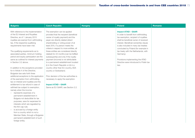| <b>Bulgaria</b>                                                                                                                                                                                                                                                                                                                                                                                                                                                                                                                                                                                                                                                                                                                                                                                                                                                                                                                                                                                                                                                                                                                 | <b>Czech Republic</b>                                                                                                                                                                                                                                                                                                                                                                                                                                                                                                                                                                                                                                                                                                                                  | <b>Hungary</b> | Poland                                                                                                                                                                                                                                                                                                                                                                                                                    | <b>Romania</b> |
|---------------------------------------------------------------------------------------------------------------------------------------------------------------------------------------------------------------------------------------------------------------------------------------------------------------------------------------------------------------------------------------------------------------------------------------------------------------------------------------------------------------------------------------------------------------------------------------------------------------------------------------------------------------------------------------------------------------------------------------------------------------------------------------------------------------------------------------------------------------------------------------------------------------------------------------------------------------------------------------------------------------------------------------------------------------------------------------------------------------------------------|--------------------------------------------------------------------------------------------------------------------------------------------------------------------------------------------------------------------------------------------------------------------------------------------------------------------------------------------------------------------------------------------------------------------------------------------------------------------------------------------------------------------------------------------------------------------------------------------------------------------------------------------------------------------------------------------------------------------------------------------------------|----------------|---------------------------------------------------------------------------------------------------------------------------------------------------------------------------------------------------------------------------------------------------------------------------------------------------------------------------------------------------------------------------------------------------------------------------|----------------|
| With reference to the implementation<br>of the EU Interest and Royalties<br>Directive, as of 1 January 2015<br>royalties are exempt from withholding<br>tax, if the respective qualifying<br>requirements have been met.<br>The qualifying requirements as to<br>associated parties, minimum holding<br>period and equity participation are the<br>same as outlined for interest payments<br>in Section 3.2 above.<br>In addition to the exceptions provided<br>for in Article 4 of the Directive,<br>Bulgarian law sets forth three<br>additional exceptions to the application<br>of the exemption from withholding<br>tax on interest and royalties and the<br>entitlement to tax refund in case of<br>withheld tax subject to exemption,<br>namely when the income:<br>represents expenses of a<br>permanent establishment in<br>Bulgaria not deductible for tax<br>purposes, save for expenses for<br>interests which are regulated by<br>the thin cap rule;<br>is accrued by a foreign entity<br>from a country which is not a<br>Member State, through a Bulgarian<br>permanent establishment of such<br>foreign entity; | The exemption can be applied<br>provided that the recipient (beneficial<br>owner of royalty payment) and the<br>payer are directly related (direct<br>shareholding or voting power of at<br>least 25%; if a person meets the<br>criteria in respect to more entities, all<br>these entities are considered directly<br>related) for 24 months (can be fulfilled<br>subsequently) and only if the royalty<br>payment (income) is not attributable<br>to a permanent establishment located<br>(i) in the Czech Republic or (ii) in a<br>country other than EU country, EEA<br>country or Switzerland.<br>Prior decision of the tax authorities is<br>necessary to apply the exemption.<br><b>Impact ATAD - GAAR</b><br>Same as EU GAAR, see Section 2.2. |                | <b>Impact ATAD - GAAR</b><br>In order to benefit from withholding<br>tax exemption, recipient of royalties<br>shall be beneficial owner of received<br>interest. Beneficial ownership clause<br>is also included in many tax treaties<br>concluded by Poland (for example in<br>tax treaty with the Netherlands, with<br>Germany).<br>Provisions implementing the ATAD<br>Directive were introduced to Polish tax<br>law. |                |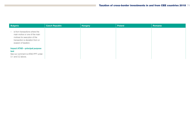| <b>Bulgaria</b>                                                                                                                                                | <b>Czech Republic</b> | <b>Hungary</b> | Poland | <b>Romania</b> |
|----------------------------------------------------------------------------------------------------------------------------------------------------------------|-----------------------|----------------|--------|----------------|
| - is from transactions where the<br>main motive or one of the main<br>motives for execution of the<br>transaction is deviation from or<br>evasion of taxation. |                       |                |        |                |
| <b>Impact ATAD - principal purpose</b><br>test<br>See our comment re ATAD PPT under<br>3.1 and 3.2 above.                                                      |                       |                |        |                |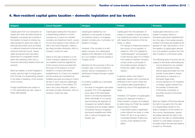# 4. Non-resident capital gains taxation – domestic legislation and tax treaties

| <b>Bulgaria</b>                                                                                                                                                                                                                                                                                                                                                                                                                                                                                                                                                                                                                                                                                                                                                                                          | <b>Czech Republic</b>                                                                                                                                                                                                                                                                                                                                                                                                                                                                                                                                                                                                                                                                                                                                                                                                                                                       | <b>Hungary</b>                                                                                                                                                                                                                                                                                                                                                                                                                                                                                                                                                                                                                                                                                                                                                                                                                                                                                                                                                                                                               | <b>Poland</b>                                                                                                                                                                                                                                                                                                                                                                                                                                                                                                                                                                                                                                                                                                                                                                                                                                                                                                                                                                                                                                                                                                                                                                                               | Romania                                                                                                                                                                                                                                                                                                                                                                                                                                                                                                                                                                                                                                                                                                                                                                                                                                                                                                                                                                                                                                                                                                                                                                                                                           |
|----------------------------------------------------------------------------------------------------------------------------------------------------------------------------------------------------------------------------------------------------------------------------------------------------------------------------------------------------------------------------------------------------------------------------------------------------------------------------------------------------------------------------------------------------------------------------------------------------------------------------------------------------------------------------------------------------------------------------------------------------------------------------------------------------------|-----------------------------------------------------------------------------------------------------------------------------------------------------------------------------------------------------------------------------------------------------------------------------------------------------------------------------------------------------------------------------------------------------------------------------------------------------------------------------------------------------------------------------------------------------------------------------------------------------------------------------------------------------------------------------------------------------------------------------------------------------------------------------------------------------------------------------------------------------------------------------|------------------------------------------------------------------------------------------------------------------------------------------------------------------------------------------------------------------------------------------------------------------------------------------------------------------------------------------------------------------------------------------------------------------------------------------------------------------------------------------------------------------------------------------------------------------------------------------------------------------------------------------------------------------------------------------------------------------------------------------------------------------------------------------------------------------------------------------------------------------------------------------------------------------------------------------------------------------------------------------------------------------------------|-------------------------------------------------------------------------------------------------------------------------------------------------------------------------------------------------------------------------------------------------------------------------------------------------------------------------------------------------------------------------------------------------------------------------------------------------------------------------------------------------------------------------------------------------------------------------------------------------------------------------------------------------------------------------------------------------------------------------------------------------------------------------------------------------------------------------------------------------------------------------------------------------------------------------------------------------------------------------------------------------------------------------------------------------------------------------------------------------------------------------------------------------------------------------------------------------------------|-----------------------------------------------------------------------------------------------------------------------------------------------------------------------------------------------------------------------------------------------------------------------------------------------------------------------------------------------------------------------------------------------------------------------------------------------------------------------------------------------------------------------------------------------------------------------------------------------------------------------------------------------------------------------------------------------------------------------------------------------------------------------------------------------------------------------------------------------------------------------------------------------------------------------------------------------------------------------------------------------------------------------------------------------------------------------------------------------------------------------------------------------------------------------------------------------------------------------------------|
| Capital gains from any transaction on<br>shares and other securities issued by<br>Bulgarian companies are included in<br>the resident company's ordinary tax<br>base (except for gains from sales of<br>financial instruments such as shares<br>in collective investment schemes and<br>national investment funds, shares,<br>rights and government securities,<br>performed on a regulated market<br>within the meaning of the Law on<br>Financial Instruments Market which are<br>exempt).<br>Most tax treaties, to which Bulgaria is<br>a party, give the right to charge gains<br>from the sale of a shareholding interest<br>to the state of residency of the receiver<br>of this income.<br>Foreign beneficiaries are subject to<br>a 10% withholding tax rate, unless a<br>treaty relief applies. | Capital gains arising from the sale of<br>a shareholding interest in a Czech<br>company by a Czech non-resident<br>company are treated as Czech- source<br>income and subject to the ordinary CIT<br>rate in the Czech Republic, unless a<br>tax treaty provides otherwise, which is,<br>however, mostly the case.<br>Gains on the sale of shares in a non-<br>Czech company realised by a Czech<br>non-resident would be regarded as<br>Czech source income provided that<br>the buyer of the shares is a Czech<br>resident or a Czech permanent<br>establishment of a Czech non-resident<br>and the shares are considered as<br>tradable securities according to Czech<br>tax law. In such case the capital gain<br>would be subject to the ordinary CIT<br>rate in the Czech Republic, unless a<br>tax treaty provides otherwise, which is,<br>however, mostly the case. | Capital gains realised by non-<br>residents on the transfer of shares<br>(or business quota) in a Hungarian<br>resident company are, in principle, not<br>taxable in Hungary.<br>However, if the company is a real<br>estate company, the capital gains<br>realised at the alienation of its shares<br>by a non-resident could be taxable in<br>Hungary at 9%.<br>Alienation for the purposes of this rule<br>includes: sale, in-kind contribution,<br>transfer without consideration or the<br>withdrawal of shares through a capital<br>decrease.<br>A company qualifies as a real estate<br>company if:<br>the value of Hungarian real estate<br>exceeds 75% of the aggregate<br>book value of the total assets<br>shown in its financial statement<br>either individually or on a group<br>level (including the taxpayer, its<br>Hungarian tax resident related<br>companies and the foreign related<br>companies having a Hungarian<br>permanent establishment either<br>with or without Hungarian real<br>estate); and | Capital gains from the alienation of<br>shares in a resident company held by<br>non-residents are taxed in accordance<br>with respective provisions of the tax<br>treaty, i.e. either:<br>CIT exempt in Poland and taxed in<br>$\overline{\phantom{0}}$<br>the country of non-resident; or<br>subject to 19%/15% (applies to<br>$ \,$<br>"small-taxpayers" and taxpayers<br>in their first tax year) CIT in Poland<br>if the assets of resident company<br>consist wholly or principally of<br>immovable property situated in<br>Poland (so-called "real estate<br>clause").<br>In general, where a tax treaty is<br>applicable, taxation will in principle be<br>attributed to the country where the<br>non-resident seller (shareholder) is<br>resident by virtue of the applicable tax<br>treaty.<br>Therefore, CIT taxation of capital gains<br>arising from disposal of shares in<br>Polish resident company and realized<br>by seller being non-Polish tax resident<br>shall be taxed in Poland:<br>- if real estate clause is applicable<br>(under relevant tax treaty or under<br>Polish CIT Act if no tax treaty is<br>concluded between Poland and<br>country of tax residence of the<br>seller). | Capital gains derived by a non-<br>resident company without a<br>Romanian permanent establishment<br>from the sale of immovable property<br>located in Romania are taxable at the<br>general CIT rate. See Section 2.3 for<br>the taxation of capital gains derived<br>by a non-resident company from the<br>sale of shares in a Romanian entity.<br>The following types of income are not<br>subject to Romanian withholding tax:<br>income derived by non-resident<br>collective placement bodies<br>without legal personality from the<br>transfer of securities or shares<br>held directly or indirectly in a<br>Romanian legal entity;<br>income derived by non-residents<br>on foreign capital markets from<br>the transfer of shares held<br>in Romanian companies or<br>securities issued by Romanian<br>residents.<br>Most tax treaties of Romania allocate<br>the right to tax gains from the sale<br>of a shareholding interest to the<br>state of residency of the receiver of<br>this income. Nevertheless, several<br>tax treaties allocate the right to tax<br>gains from the sale of a shareholding<br>interest in a real estate company to<br>the state where the said real estate is<br>located (i.e. Romania). |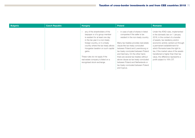| <b>Bulgaria</b> | <b>Czech Republic</b> | <b>Hungary</b>                                                                                                                                                                                                                                                                                                                                                                 | Poland                                                                                                                                                                                                                                                                                                                                                                                                                                                                               | Romania                                                                                                                                                                                                                                                                                                                                                                                                            |
|-----------------|-----------------------|--------------------------------------------------------------------------------------------------------------------------------------------------------------------------------------------------------------------------------------------------------------------------------------------------------------------------------------------------------------------------------|--------------------------------------------------------------------------------------------------------------------------------------------------------------------------------------------------------------------------------------------------------------------------------------------------------------------------------------------------------------------------------------------------------------------------------------------------------------------------------------|--------------------------------------------------------------------------------------------------------------------------------------------------------------------------------------------------------------------------------------------------------------------------------------------------------------------------------------------------------------------------------------------------------------------|
|                 |                       | any of the shareholders of the<br>$-$<br>taxpayer or of a group member<br>is resident for at least one day<br>in the tax year in a non-treaty<br>foreign country, or in a treaty<br>country where the tax treaty allows<br>Hungarian taxation on such capital<br>gains.<br>These rules do not apply if the<br>real estate company is listed on a<br>recognised stock exchange. | in case of sale of shares in listed<br>companies if the seller is tax<br>resident in the non-treaty country<br>Many tax treaties provides real estate<br>clause like tax treaty concluded<br>between Poland and Luxembourg or<br>tax treaty concluded between Poland<br>and Germany. On the other hand,<br>there are several tax treaties without<br>above clause as tax treaty concluded<br>between Poland and Netherlands or<br>tax treaty concluded between Poland<br>and Cyprus. | Under the ATAD rules, implemented<br>in the domestic law on 1 January<br>2018, in the context of a transfer<br>of assets, tax residency and/or<br>economic activity carried out through<br>a permanent establishment for<br>which Romania loses the right to<br>tax, if the market value of the assets<br>transferred is higher than their tax<br>value, the difference represents a<br>profit subject to 16% CIT. |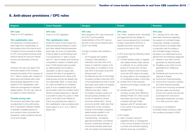# 5. Anti-abuse provisions / CFC rules

| <b>Bulgaria</b>                          | <b>Czech Republic</b>                      | <b>Hungary</b>                                                    | <b>Poland</b>                            | <b>Romania</b>                         |
|------------------------------------------|--------------------------------------------|-------------------------------------------------------------------|------------------------------------------|----------------------------------------|
| <b>CFC rules</b>                         | <b>CFC rules</b>                           | <b>CFC rules</b>                                                  | <b>CFC rules</b>                         | <b>CFC rules</b>                       |
| There is no CFC legislation.             | There is no CFC legislation.               | New Hungarian CFC rules introduced                                | The Polish residents (both individuals   | On 1 January 2018, new rules           |
|                                          |                                            | as of 2017 are the (partial)                                      | and legal persons) are obliged to        | have been introduced regarding         |
| Thin capitalisation rules                | Thin capitalisation rules                  | implementation of the CFC rules as                                | report income derived from Controlled    | the taxation of controlled foreign     |
|                                          |                                            |                                                                   |                                          |                                        |
| The deduction of interest paid on        | Under the Czech Income Taxes Act,          | set forth in the Council Directive (EU)                           | Foreign Corporations (CFCs) in a         | companies, whereby a taxpayer          |
| loans taken from shareholders or         | financial expenses (interest on loans      | 2016/1164 (ATAD).                                                 | separate tax return and tax that         | should include in its taxable base,    |
| third parties (minus the total amount    | and other related financial expenses       |                                                                   | income at the rate of 19%.               | in proportion with its holding in      |
| of interest income received) is limited  | (bank fees, etc.)) are not deductible,     | A foreign company will constitute a                               |                                          | the controlled foreign company,        |
| to 75% of the positive financial result  | if they (i) relate to profit sharing loans | CFC if:                                                           | A CFC must meet the following criteria   | the latter's non-distributed income    |
| (without taking into account interest    | or (ii) exceed the 4:1 debt to equity      | - the Hungarian tax resident                                      | cumulatively:                            | derived from the following categories: |
| income and expenses) of the tax          | ratio (6:1 ratio for banks and insurance   | company holds (directly or                                        | (1) a Polish resident solely or together | Interest or any other income<br>(i)    |
| obligor.                                 | companies) in respect of related party     | indirectly) more than 50% of its                                  | with related entities holds, directly    | generated by financial assets;         |
|                                          | loans. Profit sharing loans provided       | shares or holds the majority of its                               | or indirectly, for an uninterrupted      | (ii) Royalties or any other income     |
| However, the rules only apply if the     | by related parties are included in         | voting rights or is entitled to more                              | period of not less than 30 days,         | generated from intellectual            |
| borrowed capital of the company          | calculation of debt to equity ratio,       | than 50% of its profits ('economic                                | specific interest in that company -      | property;                              |
| exceeds the equity of the company at     | however, the ratio is not applied to       | influence test'); and                                             | more than 50% share in (i) equity,       | (iii) Dividends and income from the    |
| 3 to 1 debt-to-equity ratio. Interest on | financial expenses from these profit       | the effective tax rate on the foreign<br>$\overline{\phantom{0}}$ | (ii) voting rights in the management     | disposal of shares;                    |
| bank loans and interest paid under       | sharing loans as they are already fully    | company's profits is less than 50%                                | or constituting bodies or (iii) profits, | (iv) Income from financial leasing;    |
| financial lease agreements is only       | non-deductible, Back-to-back loans         | of the hypothetical tax that it would                             | (2) at least 33% of the revenues         | (v) Income from insurance, banking     |
| subject to thin capitalisation rules     | (i.e. loans provided by an unrelated       | have paid, had it been a Hungarian                                | earned by the foreign company are        | and other financial activities;        |
| where the arrangement is between         | party A to an unrelated party B that       | taxpayer in a similar situation                                   | passive,                                 | (vi) Income from invoicing companies   |
| related parties. The thin cap rules do   | are provided under the condition that a    | ('effective tax rate'); unless                                    | (3) actually paid CIT by foreign         | that earn sales and services           |
| not apply to credit institutions.        | directly corresponding loan or deposit     | the foreign company carries out                                   | company is lower than difference         | income from goods and services         |
|                                          | is provided to party A by party C while    | actual business activities in its                                 | between Polish CIT, which would          | purchased from and sold to             |
| <b>Transfer pricing rules</b>            | party C and party B are related for        | country of residence ('actual                                     | have been due if such foreign            | associated enterprises, and add        |
| The revenue authorities may make         | Czech tax purposes) are subject to         | economic activity test'). 'Actual                                 | company had been Polish                  | no or little economic value.           |
| an adjustment to the profit arising      | thin capitalisation rules as related party | economic activity' shall mean that                                | taxpayer, and CIT actually paid          |                                        |
| from a transaction between related       | loans subject to a 4:1 or 6:1 debt to      | at least 50% of the combined                                      | in its country of incorporation or       | A company is considered a              |
| or between unrelated persons if          | equity ratio.                              | revenue of the foreign company's                                  | management.                              | controlled foreign company under       |
| such persons have concluded the          |                                            | related parties resident in the                                   |                                          | the conditions provided in ATAD.       |
| transaction under conditions that are    |                                            | same country derives from                                         | A CFC entails:                           |                                        |
| not at arm's length.                     |                                            | manufacturing, processing,                                        |                                          |                                        |
|                                          |                                            |                                                                   | (1) each company having its              |                                        |
|                                          |                                            | agricultural activities, commercial                               | registered office or management          |                                        |
|                                          |                                            | services, investment activities, or                               | in the country included in the list of   |                                        |
|                                          |                                            | commercial activities performed                                   | countries and territories applying       |                                        |
|                                          |                                            | with own assets and employees.                                    | harmful venue tax competition,           |                                        |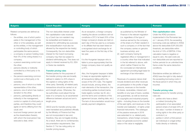| <b>Bulgaria</b>                                                                                                                                                                                                                                                                                                                                                                                                                                                                                                                                                                                                                                                                                                                                                                                                                                                                                                                                                                         | <b>Czech Republic</b>                                                                                                                                                                                                                                                                                                                                                                                                                                                                                                                                                                                                                                                                                                                                                                                                                                                                                                                                                                                                                                 | <b>Hungary</b>                                                                                                                                                                                                                                                                                                                                                                                                                                                                                                                                                                                                                                                                                                                                                                                                                                                                                                                                                              | <b>Poland</b>                                                                                                                                                                                                                                                                                                                                                                                                                                                                                                                                                                                                                                                                                                                                                                                                                                                                                                                                                                                                                                                                                | <b>Romania</b>                                                                                                                                                                                                                                                                                                                                                                                                                                                                                                                                                                                                                                                                                                                                                                                                                                                                                                                             |
|-----------------------------------------------------------------------------------------------------------------------------------------------------------------------------------------------------------------------------------------------------------------------------------------------------------------------------------------------------------------------------------------------------------------------------------------------------------------------------------------------------------------------------------------------------------------------------------------------------------------------------------------------------------------------------------------------------------------------------------------------------------------------------------------------------------------------------------------------------------------------------------------------------------------------------------------------------------------------------------------|-------------------------------------------------------------------------------------------------------------------------------------------------------------------------------------------------------------------------------------------------------------------------------------------------------------------------------------------------------------------------------------------------------------------------------------------------------------------------------------------------------------------------------------------------------------------------------------------------------------------------------------------------------------------------------------------------------------------------------------------------------------------------------------------------------------------------------------------------------------------------------------------------------------------------------------------------------------------------------------------------------------------------------------------------------|-----------------------------------------------------------------------------------------------------------------------------------------------------------------------------------------------------------------------------------------------------------------------------------------------------------------------------------------------------------------------------------------------------------------------------------------------------------------------------------------------------------------------------------------------------------------------------------------------------------------------------------------------------------------------------------------------------------------------------------------------------------------------------------------------------------------------------------------------------------------------------------------------------------------------------------------------------------------------------|----------------------------------------------------------------------------------------------------------------------------------------------------------------------------------------------------------------------------------------------------------------------------------------------------------------------------------------------------------------------------------------------------------------------------------------------------------------------------------------------------------------------------------------------------------------------------------------------------------------------------------------------------------------------------------------------------------------------------------------------------------------------------------------------------------------------------------------------------------------------------------------------------------------------------------------------------------------------------------------------------------------------------------------------------------------------------------------------|--------------------------------------------------------------------------------------------------------------------------------------------------------------------------------------------------------------------------------------------------------------------------------------------------------------------------------------------------------------------------------------------------------------------------------------------------------------------------------------------------------------------------------------------------------------------------------------------------------------------------------------------------------------------------------------------------------------------------------------------------------------------------------------------------------------------------------------------------------------------------------------------------------------------------------------------|
| Related companies are defined as<br>follows:<br>the entities, one of which partici-<br>$\overline{\phantom{0}}$<br>pates in the management of the<br>other or of its subsidiary, as well<br>as the entities, in the management<br>or controlling body of which<br>participates the same person;<br>a company or person holding more<br>than 5% of the voting shares in a<br>company;<br>a person exercising control over<br>the other:<br>persons directly or indirectly<br>controlled by a third party or its<br>subsidiary;<br>the persons exercising common<br>control over a third party or its<br>subsidiary;<br>persons, one of whom is a trade<br>representative of the other;<br>persons, one of whom has made a<br>donation to the other:<br>persons, participating directly or<br>$\overline{\phantom{m}}$<br>indirectly in the management,<br>control or capital of a third party or<br>parties, and therefore they could<br>agree on terms differing from the<br>usual; and | The non-deductible interest under<br>thin capitalisation rules received<br>by a Czech tax non-resident may<br>be reclassified and treated as a<br>dividend for withholding tax purposes<br>(the reclassification must also be<br>allowed by the respective tax treaty).<br>Consequently, the non-deductible<br>interest for the Czech borrowing<br>company may then be subject to<br>dividend withholding tax. This does not<br>apply to interest received by EU, EEA<br>or Swiss tax residents.<br><b>Transfer pricing rules</b><br>Related parties for the purposes of<br>the transfer pricing rules are broadly<br>defined in relation to 25% share in<br>the capital or voting rights of the<br>other party. Generally, all related party<br>transactions should be carried on at<br>arm's length prices. Otherwise, the<br>tax authorities could adjust the tax<br>base of a company by an ascertained<br>difference between actual and arm's<br>length price.<br>OECD and EU transfer pricing rules<br>were translated and published officially | As an exception, a foreign company<br>meeting the above conditions will not<br>constitute a CFC if at least 25% of the<br>foreign company's shares are held on<br>each day of the tax year by a company<br>or its affiliate that has been listed on<br>a recognised stock exchange for at<br>least five years on the first day of the<br>tax year.<br>It is the Hungarian taxpayer who is<br>liable to prove appropriately that the<br>foreign company does not qualify as<br>a CFC.<br>Also, the Hungarian taxpayer is liable<br>to keep an appropriate register on<br>all transactions falling within the<br>scope of the CFC rules. The register<br>should include, among others, the<br>main elements of the transaction, the<br>contracting parties involved (name,<br>trade registry number, tax ID, etc.)<br>and the terms and conditions of the<br>agreement (scope, starting date, etc.).<br>The lack of documentation would incur<br>penalty payment obligations. | as published by the Minister of<br>Finance in the relevant regulation<br>(i.e. regardless of the type of<br>revenue earned by the company,<br>of the share of a Polish resident in<br>such a company or of the fact that<br>the company carries on genuine<br>business activity), and<br>(2) each company having its<br>registered office or management in<br>a country other than that indicated<br>in the list referred to above, with<br>which neither Poland nor the<br>EU concluded an international<br>agreement providing legal basis for<br>exchange of tax information.<br>Revenues of a passive nature shall<br>include dividend and other revenues<br>on participation in the profits of legal<br>persons, revenues on the transfer<br>of shares, receivables, interest and<br>benefits on any type of loans, sureties<br>and guarantees, as well as revenues<br>on copyrights and industrial property<br>rights - including those on the transfer<br>of the said rights, and revenues on the<br>transfer and realisation of rights under<br>financial instruments. The catalogue | Thin capitalisation rules<br>Under the ATAD provisions<br>implemented in the Romanian law<br>on 1 January 2018, the exceeding<br>borrowing costs (as defined in ATAD)<br>above the deductible EUR 200,000<br>threshold, are deductible within<br>the limit of 10% of EBITDA. If this<br>calculation basis is negative or<br>equal to zero, the said costs are<br>non-deductible and are reported to<br>further periods for an unlimited time<br>frame under the same deduction<br>conditions.<br>Standalone entities (as defined in<br>ATAD) have the right to fully deduct<br>the exceeding borrowing costs in<br>the fiscal period in which they are<br>incurred.<br><b>Transfer pricing rules</b><br>Related persons for transfer pricing<br>rules are:<br>parties who have a direct<br>$\equiv$<br>or indirect (including the<br>participation of an associated<br>person) share of at least 25% of<br>the value / number of shares or |
|                                                                                                                                                                                                                                                                                                                                                                                                                                                                                                                                                                                                                                                                                                                                                                                                                                                                                                                                                                                         |                                                                                                                                                                                                                                                                                                                                                                                                                                                                                                                                                                                                                                                                                                                                                                                                                                                                                                                                                                                                                                                       |                                                                                                                                                                                                                                                                                                                                                                                                                                                                                                                                                                                                                                                                                                                                                                                                                                                                                                                                                                             |                                                                                                                                                                                                                                                                                                                                                                                                                                                                                                                                                                                                                                                                                                                                                                                                                                                                                                                                                                                                                                                                                              |                                                                                                                                                                                                                                                                                                                                                                                                                                                                                                                                                                                                                                                                                                                                                                                                                                                                                                                                            |
| local and foreign person (as well<br>as the shareholders therein),<br>with whom the local person has<br>executed a deal, when:                                                                                                                                                                                                                                                                                                                                                                                                                                                                                                                                                                                                                                                                                                                                                                                                                                                          | by the Ministry of Finance but they<br>are not incorporated in law and,<br>therefore, they are not legally binding.<br>As a result, there are no contemporary<br>documentation requirements. See<br>Section 2.7 for tax ruling policy on                                                                                                                                                                                                                                                                                                                                                                                                                                                                                                                                                                                                                                                                                                                                                                                                              |                                                                                                                                                                                                                                                                                                                                                                                                                                                                                                                                                                                                                                                                                                                                                                                                                                                                                                                                                                             | of the passive revenues in 2018<br>was extended to i.a. related-party<br>transactions, where foreign company<br>does not generate economic added<br>value or this value is negligible;                                                                                                                                                                                                                                                                                                                                                                                                                                                                                                                                                                                                                                                                                                                                                                                                                                                                                                       | voting rights in the other party or<br>controls it; or<br>parties in which a third person<br>(an individual or a legal entity)<br>holds directly or indirectly                                                                                                                                                                                                                                                                                                                                                                                                                                                                                                                                                                                                                                                                                                                                                                             |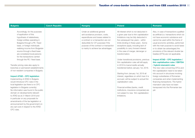| <b>Bulgaria</b>                                                                                                                                                                                                                                                                                                                                                                                                                                                                                                                                                                                                                                                                                                                                                                                                                                                                                                                                                             | <b>Czech Republic</b> | <b>Hungary</b>                                                                                                                                                                                                                                                       | <b>Poland</b>                                                                                                                                                                                                                                                                                                                                                                                                                                                                                                                                                                                                                                                                                                                                                                                                         | Romania                                                                                                                                                                                                                                                                                                                                                                                                                                                                                                                                                                                                                                                                                                                                                                                    |
|-----------------------------------------------------------------------------------------------------------------------------------------------------------------------------------------------------------------------------------------------------------------------------------------------------------------------------------------------------------------------------------------------------------------------------------------------------------------------------------------------------------------------------------------------------------------------------------------------------------------------------------------------------------------------------------------------------------------------------------------------------------------------------------------------------------------------------------------------------------------------------------------------------------------------------------------------------------------------------|-----------------------|----------------------------------------------------------------------------------------------------------------------------------------------------------------------------------------------------------------------------------------------------------------------|-----------------------------------------------------------------------------------------------------------------------------------------------------------------------------------------------------------------------------------------------------------------------------------------------------------------------------------------------------------------------------------------------------------------------------------------------------------------------------------------------------------------------------------------------------------------------------------------------------------------------------------------------------------------------------------------------------------------------------------------------------------------------------------------------------------------------|--------------------------------------------------------------------------------------------------------------------------------------------------------------------------------------------------------------------------------------------------------------------------------------------------------------------------------------------------------------------------------------------------------------------------------------------------------------------------------------------------------------------------------------------------------------------------------------------------------------------------------------------------------------------------------------------------------------------------------------------------------------------------------------------|
| Accordingly, for the purposes<br>of application of this<br>hypothesis of relatedness,<br>foreign entities operating in<br>Bulgaria through a PE / fixed<br>base, or foreign individuals<br>realising income from Bulgarian<br>source through a fixed base<br>are considered local persons<br>for the transactions carried<br>through the PE / fixed base.<br>Transfer pricing rules also apply to<br>branches or permanent establishments<br>of non-resident companies in Bulgaria.<br><b>Impact ATAD - CFC legislation</b><br>Implementing of ATAD in Bulgaria<br>would introduce CFC rules in the<br>local legislation (as there is no CFC<br>legislation in Bulgaria currently).<br>No information was found in the public<br>domain on developments relevant<br>to ATAD as at 21 March 2018 and<br>in particular on any proposals for<br>amendments of the tax legislation or<br>announcement by the government on<br>any opt-outs in respect to the ATAD<br>CFC rules. |                       | Under an additional general<br>anti-avoidance provision, costs,<br>expenditures and losses related to<br>a contract or a transaction are not<br>deductible for CIT purposes if the<br>purpose of the contract or transaction<br>is mainly to achieve tax advantages. | All interest which is not deducted in<br>a given year due to thin capitalization<br>limitations may be fully deducted in<br>five subsequent tax years - within<br>limits binding in these years. Some<br>exceptions apply, including lack of<br>possibility to carry forward interest<br>in the case of merger, demerger or<br>transformation.<br>Under transitional provisions, previous<br>thin capitalization rules will still apply<br>in 2018 to loans/credits actually<br>transferred before January 1st, 2018.<br>Starting from January 1st, 2019 all<br>interest, regardless on which loan it is<br>accrued, will be subject to actual thin<br>capitalization rules.<br>Financial entities (banks, credit<br>institutions, insurance companies) are<br>not subject to new thin capitalization<br>limitations. | Also, in case of transactions qualified<br>as artificial (i.e. transactions which do<br>not have economic substance and<br>cannot be used within the frame of<br>usual economic activities, performed<br>with the main purpose to avoid taxes<br>or to obtain tax advantages) the<br>provisions of the relevant double tax<br>treaties (DTTs) are not applicable.<br><b>Impact ATAD - CFC legislation /</b><br>thin capitalisation rules / EBITDA<br>/ hybrid mismatch rules<br>The new rules concerning CFCs and<br>thin capitalization need to be taken<br>into account in structures involving<br>foreign subsidiaries of Romanian<br>companies and when implementing<br>financing transactions. The hybrid<br>mismatch rules have not been<br>transposed into the Romanian law<br>yet. |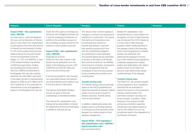| <b>Bulgaria</b>                                                                                                                                                                                                                                                                                                                                                                                                                                                                                                                                                                                                                                                                                                                                                                                                                                                                                   | <b>Czech Republic</b>                                                                                                                                                                                                                                                                                                                                                                                                                                                                                                                                                                                                                                                                                                                                                                                                                                                                                                                                                                          | <b>Hungary</b>                                                                                                                                                                                                                                                                                                                                                                                                                                                                                                                                                                                                                                                                                                                                                                                                                                                                                                                                                                                                                                                                                                                     | <b>Poland</b>                                                                                                                                                                                                                                                                                                                                                                                                                                                                                                                                                                                                                                                                                                                                                                                                                                                                                                                                                                                                                                                                                                                                                                   | Romania |
|---------------------------------------------------------------------------------------------------------------------------------------------------------------------------------------------------------------------------------------------------------------------------------------------------------------------------------------------------------------------------------------------------------------------------------------------------------------------------------------------------------------------------------------------------------------------------------------------------------------------------------------------------------------------------------------------------------------------------------------------------------------------------------------------------------------------------------------------------------------------------------------------------|------------------------------------------------------------------------------------------------------------------------------------------------------------------------------------------------------------------------------------------------------------------------------------------------------------------------------------------------------------------------------------------------------------------------------------------------------------------------------------------------------------------------------------------------------------------------------------------------------------------------------------------------------------------------------------------------------------------------------------------------------------------------------------------------------------------------------------------------------------------------------------------------------------------------------------------------------------------------------------------------|------------------------------------------------------------------------------------------------------------------------------------------------------------------------------------------------------------------------------------------------------------------------------------------------------------------------------------------------------------------------------------------------------------------------------------------------------------------------------------------------------------------------------------------------------------------------------------------------------------------------------------------------------------------------------------------------------------------------------------------------------------------------------------------------------------------------------------------------------------------------------------------------------------------------------------------------------------------------------------------------------------------------------------------------------------------------------------------------------------------------------------|---------------------------------------------------------------------------------------------------------------------------------------------------------------------------------------------------------------------------------------------------------------------------------------------------------------------------------------------------------------------------------------------------------------------------------------------------------------------------------------------------------------------------------------------------------------------------------------------------------------------------------------------------------------------------------------------------------------------------------------------------------------------------------------------------------------------------------------------------------------------------------------------------------------------------------------------------------------------------------------------------------------------------------------------------------------------------------------------------------------------------------------------------------------------------------|---------|
| <b>Impact ATAD - thin capitalisation</b><br>rules / EBITDA<br>As noted above, under the Bulgarian<br>thin cap rule the deduction of interest<br>paid on loans taken from shareholders<br>or third parties (minus the total amount<br>of interest income received) is limited<br>to 75% of the positive financial result<br>(without taking into account interest<br>income and expenses) of the tax<br>obligor, i.e. 75% of its EBITDA. In view<br>of the interest limitation rule (Article<br>4 ATAD) amongst others, limiting<br>the exceeding borrowing costs to<br>30% from EBITDA amendments in<br>the Bulgarian thin cap rule could be<br>expected. No information was found<br>in the public domain on developments<br>relevant to ATAD as at 21 March 2018<br>and in particular on any proposals for<br>amendments of the local legislation in<br>respect to the Bulgarian thin cap rule. | Under the CFC regime, the foreign tax<br>should be set-off against domestic tax<br>in and the subsequent distribution of<br>profits by the controlled company to<br>the controlling company should not be<br>subject to Czech taxation anymore.<br><b>Impact ATAD - thin capitalisation</b><br>rules / EBITDA<br>(Expected as of 2019)<br>Under the new rules, interest costs<br>should only be deductible up to the<br>higher of the following amounts: 30%<br>of EBITDA and CZK 80 million per<br>annum (the de minimis rule).<br>It should be possible to carry forward<br>non-deductible interest cost (without<br>any time limitation) and to deduct it up<br>to the limit above in later years.<br>The interest deductibility limitation<br>should not apply to financial<br>undertakings or standalone entities.<br>The existing thin capitalisation rules<br>limiting the tax deductibility of interest<br>on related-party financing should apply<br>in parallel as well (see above). | The 'abuse of law' doctrine applies in<br>Hungary to contracts and transactions<br>entered into or performed. This means<br>that rights and transactions must<br>be exercised and carried out<br>properly and lawfully, in line with<br>their specific purpose and in line<br>with the constitutional obligation<br>of contributing to public spending.<br>The doctrine allows the tax authorities<br>to assess on the basis of all relevant<br>facts and circumstances, tax liabilities<br>stemming from contracts, transactions<br>or other arrangements that are<br>considered to have the sole purpose<br>of circumventing tax provisions and<br>avoiding taxes.<br><b>Transfer pricing rules</b><br>The transfer pricing rules are generally<br>based on the OECD guidelines and<br>state that transactions between related<br>parties must be at arm's length for<br>taxation purposes. Transfer prices<br>must be documented.<br>In addition, related party status also<br>applies where a controlling influence<br>on business and financial policy exists<br>between two entities based on their<br>identical management. | Beside thin capitalization rules<br>presented above, a new limitation for<br>recognition of costs of debt financing<br>was introduced from 2018. Based on<br>it, if the costs of debt financing<br>exceeds market creditworthiness of<br>the taxpayer (value of the financing,<br>which could be granted by unrelated<br>parties), tax authorities may<br>determine the taxpayer's income/<br>loss under transfer pricing regulations.<br>Collaterals obtained from related<br>parties and relationships with related<br>parties should not be taken into<br>account when determining market<br>creditworthiness of the taxpayer.<br><b>Transfer pricing rules</b><br>The Polish CIT Law contains transfer<br>pricing regulations. Such regulations<br>authorise the tax authorities to<br>assess the income on the transaction<br>between related parties if the<br>authorities consider it as being not<br>at arm's length. In addition, Polish<br>taxpayers must prepare transfer<br>pricing documentation regarding<br>transactions with related parties as<br>well as with entities from low-tax<br>jurisdictions listed in the Regulations of<br>the Minister of Finance. |         |
|                                                                                                                                                                                                                                                                                                                                                                                                                                                                                                                                                                                                                                                                                                                                                                                                                                                                                                   |                                                                                                                                                                                                                                                                                                                                                                                                                                                                                                                                                                                                                                                                                                                                                                                                                                                                                                                                                                                                | <b>Impact ATAD - CFC-legislation /</b><br>thin capitalisation rules / EBITDA /<br>hybrid mismatch rules                                                                                                                                                                                                                                                                                                                                                                                                                                                                                                                                                                                                                                                                                                                                                                                                                                                                                                                                                                                                                            |                                                                                                                                                                                                                                                                                                                                                                                                                                                                                                                                                                                                                                                                                                                                                                                                                                                                                                                                                                                                                                                                                                                                                                                 |         |
|                                                                                                                                                                                                                                                                                                                                                                                                                                                                                                                                                                                                                                                                                                                                                                                                                                                                                                   |                                                                                                                                                                                                                                                                                                                                                                                                                                                                                                                                                                                                                                                                                                                                                                                                                                                                                                                                                                                                | See comments above.                                                                                                                                                                                                                                                                                                                                                                                                                                                                                                                                                                                                                                                                                                                                                                                                                                                                                                                                                                                                                                                                                                                |                                                                                                                                                                                                                                                                                                                                                                                                                                                                                                                                                                                                                                                                                                                                                                                                                                                                                                                                                                                                                                                                                                                                                                                 |         |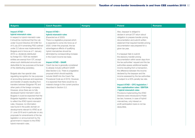| <b>Bulgaria</b>                          | <b>Czech Republic</b>                     | <b>Hungary</b> | <b>Poland</b>                            | Romania |
|------------------------------------------|-------------------------------------------|----------------|------------------------------------------|---------|
|                                          |                                           |                |                                          |         |
| <b>Impact ATAD -</b>                     | <b>Impact ATAD -</b>                      |                | Also, taxpayer is obliged to             |         |
| hybrid mismatch rules                    | hybrid mismatch rules                     |                | declare in annual CIT return about       |         |
| In respect to hybrid mismatch rules      | (Expected as of 2020)                     |                | obligation to prepare transfer pricing   |         |
| it should be mentioned that the rule     | There is a legislative proposal which     |                | documentation and submit written         |         |
| under Council Directive 2014/86/ EU      | is expected to come into force as of      |                | statement that required transfer-pricing |         |
| of 8 July 2014 amending PSD outlined     | 2020. Under this proposal, the tax        |                | documentation was prepared for a         |         |
| under 2.2 above was implemented in       | advantageous effects of qualifying        |                | given tax year.                          |         |
| Bulgaria and in force as of 1 January    | hybrid mismatches should be               |                |                                          |         |
| 2016 i.e. dividends distributed          | eliminated by corresponding increase      |                | If a taxpayer fails to submit            |         |
| by foreign EU / EEA tax resident         | in the Czech income tax base.             |                | the statutory transfer pricing           |         |
| entities are exempt from CIT, except     |                                           |                | documentation within seven days from     |         |
| where such distributed amounts are       | <b>Impact ATAD - GAAR</b>                 |                | the tax authorities' request and the tax |         |
| deductible for tax purposes at the level | Czech tax law is generally considered     |                | authorities assess additional taxable    |         |
| of the distributing subsidiary.          | to already include sufficient GAAR        |                | income resulting from a transaction,     |         |
|                                          | (See Section 2.2). There is a legislative |                | the difference between the income        |         |
| Bulgaria also has special rules          | proposal which should explicitly          |                | declared by the taxpayer and the         |         |
| regulating recognition for tax purposes  | include GAAR into the Czech Tax           |                | income assessed by the tax authorities   |         |
| of accounting revenues and expenses      | Procedural Code as of 2019. However.      |                | is subject to a 50% penalty tax rate.    |         |
| and transfer of assets resulting from    | it is expected that there would be no     |                |                                          |         |
| transfers between Bulgarian PE and       | material change to the current practice   |                | <b>Impact ATAD - CFC-legislation /</b>   |         |
| other parts of the foreign company.      | described in Section 2.2.                 |                | thin capitalisation rules / EBITDA       |         |
| However, since there are no fully        |                                           |                | / hybrid mismatch rules                  |         |
| developed hybrid mismatch rules in       |                                           |                | Provisions implementing the ATAD         |         |
| Bulgaria it could be expected that the   |                                           |                | Directive were introduced to Polish      |         |
| Bulgarian legislation may be adapted     |                                           |                | tax law; however, in case of hybrid      |         |
| to reflect the ATAD hybrid mismatch      |                                           |                | mismatches, only interest on             |         |
| rules. However, no information           |                                           |                | profit participation loans is not tax    |         |
| was found in the public domain on        |                                           |                | deductible.                              |         |
| developments relevant to ATAD as at      |                                           |                |                                          |         |
| 21 June 2018 and in particular on any    |                                           |                |                                          |         |
| proposals for amendments of the tax      |                                           |                |                                          |         |
| legislation or announcement by the       |                                           |                |                                          |         |
| government in respect to the ATAD        |                                           |                |                                          |         |
| hybrid mismatch rules.                   |                                           |                |                                          |         |
|                                          |                                           |                |                                          |         |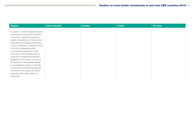| <b>Bulgaria</b>                                                                                                                                                                                                                                                                                                                                                                                                                                                                                                                                                                                                                                          | <b>Czech Republic</b> | <b>Hungary</b> | <b>Poland</b> | Romania |
|----------------------------------------------------------------------------------------------------------------------------------------------------------------------------------------------------------------------------------------------------------------------------------------------------------------------------------------------------------------------------------------------------------------------------------------------------------------------------------------------------------------------------------------------------------------------------------------------------------------------------------------------------------|-----------------------|----------------|---------------|---------|
| In respect to ATAD 2 regulating hybrid<br>mismatches involving third countries<br>it should be noted that pursuant to<br>bulletin of the Ministry of Finance from<br>December 2016 Bulgaria upheld the<br>common approach in respect to ATAD<br>2 with the understanding that<br>a compromise suggestion would<br>cover most of the possible ways for<br>using the inconsistencies between<br>legislations of the states, not only on<br>EU territory but also globally. Based<br>on the Bulgarian position on the MLI,<br>it should be mentioned that Bulgaria<br>has chosen not to apply the hybrid<br>mismatch rules under Article 3-5<br>thereunder. |                       |                |               |         |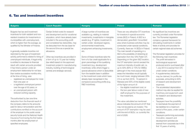# 6. Tax and investment incentives

| <b>Bulgaria</b>                                                                                                                                                                                                                                                                                                                                                                                                                                                                                                                                                                                                                                                                                                                                                                                                                                                                                                                                                                                                                                                                                                                                                                                                              | <b>Czech Republic</b>                                                                                                                                                                                                                                                                                                                                                                                                                                                                                                  | <b>Hungary</b>                                                                                                                                                                                                                                                                                                                                                                                                                                                                                                                                                                                                                                                                         | <b>Poland</b>                                                                                                                                                                                                                                                                                                                                                                                                                                                                                                                                                                                                                                                                                                                                                                                                                                                                                                                                                                                                                                                                                                                                                                                        | <b>Romania</b>                                                                                                                                                                                                                                                                                                                                                                                                                                                                                                                                                                                                                                                                                                                                                                                                                                                                                                                                                                                                                                                                                                                                                                    |
|------------------------------------------------------------------------------------------------------------------------------------------------------------------------------------------------------------------------------------------------------------------------------------------------------------------------------------------------------------------------------------------------------------------------------------------------------------------------------------------------------------------------------------------------------------------------------------------------------------------------------------------------------------------------------------------------------------------------------------------------------------------------------------------------------------------------------------------------------------------------------------------------------------------------------------------------------------------------------------------------------------------------------------------------------------------------------------------------------------------------------------------------------------------------------------------------------------------------------|------------------------------------------------------------------------------------------------------------------------------------------------------------------------------------------------------------------------------------------------------------------------------------------------------------------------------------------------------------------------------------------------------------------------------------------------------------------------------------------------------------------------|----------------------------------------------------------------------------------------------------------------------------------------------------------------------------------------------------------------------------------------------------------------------------------------------------------------------------------------------------------------------------------------------------------------------------------------------------------------------------------------------------------------------------------------------------------------------------------------------------------------------------------------------------------------------------------------|------------------------------------------------------------------------------------------------------------------------------------------------------------------------------------------------------------------------------------------------------------------------------------------------------------------------------------------------------------------------------------------------------------------------------------------------------------------------------------------------------------------------------------------------------------------------------------------------------------------------------------------------------------------------------------------------------------------------------------------------------------------------------------------------------------------------------------------------------------------------------------------------------------------------------------------------------------------------------------------------------------------------------------------------------------------------------------------------------------------------------------------------------------------------------------------------------|-----------------------------------------------------------------------------------------------------------------------------------------------------------------------------------------------------------------------------------------------------------------------------------------------------------------------------------------------------------------------------------------------------------------------------------------------------------------------------------------------------------------------------------------------------------------------------------------------------------------------------------------------------------------------------------------------------------------------------------------------------------------------------------------------------------------------------------------------------------------------------------------------------------------------------------------------------------------------------------------------------------------------------------------------------------------------------------------------------------------------------------------------------------------------------------|
| Bulgaria has tax and investment<br>incentives for both resident and non-<br>resident investors for investments in<br>municipalities with unemployment,<br>which is higher than the average, as<br>qualified by the Minister of Finance.<br>A generally available incentive not<br>restricted by the type of investment<br>activity performed is related to hiring of<br>unemployed individuals. A legal entity<br>is entitled to decrease its financial<br>result with certain amounts provided<br>it has hired a person under an<br>employment relationship for not less<br>than twelve successive months who.<br>at the time of hiring, was:<br>registered as unemployed for more<br>than one year; or<br>a registered unemployed person<br>over the age of 50 years; or<br>an unemployed person with<br>reduced working capacity.<br>The authorised by law one-time<br>deduction from the financial result of<br>the company refers to the amounts<br>paid for labour remuneration and the<br>contributions remitted on the account<br>of the employer to the public social<br>security funds and the National Health<br>Insurance Fund during the first twelve<br>months after the employment of<br>specified employees. | Certain limited costs for research<br>and development and for vocational<br>education, which have already been<br>included in the accounting profit<br>and considered tax deductible, may<br>be deducted from the tax base for<br>the second time as a special tax<br>allowance.<br>Other tax incentives are provided in<br>a form of up to 10 year tax holiday<br>(tax relief) based on the approved<br>investment project in manufacturing<br>industry, building of technological<br>centres and strategic services. | A large number of incentives are<br>available e.g. relating to material<br>investments, investments in intangible<br>assets (e.g. IP rights), investment in<br>certain under- developed regions,<br>environmental investments.<br>employment enhancing investments,<br>etc.<br>Some of these incentives take the<br>form of a tax credit applicable for a<br>given percentage of the qualifying<br>investment (e.g. development<br>incentives); while others trigger a<br>special allowance which is deductible<br>from the taxable base in addition<br>to the investment costs which have<br>already been recognised in the<br>company's accounting profits (e.g.<br>R&D incentives). | There are very attractive CIT incentives<br>for investors in special economic<br>zones (SEZ) in Poland. A SEZ is a<br>demarcated, greenfield / brownfield<br>area where business activities may be<br>conducted under special conditions.<br>Currently, there are 14 SEZs in Poland.<br>The main benefit of operating in a<br>SEZ is the possibility of obtaining an<br>exemption from the 19% Polish CIT.<br>Depending on the given SEZ location,<br>the CIT exemption cannot exceed the<br>maximum intensity of public aid, i.e.<br>up to 50% (60% or 70% for SMEs)<br>(although in the most popular SEZ<br>areas the intensities would typically<br>be much lower, ranging between 20%<br>(15 or, as from 2018, 10 percent in<br>Warsaw) and 35% of the eligible costs)<br>of the higher amount of:<br>the eligible investment cost; or<br>$-$<br>the two-year labour costs of new<br>$\overline{\phantom{0}}$<br>staff employed for the purposes of<br>the investment.<br>The value calculated as mentioned<br>above indicates the amount of CIT that<br>may not be paid by an investor. The<br>amount of CIT exemption may be used<br>until the end of SEZs, i.e. currently the<br>end of 2026. | No significant tax incentives are<br>currently provided under Romanian<br>law. The Romanian legislation<br>contains a general framework for<br>stimulating investments in certain<br>fields of activity and provides for<br>certain regional state aid schemes.<br>The Romanian legislation provides for<br>the following main incentives:<br>The profit reinvested in<br>$\overline{\phantom{0}}$<br>technological equipment<br>produced and/or purchased after<br>1 July 2014 is exempt from CIT,<br>under certain conditions.<br>A supplementary deduction<br>$\overline{\phantom{0}}$<br>may be claimed, for profits tax<br>purposes, amounting to 50%<br>of research and development<br>expenses.<br>The accelerated depreciation<br>method may also be applied for<br>machinery and equipment used<br>for research and development<br>activities.<br>Taxpayers have the possibility<br>to reschedule the payment of<br>tax liabilities for a maximum<br>period of five years, under certain<br>conditions.<br>Taxpayers performing exclusively<br>innovation, research and<br>development activities are<br>exempt from corporate tax in the<br>first 10 years of activity. |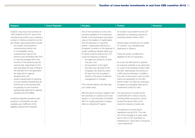| <b>Bulgaria</b>                          | <b>Czech Republic</b> | <b>Hungary</b>                           | <b>Poland</b>                            | <b>Romania</b> |
|------------------------------------------|-----------------------|------------------------------------------|------------------------------------------|----------------|
|                                          |                       |                                          |                                          |                |
| Investors may enjoy tax incentives of    |                       | One of the incentives to note is the     | An investor may benefit from the CIT     |                |
| 100% deferral of the CIT due for the     |                       | incentive available for IP investment.   | exemption by obtaining a permit for      |                |
| manufacturing activity upon meeting a    |                       | Similar to the participation exemption   | business activities within a SEZ.        |                |
| number of criteria provided for by the   |                       | rules on the taxation of capital gains   |                                          |                |
| law. Briefly, said requirements include: |                       | from the alienation of 'reported         | Several types of activity do not qualify |                |
| the investor should perform              |                       | shares', capital gains derived by a      | for a permit, e.g. manufacturing         |                |
| manufacturing activity only              |                       | Hungarian company on the disposal of     | explosives or tobacco.                   |                |
| in municipalities having                 |                       | certain qualifying valuable rights (e.g. |                                          |                |
| unemployment rate for the                |                       | IP rights) could be exempt from CIT,     | There are certain conditions for         |                |
| previous year exceeding with 25%         |                       | under the following conditions:          | eligibility for the CIT exemption.       |                |
| or more the average rate in the          |                       | - the rights are owned for at least      |                                          |                |
| country for the previous year (for       |                       | one year; and                            | As a rule, the SEZ permit is granted     |                |
| minimal aid), respectively for the       |                       | - the acquisition of the rights          | for business activities to be performed  |                |
| year preceding the year of filing of     |                       | has been duly reported to the            | on a plot of land already located within |                |
| the standard form aid application        |                       | Hungarian Tax Authority within           | the SEZ. Alternatively, the territory of |                |
| (for state aid for regional              |                       | 60 days from the acquisition /           | a SEZ may be extended. In addition,      |                |
| development); and                        |                       | transfer of the place of effective       | the work on the project must not start   |                |
| certain requirements for granting        |                       | management to Hungary.                   | before the application for the SEZ       |                |
| of a tax incentive representing de       |                       |                                          | permit is filed. The SEZ tax exemption   |                |
| minimis aid or the requirements          |                       | This incentive allows a tax free step-   | is treated as compatible state aid for   |                |
| for granting of a tax incentive          |                       | up in asset value.                       | investments under EU rules.              |                |
| representing state aid for regional      |                       |                                          |                                          |                |
| development are fulfilled.               |                       | With the above incentive, together with  | The total amount of public aid for       |                |
|                                          |                       | the incentives on royalty income (see    | investments from various sources,        |                |
| Incentives regarding donations and       |                       | Section 2.1) and the lack of domestic    | including SEZs and grants, cannot        |                |
| provision of scholarship are also        |                       | WHT on royalty payments, Hungary         | exceed the above limits of the           |                |
| available upon fulfillment of the        |                       | offers an attractive IP regime.          | maximum intensity of public aid.         |                |
| eligibility requirements therefore.      |                       |                                          |                                          |                |
|                                          |                       |                                          | It is planned to amend above             |                |
|                                          |                       |                                          | regulations during 2018. The main        |                |
|                                          |                       |                                          | aim of the changes is to grant state     |                |
|                                          |                       |                                          | aid in a form of CIT exemption to        |                |
|                                          |                       |                                          | entrepreneurs, which plan to introduce   |                |
|                                          |                       |                                          | "new investments".                       |                |
|                                          |                       |                                          |                                          |                |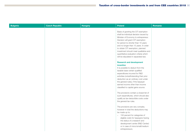| <b>Bulgaria</b> | <b>Czech Republic</b> | <b>Hungary</b> | <b>Poland</b>                                                                                                                                                                                                                                                                                                                                                                                              | Romania |
|-----------------|-----------------------|----------------|------------------------------------------------------------------------------------------------------------------------------------------------------------------------------------------------------------------------------------------------------------------------------------------------------------------------------------------------------------------------------------------------------------|---------|
|                 |                       |                | Basis of granting the CIT exemption<br>shall be individual decision issued by<br>Minister of Economy to entrepreneur.<br>Decision will grant CIT exemption<br>for period no shorter than 10 years<br>and no longer than 15 years. In order<br>to obtain CIT exemption, planned<br>investment should meet qualitative and<br>quantitative evaluation criteria which<br>will be stipulated in separated law. |         |
|                 |                       |                | <b>Research and development</b><br>incentive<br>It is possible to deduct from the<br>taxable base certain qualified<br>expenditures incurred for R&D<br>activities (notwithstanding their prior<br>deduction as an ordinary cost under<br>the general rules), if the taxpayer<br>earned income other than income<br>classified to capital gains source.<br>The provisions contain a closed list of         |         |
|                 |                       |                | such expenditures, which should also<br>qualify as tax-deductible costs under<br>the general tax rules.                                                                                                                                                                                                                                                                                                    |         |
|                 |                       |                | The provisions are very complex,<br>however in total the deductions may<br>be made up to:<br>- 150 percent for categories of<br>eligible costs for taxpayers having<br>the status of a research and<br>development center (R&D Center)<br>or in case of micro/small/medium<br>entrepreneurs;                                                                                                               |         |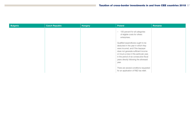| <b>Bulgaria</b> | <b>Czech Republic</b> | <b>Hungary</b> | Poland                                                                                                                                                                                                                                                                                           | Romania |
|-----------------|-----------------------|----------------|--------------------------------------------------------------------------------------------------------------------------------------------------------------------------------------------------------------------------------------------------------------------------------------------------|---------|
|                 |                       |                | 100 percent for all categories<br>$-$<br>of eligible costs for others<br>enterprises.                                                                                                                                                                                                            |         |
|                 |                       |                | Qualified expenditures ought to be<br>deducted in the year in which they<br>were incurred, and if the taxpayer<br>does not generate sufficient income<br>or incurs a loss in this particular year,<br>in the period of six consecutive fiscal<br>years directly following the aforesaid<br>year. |         |
|                 |                       |                | There are several conditions requested<br>for an application of R&D tax relief.                                                                                                                                                                                                                  |         |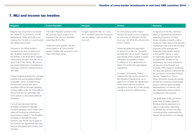# 7. MLI and income tax treaties

| <b>Bulgaria</b>                                                                                                                                                                                                                                                                                                                                                                                                                                                                                                                                                                                                                                                                                                                                                                                                                                                                                                                                                                                                                                                                                                                                                                                                                                                                    | <b>Czech Republic</b>                                                                                                                                                                                                                                                             | <b>Hungary</b>                                                                                                                  | <b>Poland</b>                                                                                                                                                                                                                                                                                                                                                                                                                                                                                                                                                                                                                                                                                                                                                           | <b>Romania</b>                                                                                                                                                                                                                                                                                                                                                                                                                                                                                                                                                                                                                                                                                                                                                                                                                                                                                                                                                                                                                                                                                                                            |
|------------------------------------------------------------------------------------------------------------------------------------------------------------------------------------------------------------------------------------------------------------------------------------------------------------------------------------------------------------------------------------------------------------------------------------------------------------------------------------------------------------------------------------------------------------------------------------------------------------------------------------------------------------------------------------------------------------------------------------------------------------------------------------------------------------------------------------------------------------------------------------------------------------------------------------------------------------------------------------------------------------------------------------------------------------------------------------------------------------------------------------------------------------------------------------------------------------------------------------------------------------------------------------|-----------------------------------------------------------------------------------------------------------------------------------------------------------------------------------------------------------------------------------------------------------------------------------|---------------------------------------------------------------------------------------------------------------------------------|-------------------------------------------------------------------------------------------------------------------------------------------------------------------------------------------------------------------------------------------------------------------------------------------------------------------------------------------------------------------------------------------------------------------------------------------------------------------------------------------------------------------------------------------------------------------------------------------------------------------------------------------------------------------------------------------------------------------------------------------------------------------------|-------------------------------------------------------------------------------------------------------------------------------------------------------------------------------------------------------------------------------------------------------------------------------------------------------------------------------------------------------------------------------------------------------------------------------------------------------------------------------------------------------------------------------------------------------------------------------------------------------------------------------------------------------------------------------------------------------------------------------------------------------------------------------------------------------------------------------------------------------------------------------------------------------------------------------------------------------------------------------------------------------------------------------------------------------------------------------------------------------------------------------------------|
| Bulgaria has chosen 66 of its double<br>tax treaties to be covered by the MLI<br>(Netherlands, Malta and Finland are<br>missing from the list) i.e. to be Covered<br>Tax Agreements (CTAs).<br>Pursuant to the official position<br>provided at the time of signature of<br>MLI, Bulgaria reserved the right for<br>the entirety of Art. 8 Dividend Transfer<br>Transactions provision from MLI not to<br>apply to its CTAs. Hence, MLI would<br>not impact distribution of dividends by<br>requiring a minimum holding period of<br>365 days.<br>Further, Bulgaria adopted the "principal<br>purpose test plus simplified limitation<br>of benefits" option. Supplementing<br>the principal purpose test with a<br>simplified LOB would make obtaining<br>of treaty reliefs under the CTAs difficult<br>and provide the tax authorities with<br>more options to deny treaty reliefs on<br>dividends.<br>It should also be noted that the<br>Simplified Limitation on Benefits<br>Provision will apply only to those CTAs<br>where all Contracting Jurisdictions<br>have chosen to apply it. The Simplified<br>Limitation on Benefits Provision<br>however, was chosen not to apply to<br>the Covered Tax Agreement with USA<br>because this agreement contains such<br>provision. | The Czech Republic acceded to the<br>MLI and the Czech position is to<br>implement the minimum standard<br>prescribed by the MLI.<br>Under the Czech position, the MLI<br>should apply to all Czech double<br>taxation treaties with exception of the<br>treaty with South Korea. | Hungary signed the MLI on 7 June<br>2017. However since the Convention<br>was not ratified, it did not enter into<br>force yet. | On 23rd January 2018, Poland<br>became the fourth country to deposit<br>its instrument of ratification for MLI.<br>As of July 1st, 2018 MLI will entry into<br>force in Poland.<br>Poland accepted the application<br>of Article 7(1) of MLI (i.e. "principal<br>purpose test") as an interim measure,<br>and intends where possible to adopt<br>a limitation on benefits provision,<br>in addition to or in replacement of<br>Article 7(1) of MLI (through bilateral<br>negotiation).<br>In respect of dividends, Poland<br>reserved the right for the Article 8 of<br>MLI (Dividend Transactions) not to<br>apply to its Covered Tax Agreements<br>to the extent that the provisions<br>described in Article 8(1) of MLI already<br>include a minimum holding period. | As signatory of the MLI, Romania<br>opted to implement the provisions<br>regarding Prevention of Treaty<br>Abuse, whereby a benefit under a<br>double tax treaty shall not be granted<br>if obtaining it was one of the principal<br>purposes of the arrangement/<br>transaction that resulted directly<br>in that benefit. Hence, it could<br>be reasonably expected that the<br>tax authorities' scrutiny on the<br>transactions' economic substance<br>will become more frequent and<br>thorough. With respect to dividends,<br>Romania has opted to implement the<br>MLI provisions concerning Dividend<br>Transfer Transactions. Hence,<br>where Romania's double tax treaties<br>provide for a minimum shareholding<br>quota in order to apply the treaty<br>rate/exemption, a minimum 365-<br>day shareholding period shall be<br>considered for this purpose.<br>The applicability of MLI provisions<br>at the level of treaties signed by<br>Romania shall be assessed on a<br>case-by-case basis, depending<br>on whether and on how the other<br>contracting state implemented the<br>relevant MLI provisions in its treaties. |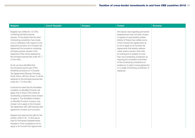| <b>Bulgaria</b>                                                                                                                                                                                                                                                                                                                                                                                                                                                                                                                                                                                                                                                                         | <b>Czech Republic</b> | <b>Hungary</b> | <b>Poland</b>                                                                                                                                                                                                                                                                                                                                                                                                                                                                                                                                                            | <b>Romania</b> |
|-----------------------------------------------------------------------------------------------------------------------------------------------------------------------------------------------------------------------------------------------------------------------------------------------------------------------------------------------------------------------------------------------------------------------------------------------------------------------------------------------------------------------------------------------------------------------------------------------------------------------------------------------------------------------------------------|-----------------------|----------------|--------------------------------------------------------------------------------------------------------------------------------------------------------------------------------------------------------------------------------------------------------------------------------------------------------------------------------------------------------------------------------------------------------------------------------------------------------------------------------------------------------------------------------------------------------------------------|----------------|
| Bulgaria has notified for 12 CTAs<br>containing principal purpose<br>clauses. To the extent that the other<br>Contracting Jurisdiction have made<br>such a notification with respect to the<br>respective provision of a Covered Tax<br>Agreement the provisions containing<br>principal purpose clauses of the<br>respective CTAs will be replaced by<br>the principal purpose test under Art. 7<br>$(1)$ from MLI.<br>So far we have identified that<br>the principal purpose part of the<br>Dividends provisions of 4 Covered<br>Tax Agreements (Norway, Romania,<br>South Africa, UK) from those 12 will be<br>replaced by the principal purpose test<br>under Art. 7 (1) from MLI. |                       |                | Anti-abuse rules regarding permanent<br>establishment have not been chosen.<br>In respect of dual resident entities<br>(Article 4) Poland has notified some<br>of the Covered Tax Agreements as<br>to not to apply to its Covered Tax<br>Agreements that already address<br>cases where a person other than<br>an individual is a resident of more<br>than one Contracting Jurisdiction by<br>requiring the competent authorities<br>of the Contracting Jurisdictions to<br>endeavour to reach mutual agreement<br>on a single Contracting Jurisdiction of<br>residence. |                |
| It should be noted that the Simplified<br>Limitation on Benefits Provision will<br>apply only to those CTAs where all<br>Contracting Jurisdictions have chosen<br>to apply it. The Simplified Limitation<br>on Benefits Provision however, was<br>chosen not to apply to the Covered<br>Tax Agreement with USA because this<br>agreement contains such provision.<br>Bulgaria has reserved the right for the<br>entirety of MLI's Art. 10 Anti-abuse<br>Rule for Permanent Establishments<br>Situated in Third Jurisdictions not to<br>apply to its Covered Tax Agreements.                                                                                                             |                       |                |                                                                                                                                                                                                                                                                                                                                                                                                                                                                                                                                                                          |                |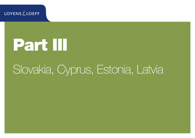**LOYENS** & LOEFF

# Part III

# Slovakia, Cyprus, Estonia, Latvia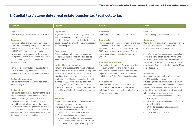# 1. Capital tax / stamp duty / real estate transfer tax / real estate tax

| <b>Slovakia</b>                                                                                                                                                                                                                                                                                                                                                                                                                                                                                                                                                                                                                                                                                                                                                                                                                                                                                                                                                                                                                                                                                                                                                                                                                    | <b>Cyprus</b>                                                                                                                                                                                                                                                                                                                                                                                                                                                                                                                                                                                                                                                                                                                                                                                                                                                                                                                                                                                                                                                                                                                                                                                                                                                                                                                                                     | <b>Estonia</b>                                                                                                                                                                                                                                                                                                                                                                                                                                                                                                                                                                                                                                                                                                                                                                                                                                                 | Latvia                                                                                                                                                                                                                                                                                                                                                                                                                                                                                                                                                                                                                                                                                                                                                                                                                                                                                                                                                                                                                                                                                                                            |
|------------------------------------------------------------------------------------------------------------------------------------------------------------------------------------------------------------------------------------------------------------------------------------------------------------------------------------------------------------------------------------------------------------------------------------------------------------------------------------------------------------------------------------------------------------------------------------------------------------------------------------------------------------------------------------------------------------------------------------------------------------------------------------------------------------------------------------------------------------------------------------------------------------------------------------------------------------------------------------------------------------------------------------------------------------------------------------------------------------------------------------------------------------------------------------------------------------------------------------|-------------------------------------------------------------------------------------------------------------------------------------------------------------------------------------------------------------------------------------------------------------------------------------------------------------------------------------------------------------------------------------------------------------------------------------------------------------------------------------------------------------------------------------------------------------------------------------------------------------------------------------------------------------------------------------------------------------------------------------------------------------------------------------------------------------------------------------------------------------------------------------------------------------------------------------------------------------------------------------------------------------------------------------------------------------------------------------------------------------------------------------------------------------------------------------------------------------------------------------------------------------------------------------------------------------------------------------------------------------------|----------------------------------------------------------------------------------------------------------------------------------------------------------------------------------------------------------------------------------------------------------------------------------------------------------------------------------------------------------------------------------------------------------------------------------------------------------------------------------------------------------------------------------------------------------------------------------------------------------------------------------------------------------------------------------------------------------------------------------------------------------------------------------------------------------------------------------------------------------------|-----------------------------------------------------------------------------------------------------------------------------------------------------------------------------------------------------------------------------------------------------------------------------------------------------------------------------------------------------------------------------------------------------------------------------------------------------------------------------------------------------------------------------------------------------------------------------------------------------------------------------------------------------------------------------------------------------------------------------------------------------------------------------------------------------------------------------------------------------------------------------------------------------------------------------------------------------------------------------------------------------------------------------------------------------------------------------------------------------------------------------------|
| <b>Capital tax</b><br>There is no capital contribution tax in Slovakia.<br><b>Stamp duty</b><br>The incorporation of a new company is subject<br>to a registration fee depending on the form of the<br>company (EUR 750 for a joint stock company<br>and EUR 300 for any other form) and a duty<br>payable upon the registration of the change in<br>the registered capital of a company (EUR 66) (the<br>fee is reduced by 50% if the respective petition if<br>filed electronically).<br>Non-monetary contribution to the registered<br>capital of a company must be evaluated by the<br>expert opinion or by audited financial statements.<br>Real estate transfer tax<br>Real estate transfer tax has been abolished as<br>per 1 January 2005.<br><b>Real estate tax</b><br>Real estate located on the territory of the Slovak<br>Republic is subject to real estate tax, which<br>is levied on buildings, land and apartments.<br>In general, the owner of a real property is<br>obliged to submit a tax return for the calendar<br>year immediately following the year in which the<br>real estate was purchased. The tax is payable<br>on the basis of the tax assessment issued and<br>distributed by the tax authorities. | <b>Capital tax</b><br>Registration of a limited company is subject to<br>a registration fee of EUR 105 plus capital duty<br>of 0.6% of the authorised capital. Capital duty is<br>payable at 0.6% on any subsequent increases in<br>authorised capital.<br><b>Exemptions</b><br>All contributions with regard to a merger or<br>reorganisation are exempt. This also applies<br>where non-EU member states are involved.<br><b>Notional interest deduction</b><br>For 2015 and subsequent tax years a notional<br>interest deduction (NID) is available for corporate<br>income tax purposes on new equity capital<br>introduced into companies and permanent<br>establishments of foreign companies. The NID<br>is limited to 80% of the taxable profit before<br>deducting the NID and no NID will be allowed<br>in the event of losses. Unutilised NID cannot be<br>carried forward to be offset against future years'<br>profits.<br><b>Stamp duty</b><br>Stamp duty is payable on contracts relating to<br>property or business in Cyprus.<br>The rates of stamp duty are as follows:<br>- For transactions with a consideration up to<br>EUR 5,000 no stamp duty is payable;<br>For transactions with a consideration in<br>excess of EUR 5,000 but not exceeding<br>EUR 170,000, stamp duty of EUR 1.50 for<br>every EUR 1,000 or part thereof is payable; | <b>Capital tax</b><br>There is no capital contribution tax in Estonia.<br><b>Stamp duty</b><br>The incorporation of a new company or changes<br>in the share capital is subject to a stamp duty.<br>Stamp duty for the incorporation is EUR 145 (or<br>EUR 190 for a speed-up procedure). Changes<br>in share capital are subject to stamp duty of<br><b>EUR 18.</b><br>Real estate transfer tax<br>No special real estate transfer taxes are levied.<br>However, a notary fee and a state fee are<br>due upon the transfer of real estate. The rate<br>depends on the value of the transaction and<br>could be up to 0.5% of the transaction value.<br><b>Real estate tax</b><br>There is a land tax which varies from 0.1% to<br>2.5% of the cadastral value of land excluding<br>buildings. Rate is set by local municipalities by<br>31 January each year. | <b>Capital tax</b><br>There is no capital contribution tax in Latvia.<br><b>Stamp duty</b><br>Stamp duty for registration of a company is from<br>EUR 180 to EUR 480. Changes in the share<br>capital is from EUR 40 to EUR 120.<br>2% - 6% stamp duty applies upon registration<br>of the ownership of real estate with the Land<br>Book. Stamp duty is normally levied based on<br>the price of the transaction. 1% duty applies on<br>contribution of property into share capital. Minor<br>notary fees apply.<br><b>Real estate tax</b><br>Real estate tax is currently applied at a rate<br>of 1.5% and is levied on an annual basis.<br>Unused agricultural land is subject to a 3% rate.<br>Real estate tax is calculated based on cadastral<br>value of the real estate. Real estate tax is also<br>applied to residential buildings and apartments<br>with the following progressive rates:<br>- 0.2% - for cadastral value not exceeding<br>EUR 56,915;<br>$-$ 0.4% – for cadastral value from EUR 56,915<br>to EUR 106,715;<br>$-$ 0.6% – for cadastral value exceeding<br>EUR 106,715.<br>- EUR 7 minimum is payable. |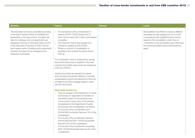| <b>Slovakia</b>                                                                                                                                                                                                                                                                                                                                                                                                                        | <b>Cyprus</b>                                                                                                                                                                                                                                                                                                                                                                                                                                                                                                                                                                                                                                                                                                                                                                                                                                                                                                                                                                                                                                                                                                                                                                                                                                                                                                                                                                                                                                                          | <b>Estonia</b> | Latvia                                                                                                                                                                                                                                                                                                         |
|----------------------------------------------------------------------------------------------------------------------------------------------------------------------------------------------------------------------------------------------------------------------------------------------------------------------------------------------------------------------------------------------------------------------------------------|------------------------------------------------------------------------------------------------------------------------------------------------------------------------------------------------------------------------------------------------------------------------------------------------------------------------------------------------------------------------------------------------------------------------------------------------------------------------------------------------------------------------------------------------------------------------------------------------------------------------------------------------------------------------------------------------------------------------------------------------------------------------------------------------------------------------------------------------------------------------------------------------------------------------------------------------------------------------------------------------------------------------------------------------------------------------------------------------------------------------------------------------------------------------------------------------------------------------------------------------------------------------------------------------------------------------------------------------------------------------------------------------------------------------------------------------------------------------|----------------|----------------------------------------------------------------------------------------------------------------------------------------------------------------------------------------------------------------------------------------------------------------------------------------------------------------|
| The real estate tax base is calculated according<br>to the area in square metres on buildings and<br>apartments or the value of land. The basic tax<br>rates for buildings, land, and apartments are<br>stipulated in the Act on Municipal Taxes (0.25%<br>of the total value of the land or EUR 0,033 for<br>each square metre of building and/or apartment).<br>However, the rates can be changed by the<br>respective municipality. | For transactions with a consideration in<br>excess of EUR 170,000 stamp duty of<br>EUR 2.00 for every EUR 1,000 or part thereof<br>is payable.<br>- The maximum stamp duty payable on a<br>contract is capped at EUR 20,000.<br>Where no amount of consideration is<br>$\overline{\phantom{0}}$<br>specified in the contract the stamp duty is<br>EUR 35.<br>For a transaction which is evidenced by several<br>documents stamp duty is payable on the main<br>contract and ancillary documents are charged at<br>a flat rate of EUR 2.<br>Certain documents are exempt from stamp<br>duty, including documents relating to corporate<br>reorganisations (which are exempt from all forms<br>of taxation) and ship mortgage deeds or other<br>security documents.<br><b>Real estate transfer tax</b><br>Fees are payable to the Department of Lands<br>$\overline{\phantom{0}}$<br>and Surveys for registration of transfers of<br>real estate, based on the purchase price<br>or the current market value of the property<br>as assessed by the Department of Lands<br>and Surveys ('the consideration') as follows:<br>For the part of the consideration up to<br>EUR 85,000 the transfer fees are 1.5% of the<br>consideration.<br>For the part of the consideration between<br>$-$<br>EUR 85,000 and EUR 170,000 the transfer<br>fees are 2.5% of the consideration.<br>For the part of the consideration exceeding<br>EUR 170,000 the transfer fees are 4% of the |                | Municipalities are entitled to impose a different<br>real estate tax rate ranging from 0.2 to 3.0%<br>in accordance with regulations that must be<br>issued by the municipality no later than on<br>1 November of the pre-taxation year. Otherwise<br>the mentioned default rates of real estate tax<br>apply. |
|                                                                                                                                                                                                                                                                                                                                                                                                                                        | consideration.                                                                                                                                                                                                                                                                                                                                                                                                                                                                                                                                                                                                                                                                                                                                                                                                                                                                                                                                                                                                                                                                                                                                                                                                                                                                                                                                                                                                                                                         |                |                                                                                                                                                                                                                                                                                                                |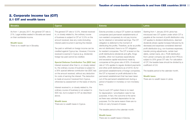#### 2. Corporate income tax (CIT) 2.1 CIT and wealth taxes

| <b>Slovakia</b>                                                                                                                                                                                 | <b>Cyprus</b>                                                                                                                                                                                                                                                                                                                                                                                                                                                                                                                                                                                                                                                                                                                                                                                                                                                                                                                                                                                                                                                                                               | <b>Estonia</b>                                                                                                                                                                                                                                                                                                                                                                                                                                                                                                                                                                                                                                                                                                                                                                                                                                                                                                                                                                                                                                                                                                                                                                                                                                                                                                                                                              | <b>Latvia</b>                                                                                                                                                                                                                                                                                                                                                                                                                                                                                                                                                                                                                                                                                                                                  |
|-------------------------------------------------------------------------------------------------------------------------------------------------------------------------------------------------|-------------------------------------------------------------------------------------------------------------------------------------------------------------------------------------------------------------------------------------------------------------------------------------------------------------------------------------------------------------------------------------------------------------------------------------------------------------------------------------------------------------------------------------------------------------------------------------------------------------------------------------------------------------------------------------------------------------------------------------------------------------------------------------------------------------------------------------------------------------------------------------------------------------------------------------------------------------------------------------------------------------------------------------------------------------------------------------------------------------|-----------------------------------------------------------------------------------------------------------------------------------------------------------------------------------------------------------------------------------------------------------------------------------------------------------------------------------------------------------------------------------------------------------------------------------------------------------------------------------------------------------------------------------------------------------------------------------------------------------------------------------------------------------------------------------------------------------------------------------------------------------------------------------------------------------------------------------------------------------------------------------------------------------------------------------------------------------------------------------------------------------------------------------------------------------------------------------------------------------------------------------------------------------------------------------------------------------------------------------------------------------------------------------------------------------------------------------------------------------------------------|------------------------------------------------------------------------------------------------------------------------------------------------------------------------------------------------------------------------------------------------------------------------------------------------------------------------------------------------------------------------------------------------------------------------------------------------------------------------------------------------------------------------------------------------------------------------------------------------------------------------------------------------------------------------------------------------------------------------------------------------|
| As from 1 January 2017, the general CIT rate is<br>21%. Legal entities seated in Slovakia are taxed<br>on their worldwide income.<br><b>Wealth taxes</b><br>There is no wealth tax in Slovakia. | The general CIT rate is 12.5%. Interest received<br>in, or closely related to, the ordinary course<br>of business is subject to CIT at 12.5% on the<br>amount received, less any costs (including<br>interest paid) incurred in earning the interest.<br>Tax paid or withheld on foreign income can be<br>credited against Cyprus tax. However, if income<br>received is exempt in Cyprus (e.g. dividends)<br>foreign tax paid cannot be credited.<br><b>Special Defense Contribution Tax (SDC tax)</b><br>Interest received other than in, or closely related<br>to, the ordinary course of business is subject to<br>a 30% special defense contribution tax (SDC tax)<br>on the amount received, without any deduction<br>for costs of earning the interest. The deduction<br>is made at source if received from Cyprus,<br>otherwise by assessment on the basis of returns.<br>Interest received in, or closely related to, the<br>ordinary course of business is not subject to<br>SDC tax, but is subject to CIT as described<br>above.<br><b>Wealth taxes</b><br>There are no wealth taxes in Cyprus. | Estonia provides a unique CIT system as resident<br>companies (and permanent establishments of<br>non-resident companies) do not pay income<br>tax for retained or reinvested earnings. The CIT<br>obligation is deferred to the moment of<br>distributing the profits. Therefore, as far as profits<br>are not distributed, there is no CIT obligation<br>for resident companies. The CIT is levied on the<br>profit distributions (dividends and gifts, fringe<br>benefits, other non-business expenditures<br>and excessive capital reductions) made by<br>companies at the gross rate of 20%. A reduced<br>rate of 14% applies to regular dividend payments<br>and other profit distributions as of 2019. As for<br>permanent establishments of foreign companies,<br>the CIT is imposed on profit attributed to the<br>permanent establishment that has been taken<br>out of the permanent establishment during a<br>period of taxation in monetary or non-monetary<br>form.<br>Due to such CIT system there is no need<br>for depreciation / amortisation rules for tax<br>purposes. In fact, the outcome is the same<br>as there was unlimited depreciation for tax<br>purposes. For the same reason there are no<br>limits on carry forward of losses.<br>The taxable period is the calendar month.<br><b>Wealth taxes</b><br>There are no wealth taxes in Estonia. | Starting from 1 January 2018 Latvia has<br>introduced new CIT system under which CIT is<br>payable at the moment of profit distribution only.<br>CIT applies to dividend distributions, deemed<br>dividends (share capital increase followed by its<br>decrease) and expenses considered deemed<br>profit distribution (e.g. non-business expenses,<br>transfer pricing adjustments, certain bad<br>debts, certain loans, etc.). Profit distribution<br>from Latvian company (as well as from PE's) is<br>subject to 20% gross CIT rate. For calculation<br>of CIT, the taxable base should be divided by a<br>coefficient of 0.8.<br>The taxable period is the calendar month.<br><b>Wealth taxes</b><br>There are no wealth taxes in Latvia. |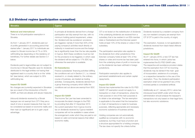# 2.2 Dividend regime (participation exemption)

| <b>Slovakia</b>                                                                                                                                                                                                                                                                                                                                                                                                                                                                                                                                                                                                                                                                                                                                                                                                                                                                                                                                                                                                                                                                                                                                              | <b>Cyprus</b>                                                                                                                                                                                                                                                                                                                                                                                                                                                                                                                                                                                                                                                                                                                                                                                                                                                                                                                                                                                                                                                                                                                                                                                                                                                                                                                                                                                                                                                | <b>Estonia</b>                                                                                                                                                                                                                                                                                                                                                                                                                                                                                                                                                                                                                                                                                                                                                                                                                                                                                                                                                                                                                                                                                                                                                                                                                                                                                                                                                                                                                       | Latvia                                                                                                                                                                                                                                                                                                                                                                                                                                                                                                                                                                                                                                                                                                                                                                                                                                                                                                                                                                                                                                    |
|--------------------------------------------------------------------------------------------------------------------------------------------------------------------------------------------------------------------------------------------------------------------------------------------------------------------------------------------------------------------------------------------------------------------------------------------------------------------------------------------------------------------------------------------------------------------------------------------------------------------------------------------------------------------------------------------------------------------------------------------------------------------------------------------------------------------------------------------------------------------------------------------------------------------------------------------------------------------------------------------------------------------------------------------------------------------------------------------------------------------------------------------------------------|--------------------------------------------------------------------------------------------------------------------------------------------------------------------------------------------------------------------------------------------------------------------------------------------------------------------------------------------------------------------------------------------------------------------------------------------------------------------------------------------------------------------------------------------------------------------------------------------------------------------------------------------------------------------------------------------------------------------------------------------------------------------------------------------------------------------------------------------------------------------------------------------------------------------------------------------------------------------------------------------------------------------------------------------------------------------------------------------------------------------------------------------------------------------------------------------------------------------------------------------------------------------------------------------------------------------------------------------------------------------------------------------------------------------------------------------------------------|--------------------------------------------------------------------------------------------------------------------------------------------------------------------------------------------------------------------------------------------------------------------------------------------------------------------------------------------------------------------------------------------------------------------------------------------------------------------------------------------------------------------------------------------------------------------------------------------------------------------------------------------------------------------------------------------------------------------------------------------------------------------------------------------------------------------------------------------------------------------------------------------------------------------------------------------------------------------------------------------------------------------------------------------------------------------------------------------------------------------------------------------------------------------------------------------------------------------------------------------------------------------------------------------------------------------------------------------------------------------------------------------------------------------------------------|-------------------------------------------------------------------------------------------------------------------------------------------------------------------------------------------------------------------------------------------------------------------------------------------------------------------------------------------------------------------------------------------------------------------------------------------------------------------------------------------------------------------------------------------------------------------------------------------------------------------------------------------------------------------------------------------------------------------------------------------------------------------------------------------------------------------------------------------------------------------------------------------------------------------------------------------------------------------------------------------------------------------------------------------|
| <b>National and international</b><br>There is no full participation exemption in<br>Slovakia.<br>As from 1 January 2017, dividends paid out<br>of profits generated in accounting period that<br>started after 1 January 2017 to individuals are<br>subject to Slovak income tax of 7% or 35%<br>withholding tax depending on the residency of<br>beneficiary. For further details see Section 3.1<br>below.<br>Dividends paid to legal entities are not subject to<br>income tax in Slovak Republic save for dividends<br>distributed to the legal entities not having their<br>registered seat in a country that is on the 'white<br>list' (see below), which are subject to 35%<br>withholding tax.<br><b>Impact EU GAAR</b><br>No changes are (currently) expected in Slovakian<br>law as a result of the introduction of the EU<br>GAAR, as there are already anti-abuse measures.<br>(Inbound) dividends received by a Slovak<br>taxpayer are not exempt from CIT if they are a<br>result of one or several measures that may not<br>be considered as based on economic reality and<br>their main (or significant) aim is to gain unjust<br>advantage. | In principle all dividends derived from a foreign<br>participation are fully exempt from tax, with no<br>minimum holding period requirement, unless<br>the 'dividend anti-tax avoidance' provisions<br>are triggered, namely if more than 50% of the<br>paying company's activities result directly or<br>indirectly in investment income and the foreign<br>tax is significantly lower than the tax rate payable<br>in Cyprus. Both these conditions must be met<br>for the provisions to be triggered, in which case<br>the dividend will be subject to 17% SDC tax;<br>otherwise the exemption is available.<br><b>EU Subsidiaries</b><br>Finance subsidiaries' financing activities fulfilling<br>the conditions set out in Section 2.1, i.e. interest<br>received in, or closely related to, the ordinary<br>course of business, are treated as trading<br>activities. Consequently, dividends derived from<br>a group financing company which fulfils the<br>conditions set out above are exempt from SDC<br>tax.<br><b>Impact EU GAAR</b><br>The Income Tax Law has been amended to<br>incorporate the latest changes to the PSD<br>by providing that after 31 December 2015<br>the current exemption from Cyprus income<br>tax on dividends received by Cyprus-resident<br>companies will not be available in cases where<br>the arrangement under which they are paid is not<br>based on valid commercial reasons that reflect<br>economic reality. | CIT is not levied on the redistribution of dividends<br>if the underlying dividends are received from a<br>subsidiary that is tax resident in an EEA member<br>state or Switzerland and the Estonian parent<br>holds at least 10% of the shares or votes in that<br>subsidiary.<br>The participation exemption also applies to<br>the dividends from other jurisdictions if the<br>Estonian company holds at least 10% of the<br>shares or votes and income tax has been paid<br>from the underlying share of profit or income tax<br>on the dividends has been withheld in foreign<br>jurisdictions.<br>Participation exemption also applies to<br>permanent establishments and certain capital<br>repayments.<br><b>Impact EU GAAR</b><br>Estonia has implemented the rules for EU PSD<br>GAAR. CIT exemption would not apply to a<br>transaction or chain of transactions, where the<br>main purpose or one of the main purposes is<br>to obtain a tax advantage. The tax exemption<br>is applicable to the extent that the transaction<br>or chain of transactions is made for business<br>purposes, reflecting appropriate and necessary<br>economic substance of business activity.<br>Holding companies are not automatically<br>qualified as companies with no economic<br>substance, but they must have a function and<br>a structure appropriated for a holding company.<br>The law does not specify the criteria further. | Dividends received by a resident company from<br>any non-resident company are exempt from<br>CIT (if CIT is paid in the country of origin).<br>The exemption, however, is not applicable to<br>dividends received from black-listed offshore<br>jurisdictions.<br><b>Impact EU GAAR</b><br>As of 1 January 2018, a new CIT law has<br>entered into force, in which Latvia has<br>implemented the EU PSD GAAR rules.<br>The respective anti-avoidance provision states<br>that the exemption from CIT for incoming<br>dividends may be denied if the main goal<br>of incorporation, existence of a company<br>or a respective transaction is the use of the<br>exemption. Thus, the dividend participation<br>exemption shall not be granted if any of the<br>involved parties is considered artificial.<br>Additionally as of 1 January 2013, Latvia has<br>introduced local GAAR under which the tax<br>administration should analyse the taxpayer's<br>transactions not only based on their legal form,<br>but also economic substance. |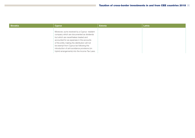| <b>Slovakia</b> | <b>Cyprus</b>                                                                                                                                                                                                                                                                                                                                                                     | <b>Estonia</b> | Latvia |
|-----------------|-----------------------------------------------------------------------------------------------------------------------------------------------------------------------------------------------------------------------------------------------------------------------------------------------------------------------------------------------------------------------------------|----------------|--------|
|                 | Moreover, sums received by a Cyprus- resident<br>company which are documented as dividends<br>but which are nevertheless treated and<br>accounted for as expenses in the accounts<br>of the entity making the distribution will not<br>be exempt from Cyprus tax following the<br>introduction of anti-avoidance provisions (on<br>hybrid arrangements) into the Income Tax Laws. |                |        |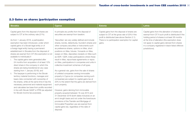# 2.3 Gains on shares (participation exemption)

| <b>Slovakia</b>                                                                                                                                                                                                                                                                                                                                                                                                                                                                                                                                                                                                                                                                                                                                                                                                                                                                                                                                                                                                                | <b>Cyprus</b>                                                                                                                                                                                                                                                                                                                                                                                                                                                                                                                                                                                                                                                                                                                                                                                                                                                                                                                                                                                                                                                                                                                                                                                                                                      | <b>Estonia</b>                                                                                                                                                                                                 | <b>Latvia</b>                                                                                                                                                                                                                                                                                                                       |
|--------------------------------------------------------------------------------------------------------------------------------------------------------------------------------------------------------------------------------------------------------------------------------------------------------------------------------------------------------------------------------------------------------------------------------------------------------------------------------------------------------------------------------------------------------------------------------------------------------------------------------------------------------------------------------------------------------------------------------------------------------------------------------------------------------------------------------------------------------------------------------------------------------------------------------------------------------------------------------------------------------------------------------|----------------------------------------------------------------------------------------------------------------------------------------------------------------------------------------------------------------------------------------------------------------------------------------------------------------------------------------------------------------------------------------------------------------------------------------------------------------------------------------------------------------------------------------------------------------------------------------------------------------------------------------------------------------------------------------------------------------------------------------------------------------------------------------------------------------------------------------------------------------------------------------------------------------------------------------------------------------------------------------------------------------------------------------------------------------------------------------------------------------------------------------------------------------------------------------------------------------------------------------------------|----------------------------------------------------------------------------------------------------------------------------------------------------------------------------------------------------------------|-------------------------------------------------------------------------------------------------------------------------------------------------------------------------------------------------------------------------------------------------------------------------------------------------------------------------------------|
| Capital gains from the disposal of shares are<br>subject to CIT at the ordinary rate (21%).<br>As from 1 January 2018, a participation<br>exemption has been introduced, under which<br>capital gains of a Slovak legal entity or of<br>a foreign legal entity having a permanent<br>establishment in Slovakia from the disposal of<br>shares are exempt from CIT (the exemption is not<br>available to individuals) if<br>i. The capital gains were generated after<br>24 months from acquisition of at least 10%<br>direct share in the company in which the<br>shares are being transferred (in any case<br>starting from 1 January 2018); and<br>ii. The taxpayer is performing in the Slovak<br>territory material functions, manages and<br>bears risks connected with ownership of<br>the shares, while at the same time it has the<br>necessary personnel and material equipment<br>and calculates tax base from profits recorded<br>in line with Slovak GAAP or IFRS (as adjusted<br>for Slovak income tax purposes). | In principle any profits from the disposal of<br>securities are exempt from taxation.<br>'Securities' are very widely defined and include<br>shares, bonds, debentures, founder's shares and<br>other company securities or instruments such<br>as preference shares, options on titles, short<br>positions on titles, futures / forwards on titles,<br>swaps on titles, depositary receipts on titles such<br>as ADR / GDR, index participations where these<br>result in titles, repurchase agreements or repos<br>on titles, participations in companies and units in<br>collective investment schemes of all types.<br>As a general rule, gains from the sale of shares<br>of unlisted companies owning immovable<br>property in Cyprus (or companies owning such<br>companies) are subject to capital gains tax at<br>20% to the extent that the gains are derived from<br>such property.<br>However, gains deriving from immovable<br>property acquired between 16 July 2015 and<br>31 December 2016 (both dates inclusive) on an<br>arm's length basis and not under the foreclosure<br>provisions of the Transfer and Mortgage of<br>Immovable Properties Law are exempt from<br>capital gains tax, regardless of the date of<br>disposal. | Capital gains from the disposal of shares are<br>subject to CIT at the gross rate of 20% if the<br>profit is distributed (see above Section 2.1).<br>There is no participation exemption for capital<br>gains. | Capital gains from the alienation of shares are<br>exempt from CIT if such profit is distributed if the<br>holding period of shares is at least 36 months<br>at the time of alienation (the exemption does<br>not apply to capital gains derived from shares<br>in a company registered in black-listed offshore<br>jurisdictions). |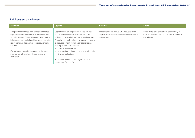#### 2.4 Losses on shares

| Slovakia                                                                                                                                                                                                                                                                 | <b>Cyprus</b>                                                                                                                                                                                                                                                                                                                            | <b>Estonia</b>                                                                                                      | Latvia                                                                                                              |
|--------------------------------------------------------------------------------------------------------------------------------------------------------------------------------------------------------------------------------------------------------------------------|------------------------------------------------------------------------------------------------------------------------------------------------------------------------------------------------------------------------------------------------------------------------------------------------------------------------------------------|---------------------------------------------------------------------------------------------------------------------|---------------------------------------------------------------------------------------------------------------------|
| A capital loss incurred from the sale of shares<br>is generally tax non-deductible. However, this<br>would not apply if the shares are traded on the<br>listed securities market and their purchase price<br>is not higher and certain specific requirements<br>are met. | Capital losses on disposal of shares are not<br>tax deductible unless the shares are in an<br>unlisted company holding real estate in Cyprus.<br>A capital loss on the shares of such a company<br>is deductible from current year capital gains<br>deriving from the disposal of:<br>Cyprus real estate; or<br>$\overline{\phantom{m}}$ | Since there is no annual CIT, deductibility of<br>capital losses incurred on the sale of shares is<br>not relevant. | Since there is no annual CIT, deductibility of<br>capital losses incurred on the sale of shares is<br>not relevant. |
| For registered security dealers a capital loss<br>incurred from the sale of shares is always<br>deductible.                                                                                                                                                              | shares of an unlisted company which holds<br>$\overline{\phantom{a}}$<br>Cyprus real estate.<br>For special provisions with regard to capital<br>losses, see Section 2.8.                                                                                                                                                                |                                                                                                                     |                                                                                                                     |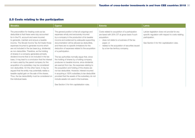# 2.5 Costs relating to the participation

| Slovakia                                                                                                                                                                                                                                                                                                                                                                                                                                                                                                                                                                                                                                                                                                                                                                                                                                                                               | <b>Cyprus</b>                                                                                                                                                                                                                                                                                                                                                                                                                                                                                                                                                                                                                                                                                                                                                                                                                                                                  | <b>Estonia</b>                                                                                                                                                                                                                                                                              | Latvia                                                                                                                                                               |
|----------------------------------------------------------------------------------------------------------------------------------------------------------------------------------------------------------------------------------------------------------------------------------------------------------------------------------------------------------------------------------------------------------------------------------------------------------------------------------------------------------------------------------------------------------------------------------------------------------------------------------------------------------------------------------------------------------------------------------------------------------------------------------------------------------------------------------------------------------------------------------------|--------------------------------------------------------------------------------------------------------------------------------------------------------------------------------------------------------------------------------------------------------------------------------------------------------------------------------------------------------------------------------------------------------------------------------------------------------------------------------------------------------------------------------------------------------------------------------------------------------------------------------------------------------------------------------------------------------------------------------------------------------------------------------------------------------------------------------------------------------------------------------|---------------------------------------------------------------------------------------------------------------------------------------------------------------------------------------------------------------------------------------------------------------------------------------------|----------------------------------------------------------------------------------------------------------------------------------------------------------------------|
| The precondition for treating costs as tax<br>deductible is that these were duly accounted<br>for in the P/L account and were incurred<br>to generate, maintain and ensure a taxable<br>income. The Slovak Income Tax Act treats those<br>expenses incurred to generate income which<br>are not included in the tax base (e.g. dividends)<br>as non-deductible. Therefore, as the holding<br>of shares in a company generates primarily<br>dividend income that is not included in the tax<br>base, it may lead to a conclusion that the interest<br>on loans used by the parent company for the<br>acquisition of a subsidiary may be considered<br>non-deductible. On the other hand, it may be<br>argued that the entity may potentially realise a<br>taxable capital gain on the sale of the shares.<br>Thus, the tax deductibility must be considered on<br>the individual basis. | The general position is that all outgoings and<br>expenses wholly and exclusively incurred<br>by a company in the production of its taxable<br>income and evidenced by adequate supporting<br>documentation will be allowed as deductible.<br>and there are no specific limitations for the<br>deduction of expenses related to the acquisition<br>of a participation.<br>The tax authorities normally argue that, since<br>the holding of shares by a holding company<br>produces no taxable income, since dividends<br>are exempt from tax, the expenses relating to<br>the acquisition and holding of the shares are<br>not tax-deductible. However, interest incurred<br>in acquiring a 100% subsidiary is tax-deductible<br>provided that the assets of the subsidiary do not<br>include assets not used in the business.<br>See Section 5 for thin capitalisation rules. | Costs related to acquisition of a participation<br>are taxed with 20% CIT at gross basis if such<br>acquisition:<br>does not relate to a business of the tax<br>payer; or<br>relates to the acquisition of securities issued<br>$\overline{\phantom{a}}$<br>by a low-tax territory company. | Latvian legislation does not provide for any<br>specific regulation with respect to costs relating<br>participation.<br>See Section 5 for thin capitalisation rules. |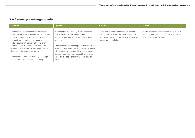# 2.6 Currency exchange results

| <b>Slovakia</b>                                                                                                                                                                                                                                                                                                                                                                      | <b>Cyprus</b>                                                                                                                                                                                                                                                                                                             | <b>Estonia</b>                                                                                                                                                         | Latvia                                                                                                                                |
|--------------------------------------------------------------------------------------------------------------------------------------------------------------------------------------------------------------------------------------------------------------------------------------------------------------------------------------------------------------------------------------|---------------------------------------------------------------------------------------------------------------------------------------------------------------------------------------------------------------------------------------------------------------------------------------------------------------------------|------------------------------------------------------------------------------------------------------------------------------------------------------------------------|---------------------------------------------------------------------------------------------------------------------------------------|
| The taxpayers may decide that 'unrealised'<br>currency exchange differences will be included<br>in the tax base in the tax period in which<br>the receivable is collected or the payment is<br>performed. From 1 January 2014 no prior<br>announcement to the relevant tax authorities is<br>required; the taxpayer will only be required to<br>declare it in the income tax return. | With effect from 1 January 2015 accounting<br>profits and losses arising from currency<br>exchange rate fluctuations are disregarded for<br>tax purposes.<br>Only gains or losses arising from actual trading in<br>foreign currencies or foreign currency derivatives<br>will be taken into account. Businesses carrying | Gains from currency exchange are subject<br>to Estonian CIT at a gross rate of 20% upon<br>distributing the profits (see Section 2.1 above).<br>Losses are deductible. | Gains from currency exchange are subject to<br>CIT only with distribution of the profit. Losses do<br>not influence the CIT position. |
| The taxation of 'realised' currency exchange<br>losses / gains are driven by accounting.                                                                                                                                                                                                                                                                                             | out such activities may irrevocably elect to be<br>taxed on the basis of only realised profits or<br>losses.                                                                                                                                                                                                              |                                                                                                                                                                        |                                                                                                                                       |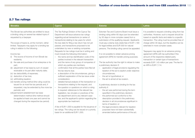# 2.7 Tax rulings

| The Tax Rulings Division of the Cyprus Tax<br>Estonian Tax and Customs Board must issue a<br>It is possible to request a binding ruling from tax<br>Department will issue advance tax rulings<br>binding ruling within 60 days (can be extended<br>authorities. However, such a request should be<br>regarding actual transactions (or series of<br>based on specific facts and relate to a specific<br>by 30 days in more complex cases) from a<br>submission of the qualifying request. Applicants<br>transaction. The ruling must be provided free of<br>transactions) relating to tax years for which<br>charge within 30 days, but the deadline can be<br>the due date for filing a tax return has not yet<br>must pay a stamp duty (state fee) of EUR 1,180<br>passed, and transactions proposed to be<br>for legal entities and EUR 300 for natural<br>extended in more complex cases.<br>undertaken by new or existing companies.<br>persons. The binding ruling cannot be appealed.<br>Requests for tax rulings must be in writing and<br>Taxpayers may apply for an advance pricing<br>must include the following information:<br>It is not possible to obtain advance pricing<br>agreement (APA) with tax authorities if the<br>the name and tax identification code of the<br>agreement (APA) for transfer pricing purposes.<br>amount of the respective related-party<br>parties involved in the relevant transaction<br>transaction or certain type of transactions<br>residents:<br>and the name of any group of companies of<br>The tax authority has the right to refuse to make<br>exceeds EUR 1.43 million per year. The fee for<br>which any parties are members;<br>a preliminary decision if:<br>an APA is EUR 7,114.<br>part;<br>- application of legal provisions regulating the<br>confirmation that all the parties have filed all<br>receivable or its part after maturity date;<br>taxation of the act is explicit under objective<br>the tax returns due;<br>a description of the circumstances, giving a<br>circumstances;<br>sufficient explanation of the tax issue under<br>the act is hypothetical; or<br>$-$<br>consideration:<br>the act is aimed at tax evasion.<br>detailed factual analysis of the transaction or<br>issued for at most five tax periods and, if<br>transactions relating to the request; and<br>A preliminary decision is binding for the tax<br>the question or questions on which a ruling<br>requested, may be extended by five more tax<br>authority if:<br>is required: references to the relevant tax<br>- the act was performed during the term<br>periods); and<br>legislation, tax circulars or practices of the<br>specified in the preliminary decision;<br>the performed act conforms to the<br>determination method (the method should<br>tax department and to any relevant case-<br>$ \,$<br>be applied at least one year and cannot be<br>law, and the applicant's opinion regarding the<br>description provided in the preliminary<br>changed during the respective tax period).<br>decision in all circumstances significant in<br>appropriate tax treatment.<br>terms of taxation: or<br>A fee of EUR 1,000 is payable for the issuance of<br>the legal provisions relevant for taxation<br>$\overline{\phantom{m}}$<br>tax rulings. The ruling can be issued on a priority<br>purposes have not been substantially<br>basis for an additional EUR 1,000.<br>amended before performance of the act. | <b>Slovakia</b>                                                                                                                                                                                                                                                                                                                                                                                                                                                                                                                                                                                                                                      | <b>Cyprus</b> | <b>Estonia</b> | Latvia |
|--------------------------------------------------------------------------------------------------------------------------------------------------------------------------------------------------------------------------------------------------------------------------------------------------------------------------------------------------------------------------------------------------------------------------------------------------------------------------------------------------------------------------------------------------------------------------------------------------------------------------------------------------------------------------------------------------------------------------------------------------------------------------------------------------------------------------------------------------------------------------------------------------------------------------------------------------------------------------------------------------------------------------------------------------------------------------------------------------------------------------------------------------------------------------------------------------------------------------------------------------------------------------------------------------------------------------------------------------------------------------------------------------------------------------------------------------------------------------------------------------------------------------------------------------------------------------------------------------------------------------------------------------------------------------------------------------------------------------------------------------------------------------------------------------------------------------------------------------------------------------------------------------------------------------------------------------------------------------------------------------------------------------------------------------------------------------------------------------------------------------------------------------------------------------------------------------------------------------------------------------------------------------------------------------------------------------------------------------------------------------------------------------------------------------------------------------------------------------------------------------------------------------------------------------------------------------------------------------------------------------------------------------------------------------------------------------------------------------------------------------------------------------------------------------------------------------------------------------------------------------------------------------------------------------------------------------------------------------------------------------------------------------------------------------------------------------------------------------------------------------------------------------------------------------------------------------------------------------------------------------------------------------------------------------------------------------------------------------------------------------------------------------------------------------------------------------------------------------------|------------------------------------------------------------------------------------------------------------------------------------------------------------------------------------------------------------------------------------------------------------------------------------------------------------------------------------------------------------------------------------------------------------------------------------------------------------------------------------------------------------------------------------------------------------------------------------------------------------------------------------------------------|---------------|----------------|--------|
|                                                                                                                                                                                                                                                                                                                                                                                                                                                                                                                                                                                                                                                                                                                                                                                                                                                                                                                                                                                                                                                                                                                                                                                                                                                                                                                                                                                                                                                                                                                                                                                                                                                                                                                                                                                                                                                                                                                                                                                                                                                                                                                                                                                                                                                                                                                                                                                                                                                                                                                                                                                                                                                                                                                                                                                                                                                                                                                                                                                                                                                                                                                                                                                                                                                                                                                                                                                                                                                                                | The Slovak tax authorities are entitled to issue<br>a binding ruling on several tax related topics if<br>requested by a taxpayer.<br>The scope of topics is, at the moment, rather<br>limited. Taxpayers may apply for a binding tax<br>ruling in relation to the following:<br>Income tax:<br>(i) The source of income of non-Slovak tax<br>(ii) the sale and purchase of an enterprise or its<br>(iii) adjustment of tax base by sum of unpaid<br>(iv) tax deductibility of expenses;<br>(v) deduction of tax loss;<br>(vi) withholding taxation;<br>(vii) transfer pricing method (the ruling could be<br>(viii) permanent establishment tax base |               |                |        |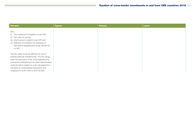| Slovakia                                                                                                                                                                                                                                                                                                                                          | <b>Cyprus</b> | <b>Estonia</b> | Latvia |
|---------------------------------------------------------------------------------------------------------------------------------------------------------------------------------------------------------------------------------------------------------------------------------------------------------------------------------------------------|---------------|----------------|--------|
| VAT:<br>(i) The existence of obligation to pay VAT;<br>(ii) VAT rates for goods;<br>(iii) which person is liable to pay VAT: and<br>(iv) fulfilment of conditions for existence of<br>permanent establishment under Slovak Act<br>on VAT.                                                                                                         |               |                |        |
| The tax ruling would be effective for one or<br>several particular transaction(s). The tax rulings<br>(with the exemption of tax ruling regarding the<br>permanent establishment tax base determination<br>method) will be subject to a fee calculated from<br>the value of contemplated transaction and<br>ranging from EUR 4,000 to EUR 30,000. |               |                |        |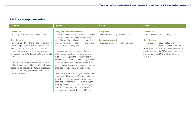# 2.8 Loss carry over rules

| <b>Slovakia</b>                                                                                                                                                                                                                                                                                                                                                                                                                                                                                                                                                                                              | <b>Cyprus</b>                                                                                                                                                                                                                                                                                                                                                                                                                                                                                                                                                                                                                                                                                                                                                                                                                                                                                                                                                                                    | <b>Estonia</b>                                                                                                                         | Latvia                                                                                                                                                                                                                                                                                                                                          |
|--------------------------------------------------------------------------------------------------------------------------------------------------------------------------------------------------------------------------------------------------------------------------------------------------------------------------------------------------------------------------------------------------------------------------------------------------------------------------------------------------------------------------------------------------------------------------------------------------------------|--------------------------------------------------------------------------------------------------------------------------------------------------------------------------------------------------------------------------------------------------------------------------------------------------------------------------------------------------------------------------------------------------------------------------------------------------------------------------------------------------------------------------------------------------------------------------------------------------------------------------------------------------------------------------------------------------------------------------------------------------------------------------------------------------------------------------------------------------------------------------------------------------------------------------------------------------------------------------------------------------|----------------------------------------------------------------------------------------------------------------------------------------|-------------------------------------------------------------------------------------------------------------------------------------------------------------------------------------------------------------------------------------------------------------------------------------------------------------------------------------------------|
| <b>Carry back</b><br>Loss carry back is not permitted in Slovakia.<br><b>Carry forward</b><br>From 1 January 2014 the tax loss can be carried<br>forward proportionally within four consecutive<br>taxation periods. New rules on tax loss carry<br>forward will apply also to tax losses suffered in<br>tax periods from 2010 through 2013 and not fully<br>claimed yet.<br>If the company started to deduct the tax losses<br>and is dissolved without being liquidated, its tax<br>losses can be deducted by its legal successor,<br>unless the sole purpose of such dissolution is<br>avoiding taxation. | <b>Carry back and carry forward</b><br>Losses may be transferred between companies<br>under group relief provisions (see below) or<br>carried forward for relief against future profits.<br>The carry-forward period for losses of a revenue<br>nature is limited to five years.<br>Losses cannot be carried forward if there is<br>a change in ownership in the company or a<br>substantial change in the company's activities<br>within three years from the year during which the<br>losses were generated. Unused capital losses<br>may be carried forward to subsequent years for<br>offset against future taxable capital gains.<br>Only 20% of any loss resulting from intellectual<br>property activities can be offset against income<br>from other sources or carried forward to be<br>offset against income of subsequent tax years,<br>reflecting the fact that Cyprus's IP box regime<br>takes account of only 20% of any profits<br>generated by the use or disposal of IP rights. | <b>Carry back</b><br>There is no loss carry back in Estonia.<br><b>Loss carry forward</b><br>There is an unlimited loss carry forward. | <b>Carry back</b><br>There is no carry back possibility in Latvia.<br><b>Carry forward</b><br>15% of tax losses accumulated as on<br>31.12.2017 can be carried forward up to five<br>years, starting from 2018. These losses can be<br>used to decrease the CIT payable for dividends,<br>but not more than 50% of CIT payable on<br>dividends. |
|                                                                                                                                                                                                                                                                                                                                                                                                                                                                                                                                                                                                              |                                                                                                                                                                                                                                                                                                                                                                                                                                                                                                                                                                                                                                                                                                                                                                                                                                                                                                                                                                                                  |                                                                                                                                        |                                                                                                                                                                                                                                                                                                                                                 |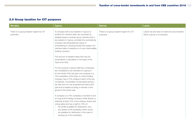# 2.9 Group taxation for CIT purposes

| <b>Slovakia</b>                                        | <b>Cyprus</b>                                                                                                                                                                                                                                                                                                                                                                                                                                                                                                                                                                                                                                                                                                                                                                                                                                                                                                                                                                                                                                                                                                                                                                                                                                                                                                      | <b>Estonia</b>                                         | Latvia                                                                            |
|--------------------------------------------------------|--------------------------------------------------------------------------------------------------------------------------------------------------------------------------------------------------------------------------------------------------------------------------------------------------------------------------------------------------------------------------------------------------------------------------------------------------------------------------------------------------------------------------------------------------------------------------------------------------------------------------------------------------------------------------------------------------------------------------------------------------------------------------------------------------------------------------------------------------------------------------------------------------------------------------------------------------------------------------------------------------------------------------------------------------------------------------------------------------------------------------------------------------------------------------------------------------------------------------------------------------------------------------------------------------------------------|--------------------------------------------------------|-----------------------------------------------------------------------------------|
| There is no group taxation regime for CIT<br>purposes. | A company that is tax resident in Cyprus or<br>another EU member state can surrender its<br>taxable losses to another group member that is<br>tax resident in Cyprus, provided the surrendering<br>company has exhausted all means of<br>surrendering or carrying forward the losses in its<br>member state of residence or to any intermediate<br>holding company.<br>The amount of taxable losses that may be<br>surrendered is calculated on the basis of the<br>Cyprus tax laws.<br>For the purpose of group relief two companies<br>are considered to be members of a group if<br>for the whole of the tax year one company is a<br>75% subsidiary of the other or a third holding<br>company has a 75% holding in each of the two<br>companies. A subsidiary incorporated during a<br>tax year (but not one acquired) and held at the<br>year-end is treated as being a member of the<br>group for the whole year.<br>A company is a 75% subsidiary of another if and<br>so long as the holding company holds directly or<br>indirectly at least 75% of the ordinary shares with<br>voting rights and has a right to 75% of:<br>- the profits available for distribution; and<br>- any assets of the subsidiary which would<br>be available for distribution in the case of<br>winding up of the subsidiary. | There is no group taxation regime for CIT<br>purposes. | Latvian tax law does not allow tax loss transfers<br>within a group of companies. |
|                                                        |                                                                                                                                                                                                                                                                                                                                                                                                                                                                                                                                                                                                                                                                                                                                                                                                                                                                                                                                                                                                                                                                                                                                                                                                                                                                                                                    |                                                        |                                                                                   |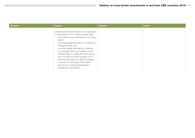| <b>Slovakia</b> | <b>Cyprus</b>                                                                                                                                                                                                                                                                                                                                                                                                                                                                                                                                                                                                                                                                             | <b>Estonia</b> | Latvia |
|-----------------|-------------------------------------------------------------------------------------------------------------------------------------------------------------------------------------------------------------------------------------------------------------------------------------------------------------------------------------------------------------------------------------------------------------------------------------------------------------------------------------------------------------------------------------------------------------------------------------------------------------------------------------------------------------------------------------------|----------------|--------|
|                 | The following cannot be taken into consideration<br>in computing the 75% holding for group relief:<br>any ordinary shares held that have no voting<br>$\overline{\phantom{0}}$<br>rights;<br>any share capital held directly or indirectly for<br>$\overline{\phantom{m}}$<br>trading purposes; and<br>any share capital held directly or indirectly<br>$\overline{\phantom{m}}$<br>in a company that is not resident in an EU<br>member state, in a state with which Cyprus<br>has concluded a double tax treaty or in a<br>state that has signed the OECD multilateral<br>convention for exchange of information<br>(Convention on Mutual Administrative<br>Assistance in Tax Matters). |                |        |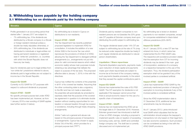## 3. Withholding taxes payable by the holding company 3.1 Withholding tax on dividends paid by the holding company

| <b>Slovakia</b>                                                                         | <b>Cyprus</b>                                                                                     | <b>Estonia</b>                                                                                       | Latvia                                                                                           |
|-----------------------------------------------------------------------------------------|---------------------------------------------------------------------------------------------------|------------------------------------------------------------------------------------------------------|--------------------------------------------------------------------------------------------------|
| Profits generated in an accounting period that                                          | No withholding tax is levied in Cyprus on                                                         | Dividends paid by resident companies to non-                                                         | No withholding tax is levied on dividend                                                         |
| started after 1 January 2017 are subject to:                                            | distributions to non-residents.                                                                   | resident persons are not (besides the 20% gross                                                      | payments to non-resident companies, except                                                       |
| - 7% withholding tax, if the dividends are                                              |                                                                                                   | rate CIT payable at Estonian company level upon                                                      | for companies established in black-listed                                                        |
| distributed by a Slovak company to a Slovak<br>or foreign resident individual (unless a | <b>Impact ATAD - GAAR</b><br>The Tax Department has recently published                            | distributing the profit) subject to withholding tax.                                                 | offshore jurisdictions (20% WHT).                                                                |
| double-tax treaty stipulates otherwise), or                                             | proposed legislation to implement ATAD for                                                        | The regular dividends taxed under 14% CIT are                                                        | <b>Impact EU GAAR</b>                                                                            |
| 35% withholding tax, if the dividends are                                               | consultation. It includes the addition of a new                                                   | subject to withholding tax at the rate of 7% (may                                                    | As of 1 January 2018, a new CIT law has                                                          |
| distributed to individuals or legal entities not                                        | Article 33(6) to the Income Tax Law which                                                         | be reduced under respective double tax treaty) if                                                    | entered into force, in which Latvia has                                                          |
| having permanent residence or registered                                                | reproduces the provisions of Article 6 of ATAD,                                                   | such regular dividends are distributed to natural                                                    | implemented the EU PSD GAAR rules.                                                               |
| seat in 'white-list' jurisdiction, i.e. countries                                       | allowing the Tax Department to disregard artificial                                               | person shareholders.                                                                                 | The respective anti-avoidance provision states                                                   |
| with which the Slovak Republic does not                                                 | arrangements (i.e., arrangements not put into                                                     |                                                                                                      | that the exemption from CIT for incoming                                                         |
| have any tax treaty.                                                                    | place for valid commercial reasons which reflect<br>economic reality) whose main purposes include | <b>Liquidation / Share repurchase</b><br>Payments (liquidation payments, payments made               | dividends may be denied if the main goal<br>of incorporation, existence of a company             |
| Save for dividends paid out to legal entities from                                      | obtaining a tax advantage that defeats the                                                        | upon reduction of share capital and payments                                                         | or a respective transaction is the use of the                                                    |
| 'non-white-list' jurisdictions referred to above,                                       | object or purpose of the tax laws. The proposed                                                   | made upon share repurchase) are subject to                                                           | exemption. Thus, the dividend participation                                                      |
| dividends paid to legal entities are not subject to                                     | effective date is January 1, 2019, in line with the                                               | income tax at the level of the company making                                                        | exemption shall not be granted if any of the                                                     |
| income tax in the Slovak Republic.                                                      | directives.                                                                                       | such payments (taxable proceeds), to the extent                                                      | involved parties is considered artificial.                                                       |
|                                                                                         |                                                                                                   | that they exceed the capital contributions paid in.                                                  |                                                                                                  |
| <b>Impact EU GAAR</b>                                                                   | Cyprus has notified the contents of the preamble                                                  |                                                                                                      | <b>Impact ATAD - GAAR</b>                                                                        |
| Currently no EU GAAR for CIT purposes with                                              | in all 61 of its covered tax treaties. Assuming that                                              | <b>Impact EU GAAR</b>                                                                                | Latvia has implemented ATAD GAAR by the                                                          |
| respect to outbound dividends is proposed.                                              | the other contracting state is also a signatory                                                   | Estonia has implemented the rules of EU PSD                                                          | previously mentioned provision of denying CIT                                                    |
| <b>Impact ATAD - GAAR</b>                                                               | to the MLI and has not made a reservation,<br>the preamble will automatically be amended to       | GAAR. The CIT exemption for dividends is not<br>applicable if the taxpayer cannot prove that         | exemption to incoming dividends if any of the<br>involved parties is considered artificial.      |
| No specific principal purpose test under ATAD                                           | expressly state that the purpose of the covered                                                   | there is actual economic reason for the use of a                                                     |                                                                                                  |
| has been implemented yet. However, as from                                              | tax agreement in question is to eliminate double                                                  | specific chain of transactions.                                                                      | Since the ATAD implementation date is                                                            |
| 1 January 2018 a new wording of GAAR applies                                            | taxation without creating opportunities for non-                                                  |                                                                                                      | 31 December 2018, additional tax law                                                             |
| (see further section 5 below).                                                          | taxation or reduced taxation through tax evasion                                                  | <b>Impact ATAD - GAAR</b>                                                                            | amendments may be introduced.                                                                    |
|                                                                                         | or avoidance, including through treaty-shopping                                                   | Estonia has not implemented the ATAD yet as                                                          |                                                                                                  |
|                                                                                         | arrangements.                                                                                     | the target date is 31 December 2018. However,                                                        | As of 1 January 2013, Latvia introduced                                                          |
|                                                                                         |                                                                                                   | Estonian government has introduced a draft bill                                                      | local GAAR which stipulates that the tax                                                         |
|                                                                                         | Article 7 sets out a general anti-abuse rule<br>based on the principal purpose of transactions    | of law on ATAD changes, including a proposal to<br>implement specific rules on taxation of exceeding | administration should analyze the taxpayer's<br>transactions not only based on their legal form, |
|                                                                                         | or arrangements. Cyprus has chosen to apply                                                       | borrowing costs, exit tax, GAAR and controlled                                                       | but also economic substance. Such provision                                                      |
|                                                                                         | Article 7(4) of the MLI, which provides for a                                                     | foreign company rule. The draft law is currently                                                     | can be considered as being in line with the                                                      |
|                                                                                         | principal purpose test ("PPT").                                                                   | discussed and not implemented yet.                                                                   | ATAD GAAR provisions.                                                                            |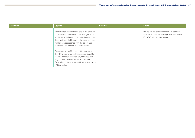| <b>Slovakia</b> | <b>Cyprus</b>                                                                                                                                                                                                                                                                                                                                                                                                                                                           | <b>Estonia</b> | Latvia                                                                                                                   |
|-----------------|-------------------------------------------------------------------------------------------------------------------------------------------------------------------------------------------------------------------------------------------------------------------------------------------------------------------------------------------------------------------------------------------------------------------------------------------------------------------------|----------------|--------------------------------------------------------------------------------------------------------------------------|
|                 | Tax benefits will be denied if one of the principal<br>purposes of a transaction or an arrangement is<br>to directly or indirectly obtain a tax benefit, unless<br>the granting of that benefit in the circumstances<br>would be in accordance with the object and<br>purpose of the relevant treaty provisions.<br>Signatories to the MLI may opt to supplement<br>the PPT with a simplified limitation-on-benefits<br>("LOB") provision. Alternatively, countries can |                | We do not have information about planned<br>amendments in national legal acts with which<br>EU ATAD will be implemented. |
|                 | negotiate bilateral detailed LOB provisions.<br>Cyprus has not made any notification to adopt a<br>LOB provision.                                                                                                                                                                                                                                                                                                                                                       |                |                                                                                                                          |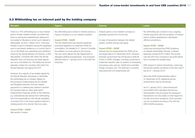# 3.2 Withholding tax on interest paid by the holding company

| <b>Slovakia</b>                                                                                                                                                                                                                                                                                                                                                                                                                                                                                                                                                                                                                                                                                                                                                                                                                                                                                                                                                                                                                                                                                                                                                                                                                                                                                                                                                                 | <b>Cyprus</b>                                                                                                                                                                                                                                                                                                                                                                                                                                                                                        | <b>Estonia</b>                                                                                                                                                                                                                                                                                                                                                                                                                                                                                                                                                                                              | Latvia                                                                                                                                                                                                                                                                                                                                                                                                                                                                                                                                                                                                                                                                                                                                                                                                                                                                                                                                                                                                            |
|---------------------------------------------------------------------------------------------------------------------------------------------------------------------------------------------------------------------------------------------------------------------------------------------------------------------------------------------------------------------------------------------------------------------------------------------------------------------------------------------------------------------------------------------------------------------------------------------------------------------------------------------------------------------------------------------------------------------------------------------------------------------------------------------------------------------------------------------------------------------------------------------------------------------------------------------------------------------------------------------------------------------------------------------------------------------------------------------------------------------------------------------------------------------------------------------------------------------------------------------------------------------------------------------------------------------------------------------------------------------------------|------------------------------------------------------------------------------------------------------------------------------------------------------------------------------------------------------------------------------------------------------------------------------------------------------------------------------------------------------------------------------------------------------------------------------------------------------------------------------------------------------|-------------------------------------------------------------------------------------------------------------------------------------------------------------------------------------------------------------------------------------------------------------------------------------------------------------------------------------------------------------------------------------------------------------------------------------------------------------------------------------------------------------------------------------------------------------------------------------------------------------|-------------------------------------------------------------------------------------------------------------------------------------------------------------------------------------------------------------------------------------------------------------------------------------------------------------------------------------------------------------------------------------------------------------------------------------------------------------------------------------------------------------------------------------------------------------------------------------------------------------------------------------------------------------------------------------------------------------------------------------------------------------------------------------------------------------------------------------------------------------------------------------------------------------------------------------------------------------------------------------------------------------------|
| There is a 19% withholding tax on loan interest<br>paid to foreign resident entities, provided they<br>have no permanent establishment deemed to<br>be created in Slovakia to which such interest is<br>attributable. As from 1 March 2014, if the loan<br>interest is paid to residents having the registered<br>seat or permanent residency in a country that is<br>not on the White List maintained and published<br>online by the Slovak Ministry of Finances, a 35%<br>rate applies. Countries with which the Slovak<br>Republic does not have any tax treaty signed<br>are not on the White List. The White List should<br>basically contain the countries with which the<br>Slovak Republic has signed the DTT.<br>However, the majority of tax treaties signed by<br>the Slovak Republic decreases or eliminates<br>the withholding tax on interest. Based on<br>the provisions implementing the EU Interest<br>and Royalties Directive, the loan interest<br>payments to a related party seated in another<br>EU member state (or other state which<br>implemented measures similar to this directive,<br>e.g. Switzerland) are exempt from withholding<br>tax if the shareholding in the Slovak subsidiary<br>of at least 25% in the share capital is held for a<br>holding period of no shorter than two years.<br><b>Impact ATAD - GAAR</b><br>See section 5 below. | No withholding tax is levied on interest paid by a<br>Cyprus company to a non-resident recipient.<br><b>Impact ATAD - GAAR</b><br>The Tax Department has recently published<br>proposed legislation to implement ATAD for<br>consultation. As detailed in 3.1 above it includes<br>the addition of a new article to the Income<br>Tax Law which allows the Tax Department to<br>disregard artificial arrangements. The proposed<br>effective date is 1 January 2019, in line with the<br>directives. | Interest paid to a non-resident company is<br>generally exempt from income tax.<br>In case of transaction between the related<br>parties, transfer pricing rules apply.<br><b>Impact ATAD - GAAR</b><br>Estonia has not implemented the ATAD yet as<br>the target date is 31 December 2018. However,<br>Estonian government has introduced a draft bill<br>of law on ATAD changes, including a proposal to<br>implement specific rules on taxation of exceeding<br>borrowing costs, exit tax, GAAR and controlled<br>foreign company rule. The draft law is currently<br>discussed and not implemented yet. | No withholding tax is levied on any outgoing<br>interest payments with the exception of interest<br>paid to entities established in blacklisted<br>offshore jurisdictions.<br><b>Impact ATAD - GAAR</b><br>Latvia has introduced the ATAD limitations<br>on interest deductibility. Namely, if interest<br>expenses exceed EUR 3 million, the excess<br>over the 30% from company's net profit before<br>tax is included into taxable base.<br>With respect to hybrid mismatches, Latvia has<br>introduced specific provisions in the new taxCIT<br>law as of 1 January 2018.<br>Since the ATAD implementation date is<br>31 December 2018, additional tax law<br>amendments may be introduced.<br>As of 1 January 2013, Latvia introduced<br>local GAAR which stipulates that the tax<br>administration should analyze the taxpayer's<br>transactions not only based on their legal form,<br>but also economic substance. Such provision<br>can be considered as being in line with the<br>ATAD GAAR provisions. |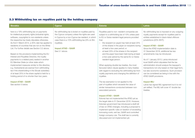# 3.3 Withholding tax on royalties paid by the holding company

| <b>Slovakia</b>                                                                                                                                                                                                                                                                                                                                                                                                                                                                                                                                                                                                                                                                                                                                                                                                                                                               | <b>Cyprus</b>                                                                                                                                                                                                                                                           | <b>Estonia</b>                                                                                                                                                                                                                                                                                                                                                                                                                                                                                                                                                                                                                                                                                                                                                                                                                                                                                                                                                                                                                                                                                                                                                                                                                                                                                                                      | Latvia                                                                                                                                                                                                                                                                                                                                                                                                                                                                                                                                                                                                                                                                                                                                                                            |
|-------------------------------------------------------------------------------------------------------------------------------------------------------------------------------------------------------------------------------------------------------------------------------------------------------------------------------------------------------------------------------------------------------------------------------------------------------------------------------------------------------------------------------------------------------------------------------------------------------------------------------------------------------------------------------------------------------------------------------------------------------------------------------------------------------------------------------------------------------------------------------|-------------------------------------------------------------------------------------------------------------------------------------------------------------------------------------------------------------------------------------------------------------------------|-------------------------------------------------------------------------------------------------------------------------------------------------------------------------------------------------------------------------------------------------------------------------------------------------------------------------------------------------------------------------------------------------------------------------------------------------------------------------------------------------------------------------------------------------------------------------------------------------------------------------------------------------------------------------------------------------------------------------------------------------------------------------------------------------------------------------------------------------------------------------------------------------------------------------------------------------------------------------------------------------------------------------------------------------------------------------------------------------------------------------------------------------------------------------------------------------------------------------------------------------------------------------------------------------------------------------------------|-----------------------------------------------------------------------------------------------------------------------------------------------------------------------------------------------------------------------------------------------------------------------------------------------------------------------------------------------------------------------------------------------------------------------------------------------------------------------------------------------------------------------------------------------------------------------------------------------------------------------------------------------------------------------------------------------------------------------------------------------------------------------------------|
| here is a 19% withholding tax on payments<br>for intellectual property rights (industrial rights,<br>software, copyrights) to non-residents unless<br>the respective tax treaty stipulates otherwise.<br>As from 1 March 2014, a 35% rate has applied to<br>residents of countries that are not on the White<br>List. For further details see Section 3.2 above.<br>Based on the provisions implementing the EU<br>Interest and Royalties Directive, the royalty<br>payments to a related party seated in another<br>EU Member State (or other state which<br>implemented measures similar to this directive,<br>e.g. Switzerland) are exempt from withholding<br>tax if the shareholding in the Slovak subsidiary<br>of at least 25% in the share capital is held for a<br>holding period of no shorter than two years.<br><b>Impact ATAD - GAAR</b><br>See section 5 below. | No withholding tax is levied on royalties paid by<br>the Cyprus company unless the rights are used<br>in Cyprus by a non-Cyprus tax resident, in which<br>case there is a 10% withholding tax (5% on film<br>royalties).<br><b>Impact ATAD - GAAR</b><br>See 3.1 above. | Royalties paid to non-resident companies are<br>subject to a withholding tax of 10% unless paid<br>to EU or Swiss resident legal persons provided<br>that:<br>- the recipient (or payer) has held at least 25%<br>of the shares in the payer (or recipient) during<br>at least a two-year period; or<br>at least 25% of the shares in the recipient<br>$\overline{\phantom{0}}$<br>and the payer have been held during at least<br>a two-year period by the same EU or Swiss<br>resident legal person.<br>When applying double-tax treaties, the most<br>favoured nation clause applies to many treaties<br>with regard to excluding the withholding tax from<br>royalty payments and changing the definition of<br>royalties.<br>The tax exemption is not applied to the<br>part of royalties which exceeds the value of<br>similar transactions conducted between non-<br>associated persons.<br><b>Impact ATAD - GAAR</b><br>Estonia has not implemented the ATAD yet as<br>the target date is 31 December 2018. However,<br>Estonian government has introduced a draft bill<br>of law on ATAD changes, including a proposal to<br>implement specific rules on taxation of exceeding<br>borrowing costs, exit tax, GAAR and controlled<br>foreign company rule. The draft law is currently<br>discussed and not implemented yet. | No withholding tax is imposed on any outgoing<br>royalty payments except for royalties paid to<br>entities established in black-listed offshore<br>jurisdictions (20% WHT).<br><b>Impact ATAD - GAAR</b><br>Since the ATAD implementation date is<br>31 December 2018, additional tax law<br>amendments may be introduced.<br>As of 1 January 2013, Latvia introduced<br>local GAAR which stipulates that the tax<br>administration should analyze the taxpayer's<br>transactions not only based on their legal form,<br>but also economic substance. Such provision<br>can be considered as being in line with the<br>ATAD GAAR provisions.<br><b>Impact MLI</b><br>Latvia has signed MLI agreement but it is not<br>yet ratified. The MLI will cover 47 double tax<br>treaties. |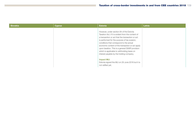| Slovakia | <b>Cyprus</b> | <b>Estonia</b>                                                                                                                                                                                                                                                                                                                                                                                                                                   | Latvia |
|----------|---------------|--------------------------------------------------------------------------------------------------------------------------------------------------------------------------------------------------------------------------------------------------------------------------------------------------------------------------------------------------------------------------------------------------------------------------------------------------|--------|
|          |               | However, under section 84 of the Estonia<br>Taxation Act, if it is evident from the content of<br>a transaction or act that the transaction or act<br>is performed for the purpose of tax evasion,<br>conditions that correspond to the actual<br>economic content of the transaction or act apply<br>upon taxation. This is a general GAAR provision<br>which is applicable to withholding taxes on<br>interest payable by the holding company. |        |
|          |               | <b>Impact MLI</b><br>Estonia signed the MLI on 29 June 2018 but it is<br>not ratified yet.                                                                                                                                                                                                                                                                                                                                                       |        |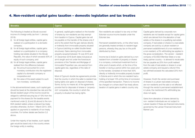#### 4. Non-resident capital gains taxation – domestic legislation and tax treaties

gain would be taxed only in the country where

the foreign entity is residing.

| <b>Slovakia</b>                                                                                                                                                                                                                                                                                                                                                                                                                                                                                                                                                                                                                                                                                                                                                                                                                                                                                                                                                                                                                                                                                                                                                                                                                                                                                                                                                         | <b>Cyprus</b>                                                                                                                                                                                                                                                                                                                                                                                                                                                                                                                                                                                                                                                                                                                                                                                                                                                                                                                                                                                                                                                            | <b>Estonia</b>                                                                                                                                                                                                                                                                                                                                                                                                                                                                                                                                                                                                                                                                                                                                                                                                                                                                                                                 | Latvia                                                                                                                                                                                                                                                                                                                                                                                                                                                                                                                                                                                                                                                                                                                                                                                                                                                                                                                                                                                                                                                                                                                                                                                                                                                    |
|-------------------------------------------------------------------------------------------------------------------------------------------------------------------------------------------------------------------------------------------------------------------------------------------------------------------------------------------------------------------------------------------------------------------------------------------------------------------------------------------------------------------------------------------------------------------------------------------------------------------------------------------------------------------------------------------------------------------------------------------------------------------------------------------------------------------------------------------------------------------------------------------------------------------------------------------------------------------------------------------------------------------------------------------------------------------------------------------------------------------------------------------------------------------------------------------------------------------------------------------------------------------------------------------------------------------------------------------------------------------------|--------------------------------------------------------------------------------------------------------------------------------------------------------------------------------------------------------------------------------------------------------------------------------------------------------------------------------------------------------------------------------------------------------------------------------------------------------------------------------------------------------------------------------------------------------------------------------------------------------------------------------------------------------------------------------------------------------------------------------------------------------------------------------------------------------------------------------------------------------------------------------------------------------------------------------------------------------------------------------------------------------------------------------------------------------------------------|--------------------------------------------------------------------------------------------------------------------------------------------------------------------------------------------------------------------------------------------------------------------------------------------------------------------------------------------------------------------------------------------------------------------------------------------------------------------------------------------------------------------------------------------------------------------------------------------------------------------------------------------------------------------------------------------------------------------------------------------------------------------------------------------------------------------------------------------------------------------------------------------------------------------------------|-----------------------------------------------------------------------------------------------------------------------------------------------------------------------------------------------------------------------------------------------------------------------------------------------------------------------------------------------------------------------------------------------------------------------------------------------------------------------------------------------------------------------------------------------------------------------------------------------------------------------------------------------------------------------------------------------------------------------------------------------------------------------------------------------------------------------------------------------------------------------------------------------------------------------------------------------------------------------------------------------------------------------------------------------------------------------------------------------------------------------------------------------------------------------------------------------------------------------------------------------------------|
| The following is treated as Slovak-sourced<br>income of a foreign entity (as from 1 January<br>$2018$ :<br>(i) for all foreign legal entities, capital gains<br>realised on a participation in a domestic<br>company;<br>(ii) for all foreign legal entities, capital gains<br>realised on a participation in a company<br>holding real estate situated in the Slovak<br>Republic, the value of which exceeds 50% of<br>equity of such company; and<br>(iii) for all foreign legal entities, capital gains<br>realised from the difference between<br>(a) the amount accounted for a non-<br>monetary contribution into the registered<br>capital of a domestic company or<br>cooperative and<br>(b) the value of the asset subject to such<br>non-monetary contribution.<br>In the abovementioned cases, such capital gain<br>should be taxed at the standard tax rate and the<br>Slovak resident payer of the income would be<br>obliged to withhold securing tax of 19% from the<br>payment for the shares (for the taxable events<br>mentioned under (i), (ii) and (iii) above) to the non-<br>EEA resident sellers unless a relevant tax treaty<br>provides otherwise. As from 1 March 2014, 35%<br>applied on payments to residents of non-treaty<br>countries. For further details see Section 3.2<br>above.<br>Under the majority of tax treaties, such capital | In general, capital gains realised on the transfer<br>of shares by non-residents are fully exempt<br>from taxation in Cyprus. Capital gains tax will<br>be payable on the transfer of the shares only if<br>and to the extent that the gain derives directly<br>or indirectly from immovable property situated<br>in Cyprus (catching so-called double-tiered<br>structures). Gains deriving from immovable<br>property acquired between 16 July 2015 and<br>31 December 2016 (both dates inclusive) at<br>arm's length and not under the foreclosure<br>provisions of the Transfer and Mortgage of<br>Immovable Properties Law, are exempt from<br>capital gains tax, regardless of the date of<br>disposal.<br>Most of Cyprus's double tax agreements provide<br>that the country in which the seller is resident has<br>taxing rights over gains on disposal of shares.<br>Some, but by no means all, of the agreements<br>provide that for disposals of shares in 'property-<br>rich' companies, the country in which the<br>property is situated has taxing rights. | Non-residents are subject to tax only on their<br>Estonian-source income taxable under the<br>Estonian law.<br>Permanent establishments, on the other hand,<br>are generally treated similarly to resident legal<br>persons, whereby they pay tax on the profit<br>distributed by them.<br>Income tax is levied on gains derived by a non-<br>resident from a transfer of property or shares<br>in a company, contractual investment fund or<br>other pool of assets which, at the time of the<br>transfer or during a period within two years prior<br>to the transfer, consisted of more than 50%<br>directly or indirectly immovable property located<br>in Estonia and in which the non-resident had a<br>holding of at least 10% at the time of conclusion<br>of the specified transaction. There is no income<br>tax charged on a share deal if tax treaty allows<br>taxation of capital gains in seller's country only. | Capital gains derived by corporate non-<br>residents are not taxable except for capital gains<br>which are derived from the alienation of real<br>estate or the shares in a qualifying real estate<br>company. If real estate or shares in a real estate<br>company are sold by a Latvian resident or<br>permanent establishment of a non-resident to<br>a non-resident, a 3% withholding tax applies to<br>the gross consideration. The vendor - resident<br>company of EU/EEA Member State or a tax<br>treaty partner country - is allowed to recalculate<br>the tax payable as 20% from profit realised<br>from the sale of real estate or shares in a real<br>estate company and request a refund if the<br>tax withheld exceeds the calculated 20% from<br>profit.<br>However, if both the vendor and purchaser<br>of shares in a Latvian real estate company<br>are non-residents and the sale is not effected<br>through the vendor's permanent establishment<br>in Latvia, the mentioned 3% withholding tax<br>does not apply.<br>Gains from alienation of shares derived by<br>non-resident individuals are not subject to<br>Latvian taxation if these are financial instruments<br>governed by the Latvian Financial Instrument<br>Market Law. |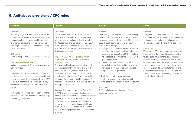### 5. Anti-abuse provisions / CFC rules

| <b>Slovakia</b>                                                                                                                                                                                                                                                                                                                                                                                                                                                                                                                                                                                                                                                                                                                                                                                                                                                                                | <b>Cyprus</b>                                                                                                                                                                                                                                                                                                                                                                                                                                                                                                                                                                                                                                                                                                                                                                                                                                                                                                                                                                                                                                                                                                                                                                                                                                                  | <b>Estonia</b>                                                                                                                                                                                                                                                                                                                                                                                                                                                                                                                                                                                                                                                                                                                                                                                                                                                             | Latvia                                                                                                                                                                                                                                                                                                                                                                                                                                                                                                                                                                                                                                                                                                     |
|------------------------------------------------------------------------------------------------------------------------------------------------------------------------------------------------------------------------------------------------------------------------------------------------------------------------------------------------------------------------------------------------------------------------------------------------------------------------------------------------------------------------------------------------------------------------------------------------------------------------------------------------------------------------------------------------------------------------------------------------------------------------------------------------------------------------------------------------------------------------------------------------|----------------------------------------------------------------------------------------------------------------------------------------------------------------------------------------------------------------------------------------------------------------------------------------------------------------------------------------------------------------------------------------------------------------------------------------------------------------------------------------------------------------------------------------------------------------------------------------------------------------------------------------------------------------------------------------------------------------------------------------------------------------------------------------------------------------------------------------------------------------------------------------------------------------------------------------------------------------------------------------------------------------------------------------------------------------------------------------------------------------------------------------------------------------------------------------------------------------------------------------------------------------|----------------------------------------------------------------------------------------------------------------------------------------------------------------------------------------------------------------------------------------------------------------------------------------------------------------------------------------------------------------------------------------------------------------------------------------------------------------------------------------------------------------------------------------------------------------------------------------------------------------------------------------------------------------------------------------------------------------------------------------------------------------------------------------------------------------------------------------------------------------------------|------------------------------------------------------------------------------------------------------------------------------------------------------------------------------------------------------------------------------------------------------------------------------------------------------------------------------------------------------------------------------------------------------------------------------------------------------------------------------------------------------------------------------------------------------------------------------------------------------------------------------------------------------------------------------------------------------------|
| General<br>According to general anti-abuse provision, the<br>actions or other circumstances that are without<br>economic substance and one of their aim is<br>to avoid tax obligations or to gain unjust tax<br>advantage are not taken into consideration by<br>the tax authorities.<br><b>CFC</b> rules<br>There is no specific CFC legislation effective yet.<br><b>Thin capitalisation rules</b><br>As from 1 January 2015, thin capitalisation rules<br>were re-introduced.<br>The interest and expenses related to loans and<br>credits between related parties are considered<br>to be a tax deductible expense only up to 25%<br>of the sum of the financial results before tax.<br>depreciation and interest from received loans and<br>credits.<br>Thin capitalisation rules do not apply to financial<br>institutions, collective investment undertakings<br>and leasing companies. | <b>CFC</b> rules<br>There are currently no CFC rules in place in<br>Cyprus. The only anti-avoidance measures<br>are provisions in the Income Tax Law and<br>the Assessment and Collection of Taxes Law<br>allowing the tax authorities to adjust transactions<br>to an arm's length basis or disregard artificial or<br>fictitious transactions.<br>Impact ATAD - CFC legislation / thin<br>capitalisation rules / EBITDA / hybrid<br>mismatch rules<br>The proposed implementing legislation published<br>for consultation in 2017 defines a CFC in the<br>same way as ATAD, namely as an overseas<br>permanent establishment or company directly<br>or indirectly controlled by a Cyprus tax resident<br>company, the corporate profit tax burden of<br>which is less than half of what it would be under<br>the Cyprus tax system.<br>It adopts the approach set out in Article 7.2(a)<br>of ATAD under which specified categories of<br>income including interest, royalties and dividends<br>receivable by the CFC are to be included as<br>current income in the tax base of the Cyprus<br>parent and taxed in accordance with Cyprus<br>rules, unless the CFC is resident in an EU or EEA<br>country and engages in substantive economic<br>activities. | General<br>There is a general anti-avoidance rule enacting<br>the principle of economic substance. Specific<br>measures to combat the erosion of the taxable<br>base through payments to low-tax countries<br>include the following:<br>- fees paid to companies resident in low-tax<br>territories for services rendered to Estonian<br>residents are subject to a 20% withholding<br>tax irrespective of where the services were<br>provided or used; and<br>various payments made, or benefits<br>provided, to recipients resident in low-tax<br>territories are regarded as non-business<br>expenses for CIT purposes.<br>CIT liability incurs for the payer acquiring<br>securities of shares of, or claims against, or<br>issuing loans to a company in a low-tax country.<br><b>CFC</b> rules<br>CFC legislation does not apply to Estonian<br>corporate taxpayers. | General<br>The general anti-avoidance rule has been<br>introduced as from 1 January 2013, specifying<br>that economic substance of a transaction<br>should be considered, not only its legal form.<br><b>CFC</b> rules<br>There are no CFC rules for corporate taxpayers.<br>However, in order to avoid the erosion of the<br>taxable base any payments to companies<br>or other persons established in black-listed<br>offshore jurisdictions are subject to 20% CIT or<br>23% personal income tax, respectively. Limited<br>exceptions apply to payments for goods and<br>payments for acquisition of EU / EEA publicly<br>traded shares made to offshore jurisdictions if<br>the price is arm's length. |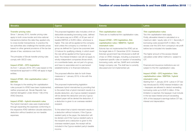| Slovakia                                                                                                                                                                                                                                                                                                                                                                                                                                                                                                                                                                                                                                                                                                                                                                                                                                                                                                                                                                                                                                                                                                                                                                               | <b>Cyprus</b>                                                                                                                                                                                                                                                                                                                                                                                                                                                                                                                                                                                                                                                                                                                                                                                                                                                                                                                                                                                                                                                                                                                                                                                                                                                                                                                                                                                                                                                                                                                                                            | <b>Estonia</b>                                                                                                                                                                                                                                                                                                                                                                                                                                                                                                                                                                                    | Latvia                                                                                                                                                                                                                                                                                                                                                                                                                                                                                                                                                                                                                                                                                                                                                                                                                                                                                                                                                                                                                     |
|----------------------------------------------------------------------------------------------------------------------------------------------------------------------------------------------------------------------------------------------------------------------------------------------------------------------------------------------------------------------------------------------------------------------------------------------------------------------------------------------------------------------------------------------------------------------------------------------------------------------------------------------------------------------------------------------------------------------------------------------------------------------------------------------------------------------------------------------------------------------------------------------------------------------------------------------------------------------------------------------------------------------------------------------------------------------------------------------------------------------------------------------------------------------------------------|--------------------------------------------------------------------------------------------------------------------------------------------------------------------------------------------------------------------------------------------------------------------------------------------------------------------------------------------------------------------------------------------------------------------------------------------------------------------------------------------------------------------------------------------------------------------------------------------------------------------------------------------------------------------------------------------------------------------------------------------------------------------------------------------------------------------------------------------------------------------------------------------------------------------------------------------------------------------------------------------------------------------------------------------------------------------------------------------------------------------------------------------------------------------------------------------------------------------------------------------------------------------------------------------------------------------------------------------------------------------------------------------------------------------------------------------------------------------------------------------------------------------------------------------------------------------------|---------------------------------------------------------------------------------------------------------------------------------------------------------------------------------------------------------------------------------------------------------------------------------------------------------------------------------------------------------------------------------------------------------------------------------------------------------------------------------------------------------------------------------------------------------------------------------------------------|----------------------------------------------------------------------------------------------------------------------------------------------------------------------------------------------------------------------------------------------------------------------------------------------------------------------------------------------------------------------------------------------------------------------------------------------------------------------------------------------------------------------------------------------------------------------------------------------------------------------------------------------------------------------------------------------------------------------------------------------------------------------------------------------------------------------------------------------------------------------------------------------------------------------------------------------------------------------------------------------------------------------------|
| <b>Transfer pricing rules</b><br>Since 1 January 2015, transfer pricing rules<br>apply to both cross-border and intra-national<br>transactions (before this date they applied only<br>to cross-border transactions). In practice the<br>tax authorities also challenge the transfer prices<br>based on other general provisions of the tax law<br>(abuse of law, substance over form).<br>The principles of Slovak transfer pricing rules<br>comply with OECD rules.<br><b>Impact ATAD - CFC-legislation</b><br>As from 1 January 2019, CFC rules based on the<br>transactional approach in ATAD will apply to legal<br>entities.<br><b>Impact ATAD - thin capitalisation rules /</b><br><b>EBITDA</b><br>No changes to the existing thin capitalisation<br>rules pursuant to ATAD have been implemented,<br>neither proposed yet. Slovak Republic has<br>claimed derogation under Article 11(6) of the<br>ATAD Directive.<br><b>Impact ATAD - hybrid mismatch rules</b><br>The hybrid mismatch rules were implemented<br>through expanding the expenses conforming to<br>the respective ATAD definition (double deduction;<br>deduction without taxation) as non-taxable<br>expenses. | The proposed legislation also includes a limit on<br>deductible exceeding borrowing costs, defined<br>in the same way as in ATAD, of 30 per cent of<br>taxable EBITDA or EUR3 million, whichever is<br>higher. This rule will be applied at the company<br>level unless the company is a member of a<br>group as defined for Cyprus tax purposes (see<br>2.9 above for qualifying criteria), in which event<br>the rule will be applied at the Cyprus group<br>level. The interest limitation rule will not apply to<br>wholly independent companies (those which,<br>on a worldwide basis, are not part of a group,<br>and have no associates and no permanent<br>establishments) or to financial institutions.<br>The proposed effective date for both these<br>measures is 1 January 2019, in line with the<br>directives.<br>The proposed implementing legislation<br>addresses hybrid mismatches by providing that<br>to the extent that a hybrid mismatch results in a<br>double deduction, any Cyprus-resident recipient<br>will be denied the deduction and any Cyprus-<br>resident payer will be denied the deduction, if<br>a deduction is given to an overseas-resident<br>recipient.<br>To the extent that a hybrid mismatch results in<br>a deduction without inclusion, if the Cyprus-<br>resident party is the payer, the deduction will<br>be denied; and if the Cyprus-resident party is<br>the recipient and a deduction is given to the<br>overseas-resident payer, the receipt will be<br>included in the Cyprus-resident party's taxable<br>income. | <b>Thin capitalisation rules</b><br>There are no traditional thin capitalisation rules.<br>Impact ATAD - CFC legislation, thin<br>capitalisation rules / EBIDTA / hybrid<br>mismatch rules<br>Estonia has not implemented the ATAD yet as<br>the target date is 31 December 2018. However,<br>Estonian government has introduced a draft bill<br>of law on ATAD changes, including a proposal to<br>implement specific rules on taxation of exceeding<br>borrowing costs, exit tax, GAAR and controlled<br>foreign company rule. The draft law is currently<br>discussed and not implemented yet. | <b>Thin capitalisation rules</b><br>Two thin capitalisation tests apply.<br>Firstly, allowable interest is calculated on a<br>maximum debt / equity ratio of 4:1. Secondly, if<br>borrowing costs exceed EUR 3 million, the<br>excess over the 30% from company's net profit<br>before tax is included into taxable base.<br>The higher amount of the excess interest<br>calculated under either method is subject to<br>CIT.<br>Financial and insurance institutions are not<br>subject to the thin capitalisation rules.<br><b>Impact ATAD - CFC legislation / thin</b><br>capitalisation rules / EBITDA / hybrid<br>mismatch rules<br>Starting from 1 January 2018 Latvia in CIT law<br>has introduced EU ATAD interest limitation rule<br>- taxpayers are allowed to deduct exceeding<br>borrowing costs up to EUR 3 million. If this<br>limitation is reached, the taxpayer must include<br>in the tax base interest amount exceeding<br>30% of the taxpayer's earnings before CIT tax,<br>interest and depreciation. |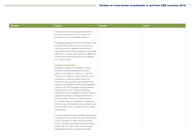| <b>Slovakia</b> | <b>Cyprus</b>                                                                                                                                                                                                                                                                                                                                                                                                                                                                                                                                                                                                                                                                                                                                                                                 | <b>Estonia</b> | Latvia |
|-----------------|-----------------------------------------------------------------------------------------------------------------------------------------------------------------------------------------------------------------------------------------------------------------------------------------------------------------------------------------------------------------------------------------------------------------------------------------------------------------------------------------------------------------------------------------------------------------------------------------------------------------------------------------------------------------------------------------------------------------------------------------------------------------------------------------------|----------------|--------|
|                 | The proposed provisions supplement similar<br>provisions introduced in 2015 to apply the<br>amended EU Parent/Subsidiary Directive.                                                                                                                                                                                                                                                                                                                                                                                                                                                                                                                                                                                                                                                           |                |        |
|                 | The effective dates for the hybrid mismatch rules<br>are identical to those set out in the directives,<br>with the provisions regarding mismatches of<br>hybrid instruments and tax residence due to take<br>effect from 1 January 2020, and those relating to<br>reverse hybrid mismatches becoming effective<br>on 1 January 2022.                                                                                                                                                                                                                                                                                                                                                                                                                                                          |                |        |
|                 | <b>Transfer pricing rules</b><br>Significant changes to the taxation of back-<br>to-back financing arrangements between<br>related companies took effect on 1 July 2017.<br>The previous minimum margin scheme, which<br>provided for a deemed interest rate to be<br>imputed for tax purposes, was abolished and<br>replaced with detailed transfer pricing legislation<br>based on the OECD transfer pricing guidelines.<br>Under the new rules, intragroup financing<br>transactions will be evaluated to ensure that the<br>agreed remuneration complies with the arm's<br>length principle. There is a simplified regime<br>for a limited range of transactions. Outside this<br>limited range, a full transfer pricing analysis must<br>be performed in order to determine arm's length |                |        |
|                 | remuneration.<br>The arm's length principle is already incorporated<br>in Article 33 of the Income Tax Law, which allows<br>the tax authorities to adjust reported taxable<br>profits if transfer prices agreed between related<br>parties differ from the prices that would have<br>been agreed between independent entities.                                                                                                                                                                                                                                                                                                                                                                                                                                                                |                |        |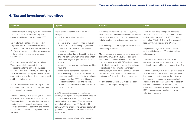#### 6. Tax and investment incentives

| <b>Slovakia</b>                                                                                                                                                                                                                                                                                                                                                                                                                                                                                                                                                                                                                                                                                                                                                                                                                                                                                                                                                                                                                                                                                                                                                                           | <b>Cyprus</b>                                                                                                                                                                                                                                                                                                                                                                                                                                                                                                                                                                                                                                                                                                                                                                                                                                                                                                                                                                                                                                                                                                                                                                                                                                                                                                             | <b>Estonia</b>                                                                                                                                                                                                                                                                                                                                                                                                                                                                                                                                                                                                                                                                                                                                                                                                                                        | Latvia                                                                                                                                                                                                                                                                                                                                                                                                                                                                                                                                                                                                                                                                                                                                                                                                                                                                                                                                           |
|-------------------------------------------------------------------------------------------------------------------------------------------------------------------------------------------------------------------------------------------------------------------------------------------------------------------------------------------------------------------------------------------------------------------------------------------------------------------------------------------------------------------------------------------------------------------------------------------------------------------------------------------------------------------------------------------------------------------------------------------------------------------------------------------------------------------------------------------------------------------------------------------------------------------------------------------------------------------------------------------------------------------------------------------------------------------------------------------------------------------------------------------------------------------------------------------|---------------------------------------------------------------------------------------------------------------------------------------------------------------------------------------------------------------------------------------------------------------------------------------------------------------------------------------------------------------------------------------------------------------------------------------------------------------------------------------------------------------------------------------------------------------------------------------------------------------------------------------------------------------------------------------------------------------------------------------------------------------------------------------------------------------------------------------------------------------------------------------------------------------------------------------------------------------------------------------------------------------------------------------------------------------------------------------------------------------------------------------------------------------------------------------------------------------------------------------------------------------------------------------------------------------------------|-------------------------------------------------------------------------------------------------------------------------------------------------------------------------------------------------------------------------------------------------------------------------------------------------------------------------------------------------------------------------------------------------------------------------------------------------------------------------------------------------------------------------------------------------------------------------------------------------------------------------------------------------------------------------------------------------------------------------------------------------------------------------------------------------------------------------------------------------------|--------------------------------------------------------------------------------------------------------------------------------------------------------------------------------------------------------------------------------------------------------------------------------------------------------------------------------------------------------------------------------------------------------------------------------------------------------------------------------------------------------------------------------------------------------------------------------------------------------------------------------------------------------------------------------------------------------------------------------------------------------------------------------------------------------------------------------------------------------------------------------------------------------------------------------------------------|
| The new tax relief rules apply to the Government<br>/ EU Commission decisions on regional<br>investment aid taken from 1 January 2008.<br>Tax relief may be obtained for a period of<br>10 years if certain conditions are satisfied<br>according to the new Investment Aid Act and<br>EU State Aid regulation, subject to the approval<br>of the Slovak Government and European<br>Commission.<br>Only proportional tax relief may be claimed.<br>The maximum limit represents the tax<br>corresponding to the part of the tax base<br>calculated as a ratio of the eligible costs (up to<br>the already incurred costs) and the sum of own<br>equity at the time of the application for state aid<br>and those eligible costs.<br>Specific rules effective as of 2010 apply to the<br>calculation of proportional tax credit granted for<br>research and development.<br>As from 1 January 2015, a new type of tax relief<br>(so-called 'super deduction') was introduced.<br>The super deduction is available to taxpayers<br>conducting research and development, and<br>consists of 'additional' deduction of expenses<br>(costs) for research and development from the<br>tax base. | The following categories of income are tax<br>exempt:<br>profit from the sale of securities;<br>dividends:<br>$\overline{\phantom{a}}$<br>income of any company formed exclusively<br>$\overline{\phantom{a}}$<br>for the purpose of promoting art, science<br>or sport, and of certain educational and<br>charitable companies;<br>profits earned or dividends paid by a Cyprus<br>shipping company which owns ships under<br>the Cyprus flag and operates in international<br>waters:<br>income of any approved pension or provident<br>$\overline{\phantom{m}}$<br>fund: and<br>profits from a permanent establishment<br>$\equiv$<br>situated entirely outside Cyprus, unless the<br>permanent establishment directly or indirectly<br>engages more than 50% in activities which<br>lead to investment income and the foreign<br>tax burden is substantially lower than the tax<br>burden in Cyprus.<br>In 2012 Cyprus introduced an 'intellectual<br>property box' regime which provides an effective<br>tax rate of less than 2.5% on income from<br>intellectual property assets. The regime was<br>amended with effect from 30 June 2016 to<br>comply with the 'modified nexus' approach, with<br>grandfathering provisions for assets already in<br>the scheme.<br>Gains on disposal are effectively tax-exempt. | Due to the nature of the Estonia CIT system,<br>there are no special tax incentives but the system<br>itself can be seen as an incentive that enables<br>indefinite deferral for taxing corporate profits.<br>Debt financing does not trigger limitations on the<br>deductibility of interest.<br>Merger, division and reorganisation are generally<br>tax neutral. Transfer of a business belonging<br>to the permanent establishment to another<br>company is not taxed with CIT and not treated<br>as distribution of profits, provided the business<br>is transferred in the form of non-monetary<br>contribution, or in the course of merger, division<br>or transformation if economic activities are<br>continued in Estonia through such enterprise.<br>No thin capitalisation or CFC rules have been<br>introduced for corporate tax payers. | There are free ports and special economic<br>zones in Latvia established to promote export<br>and providing tax relief up to 100% for real<br>estate tax, 80% for CIT, as well as extended<br>loss carry forward period and 0% VAT.<br>A specific tonnage tax applies for vessels<br>registered in Latvia and PIT reliefs to sailors'<br>salaries apply.<br>The Latvian tax system with no CIT on<br>reinvested profits can be seen as an incentive<br>that enables deferral for taxing corporate profits.<br>As from 1 January 2014, a new tax allowance to<br>facilitate research and development (R&D) was<br>introduced. Under the new provision, taxable<br>income can be reduced by expenses directly<br>attributable to personnel and costs of research<br>services purchased from specialised scientific<br>institutions, multiplied by three. The result of the<br>R&D process may not be disposed of for the<br>following three years. |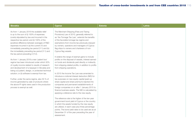| <b>Slovakia</b>                                                                                                                                                                                                                                                                                                                                                                                                                                                                                                                                                                                                                                                                                                                                                                                                                                                                                                           | <b>Cyprus</b>                                                                                                                                                                                                                                                                                                                                                                                                                                                                                                                                                                                                                                                                                                                                                                                                                                                                                                                                                                                                                                                                                                                                                                                                                                                                                                                                            | <b>Estonia</b> | Latvia |
|---------------------------------------------------------------------------------------------------------------------------------------------------------------------------------------------------------------------------------------------------------------------------------------------------------------------------------------------------------------------------------------------------------------------------------------------------------------------------------------------------------------------------------------------------------------------------------------------------------------------------------------------------------------------------------------------------------------------------------------------------------------------------------------------------------------------------------------------------------------------------------------------------------------------------|----------------------------------------------------------------------------------------------------------------------------------------------------------------------------------------------------------------------------------------------------------------------------------------------------------------------------------------------------------------------------------------------------------------------------------------------------------------------------------------------------------------------------------------------------------------------------------------------------------------------------------------------------------------------------------------------------------------------------------------------------------------------------------------------------------------------------------------------------------------------------------------------------------------------------------------------------------------------------------------------------------------------------------------------------------------------------------------------------------------------------------------------------------------------------------------------------------------------------------------------------------------------------------------------------------------------------------------------------------|----------------|--------|
| As from 1 January 2018 the available relief<br>is up to the sum of (i) 100% of expenses<br>(costs) stipulated by law and incurred in the<br>respective tax period; and (ii) 100% of the<br>(positive) difference between averages of R&D<br>expenses incurred in (a) the current (Y) and<br>immediately preceding tax period (Y-1) and (b)<br>the immediately preceding tax period (Y-1) and<br>the tax period preceding it (Y-2).<br>As from 1 January 2018 a new 'patent box'<br>regime has been introduced under which 50%<br>of royalty income related to results of research<br>and development of a taxpayer in Slovakia and<br>being a (i) patent, design, or protected technical<br>solution; or (ii) software is exempt from tax.<br>Further, under the same regime, also 50 % of<br>income generated by sale of products where<br>the above IP rights were used in the production<br>process is exempt as well. | The Merchant Shipping (Fees and Taxing<br>Provisions) Law of 2010, generally referred to<br>as 'the Tonnage Tax Law', extends the benefits<br>of the favorable tonnage tax regime and<br>exemptions from income tax previously enjoyed<br>by owners, operators and managers of Cyprus<br>flag ships to owners and charterers of non-<br>Cyprus flag vessels.<br>It widens the range of exempt gains to include<br>profits on the disposal of vessels, interest earned<br>on funds and dividends paid directly or indirectly<br>from shipping-related profits, in addition to profits<br>from shipping operations.<br>In 2015 the Income Tax Law was amended to<br>introduce a notional interest deduction (NID) for<br>tax purposes on new equity capital (paid-up<br>share capital and share premium) injected into<br>companies and permanent establishments of<br>foreign companies on or after 1 January 2015 to<br>finance business assets. The NID is calculated by<br>applying a reference rate to the new equity.<br>The reference rate is the higher of the ten-year<br>government bond yield of Cyprus or the country<br>in which the assets funded by the new equity<br>are utilized, in each case plus three percentage<br>points. The bond yield rates to be used are as at<br>December 31 of the year preceding the year of<br>assessment. |                |        |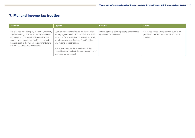#### 7. MLI and income tax treaties

| Slovakia                                                                                                                                                                                                                                                                                                    | <b>Cyprus</b>                                                                                                                                                                                                                                                                                                                                                             | <b>Estonia</b>                                                                    | Latvia                                                                                                       |
|-------------------------------------------------------------------------------------------------------------------------------------------------------------------------------------------------------------------------------------------------------------------------------------------------------------|---------------------------------------------------------------------------------------------------------------------------------------------------------------------------------------------------------------------------------------------------------------------------------------------------------------------------------------------------------------------------|-----------------------------------------------------------------------------------|--------------------------------------------------------------------------------------------------------------|
| Slovakia has opted to apply MLI to 64 (practically<br>all) of its existing DTTs but actual application of,<br>e.g. principal purpose test will depend on the<br>position of partner states. The MLI has already<br>been ratified but the ratification documents have<br>not yet been deposited by Slovakia. | Cyprus was one of the first 68 countries which<br>formally signed the MLI in June 2017. The main<br>impact on Cyprus-resident companies will result<br>from the application of Articles 6 and 7 of the<br>MLI, relating to treaty abuse.<br>Article 6 provides for the amendment of the<br>preamble of tax treaties to include the purpose of<br>a covered tax agreement. | Estonia signed a letter expressing their intent to<br>sign the MLI in the future. | Latvia has signed MLI agreement but it is not<br>yet ratified. The MLI will cover 47 double tax<br>treaties. |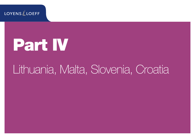**LOYENS** & LOEFF

# Part IV

## Lithuania, Malta, Slovenia, Croatia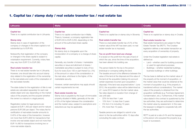### 1. Capital tax / stamp duty / real estate transfer tax / real estate tax

| Lithuania                                                                                                                                                                                                                                                                                                                                                                                                                                                                                                                                                                                                                                                                                                                                                                                                                                                                                                                                                                                                                                                                                                                                                                                                                                                                                                                                                                                             | <b>Malta</b>                                                                                                                                                                                                                                                                                                                                                                                                                                                                                                                                                                                                                                                                                                                                                                                                                                                                                                                                                                                                                                  | <b>Slovenia</b>                                                                                                                                                                                                                                                                                                                                                                                                                                                                                                                                                                                                                                                                                                                                                                                                                                                                                                                                                                                                                                                                                                                                                                                                                                         | <b>Croatia</b>                                                                                                                                                                                                                                                                                                                                                                                                                                                                                                                                                                                                                                                                                                                                                                                                                                                                                                                                                                                                                                                                                                                                                                                                                                                                                                                       |
|-------------------------------------------------------------------------------------------------------------------------------------------------------------------------------------------------------------------------------------------------------------------------------------------------------------------------------------------------------------------------------------------------------------------------------------------------------------------------------------------------------------------------------------------------------------------------------------------------------------------------------------------------------------------------------------------------------------------------------------------------------------------------------------------------------------------------------------------------------------------------------------------------------------------------------------------------------------------------------------------------------------------------------------------------------------------------------------------------------------------------------------------------------------------------------------------------------------------------------------------------------------------------------------------------------------------------------------------------------------------------------------------------------|-----------------------------------------------------------------------------------------------------------------------------------------------------------------------------------------------------------------------------------------------------------------------------------------------------------------------------------------------------------------------------------------------------------------------------------------------------------------------------------------------------------------------------------------------------------------------------------------------------------------------------------------------------------------------------------------------------------------------------------------------------------------------------------------------------------------------------------------------------------------------------------------------------------------------------------------------------------------------------------------------------------------------------------------------|---------------------------------------------------------------------------------------------------------------------------------------------------------------------------------------------------------------------------------------------------------------------------------------------------------------------------------------------------------------------------------------------------------------------------------------------------------------------------------------------------------------------------------------------------------------------------------------------------------------------------------------------------------------------------------------------------------------------------------------------------------------------------------------------------------------------------------------------------------------------------------------------------------------------------------------------------------------------------------------------------------------------------------------------------------------------------------------------------------------------------------------------------------------------------------------------------------------------------------------------------------|--------------------------------------------------------------------------------------------------------------------------------------------------------------------------------------------------------------------------------------------------------------------------------------------------------------------------------------------------------------------------------------------------------------------------------------------------------------------------------------------------------------------------------------------------------------------------------------------------------------------------------------------------------------------------------------------------------------------------------------------------------------------------------------------------------------------------------------------------------------------------------------------------------------------------------------------------------------------------------------------------------------------------------------------------------------------------------------------------------------------------------------------------------------------------------------------------------------------------------------------------------------------------------------------------------------------------------------|
| <b>Capital tax</b><br>There is no capital contribution tax in Lithuania.<br><b>Stamp duty</b><br>Stamp duty in case of registration of the<br>company or changes in the share capital is not<br>substantial (up to EUR 60).<br>Noteworthy that registration of the company<br>or changes in the share capital is subject to<br>notarisation requirement. Currently, notary fees<br>may vary from EUR 72 to EUR 290.<br>Real estate transfer tax<br>There is no real estate transfer tax in Lithuania.<br>However, one should take into account stamp<br>duty related to the registration of the ownership<br>to the real estate and costs of the notarisation of<br>the real estate transfer.<br>The state duties for the registration of title to real<br>estate are calculated separately for each real<br>estate object and vary depending on the market<br>value of the property and the acquirer (whether<br>the owner is a natural or a legal person).<br>Registration duties for legal persons are<br>capped at EUR 1,450 per object and for natural<br>persons EUR 290 per object. The notary fee for<br>certification of real estate transfer amounts to<br>0.45% of the value of the transaction, however<br>not more than EUR 5,800 for transactions that<br>involve one real estate object and not more than<br>EUR 14,490 for transactions involving two or<br>more real estate objects. | <b>Capital tax</b><br>There is no capital contribution tax in Malta.<br>There is, however, a company registration fee<br>of EUR 245 to EUR 2,250, depending on the<br>amount of the authorised share capital.<br><b>Stamp duty</b><br>No stamp duty is chargeable upon the<br>incorporation of a company or a change of share<br>capital.<br>Generally, any transfer of shares / marketable<br>securities or issue and allotment of shares /<br>marketable securities is subject to duty of two<br>Euro for every Euro 100 or part thereof (i.e. 2%)<br>of the amount or value of the consideration or<br>the real value, whichever is the higher, of the<br>marketable security.<br>However, certain exemptions may apply should<br>certain requirements be met.<br>Real estate transfer tax<br>Stamp duty is payable by the buyer of immovable<br>property situated in Malta, generally at the rate<br>of 5% of the higher between the consideration<br>and the market value, subject to exemptions and<br>reductions as may be applicable. | <b>Capital tax</b><br>There is no capital tax or stamp duty in Slovenia.<br>Real estate transfer tax<br>There is a real estate transfer tax of 2% of the<br>market value (if the VAT has been paid, no real<br>estate transfer tax is imposed).<br>Tax on profit from land use change<br>It is levied on the profit from the sale of land of<br>which the use, since the time of the acquisition,<br>has been altered into building use.<br>The person liable for the tax is the person<br>(individual or company) selling the land.<br>The taxable amount is the difference between the<br>value of the land at the disposal and the value of<br>the land at the acquisition (taking into account<br>certain expenses incurred upon acquisition /<br>disposal). If the land was acquired before 1 June<br>2012, the acquisition value will be determined as<br>of 1 June 2012 based on the fair market value.<br>Tax rates depend on duration from change of<br>use until sale:<br>- 25% for less than 1 year<br>- 15% from 1 to less than 3 years<br>5% from 3 to including 10 years<br>0% more than 10 years.<br>Taxable persons are obliged to submit a tax<br>return to the tax authorities within 15 days after<br>concluding the sales contract. | <b>Capital tax</b><br>There is no capital tax or stamp duty in Croatia.<br>Real estate transfer tax<br>Real estate transactions are subject to Real<br>Estate Transfer Tax (RETT). The Croatian<br>legislation defines a real estate transaction as<br>every acquisition of ownership of property.<br>Under the Croatian legislation real estate is<br>defined as:<br>Land – whether used for building purposes<br>or used for agricultural purposes;<br>Buildings - whether residential buildings,<br>$ \,$<br>business buildings or other buildings.<br>The tax base is defined as the market value of<br>the property at the moment of acquisition, or<br>the market value that could be obtained at the<br>moment of acquisition (e.g. if the property is<br>transferred without consideration). The market<br>value of the property is obtained from the<br>acquisition certificate (e.g. Purchase Agreement,<br>Condemnation, etc.). Furthermore, if the market<br>value stated in the contract is questioned by the<br>tax authorities, they are authorised to determine<br>the market value by assessment. In this case<br>the taxpayer is obliged to cooperate fully with<br>the tax authorities.<br>RETT is paid at a rate of 4% and the taxpayer<br>is the person who acquired the property (e.g.<br>buyer or successor). |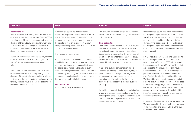**Contract** 

| Lithuania                                            | <b>Malta</b>                                        | <b>Slovenia</b>                                      | <b>Croatia</b>                                                                                     |
|------------------------------------------------------|-----------------------------------------------------|------------------------------------------------------|----------------------------------------------------------------------------------------------------|
|                                                      |                                                     |                                                      |                                                                                                    |
| <b>Real estate tax</b>                               | A transfer tax is payable by the seller of          | The statutory provisions on tax assessment of        | Public notaries, courts and other public entities                                                  |
| Annual real estate tax rate (applicable on the real  | immovable property situated in Malta at the flat    | tax on profit from land use change will expire on    | are obliged to report transactions to the relevant                                                 |
| estate other than land) varies from 0.3% to 3% of    | rate of 8% on the higher of the market value        | 1 August 2019.                                       | tax office, according to the location of the real                                                  |
| taxable value of the real estate, depending on the   | of the property and the consideration paid for      |                                                      | estate. The tax must be paid within 15 days of                                                     |
| decision of the particular municipality which has    | the transfer (net of brokerage fees). Certain       | <b>Real estate tax</b>                               | delivery of the decision on RETT. The taxpayers                                                    |
| to determine the exact rate(s) of the tax within     | exemptions are applicable say in the case of sale   | There is no general real estate tax. In 2013, the    | are obliged to report real estate transactions in                                                  |
| its territory. Taxable value of the real estate is   | of one's ordinary residence.                        | Government enacted the new real estate tax           | case none of the above mentioned entities are                                                      |
| determined based on the market value.                |                                                     | replacing all current taxes and duties related       | able to report it.                                                                                 |
|                                                      | The transfer tax is a final tax.                    | to real estate ownership, but the Constitutional     |                                                                                                    |
| Individuals owning residential real estate, value of |                                                     | Court declared it unconstitutional. Accordingly,     | If real estate transactions (building and building                                                 |
| which in total exceeds EUR 220,000, are taxed        | In certain prescribed circumstances, the seller     | the current taxes and duties related to real estate  | land) are subject to VAT in accordance with the                                                    |
| with 0.5 % real estate tax on the exceeding          | is entitled to opt out of the transfer tax system   | ownership will apply also in the future.             | provisions of VAT Law, no RETT will be levied.                                                     |
| value.                                               | and is entitled to opt to be charged to tax on      |                                                      | In accordance with the VAT Law, buildings that                                                     |
|                                                      | the capital gains made on the sale. In such         | A land and building compensation duty is             | are subject to VAT include those that have not                                                     |
| Annual land tax rate varies from 0.01% to 4%         | case, the capital gain derived from the transfer is | imposed on owners or users (renters, etc.) of        | been inhabited or those where two years have                                                       |
| of taxable value of the land, depending on the       | computed by deducting allowable expenses from       | plots of land and buildings. The obligations         | passed since the date of first occupation or                                                       |
| decision of the particular municipality, which has   | consideration received and is charged to tax at     | as such and tax rates are set up by the              | use. Similarly, building land that is subject to                                                   |
| to determine the exact rate(s) of the tax within its | the rate of tax applicable to the seller.           | municipalities. For individuals, the duty is         | VAT is land for which a building permit or similar                                                 |
| territory. Taxable value of the land is determined   |                                                     | deductible if the property is used as business       | building document has been issued. In the case                                                     |
| based on the market value.                           | <b>Real estate tax</b>                              | property.                                            | of VAT exempt supplies, there is a possibility to                                                  |
|                                                      | Malta does not levy real estate tax.                |                                                      | opt for VAT, presuming that the recipient of the                                                   |
|                                                      |                                                     | In addition, a property tax is levied on individuals | supply is a taxable person with the full right to                                                  |
|                                                      |                                                     | who own premises (including plots of land and        | input VAT deduction. The right to opt must be                                                      |
|                                                      |                                                     | buildings that are also subject to the above duty).  | exercised at the time of supply.                                                                   |
|                                                      |                                                     | The tax rates are progressive and depend on the      |                                                                                                    |
|                                                      |                                                     | type of premise and its value.                       | If the seller of the real estate is not registered for                                             |
|                                                      |                                                     |                                                      | VAT purposes, RETT is paid on the market value<br>of the real estate and land. RETT is a final tax |
|                                                      |                                                     |                                                      | and cannot be reclaimed.                                                                           |
|                                                      |                                                     |                                                      |                                                                                                    |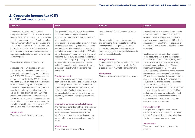moment.

#### 2. Corporate income tax (CIT) 2.1 CIT and wealth taxes

| Lithuania                                                                                                                                                                                                                                                                                                                                                                                                                                                                                                                                                                                                                                                                                                                                                                                                                                                                                                                                                                                                                                                                                                                                                                                                                                                                                                                  | <b>Malta</b>                                                                                                                                                                                                                                                                                                                                                                                                                                                                                                                                                                                                                                                                                                                                                                                                                                                                                                                                                                                                                                                                                                                                                                                                                                                                                                                                                                                                            | <b>Slovenia</b>                                                                                                                                                                                                                                                                                                                                                                                                                                                                                                                                                                         | <b>Croatia</b>                                                                                                                                                                                                                                                                                                                                                                                                                                                                                                                                                                                                                                                                                                                                                                                                                                                                                                                                                                                                                                                                                                                                                                                                                                                                                                                                                                                               |
|----------------------------------------------------------------------------------------------------------------------------------------------------------------------------------------------------------------------------------------------------------------------------------------------------------------------------------------------------------------------------------------------------------------------------------------------------------------------------------------------------------------------------------------------------------------------------------------------------------------------------------------------------------------------------------------------------------------------------------------------------------------------------------------------------------------------------------------------------------------------------------------------------------------------------------------------------------------------------------------------------------------------------------------------------------------------------------------------------------------------------------------------------------------------------------------------------------------------------------------------------------------------------------------------------------------------------|-------------------------------------------------------------------------------------------------------------------------------------------------------------------------------------------------------------------------------------------------------------------------------------------------------------------------------------------------------------------------------------------------------------------------------------------------------------------------------------------------------------------------------------------------------------------------------------------------------------------------------------------------------------------------------------------------------------------------------------------------------------------------------------------------------------------------------------------------------------------------------------------------------------------------------------------------------------------------------------------------------------------------------------------------------------------------------------------------------------------------------------------------------------------------------------------------------------------------------------------------------------------------------------------------------------------------------------------------------------------------------------------------------------------------|-----------------------------------------------------------------------------------------------------------------------------------------------------------------------------------------------------------------------------------------------------------------------------------------------------------------------------------------------------------------------------------------------------------------------------------------------------------------------------------------------------------------------------------------------------------------------------------------|--------------------------------------------------------------------------------------------------------------------------------------------------------------------------------------------------------------------------------------------------------------------------------------------------------------------------------------------------------------------------------------------------------------------------------------------------------------------------------------------------------------------------------------------------------------------------------------------------------------------------------------------------------------------------------------------------------------------------------------------------------------------------------------------------------------------------------------------------------------------------------------------------------------------------------------------------------------------------------------------------------------------------------------------------------------------------------------------------------------------------------------------------------------------------------------------------------------------------------------------------------------------------------------------------------------------------------------------------------------------------------------------------------------|
| The general CIT rate is 15%. Resident<br>companies are taxed on their worldwide income<br>(income generated through a foreign permanent<br>establishment organised in EEA states or other<br>states with which a tax treaty is concluded and<br>taxed in the foreign jurisdiction is exempt from<br>CIT in Lithuania). The CIT Act stipulates that<br>gross revenue (total of sales and non-operating<br>revenue) is the basis for computing the amount<br>of taxable profit.<br>The tax is applicable on an annual basis.<br>A reduced rate of 5% applies to smaller<br>taxable units with maximum 10 employees<br>and maximum income during the taxable year<br>of EUR 300,000. Such micro-companies that<br>are newly established enjoy 0% CIT during<br>the first tax period, provided that shareholders<br>of the micro-company are natural persons<br>and in the three tax periods (including the first<br>one) the operations of the micro-company<br>are not stopped, the micro-company is not<br>liquidated or reorganized, and the shares of<br>the micro-company are not transferred to new<br>shareholders. In case the micro-company does<br>not fulfil the established conditions for the 0% tax<br>rate, the reduced 5% tax rate applies.<br><b>Wealth taxes</b><br>There are no wealth taxes in Lithuania. | The general CIT rate is 35%, but the combined<br>overall effective rate may be reduced by<br>application of Malta's full imputation system and<br>refund mechanism.<br>Malta operates a full imputation system such that<br>dividends distributed carry a credit in favour of a<br>recipient shareholder (resident or non-resident)<br>equivalent to the amount of underlying CIT paid<br>by the distributing company on the profits out of<br>which the dividend was distributed. Additionally,<br>part of that underlying CIT paid may be refunded<br>to the recipient shareholder (resident or non-<br>resident), depending on the nature and source<br>of the profits out of which the dividend was<br>distributed.<br><b>Foreign tax credit</b><br>Foreign tax actually paid or deemed to have<br>been paid may be credited against Malta tax due<br>on the foreign income. The tax credit cannot be<br>higher than the Malta tax on that income. The<br>claim of relief for foreign tax paid/ deemed to<br>be paid, affects the level of refund that may be<br>claimed by the shareholder upon a distribution<br>of profits.<br>Income from permanent establishments<br>Any income or gains derived by a Malta company<br>from a permanent establishment (including<br>a branch) situated outside Malta or to the<br>transfer of such permanent establishment may<br>be exempt from tax in Malta at the company's | From 1 January 2017 the general CIT rate is<br>19%.<br>Slovenian resident companies (corporations<br>and partnerships) are subject to tax on their<br>worldwide income. In general, tax follows<br>accounting books with adjustment for tax<br>purposes, e.g. generous depreciation periods<br>and non-deductible costs.<br><b>Foreign tax credit</b><br>Unilateral relief in the form of ordinary tax credit<br>for foreign-sourced income is available. The<br>excess tax credit may not be carried forward.<br><b>Wealth taxes</b><br>There are no wealth taxes in place at present. | Any profit derived by a corporation or $-$ under<br>certain conditions - individual entrepreneurs<br>is subject to CIT at a flat rate of 12% (in the<br>event of revenue amounting to HRK 3 million in<br>a tax period) or 18% otherwise, regardless of<br>whether the profit is distributed to shareholders<br>or retained.<br>Taxable income is computed on the basis<br>of the accounting regulations (the Croatian<br>Financial Reporting Standards (CFRS)), which<br>are applicable for small and medium-sized<br>companies and the International Financial<br>Reporting Standards (IFRS), which are<br>applicable for large companies as the difference<br>between revenues and expenditures before<br>CIT, which is increased or decreased under the<br>provisions of the CIT Law. As a result of the<br>adjustment, the taxable income of a company<br>differs from its accounting profits.<br>The tax base also includes a profit derived from<br>the liquidation, sale, change in the legal form<br>and division of a taxpayer and is determined<br>at the market value of assets unless the CIT<br>Law provides otherwise. Taxable income is<br>computed on an accrual basis.<br><b>Foreign tax credit</b><br>Foreign tax actually paid abroad may be<br>credited against the tax liability on the foreign<br>income. The tax credit cannot be higher than<br>the domestic tax on such an income. |
|                                                                                                                                                                                                                                                                                                                                                                                                                                                                                                                                                                                                                                                                                                                                                                                                                                                                                                                                                                                                                                                                                                                                                                                                                                                                                                                            | choice.                                                                                                                                                                                                                                                                                                                                                                                                                                                                                                                                                                                                                                                                                                                                                                                                                                                                                                                                                                                                                                                                                                                                                                                                                                                                                                                                                                                                                 |                                                                                                                                                                                                                                                                                                                                                                                                                                                                                                                                                                                         | <b>Wealth taxes</b>                                                                                                                                                                                                                                                                                                                                                                                                                                                                                                                                                                                                                                                                                                                                                                                                                                                                                                                                                                                                                                                                                                                                                                                                                                                                                                                                                                                          |
|                                                                                                                                                                                                                                                                                                                                                                                                                                                                                                                                                                                                                                                                                                                                                                                                                                                                                                                                                                                                                                                                                                                                                                                                                                                                                                                            | <b>Wealth taxes</b>                                                                                                                                                                                                                                                                                                                                                                                                                                                                                                                                                                                                                                                                                                                                                                                                                                                                                                                                                                                                                                                                                                                                                                                                                                                                                                                                                                                                     |                                                                                                                                                                                                                                                                                                                                                                                                                                                                                                                                                                                         | There are no wealth taxes in place at the                                                                                                                                                                                                                                                                                                                                                                                                                                                                                                                                                                                                                                                                                                                                                                                                                                                                                                                                                                                                                                                                                                                                                                                                                                                                                                                                                                    |

There are no wealth taxes in Malta.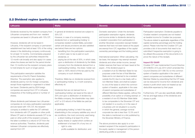#### 2.2 Dividend regime (participation exemption)

| Lithuania                                                                                                                                                                                                                                            | <b>Malta</b>                                                                                                                                                                                                                                                                                             | <b>Slovenia</b>                                                                                                                                                                                                                                   | <b>Croatia</b>                                                                                                                                                                                                                                                                                        |
|------------------------------------------------------------------------------------------------------------------------------------------------------------------------------------------------------------------------------------------------------|----------------------------------------------------------------------------------------------------------------------------------------------------------------------------------------------------------------------------------------------------------------------------------------------------------|---------------------------------------------------------------------------------------------------------------------------------------------------------------------------------------------------------------------------------------------------|-------------------------------------------------------------------------------------------------------------------------------------------------------------------------------------------------------------------------------------------------------------------------------------------------------|
|                                                                                                                                                                                                                                                      |                                                                                                                                                                                                                                                                                                          |                                                                                                                                                                                                                                                   |                                                                                                                                                                                                                                                                                                       |
| Dividends received by the resident company from<br>Lithuanian companies and from non-resident<br>companies are taxed in Lithuania with 15% CIT.                                                                                                      | In general all dividends received are subject to<br>35% CIT.<br>However, in case of a company receiving                                                                                                                                                                                                  | Domestic exemption: Under the domestic<br>participation exemption regime, dividends<br>and income similar to dividends derived by                                                                                                                 | Participation exemption: Dividends payable to<br>Croatian resident companies are not treated<br>as taxable income for Croatian tax purposes.                                                                                                                                                          |
| However, dividends will not be taxed in<br>Lithuania, if the recipient company or permanent<br>establishment has held at least 10% of the voting<br>shares in the distributing company continuously<br>for at least 12 months. Commentaries prepared | dividends from a 'participating holding' in<br>companies resident outside Malta, (provided<br>certain anti-abuse provisions are also satisfied:<br>see below) there are two options:<br>benefiting from the participation exemption,<br>$\overline{\phantom{0}}$<br>in which case no tax is paid on such | a resident corporation from participation in<br>another Slovenian corporation (except hidden<br>reserves that have not been taxed at the payer)<br>are exempt from CIT, regardless of the capital<br>ownership percentage and the holding period. | The above stated is applicable regardless of the<br>capital ownership percentage and the holding<br>period. Please note that the Croatian CIT Law<br>provides a list of documents that need to be<br>submitted if respective exemption is going to<br>be utilised (the purpose of the documents is to |
| by the Lithuanian tax authorities interpret this<br>12-month rule broadly and also apply it in cases                                                                                                                                                 | dividends; or<br>paying tax at the rate of 35%, in which case,                                                                                                                                                                                                                                           | International exemption: When calculating the<br>tax base, the taxpayer may exempt received                                                                                                                                                       | prove the nature of the receipt).                                                                                                                                                                                                                                                                     |
| where the shares are held for the period shorter<br>than 12 months but the recipient company plans<br>to hold shares for such or longer period.                                                                                                      | upon a distribution of dividends by the Malta<br>company from the dividends derived from a<br>'participating holding', the share- holder can<br>claim a 100% refund of the tax paid by the                                                                                                               | dividends and other similar income, (except<br>hidden reserves that have not been taxed at the<br>payer), if the dividend payer is:<br>- a resident of an EU Member State for tax                                                                 | <b>Impact EU GAAR</b><br>Croatian CIT Law implemented Council Directive<br>2014/86/EU of 8 July 2014 which amended the<br>Council Directive 2011/96/EU on the common                                                                                                                                  |
| This participation exemption satisfies the<br>requirements of the EU Parent-Subsidiary                                                                                                                                                               | company on such dividends.                                                                                                                                                                                                                                                                               | purposes under the law of that Member<br>State and is not deemed to be a resident                                                                                                                                                                 | system of taxation applicable in the case of<br>parent companies and subsidiaries of different                                                                                                                                                                                                        |
| Directive. The exemption also applies to<br>dividends paid by non-EU foreign companies,<br>except those registered or organised in a listed<br>tax haven. Dividends paid by EEA foreign<br>companies are exempt from CIT in Lithuania                | Therefore, Malta tax on dividends received from<br>a 'participating holding' is, in both scenarios,<br>effectively nil.<br>Dividends that are not derived from a                                                                                                                                         | outside the EU due to a tax treaty with a<br>non-Member State; and shall be subject<br>to one of the taxes to which the common<br>system of taxation, applicable in the case<br>of parent companies and subsidiaries of                           | Member States by prescribing that the CIT base<br>can be reduced for income from dividends and<br>shares in profit which were not treated as tax<br>deductible expenses by their payer.                                                                                                               |
| irrespective of the holding period or number of<br>shares.                                                                                                                                                                                           | 'participating holding' are taxed at the rate of<br>35% and upon a distribution of dividend by<br>the Malta company, the shareholder may claim                                                                                                                                                           | different Members States applies, without the<br>possibility of an option or of being exempt; or<br>a resident of non-EU Member State liable<br>$\overline{\phantom{a}}$                                                                          | Furthermore, CIT Law also specifically defines<br>the tax and legal status of the dividends and<br>shares in profit.                                                                                                                                                                                  |
| Where dividends paid between two Lithuanian<br>companies do not enjoy participation exemption<br>and are taxed with 15% CIT, the recipient                                                                                                           | a 6/7 or 2/3 refund of the Malta tax paid (as<br>applicable).                                                                                                                                                                                                                                            | to tax comparable to the Slovenian CIT and<br>not resident in a country or in the case of<br>a business unit not situated in a country                                                                                                            |                                                                                                                                                                                                                                                                                                       |
| company is entitled to settle the CIT withheld<br>from dividends with CIT payable on other profit.<br>Where CIT paid on dividends exceeds CIT to be                                                                                                  | A 'participating holding' is held if the equity<br>shareholding in the company satisfies any one of<br>six conditions, the most commonly used being:                                                                                                                                                     | in which the general, average nominal<br>corporate tax rate is less than 12.5% and if<br>the state is mentioned on a list published by                                                                                                            |                                                                                                                                                                                                                                                                                                       |
| paid on other profit of the recipient company,<br>the latter is entitled to a refund of CIT from the                                                                                                                                                 | - a direct holding of at least 5% of the<br>equity shares or capital which confers an                                                                                                                                                                                                                    | the Slovenian Ministry of Finance.                                                                                                                                                                                                                |                                                                                                                                                                                                                                                                                                       |
| revenue authorities. Therefore, dividends paid<br>between Lithuanian companies are effectively<br>exempt from CIT.                                                                                                                                   | entitlement of at least 5% of any two of:<br>right to vote;<br>profits available for distribution; and<br>$\sim$                                                                                                                                                                                         | The above provisions also apply to a non-<br>resident recipient if the recipient's participation in<br>the equity capital or management of the person                                                                                             |                                                                                                                                                                                                                                                                                                       |

distributing profits is connected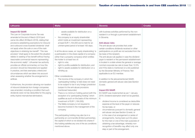| Lithuania                                                                                                                                                                                                                                                                                                                                                                                                                                                                                                                                                                                                                                                                                                                                                                                                                                                                                                                                                                                                                                                                     | <b>Malta</b>                                                                                                                                                                                                                                                                                                                                                                                                                                                                                                                                                                                                                                                                                                                                                                                                                                                                                                                                                                                                                                                                                                                                                                                                                                                                                                                                                                                              | <b>Slovenia</b>                                                                                                                                                                                                                                                                                                                                                                                                                                                                                                                                                                                                                                                                                                                                                                                                                                                                                                                                                                                                                                                                                                                                                                                                                                                                                                                                                                                                                   | <b>Croatia</b> |
|-------------------------------------------------------------------------------------------------------------------------------------------------------------------------------------------------------------------------------------------------------------------------------------------------------------------------------------------------------------------------------------------------------------------------------------------------------------------------------------------------------------------------------------------------------------------------------------------------------------------------------------------------------------------------------------------------------------------------------------------------------------------------------------------------------------------------------------------------------------------------------------------------------------------------------------------------------------------------------------------------------------------------------------------------------------------------------|-----------------------------------------------------------------------------------------------------------------------------------------------------------------------------------------------------------------------------------------------------------------------------------------------------------------------------------------------------------------------------------------------------------------------------------------------------------------------------------------------------------------------------------------------------------------------------------------------------------------------------------------------------------------------------------------------------------------------------------------------------------------------------------------------------------------------------------------------------------------------------------------------------------------------------------------------------------------------------------------------------------------------------------------------------------------------------------------------------------------------------------------------------------------------------------------------------------------------------------------------------------------------------------------------------------------------------------------------------------------------------------------------------------|-----------------------------------------------------------------------------------------------------------------------------------------------------------------------------------------------------------------------------------------------------------------------------------------------------------------------------------------------------------------------------------------------------------------------------------------------------------------------------------------------------------------------------------------------------------------------------------------------------------------------------------------------------------------------------------------------------------------------------------------------------------------------------------------------------------------------------------------------------------------------------------------------------------------------------------------------------------------------------------------------------------------------------------------------------------------------------------------------------------------------------------------------------------------------------------------------------------------------------------------------------------------------------------------------------------------------------------------------------------------------------------------------------------------------------------|----------------|
| <b>Impact EU GAAR</b><br>The Law on Corporate Income Tax was<br>amended at the end of March 2016 (and<br>came into effect 26 March 2016), stating that<br>provisions establishing exemptions for inbound<br>and outbound cross-boarded dividends "shall<br>not apply when the sole or one of the main<br>objectives is obtaining tax benefit". This new<br>provision "shall apply to the extent the situation<br>relates to seeking of tax benefit without having<br>reasonable commercial reasons representing<br>the economic reality". Lithuanian tax authority<br>provides an official commentary on how this<br>provision should be interpreted and applied<br>in practice, and lists exemplary criteria and<br>circumstances which are taken into account<br>when assessing whether the arrangement is<br>artificial.<br>Furthermore, the provision allowing non taxation<br>of inbound dividends from foreign companies<br>was amended, including a condition that such<br>dividends were not tax deductible for the paying<br>entity (hybrid mismatched elimination). | assets available for distribution on a<br>winding up;<br>the company is an equity shareholder<br>$\overline{\phantom{0}}$<br>which holds an investment representing<br>at least EUR 1,164,000 and is held for an<br>uninterrupted period of at least 183 days.<br>In all the above cases, an 'equity shareholding' is<br>a participation in the share capital of a company<br>(other than a property company) which entitles<br>the holder to at least two of:<br>right to vote;<br>$-$<br>right to profits available for distribution; and<br>$\overline{\phantom{m}}$<br>right to assets available for distribution on a<br>winding up.<br>Other considerations:<br>The income of the company in which the<br>'participating holding' is held does not need<br>to be subject to tax in any foreign jurisdiction<br>(subject to the anti-abuse provisions<br>mentioned hereunder).<br>There is no minimum holding period (with the<br>exception of a 'participating holding' which<br>qualifies as such on the basis of the minimum<br>investment of EUR 1,164,000).<br>The Malta company is not required to<br>become involved in the management of the<br>company.<br>The participating holding may also be in a<br>partnership en commandite (limited partnership),<br>the capital of which is not divided into shares if<br>this holding satisfies any one of the six conditions<br>mentioned above. | with business activities performed by the non-<br>resident in or through a permanent establishment<br>in Slovenia.<br><b>Anti-abuse rules</b><br>The anti-abuse rule provides that under<br>certain conditions dividends received or other<br>participations on profit are not excluded from the<br>tax base of the recipient.<br>The anti-abuse rule applies in case the dividend<br>payer is resident or the permanent establishment<br>is located in a state where the general or average<br>nominal corporate tax rate is lower than 12.5%<br>and if the state is mentioned on a list published<br>by the Slovenian Ministry of Finance. Not<br>applicable to an EU member.<br>In addition to the abovementioned SAAR,<br>domestic general anti-abuse rules (see Section<br>5) exist.<br><b>Impact EU GAAR</b><br>EU GAAR was implemented as per 1 January<br>2016. Dividend exemption shall not be granted,<br>if:<br>dividend income is considered as deductible<br>$-$<br>expense at the level of the payer or reduces<br>his tax base, or<br>circumstances pursuant to domestic general<br>$-$<br>anti-abuse rule (see Section 5) exist, or<br>in the case of an arrangement or series of<br>$-$<br>arrangements, having been put into place<br>for the main or one of the main purposes of<br>obtaining a tax advantage, whereby non-<br>recognition of benefits may affect only one<br>step or part of the arrangement. |                |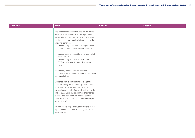| Lithuania | <b>Malta</b>                                                                                                                                                                                                                                                                                                                                                                                                                                                                                                                                                                                                                                                                                                                                                                                                                                                                                                                                                                                                                                                                                                                                                                                   | <b>Slovenia</b> | <b>Croatia</b> |
|-----------|------------------------------------------------------------------------------------------------------------------------------------------------------------------------------------------------------------------------------------------------------------------------------------------------------------------------------------------------------------------------------------------------------------------------------------------------------------------------------------------------------------------------------------------------------------------------------------------------------------------------------------------------------------------------------------------------------------------------------------------------------------------------------------------------------------------------------------------------------------------------------------------------------------------------------------------------------------------------------------------------------------------------------------------------------------------------------------------------------------------------------------------------------------------------------------------------|-----------------|----------------|
|           | The participation exemption and the full refund<br>are applicable if certain anti-abuse provisions<br>are satisfied namely the company in which the<br>participation is held must satisfy any one of the<br>following conditions:<br>- the company is resident or incorporated in<br>country or territory that forms part of the EU;<br><b>or</b><br>the company is subject to tax at a rate of at<br>$\overline{\phantom{0}}$<br>least 15%; or<br>the company does not derive more than<br>$\sim$<br>50% of its income from passive interest or<br>royalties.<br>Alternatively, if none of the above three<br>conditions are met, two other conditions must be<br>met cumulatively.<br>Dividends from a participating holding that<br>does not satisfy the anti-abuse provisions are<br>not entitled to benefit from the participation<br>exemption or the full refund and are taxed at the<br>rate of 35%. Upon the distribution of dividends<br>by the Malta company, the shareholder may<br>claim a 5/7 or a 2/3 refund of the Malta tax paid<br>(as applicable).<br>No immovable property situated in Malta or real<br>rights thereon should be in/directly held within<br>the structure. |                 |                |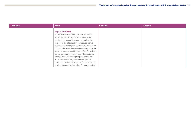| Lithuania | <b>Malta</b>                                                                                                                                                                                                                                                                                                                                                                                                                                                                                                                           | <b>Slovenia</b> | <b>Croatia</b> |
|-----------|----------------------------------------------------------------------------------------------------------------------------------------------------------------------------------------------------------------------------------------------------------------------------------------------------------------------------------------------------------------------------------------------------------------------------------------------------------------------------------------------------------------------------------------|-----------------|----------------|
|           | <b>Impact EU GAAR</b><br>An additional anti-abuse provision applies as<br>from 1 January 2016. Pursuant thereto, the<br>participation exemption does not apply with<br>respect to a profit distribution received from a<br>participating holding in a company resident in the<br>EU by a Malta resident parent company or by the<br>Malta permanent establishment of an EU resident<br>parent company, in case (i) such distribution is<br>exempt from withholding tax pursuant to the<br>EU Parent-Subsidiary Directive and (ii) such |                 |                |
|           | distribution is deductible by the EU participating<br>holding company in that other EU member state.                                                                                                                                                                                                                                                                                                                                                                                                                                   |                 |                |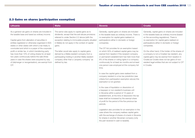|  |  |  |  | 2.3 Gains on shares (participation exemption) |  |
|--|--|--|--|-----------------------------------------------|--|
|--|--|--|--|-----------------------------------------------|--|

| <b>Lithuania</b>                                                                                                                                                                                                                                                                                                                                                                                                                                                                                                                                                                           | <b>Malta</b>                                                                                                                                                                                                                                                                                                                                                                                                                                                                          | <b>Slovenia</b>                                                                                                                                                                                                                                                                                                                                                                                                                                                                                                                                                                                                                                                                                                                                                                                                                                                                                                                                                                                                                                                                                                                                                                                                                                                                                                                                   | <b>Croatia</b>                                                                                                                                                                                                                                                                                                                                                                                                                                                                                                                         |
|--------------------------------------------------------------------------------------------------------------------------------------------------------------------------------------------------------------------------------------------------------------------------------------------------------------------------------------------------------------------------------------------------------------------------------------------------------------------------------------------------------------------------------------------------------------------------------------------|---------------------------------------------------------------------------------------------------------------------------------------------------------------------------------------------------------------------------------------------------------------------------------------------------------------------------------------------------------------------------------------------------------------------------------------------------------------------------------------|---------------------------------------------------------------------------------------------------------------------------------------------------------------------------------------------------------------------------------------------------------------------------------------------------------------------------------------------------------------------------------------------------------------------------------------------------------------------------------------------------------------------------------------------------------------------------------------------------------------------------------------------------------------------------------------------------------------------------------------------------------------------------------------------------------------------------------------------------------------------------------------------------------------------------------------------------------------------------------------------------------------------------------------------------------------------------------------------------------------------------------------------------------------------------------------------------------------------------------------------------------------------------------------------------------------------------------------------------|----------------------------------------------------------------------------------------------------------------------------------------------------------------------------------------------------------------------------------------------------------------------------------------------------------------------------------------------------------------------------------------------------------------------------------------------------------------------------------------------------------------------------------------|
| As a general rule gains on shares are included in<br>the taxable base and taxed as ordinary income.<br>Capital gains from alienation of securities in<br>entities registered or otherwise organised in EEA<br>states or other states with which a tax treaty is<br>concluded and which is a payer of the corporate<br>profit or similar tax, in which transferring party<br>has more than 10% of voting shares for at least<br>two years continuously before the sale (three<br>years in case the shares were acquired by way<br>of (de)merger or reorganisation), are exempt from<br>CIT. | The same rules apply to capital gains as to<br>dividends, except that the anti-abuse provisions<br>referred to under Section 2.2 above (with the<br>exception relating to immovable property situated<br>in Malta) do not apply in the context of capital<br>gains.<br>The latter would also apply to capital gains<br>derived by a Malta resident company from a<br>participating holding in another Malta resident<br>company other than a 'property company' as<br>defined by law. | Generally, capital gains on shares are included<br>in the taxable basis as ordinary income. There is<br>no exemption for capital gains realised on<br>participations either in domestic or foreign<br>companies.<br>The CIT Act provides for an exemption based<br>on which 50% of realised capital gains may be<br>exempt from taxation if the recipient company<br>or permanent establishment has held more than<br>8% of the shares or voting rights in a company<br>continuously for at least six months and at least<br>one person was employed at this company full-<br>time.<br>In case the capital gains were realised from a<br>company resident in a low tax jurisdiction (see<br>criteria from participation exemption above) this<br>exemption is not granted.<br>In the case of liquidation or dissolution of<br>a taxpayer or non-resident's business unit<br>in Slovenia within a period of 10 years of<br>establishment, at the time of dissolution the tax<br>base shall be increased by the exempt share<br>of profit for the period of the five previous tax<br>periods.<br>Legislation also provides for an exemption in the<br>case where the company realises capital gains<br>with the exchange of shares of a bank in Slovenia<br>for shares in another Slovenian company (only<br>the part received in cash is taxable). | Generally, capital gains on shares are included<br>in the taxable basis as ordinary income (based<br>on the accounting regulations). There is<br>no exemption for capital gains realised on<br>participations either in domestic or foreign<br>companies.<br>On the other hand, if the holder of the shares of<br>a company is not a Croatian tax resident, any<br>capital gains may be exempt from taxation in<br>Croatia as Croatia does not tax gains of non-<br>resident legal entities that are not subject to CIT<br>in Croatia. |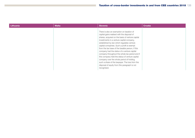| Lithuania | <b>Malta</b> | <b>Slovenia</b>                                                                                                                                                                                                                                                                                                                                                                                                                                                                                                                                                                                                                                              | <b>Croatia</b> |
|-----------|--------------|--------------------------------------------------------------------------------------------------------------------------------------------------------------------------------------------------------------------------------------------------------------------------------------------------------------------------------------------------------------------------------------------------------------------------------------------------------------------------------------------------------------------------------------------------------------------------------------------------------------------------------------------------------------|----------------|
|           |              | There is also an exemption on taxation of<br>capital gains realised with the disposal of<br>shares, acquired on the basis of venture capital<br>investments in a venture capital company,<br>established by law which regulates venture<br>capital companies. Such a profit is exempt<br>from the tax base of the taxable person, if this<br>company had the status of a venture capital<br>company throughout the whole tax period and if<br>this company held the status of venture capital<br>company over the whole period of holding<br>such a share of the taxpayer. The loss from the<br>disposal of equity from this paragraph is not<br>recognised. |                |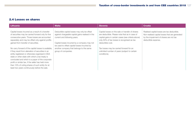#### 2.4 Losses on shares

| Lithuania                                                                                                                                                                                                                                                                                                                                                                                                                     | <b>Malta</b>                                                                                                                                                                     | <b>Slovenia</b>                                                                                                                                                                                                              | Croatia                                                                                                                                                         |
|-------------------------------------------------------------------------------------------------------------------------------------------------------------------------------------------------------------------------------------------------------------------------------------------------------------------------------------------------------------------------------------------------------------------------------|----------------------------------------------------------------------------------------------------------------------------------------------------------------------------------|------------------------------------------------------------------------------------------------------------------------------------------------------------------------------------------------------------------------------|-----------------------------------------------------------------------------------------------------------------------------------------------------------------|
| Capital losses incurred as a result of a transfer<br>of securities may be carried forward only for five<br>consecutive years. Those losses are accounted<br>separately and may be offset only against profits<br>gained from transfer of securities.                                                                                                                                                                          | Deductible capital losses may only be offset<br>against chargeable capital gains realised in the<br>current and following years.<br>Capital losses incurred by a company may not | Capital losses on the sale or transfer of shares<br>are deductible. Please note that as in case of<br>capital gains in certain cases (see criteria above)<br>only 50% of tax losses is recognised as tax<br>deductible cost. | Realised capital losses are tax deductible.<br>Non-realised capital losses that are generated<br>by the impairment of shares are not tax<br>deductible expense. |
| No carry forward of the capital losses is available,<br>if they result from alienation of securities in an<br>entity registered or otherwise organised in EEA<br>state or other state with which a tax treaty is<br>concluded and which is a payer of the corporate<br>profit or similar tax, if the seller has held more<br>than 10% of voting shares of such entity for at<br>least two years continuously before the sale. | be used to offset capital losses incurred by<br>another company that belongs to the same<br>group of companies.                                                                  | Tax losses may be carried forward for an<br>unlimited number of years (subject to certain<br>conditions).                                                                                                                    |                                                                                                                                                                 |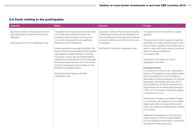#### 2.5 Costs relating to the participation

| <b>Lithuania</b>                                                                                                                                                    | <b>Malta</b>                                                                                                                                                                                                                                                                                                                                                                                                                                                                                                                                                                                                                                                                                                           | <b>Slovenia</b>                                                                                                                                                                                                                                                              | <b>Croatia</b>                                                                                                                                                                                                                                                                                                                                                                                                                                                                                                                                                                                                                                                                                                                                                                                                                                                                                                                                                                                                                                                                                                                                                                                                                                                                                                                                   |
|---------------------------------------------------------------------------------------------------------------------------------------------------------------------|------------------------------------------------------------------------------------------------------------------------------------------------------------------------------------------------------------------------------------------------------------------------------------------------------------------------------------------------------------------------------------------------------------------------------------------------------------------------------------------------------------------------------------------------------------------------------------------------------------------------------------------------------------------------------------------------------------------------|------------------------------------------------------------------------------------------------------------------------------------------------------------------------------------------------------------------------------------------------------------------------------|--------------------------------------------------------------------------------------------------------------------------------------------------------------------------------------------------------------------------------------------------------------------------------------------------------------------------------------------------------------------------------------------------------------------------------------------------------------------------------------------------------------------------------------------------------------------------------------------------------------------------------------------------------------------------------------------------------------------------------------------------------------------------------------------------------------------------------------------------------------------------------------------------------------------------------------------------------------------------------------------------------------------------------------------------------------------------------------------------------------------------------------------------------------------------------------------------------------------------------------------------------------------------------------------------------------------------------------------------|
| Expenses in relation to the tax exempt income<br>(e.g. capital gains on shares transfer) are not<br>deductible.<br>See Section 5 for the thin capitalisation rules. | The general rule is that an expense is deductible<br>if it is wholly and exclusively incurred in the<br>production of the company's income and it is<br>not on a list of expenses that are specifically<br>disallowed in terms of Malta law.<br>Interest expenses are generally deductible if the<br>Revenue Authorities are satisfied that the interest<br>was payable on capital employed in acquiring<br>the income. If in any year, the interest expense<br>exceeds the income derived from the investment.<br>the excess interest expense may not be carried<br>forward to subsequent years to deduct income<br>generated in subsequent years.<br>See Section 5 with respect to the thin<br>capitalisation rules. | Expenses in relation to the tax exempt dividend<br>or capital gains income are not deductible in an<br>amount equaling 5% of the amount of dividends<br>and profits which are exempt from the tax base<br>of a taxpayer.<br>See Section 5 for the thin capitalisation rules. | The legislation does not provide for a specific<br>regulation.<br>The general rule is that an expense is generally<br>deductible if it is wholly and exclusively incurred<br>for the business activities of the company and in<br>order to make profit (the law does not provide a<br>distinction between taxable and<br>non-taxable profit).<br>See Section 5 with respect to the thin<br>capitalisation restrictions.<br><b>Excessive interest</b><br>In accordance with the CIT Law, interest that is<br>paid by a CIT taxpayer to a non-resident-related<br>party is considered to be at arm's length (i.e.<br>deductible for profit tax purposes) up to the rate<br>prescribed by the Minister of Finance. For FY<br>2018, the Minister of Finance prescribed arm's<br>length interest rate for related party financing of<br>4.55%, p.a. The respective interest rate applies<br>to existing loans as well.<br>Following from the above, any interest charged<br>to a corporate profit taxpayer by a non-resident-<br>related party which is in excess of the current<br>4.55% rate would not be deductible for Croatian<br>CIT purposes.<br>Additionally, the taxpayer can prove the arm's<br>length character of interest charges (different<br>from the published interest rates) in accordance<br>with general transfer pricing rules. |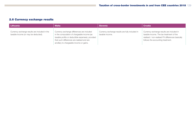#### 2.6 Currency exchange results

| Lithuania                                                                             | <b>Malta</b>                                                                                                                                                                                                                             | <b>Slovenia</b>                                                    | <b>Croatia</b>                                                                                                                                                                 |
|---------------------------------------------------------------------------------------|------------------------------------------------------------------------------------------------------------------------------------------------------------------------------------------------------------------------------------------|--------------------------------------------------------------------|--------------------------------------------------------------------------------------------------------------------------------------------------------------------------------|
| Currency exchange results are included in the<br>taxable income (or may be deducted). | Currency exchange differences are included<br>in the computation of chargeable income (as<br>taxable profits or deductible expenses), provided<br>that such differences are realised and are<br>ancillary to chargeable income or gains. | Currency exchange results are fully included in<br>taxable income. | Currency exchange results are included in<br>taxable income. The tax treatment of the<br>realised / non-realised FX differences basically<br>follows the accounting treatment. |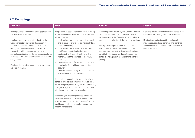#### 2.7 Tax rulings

| <b>Lithuania</b>                                                                                                                                                                                                                                                                                                                                                                                                                                                                                                                          | <b>Malta</b>                                                                                                                                                                                                                                                                                                                                                                                                                                                                                                                                                                                                                                                                                                                                                                                                                                                                                                                                                                                                                                                                                                                      | <b>Slovenia</b>                                                                                                                                                                                                                                                                                                                                                                                                                                                                       | <b>Croatia</b>                                                                                                                                                                                                                                                                        |
|-------------------------------------------------------------------------------------------------------------------------------------------------------------------------------------------------------------------------------------------------------------------------------------------------------------------------------------------------------------------------------------------------------------------------------------------------------------------------------------------------------------------------------------------|-----------------------------------------------------------------------------------------------------------------------------------------------------------------------------------------------------------------------------------------------------------------------------------------------------------------------------------------------------------------------------------------------------------------------------------------------------------------------------------------------------------------------------------------------------------------------------------------------------------------------------------------------------------------------------------------------------------------------------------------------------------------------------------------------------------------------------------------------------------------------------------------------------------------------------------------------------------------------------------------------------------------------------------------------------------------------------------------------------------------------------------|---------------------------------------------------------------------------------------------------------------------------------------------------------------------------------------------------------------------------------------------------------------------------------------------------------------------------------------------------------------------------------------------------------------------------------------------------------------------------------------|---------------------------------------------------------------------------------------------------------------------------------------------------------------------------------------------------------------------------------------------------------------------------------------|
| Binding rulings and advance pricing agreements<br>are available in Lithuania.<br>The taxpayers have to provide details of the<br>future transaction as well as description of<br>Lithuanian legislation provisions or transfer<br>pricing principles applicable to the future<br>transaction, which, if approved by the tax<br>authorities, is binding for the tax authorities for up<br>to five calendar years after the year in which the<br>ruling is issued.<br>Binding rulings and advance pricing agreements<br>are free of charge. | It is possible to seek an advance revenue ruling<br>from the Revenue Authorities on, inter alia, the<br>following issues:<br>confirmation that certain domestic general<br>anti-avoidance provisions do not apply to a<br>given transaction;<br>confirmation that an equity shareholding<br>qualifies as a participating holding on<br>the basis that it is or will be held for the<br>furtherance of the business of the Malta<br>company;<br>the tax treatment of a transaction concerning<br>a particular financial instrument or other<br>security:<br>the tax treatment of any transaction which<br>involves international business.<br>These rulings guarantee the tax position for a<br>period of five years and may be renewed for a<br>further five-year period. They will also survive any<br>changes of legislation for a period of two years<br>after the entry into force of a new law.<br>Additionally, an informal guidance procedure<br>has been developed in practice whereunder a<br>taxpayer may obtain written guidance from the<br>local tax authorities in respect of one or more<br>specific transactions. | General opinions issued by the General Financial<br>Office are considered to be an interpretation of<br>tax legislation by the Financial Administration. In<br>practice, financial offices follow general opinions.<br>Binding tax rulings issued by the financial<br>authorities may be requested in a concrete<br>and identified transaction (in advance) and are<br>payable by the tax payer. It is not possible to<br>obtain a binding information regarding transfer<br>pricing. | Opinions issued by the Ministry of Finance or tax<br>authorities are binding for the tax authorities.<br>Binding information issued by the tax authorities<br>may be requested in a concrete and identified<br>transaction and is generally applicable only to<br>such a transaction. |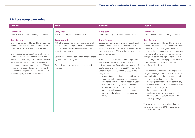#### 2.8 Loss carry over rules

| Lithuania                                                                                                                                                                                                                                                                                                                                                                                                                                                                                                                                                                                                                                                          | <b>Malta</b>                                                                                                                                                                                                                                                                                                                                                                                                               | <b>Slovenia</b>                                                                                                                                                                                                                                                                                                                                                                                                                                                                                                                                                                                                                                                                                                                                                                                                                                                                                                                                              | <b>Croatia</b>                                                                                                                                                                                                                                                                                                                                                                                                                                                                                                                                                                                                                                                                                                                                                                                                                                                                                                                                                                                                                                            |
|--------------------------------------------------------------------------------------------------------------------------------------------------------------------------------------------------------------------------------------------------------------------------------------------------------------------------------------------------------------------------------------------------------------------------------------------------------------------------------------------------------------------------------------------------------------------------------------------------------------------------------------------------------------------|----------------------------------------------------------------------------------------------------------------------------------------------------------------------------------------------------------------------------------------------------------------------------------------------------------------------------------------------------------------------------------------------------------------------------|--------------------------------------------------------------------------------------------------------------------------------------------------------------------------------------------------------------------------------------------------------------------------------------------------------------------------------------------------------------------------------------------------------------------------------------------------------------------------------------------------------------------------------------------------------------------------------------------------------------------------------------------------------------------------------------------------------------------------------------------------------------------------------------------------------------------------------------------------------------------------------------------------------------------------------------------------------------|-----------------------------------------------------------------------------------------------------------------------------------------------------------------------------------------------------------------------------------------------------------------------------------------------------------------------------------------------------------------------------------------------------------------------------------------------------------------------------------------------------------------------------------------------------------------------------------------------------------------------------------------------------------------------------------------------------------------------------------------------------------------------------------------------------------------------------------------------------------------------------------------------------------------------------------------------------------------------------------------------------------------------------------------------------------|
| <b>Carry back</b><br>There is no carry back possibility in Lithuania.<br><b>Carry forward</b><br>Losses may be carried forward for an unlimited<br>period of time provided that the activity from<br>which the losses resulted is not terminated.<br>Losses sustained from the transfer of securities<br>and the derivative financial instruments may<br>be carried forward only for five consecutive tax<br>years (see also Section 2.4). The number of<br>losses carried forward cannot exceed 70% of<br>entity's profits received during a fiscal year. This<br>restriction is not applicable to entities that are<br>entitled to apply reduced CIT rate of 5%. | <b>Carry back</b><br>There is no carry back possibility in Malta.<br><b>Carry forward</b><br>All trading losses incurred by companies wholly<br>and exclusively in the production of the income<br>may be carried forward indefinitely and offset<br>against future income.<br>Capital losses may be carried forward and offset<br>against future capital gains.<br>Excess interest expenses cannot be carried<br>forward. | <b>Carry back</b><br>There is no carry back possibility in Slovenia.<br><b>Carry forward</b><br>Losses may be carried forward for an unlimited<br>period. The reduction of the tax base due to tax<br>losses from previous tax periods is allowed to the<br>maximum amount of 50% of the tax base of the<br>current tax period.<br>However, losses from the current and previous<br>years cannot be carried forward if a direct or<br>indirect ownership of capital or voting power of<br>the taxpayer changes for at least 50% during the<br>tax period and taxable person entitled to loss<br>carry forward:<br>does not carry on a business for at least two<br>years before the change of ownership; or<br>substantially changes its business two years<br>$-$<br>before or after change of the ownership<br>(unless the change of business is done in<br>course of restructuring necessary to save<br>employment relationships or business as<br>such). | <b>Carry back</b><br>There is no carry back possibility in Croatia.<br><b>Carry forward</b><br>Losses may be carried forward for a maximum<br>period of five years, unless otherwise provided<br>for in the CIT Law. If the right to offset losses<br>incurred in the process of mergers, acquisitions<br>or divisions is transferred to legal successors<br>during a tax period, the right to carry forward<br>the loss begins after the expiry of the period in<br>which the legal successor acquired the right to<br>carry forward the loss.<br>In the case of statutory changes (acquisitions,<br>mergers, demergers, etc.) the legal successor<br>is not entitled to utilise the tax losses carried<br>forward of the legal predecessor if:<br>- the legal predecessor did not perform any<br>business activity for two tax periods before<br>the statutory change; or<br>the business activity of the legal<br>$\overline{\phantom{m}}$<br>predecessor substantially changes in the<br>course of two tax periods following the<br>statutory change. |
|                                                                                                                                                                                                                                                                                                                                                                                                                                                                                                                                                                                                                                                                    |                                                                                                                                                                                                                                                                                                                                                                                                                            |                                                                                                                                                                                                                                                                                                                                                                                                                                                                                                                                                                                                                                                                                                                                                                                                                                                                                                                                                              | The above rule also applies where there is<br>a change of more than 50% in a company's<br>ownership structure.                                                                                                                                                                                                                                                                                                                                                                                                                                                                                                                                                                                                                                                                                                                                                                                                                                                                                                                                            |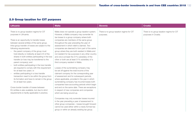#### 2.9 Group taxation for CIT purposes

| <b>Lithuania</b>                                                                                                                                                                                                                                                                                                                                                                                                                                                                                                                                                                                                                                                                                                                                                                                                                                                                                                                      | <b>Malta</b>                                                                                                                                                                                                                                                                                                                                                                                                                                                                                                                                                                                                                                                                                                                                                                                                                                                                                                                                                                                                                                                                                                                                                                                                                                                                                                  | <b>Slovenia</b>                                        | <b>Croatia</b>                                                    |
|---------------------------------------------------------------------------------------------------------------------------------------------------------------------------------------------------------------------------------------------------------------------------------------------------------------------------------------------------------------------------------------------------------------------------------------------------------------------------------------------------------------------------------------------------------------------------------------------------------------------------------------------------------------------------------------------------------------------------------------------------------------------------------------------------------------------------------------------------------------------------------------------------------------------------------------|---------------------------------------------------------------------------------------------------------------------------------------------------------------------------------------------------------------------------------------------------------------------------------------------------------------------------------------------------------------------------------------------------------------------------------------------------------------------------------------------------------------------------------------------------------------------------------------------------------------------------------------------------------------------------------------------------------------------------------------------------------------------------------------------------------------------------------------------------------------------------------------------------------------------------------------------------------------------------------------------------------------------------------------------------------------------------------------------------------------------------------------------------------------------------------------------------------------------------------------------------------------------------------------------------------------|--------------------------------------------------------|-------------------------------------------------------------------|
| There is no group taxation regime for CIT<br>purposes in Lithuania.<br>There is an opportunity to transfer losses<br>between several entities of the same group.<br>Intra-group transfer of losses are subject to the<br>following requirements:<br>- the parent company of the group must<br>hold directly or indirectly at least 2/3 of the<br>shares in both entities participating in the loss<br>transfer (or loss may be transferred to the<br>parent company); and<br>both entities participating in the loss transfer<br>are required to comply with this requirement<br>for at least two years: or<br>entities participating in a loss transfer<br>transaction need to be within the group from<br>its formation and have to remain in the group<br>for at least two years.<br>Cross-border transfer of losses between<br>EU entities is also available, but due to strict<br>requirements is hardly applicable in practice. | Malta does not operate a group taxation system.<br>However, a Malta company may surrender its<br>tax losses to a group company where both<br>companies are members of the same group<br>throughout the year preceding the year of<br>assessment in which relief is claimed. Two<br>companies are deemed to form part of the same<br>group where they are both resident in Malta and<br>not resident for tax purposes in any other country<br>and one is at least the 51% subsidiary of the<br>other or both are at least 51% subsidiary of a<br>third company resident in Malta.<br>Losses of the surrendering company may<br>be set off against the total income of the<br>claimant company for the corresponding year<br>of assessment and for subsequent periods,<br>where applicable, provided in the year in which<br>surrendering company has incurred losses both<br>companies have accounting periods which begin<br>and end on the same date. There are exceptions<br>in respect of new companies and companies<br>which are being wound up.<br>Companies may only surrender losses incurred<br>in the year preceding a year of assessment to<br>other group companies - losses brought forward<br>cannot be used either within a newly formed tax<br>group or within an already existing tax group. | There is no group taxation regime for CIT<br>purposes. | There is no group taxation regime for CIT<br>purposes in Croatia. |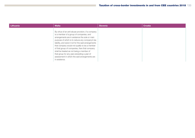| Lithuania | <b>Malta</b>                                                                                                                                                                                                                                                                                                                                                                                                                                                                                                                | <b>Slovenia</b> | <b>Croatia</b> |
|-----------|-----------------------------------------------------------------------------------------------------------------------------------------------------------------------------------------------------------------------------------------------------------------------------------------------------------------------------------------------------------------------------------------------------------------------------------------------------------------------------------------------------------------------------|-----------------|----------------|
|           | By virtue of an anti-abuse provision, if a company<br>is a member of a group of companies, and<br>arrangements are in existence the sole or main<br>purpose of which is to reduce any company's tax<br>liability, and were it not for the said arrangements<br>that company would not qualify to be a member<br>of that group of companies, then that company<br>shall be treated as not being a member of<br>that group for any year preceding a year of<br>assessment in which the said arrangements are<br>in existence. |                 |                |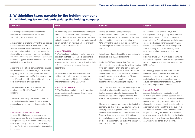#### 3. Withholding taxes payable by the holding company 3.1 Withholding tax on dividends paid by the holding company

in this case.

| Lithuania                                                                                                                                                                                                                                                                                                                                                                                                                                                                                                                                | <b>Malta</b>                                                                                                                                                                                                                                                                                                                                                                                                                                                                                                                                 | <b>Slovenia</b>                                                                                                                                                                                                                                                                                                                                                                                                                                                                                                          | <b>Croatia</b>                                                                                                                                                                                                                                                                                                                                                                                                                                                                                                                                                 |
|------------------------------------------------------------------------------------------------------------------------------------------------------------------------------------------------------------------------------------------------------------------------------------------------------------------------------------------------------------------------------------------------------------------------------------------------------------------------------------------------------------------------------------------|----------------------------------------------------------------------------------------------------------------------------------------------------------------------------------------------------------------------------------------------------------------------------------------------------------------------------------------------------------------------------------------------------------------------------------------------------------------------------------------------------------------------------------------------|--------------------------------------------------------------------------------------------------------------------------------------------------------------------------------------------------------------------------------------------------------------------------------------------------------------------------------------------------------------------------------------------------------------------------------------------------------------------------------------------------------------------------|----------------------------------------------------------------------------------------------------------------------------------------------------------------------------------------------------------------------------------------------------------------------------------------------------------------------------------------------------------------------------------------------------------------------------------------------------------------------------------------------------------------------------------------------------------------|
| Dividends paid by resident companies to<br>residents and non-residents are subject to<br>withholding tax at a rate of 15%.<br>An exemption of dividend withholding tax applies<br>if the shareholder holds at least 10% of the<br>voting shares in the distributing company for an<br>uninterrupted period of 12 months, unless the<br>shareholder is registered in territory included in<br>the Black List (tax haven). The Black List includes<br>most of the typical offshore jurisdictions (approx.<br>60 jurisdictions are listed). | No withholding tax is levied in Malta on dividend<br>distributions to a non-resident shareholder,<br>provided that such shareholder is not directly or<br>indirectly owned and controlled by, and does not<br>act on behalf of, an individual who is ordinarily<br>resident and domiciled in Malta.<br><b>Impact EU GAAR</b><br>A GAAR is already included in Malta income tax<br>legislation. In those cases where a scheme is<br>artificial or fictitious the commissioner of inland<br>revenue has the power to disregard such artificial | Paid to tax residents or to permanent<br>establishments: dividends paid to domestic<br>recipients (resident or permanent establishment<br>of a non-resident company) are subject to a<br>15% withholding tax, but may be exempt from<br>withholding tax if the recipient provides his tax<br>number.<br>Paid abroad: dividends paid to foreign recipients<br>are subject to a 15% withholding tax.<br>Under the EU Parent-Subsidiary Directive,                                                                          | In accordance with the CIT Law, a with-<br>holding tax of 12% is generally required to be<br>deducted in respect of dividend payments to<br>non-residents. This rule applies to all dividends<br>except dividends and shares in profit realised<br>before 31 December 2000 and in the period<br>from 1 January 2005 to 29 February 2012,<br>regardless of when the payment is actually<br>made.<br>However, a valid DTT may reduce or eliminate<br>any withholding tax liability if the foreign entity is<br>seated in a jurisdiction with which Croatia has a |
| According to the official commentaries prepared<br>by the Lithuanian tax authorities, the dividends<br>may enjoy the above 'participation exemption'<br>even if the shares are held for the period shorter<br>than 12 months, but the shareholder intends to<br>hold them for such or longer period.<br>This participation exemption satisfies the<br>requirements of the EU Parent-Subsidiary<br>Directive.                                                                                                                             | or fictitious scheme and assess the person<br>accordingly.<br>As mentioned above, Malta does not levy<br>dividend withholding tax and therefore no<br>changes are expected to Malta legislation to<br>implement specific EU (PSD) GAAR.<br><b>Impact ATAD - GAAR</b><br>A GAAR is already included in Malta as set out<br>above. Legislative changes on this point are                                                                                                                                                                       | dividends will be exempt from the withholding tax<br>if the participation / share of a parent company<br>in a subsidiary accounts for at least 10% for an<br>uninterrupted period of 24 months. If dividends<br>are paid before the expiration of the 24-month<br>term, the exemption is granted if a bank<br>guarantee for the withholding tax is provided.<br>The EU Parent-Subsidiary Directive is applicable<br>also to limited partnerships (k.d.), since they are<br>treated as corporations for tax purposes. The | DTT in effect.<br>In addition, please note that under the EU<br>Parent-Subsidiary Directive, dividends will<br>be exempt from the withholding tax if the<br>participation / share of a parent company in<br>a subsidiary accounts for at least 10% for an<br>uninterrupted period of 24 months.<br><b>Impact EU GAAR</b><br>As regards the taxation on distribution of                                                                                                                                                                                         |
| The above rules apply irrespective of whether<br>the dividends are distributed from the profits<br>accumulated in periods prior to accession to the<br>EU.<br><b>Liquidation / Share repurchase</b><br>In case of liquidation of the company and/or<br>share repurchase the shareholder is treated as<br>selling the shares to the issuer and the resulting<br>capital gain is subject to taxation as ordinary<br>income. Participation exemption is not applicable                                                                      | expected in the future.                                                                                                                                                                                                                                                                                                                                                                                                                                                                                                                      | exemption also applies to profit reserves that<br>stem from the period before accession to the EU.<br>Slovenian companies may pay out dividends to a<br>company resident in other EU countries without<br>charging withholding tax on dividends even if<br>the criteria defined in the EU Parent- Subsidiary<br>Directive (in Slovenia - at least 10%, at least<br>24 months) are not met, if the dividends received<br>by the foreign company are subject to exemption<br>from taxation in the country of residence.    | dividends and shares of profit between parent<br>companies and subsidiaries of different Member<br>States, a withholding tax shall not be due if<br>dividends and shares of profit are distributed to<br>a company having one of the forms subject to<br>the common taxation system provided that the<br>recipient is holding a minimum of 10% in the<br>capital of a company distributing the dividend or<br>shares of profit, and this percentage is held for<br>an uninterrupted period of 24 months.                                                       |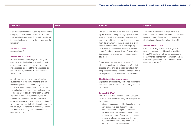and the con-

| Lithuania                                                                                                                                                                                                                                                                                                                                                                                                                                                                                                                                                                                                                                                                                                                                                                                                                              | <b>Malta</b> | <b>Slovenia</b>                                                                                                                                                                                                                                                                                                                                                                                                                                                                                                                                                                                                                                                                                                                                                                                                                                                                                                    | <b>Croatia</b>                                                                                                                                                                                                                                                                                                                                                                                                                                                                                         |
|----------------------------------------------------------------------------------------------------------------------------------------------------------------------------------------------------------------------------------------------------------------------------------------------------------------------------------------------------------------------------------------------------------------------------------------------------------------------------------------------------------------------------------------------------------------------------------------------------------------------------------------------------------------------------------------------------------------------------------------------------------------------------------------------------------------------------------------|--------------|--------------------------------------------------------------------------------------------------------------------------------------------------------------------------------------------------------------------------------------------------------------------------------------------------------------------------------------------------------------------------------------------------------------------------------------------------------------------------------------------------------------------------------------------------------------------------------------------------------------------------------------------------------------------------------------------------------------------------------------------------------------------------------------------------------------------------------------------------------------------------------------------------------------------|--------------------------------------------------------------------------------------------------------------------------------------------------------------------------------------------------------------------------------------------------------------------------------------------------------------------------------------------------------------------------------------------------------------------------------------------------------------------------------------------------------|
| Non-monetary distribution upon liquidation of the<br>company under liquidation is treated as a sale<br>and capital gains received from such transfer will<br>increase the taxable base of the company under<br>liquidation.<br><b>Impact EU GAAR</b><br>See Section 2.2.<br><b>Impact ATAD - GAAR</b><br>EU GAAR aimed at denying withholding tax<br>exemption for dividends that are paid to artificial<br>arrangement having been put into place for the<br>main purpose (or one of the main purpose) to<br>gain tax benefit, is already implemented (see<br>Section 2.2).<br>Also, the special anti-avoidance rule called<br>'substance over the form' has for a long time<br>been incorporated in Lithuanian legislation.<br>Under this rule for the purpose of tax calculation<br>tax authorities may disregard formal expression |              | The criteria that should be met in such a case<br>by the Slovenian company paying the dividends<br>are that it receives a statement by the recipient<br>company that it may exempt the dividends paid<br>from Slovenia from its taxable basis (e.g. it will<br>not be able to deduct the withholding tax paid<br>in Slovenia from the tax liability in the resident<br>country) and that the certificate of the recipient<br>tax residency in another EU member state is<br>attached.<br>Treaty rates may be used if the payer of<br>dividends receives a decision of tax office that<br>the recipient is entitled to treaty benefits before<br>the payment is made. Otherwise the refund must<br>be requested by the recipient of the dividends.<br><b>Liquidation / Share repurchase</b><br>Liquidation proceeds may be treated as dividend<br>and are subject to dividend withholding tax upon<br>distribution. | These provisions shall not apply when it is<br>obvious that tax fraud or tax evasion is the main<br>purpose or one of the main purposes of the<br>distribution of dividends or shares in profit.<br><b>Impact ATAD - GAAR</b><br>Croatian CIT Regulations provide general<br>provision pursuant to which rights provided<br>by the CIT legislation will not be applicable to<br>non-authentic arrangements (arrangements set<br>up to avoid payment of taxes and not for valid<br>commercial reasons). |
| of the taxpayer's activity, if after recreating the<br>distorted or hidden circumstances, the tax<br>administrator identifies that the transaction.<br>economic operation or any combination thereof<br>was concluded to gain the tax benefits (e.g. defer<br>the tax payment deadline, reduce or fully avoid<br>the amount of tax payable, increase the tax<br>overpayment, etc.).                                                                                                                                                                                                                                                                                                                                                                                                                                                    |              | <b>Impact EU GAAR</b><br>EU GAAR was implemented as per 1 January<br>2016. No dividend withholding tax exemption will<br>be granted, if:<br>- circumstances pursuant to domestic general<br>anti-abuse rule (see Section 5) exist; or<br>- in the case of an arrangement or series of<br>arrangements, having been put into place<br>for the main or one of the main purposes of<br>obtaining a tax advantage, whereby non-<br>recognition of benefits may affect only one<br>step or part of the arrangement.                                                                                                                                                                                                                                                                                                                                                                                                     |                                                                                                                                                                                                                                                                                                                                                                                                                                                                                                        |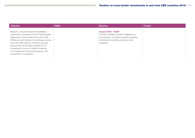| Lithuania                                                                                                                                                                                                                                                                                                                                                                                                                                | <b>Malta</b> | <b>Slovenia</b>                                                                                                                                                                     | <b>Croatia</b> |
|------------------------------------------------------------------------------------------------------------------------------------------------------------------------------------------------------------------------------------------------------------------------------------------------------------------------------------------------------------------------------------------------------------------------------------------|--------------|-------------------------------------------------------------------------------------------------------------------------------------------------------------------------------------|----------------|
| Moreover, Lithuania will join the Multilateral<br>Convention to Implement the Tax Treaty Related<br>Measures to Prevent Base Erosion and Profit<br>Shifting and will implement the principal purpose<br>test in its treaty network. Under the principal<br>purpose test the tax treaty benefits will not<br>be granted to income or capital if obtaining<br>a tax benefit was the principal purpose of an<br>arrangement or transaction. |              | <b>Impact ATAD - GAAR</b><br>A GAAR is already included in legislation as<br>set out above. No official proposals regarding<br>amendments of existing rules have been<br>published. |                |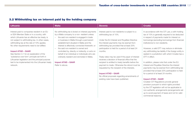#### 3.2 Withholding tax on interest paid by the holding company

| Lithuania                                                                                                                                                                                                                                                                                                                                                                                                                                                                                                                                    | <b>Malta</b>                                                                                                                                                                                                                                                                                                                                                                                                                                                                                                                                                                                 | <b>Slovenia</b>                                                                                                                                                                                                                                                                                                                                                                                                                                                                                                                                                                                                                                                            | <b>Croatia</b>                                                                                                                                                                                                                                                                                                                                                                                                                                                                                                                                                                                                                                                                                                                                                                                                                                                                                                                                                         |
|----------------------------------------------------------------------------------------------------------------------------------------------------------------------------------------------------------------------------------------------------------------------------------------------------------------------------------------------------------------------------------------------------------------------------------------------------------------------------------------------------------------------------------------------|----------------------------------------------------------------------------------------------------------------------------------------------------------------------------------------------------------------------------------------------------------------------------------------------------------------------------------------------------------------------------------------------------------------------------------------------------------------------------------------------------------------------------------------------------------------------------------------------|----------------------------------------------------------------------------------------------------------------------------------------------------------------------------------------------------------------------------------------------------------------------------------------------------------------------------------------------------------------------------------------------------------------------------------------------------------------------------------------------------------------------------------------------------------------------------------------------------------------------------------------------------------------------------|------------------------------------------------------------------------------------------------------------------------------------------------------------------------------------------------------------------------------------------------------------------------------------------------------------------------------------------------------------------------------------------------------------------------------------------------------------------------------------------------------------------------------------------------------------------------------------------------------------------------------------------------------------------------------------------------------------------------------------------------------------------------------------------------------------------------------------------------------------------------------------------------------------------------------------------------------------------------|
| Interest paid to companies resident in an EU<br>or EEA Member State or in a country, with<br>which Lithuania has an effective tax treaty, is<br>not subject to withholding tax. In other cases,<br>withholding tax at the rate of 10% applies.<br>No other requirements need to be fulfilled.<br><b>Impact ATAD - GAAR</b><br>See Section 3.1 for an explanation of the<br>'substance over form' principle set forth in<br>Lithuanian legislation and the principal purpose<br>test to be implemented into the Lithuanian treaty<br>network. | No withholding tax is levied on interest payments<br>by a Malta company to a non-resident unless:<br>the said non-resident is engaged in trade<br>$\overline{\phantom{0}}$<br>or business in Malta through a permanent<br>establishment situated in Malta and the<br>interest is effectively connected therewith; or<br>the said non-resident is owned and<br>$\overline{\phantom{0}}$<br>controlled by, directly or indirectly, or acts on<br>behalf of an individual or individuals who are<br>ordinarily resident and domiciled in Malta.<br><b>Impact ATAD - GAAR</b><br>Refer to above. | Interest paid to non-residents is subject to a<br>withholding tax of 15%.<br>Under the EU Interest and Royalties Directive<br>the interest payments may be exempt from<br>withholding tax provided that at least 25%<br>participation is held for a period of at least 24<br>months.<br>Treaty rates may be used if the payer of interest<br>receives a decision of financial office that the<br>recipient is entitled to treaty benefits before the<br>payment is made. Otherwise the refund must be<br>requested by the recipient of the interests.<br><b>Impact ATAD - GAAR</b><br>No official proposals regarding amendments of<br>existing rules have been published. | In accordance with the CIT Law, a with-holding<br>tax of 15% is generally required to be deducted<br>in respect of payments made for interest on<br>borrowings (excluding borrowings from financial<br>institutions) to non-residents.<br>However, a valid DTT may reduce or eliminate<br>any withholding tax liability if the foreign entity is<br>seated in a jurisdiction with which Croatia has a<br>DTT in effect.<br>In addition, please note that under the EU<br>Interest and Royalties Directive the interest<br>payments may be exempt from withholding tax<br>provided that at least 25% participation is held<br>for a period of at least 24 months.<br><b>Impact ATAD - GAAR</b><br>Croatian CIT Regulations provide general<br>provision pursuant to which rights provided<br>by the CIT legislation will not be applicable to<br>non-authentic arrangements (arrangements set<br>up to avoid payment of taxes and not for valid<br>commercial reasons). |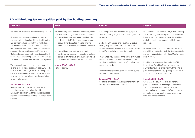#### 3.3 Withholding tax on royalties paid by the holding company

| Lithuania                                                                                                                                                                                                                                                                                                                                                                                                                                                                                                                                                                                                                                                                                                                                                                                                                                                                                                                                                                                                                                                 | <b>Malta</b>                                                                                                                                                                                                                                                                                                                                                                                                                                                                                                                                                                | <b>Slovenia</b>                                                                                                                                                                                                                                                                                                                                                                                                                                                                                                                                                                                                                                                                                               | <b>Croatia</b>                                                                                                                                                                                                                                                                                                                                                                                                                                                                                                                                                                                                                                                                                                                                                                                                                                                                                                                                     |
|-----------------------------------------------------------------------------------------------------------------------------------------------------------------------------------------------------------------------------------------------------------------------------------------------------------------------------------------------------------------------------------------------------------------------------------------------------------------------------------------------------------------------------------------------------------------------------------------------------------------------------------------------------------------------------------------------------------------------------------------------------------------------------------------------------------------------------------------------------------------------------------------------------------------------------------------------------------------------------------------------------------------------------------------------------------|-----------------------------------------------------------------------------------------------------------------------------------------------------------------------------------------------------------------------------------------------------------------------------------------------------------------------------------------------------------------------------------------------------------------------------------------------------------------------------------------------------------------------------------------------------------------------------|---------------------------------------------------------------------------------------------------------------------------------------------------------------------------------------------------------------------------------------------------------------------------------------------------------------------------------------------------------------------------------------------------------------------------------------------------------------------------------------------------------------------------------------------------------------------------------------------------------------------------------------------------------------------------------------------------------------|----------------------------------------------------------------------------------------------------------------------------------------------------------------------------------------------------------------------------------------------------------------------------------------------------------------------------------------------------------------------------------------------------------------------------------------------------------------------------------------------------------------------------------------------------------------------------------------------------------------------------------------------------------------------------------------------------------------------------------------------------------------------------------------------------------------------------------------------------------------------------------------------------------------------------------------------------|
| Royalties are subject to a withholding tax of 10%.<br>Royalties paid to the associated enterprises<br>covered by the Interest and Royalties Directive<br>(EU companies) are exempt from withholding<br>tax provided that the recipient of the interest<br>payment is an associated company of the paying<br>company, is resident in another EU Member<br>State and is compliant with the criteria set forth<br>in the Directive regarding business form, being a<br>tax payer and a beneficial owner of the royalties.<br>Two companies are 'associated companies' if<br>(a) one of them holds directly at least 25% of the<br>capital of the other or (b) a third EU company<br>holds directly at least 25% of the capital of the<br>two companies. A minimum holding period of<br>two years is required.<br><b>Impact ATAD - GAAR</b><br>See Section 3.1 for an explanation of the<br>'substance over form' principle set forth in<br>Lithuanian legislation and the principal purpose<br>test to be implemented into the Lithuanian treaty<br>network. | No withholding tax is levied on royalty payments<br>by a Malta company to a non-resident unless:<br>the said non-resident is engaged in trade<br>or business in Malta through a permanent<br>establishment situated in Malta and the<br>royalties are effectively connected therewith;<br><b>or</b><br>the said non-resident is owned and<br>$\overline{\phantom{0}}$<br>controlled by, directly or indirectly, or acts on<br>behalf of an individual or individuals who are<br>ordinarily resident and domiciled in Malta.<br><b>Impact ATAD - GAAR</b><br>Refer to above. | Royalties paid to non-residents are subject to<br>15% withholding tax, unless reduced by virtue of<br>tax treaties.<br>Under the EU Interest and Royalties Directive<br>the royalty payments may be exempt from<br>withholding tax provided that a 25% participation<br>is held for a period of at least 24 months.<br>Treaty rates may be used if the payer of royalties<br>receives a decision of financial office that the<br>recipient is entitled to treaty benefits before the<br>payment is made.<br>Otherwise the refund must be requested by the<br>recipient of the royalties.<br><b>Impact ATAD - GAAR</b><br>No official proposals regarding amendments of<br>existing rules have been published. | In accordance with the CIT Law, a with-holding<br>tax of 15% is generally required to be deducted<br>in respect to the payments made for royalties<br>and other intellectual property rights to non-<br>residents.<br>However, a valid DTT may reduce or eliminate<br>any withholding tax liability if the foreign entity is<br>seated in a jurisdiction with which Croatia has a<br>DTT in effect.<br>In addition, please note that under the EU<br>Interest and Royalties Directive the interest<br>payments may be exempt from withholding tax<br>provided that at least 25% participation is held<br>for a period of at least 24 months.<br><b>Impact ATAD - GAAR</b><br>Croatian CIT Regulations provide general<br>provision pursuant to which rights provided by<br>the CIT legislation will not be applicable<br>to non-authentic arrangements (arrangements<br>set up to avoid payment of taxes and not for<br>valid commercial reasons). |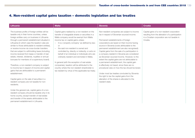### 4. Non-resident capital gains taxation – domestic legislation and tax treaties

| Lithuania                                                                                                                                                                                                                                                                                                                                                                                                                                                                                                                                                                                                                                                                                                                                                                                                                                                                                                                                                                                                                                                                                              | <b>Malta</b>                                                                                                                                                                                                                                                                                                                                                                                                                                                                                                                                                                                                                                                                        | <b>Slovenia</b>                                                                                                                                                                                                                                                                                                                                                                                                                                                                                                                                                                                                                                                                                                                                                                                                        | <b>Croatia</b>                                                                                                                                              |
|--------------------------------------------------------------------------------------------------------------------------------------------------------------------------------------------------------------------------------------------------------------------------------------------------------------------------------------------------------------------------------------------------------------------------------------------------------------------------------------------------------------------------------------------------------------------------------------------------------------------------------------------------------------------------------------------------------------------------------------------------------------------------------------------------------------------------------------------------------------------------------------------------------------------------------------------------------------------------------------------------------------------------------------------------------------------------------------------------------|-------------------------------------------------------------------------------------------------------------------------------------------------------------------------------------------------------------------------------------------------------------------------------------------------------------------------------------------------------------------------------------------------------------------------------------------------------------------------------------------------------------------------------------------------------------------------------------------------------------------------------------------------------------------------------------|------------------------------------------------------------------------------------------------------------------------------------------------------------------------------------------------------------------------------------------------------------------------------------------------------------------------------------------------------------------------------------------------------------------------------------------------------------------------------------------------------------------------------------------------------------------------------------------------------------------------------------------------------------------------------------------------------------------------------------------------------------------------------------------------------------------------|-------------------------------------------------------------------------------------------------------------------------------------------------------------|
| The business profits of foreign entities will be<br>taxable only in their home countries, unless<br>foreign entities carry on business in Lithuania<br>through a permanent establishment situated in<br>Lithuania (in which case the taxation rules are<br>similar to those attributable to resident entities),<br>or receive income via cross-border transfers<br>that are subject to withholding taxes (including<br>income received from lease or transfer of real<br>estate, interest, dividends, royalties or annual<br>bonuses for members of a supervisory board).<br>Therefore, a non-resident company is subject<br>to income tax in respect of income and capital<br>gains that are attributable to a permanent<br>establishment.<br>Capital gains on the sale of securities in a<br>resident company are not taxable for non-<br>residents.<br>Under the general rule, capital gains of a non-<br>resident company should be taxable only in its<br>home country, except transfer of real estate<br>and transfer of the assets attributable to the<br>permanent establishment in Lithuania. | Capital gains realised by a non-resident on the<br>transfer of chargeable shares or securities in a<br>Malta company would be exempt from Malta<br>income tax on capital gains unless:<br>- it is a 'property company' as defined by law;<br>or<br>the said non-resident is owned and<br>$\overline{\phantom{m}}$<br>controlled by, directly or indirectly, or acts on<br>behalf of an individual or individuals who are<br>ordinarily resident and domiciled in Malta.<br>In general (with the exception of real estate<br>companies), taxation will be attributed to the<br>country where the non-resident shareholder is<br>tax resident by virtue of the applicable tax treaty. | Non-resident companies are subject to income<br>tax in respect of Slovenian sourced income.<br>Permanent establishments of foreign<br>corporations are taxed on their income having<br>source in Slovenia (costs attributable to the<br>permanent establishment are also recognised).<br>Capital gains from the sale of a participation in<br>a company resident in Slovenia are considered<br>as Slovenian-sourced income. However, to the<br>extent the capital gains are not attributable to<br>a permanent establishment, the capital gain<br>is effectively not taxed, since there are no<br>procedural rules on how the tax should be levied.<br>Under most tax treaties concluded by Slovenia<br>the right to tax the capital gains from the<br>alienation of the shares is allocated to the<br>resident state. | Capital gains of a non-resident corporation<br>resulting from the alienation of a participation<br>in a Croatian corporation are not taxable in<br>Croatia. |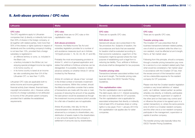#### 5. Anti-abuse provisions / CFC rules

#### Lithuania (Groatia Malta Slovenia Description of the Slovenia Croatia Croatia Croatia Croatia Croatia Descripti CFC rules The CFC regulations apply to Lithuanian companies that: (i) directly or indirectly hold more than 50% of shares in the foreign company, or (ii) together with related parties, hold more than 50% of the shares or rights (options) in respect of dividends and the controlling company's holding is not less than 10%, provided that a foreign subsidiary is registered in: – an offshore territory or zone, i.e. included in the Black List; – a territory included in the White List, but enjoying special privileged income tax regime in its home country; or – in its home country is taxed at an income tax rate constituting less than 3/4 of the Lithuanian CIT, i.e. less than 11,25%. Lithuanian CFC rules are applicable both to active income and income gained from financial activity (loan interest, financial lease, copyright remuneration, etc.). However, active income of a foreign subsidiary is not attributed to income of the Lithuanian parent company provided that it satisfies the established requirements. CFC rules In general, there are no CFC rules or thin capitalisation rules. Anti-abuse provisions However, the Malta Income Tax Act and subsidiary legislation provides for a number of anti-avoidance measures (such as in Articles 12(1)(u)(2) provisio 1, 19, 42, 43, 46, 51 and 95). Probably the most encompassing provision is Article 51, which is of general application and states that artificial or fictitious schemes can be disregarded. It is possible, however, to obtain advance certainty on whether Article 51 will be invoked by the Revenue. Article 42 contains an 'abuse of law' concept in the limited context of domestic investment income provisions. Within this context, should the Malta tax authorities consider that a series of transactions are made with the sole or main purpose of reducing the amount of tax payable, the said person would be assessed as though the investment income provisions (which provide for a flat rate of taxation) are not applicable. Article 46 provides, inter alia, for the recharacterisation into dividends of amounts advanced by a company to shareholders, any distribution of assets made to the shareholders CFC rules There are no specific CFC rules. Anti-abuse rule General anti-abuse rule is prescribed in the Tax procedure Act. Subjects of taxation, the circumstances and facts that are essential for taxation shall be evaluated according to their economic substance. Legal form of the transaction might be ignored where the main purpose of establishing such a legal form is reducing tax liability. Thus, artificial or fictitious structures shall be disregarded for tax purposes. Transfer pricing rules Transactions between associated entities must be at arm's length. The transfer pricing rules basically follow the OECD Transfer Pricing Guidelines. Thin capitalisation rules The thin capitalisation rule is applicable. The debt-equity ratio is 4:1. Interest exceeding the ratio is not deductible for CIT purposes. The thin capitalisation rule is applicable for associated enterprises that directly or indirectly hold at least 25% of business share or voting rights in a tax payer. From 1 January 2014 the thin capitalisation rule applies also for sister companies. CFC rules There are no specific CFC rules. Transfer pricing rules The Croatian CIT Law prescribes that all business transactions between related parties, one of which is a resident while the other is a non-resident, must be effected at arm's length, that is, at 'fair market value'. Following from this principle, should a company through a transfer pricing transaction pay more for a service to a non-resident-related party than what would be considered a 'fair market value' in accordance with the Croatian CIT law, then the excess amount of the transaction would not be a deductible expense for the resident company for CIT purposes. Please note that the Croatian taxation legislation contains a very broad definition of 'related party', as it defines 'related parties' as parties whereby one directly, or indirectly, participates in the management, supervision or capital of the other (and on that basis may control and/ or influence the prices to be agreed upon in a certain transaction); or, where the same persons (one of which is a Croatian resident company and the other one is a non-resident company) participate in the management, supervision or capital of another company.

or any amounts repaid by the company in settlement of amounts due by shareholders.

The transfer pricing rules basically follow the OECD Transfer Pricing Guidelines.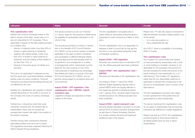| Lithuania                                                                                                                                                                                                                                                                                                                                                                                                                                                                                                                                                                                                                                                                                                                                                                                                                                                                                                                                                                                                                                                 | <b>Malta</b>                                                                                                                                                                                                                                                                                                                                                                                                                                                                                                                                                                                                                                                                                                                                                                                                                                                                                                                                                                                               | Slovenia                                                                                                                                                                                                                                                                                                                                                                                                                                                                                                                                                                                                                                                                                                                                                                                                                                                                                                                            | <b>Croatia</b>                                                                                                                                                                                                                                                                                                                                                                                                                                                                                                                                                                                                                                                                                                                                                                                                                                                                                                                                                                                        |
|-----------------------------------------------------------------------------------------------------------------------------------------------------------------------------------------------------------------------------------------------------------------------------------------------------------------------------------------------------------------------------------------------------------------------------------------------------------------------------------------------------------------------------------------------------------------------------------------------------------------------------------------------------------------------------------------------------------------------------------------------------------------------------------------------------------------------------------------------------------------------------------------------------------------------------------------------------------------------------------------------------------------------------------------------------------|------------------------------------------------------------------------------------------------------------------------------------------------------------------------------------------------------------------------------------------------------------------------------------------------------------------------------------------------------------------------------------------------------------------------------------------------------------------------------------------------------------------------------------------------------------------------------------------------------------------------------------------------------------------------------------------------------------------------------------------------------------------------------------------------------------------------------------------------------------------------------------------------------------------------------------------------------------------------------------------------------------|-------------------------------------------------------------------------------------------------------------------------------------------------------------------------------------------------------------------------------------------------------------------------------------------------------------------------------------------------------------------------------------------------------------------------------------------------------------------------------------------------------------------------------------------------------------------------------------------------------------------------------------------------------------------------------------------------------------------------------------------------------------------------------------------------------------------------------------------------------------------------------------------------------------------------------------|-------------------------------------------------------------------------------------------------------------------------------------------------------------------------------------------------------------------------------------------------------------------------------------------------------------------------------------------------------------------------------------------------------------------------------------------------------------------------------------------------------------------------------------------------------------------------------------------------------------------------------------------------------------------------------------------------------------------------------------------------------------------------------------------------------------------------------------------------------------------------------------------------------------------------------------------------------------------------------------------------------|
| <b>Thin capitalisation rules</b><br>Interest and currency exchange losses on the<br>debt in excess of the debt / equity ratio of 4:1<br>are non-deductible for CIT purposes. This is<br>applicable in respect of the debt capital provided<br>by a creditor, who:<br>directly or indirectly holds more than 50% of<br>$ \,$<br>shares or rights (options) to dividends;<br>together with related parties, holds more<br>$\overline{\phantom{m}}$<br>than 50% of shares or rights (options) to<br>dividends, and the holding of that creditor is<br>not less than 10%; or<br>belongs to the same group of entities as a<br>borrower.<br>This rule is not applicable if a taxpayer proves<br>that the same loan could exist between unrelated<br>parties under the same conditions. Financial<br>institutions providing financial leasing services are<br>not affected by this rule.<br>Notably, thin capitalisation also applies to interest<br>variable depending on the profits or turnover of<br>the company and costs of currency exchange<br>results. | Anti-abuse provisions as set out in Section<br>2.2. above, apply for the purpose of determining<br>the eligibility for participation exemption or full<br>refund of tax.<br>The anti-abuse provisions in article 51 extend<br>also to the benefits of EU Council Directive<br>2011/96/EU on the common system of taxation<br>applicable in the case of parent companies<br>and subsidiaries of different Member States<br>(as amended) and the said benefits shall not<br>be granted to any arrangement or a series<br>of arrangements which, having been put into<br>place for the main purpose or one of the<br>main purposes of obtaining a tax advantage<br>that defeats the object or purpose of the said<br>EU Council Directive 2011/96/EU, are not<br>genuine having regard to all relevant facts and<br>circumstances.<br>Impact ATAD - CFC legislation / thin<br>capitalisation rules / EBITDA / hybrid<br>mismatch rules<br>Legislative changes are expected on these<br>matters in the future. | The thin capitalisation rule applies also in<br>cases where an associated enterprise gives a<br>guarantee for loans received by a Bank or third<br>party.<br>The thin capitalisation rule is not applicable if a<br>taxpayer is able to prove that he may get the<br>loan from a non-associated enterprise under<br>comparable conditions.<br><b>Impact ATAD - CFC legislation</b><br>Slovenian law currently does not stipulate a CFC<br>rule. No official proposals have been published.<br>Impact ATAD - thin capitalisation rules /<br><b>EBITDA</b><br>Slovenian law stipulates a thin capitalisation rule.<br>According to Article 11 para 6 EU ATAD,<br>Member States stipulating national rules to<br>prevent BEPS which are equally effective in<br>this regard are granted a transitional period<br>until 1 January 2024. Slovenia might invoke the<br>transitional period. No official proposals have<br>been published. | Please note, TP rules also apply to transactions<br>effected between domestic-related parties if one<br>of the parties:<br>- is in a tax loss position; or<br>has a preferential tax rate.<br>$\overline{\phantom{0}}$<br>As of 2017, there is a possibility of concluding<br>APAs in Croatia.<br><b>Thin capitalisation rules</b><br>The Croatian CIT Law provides that interest<br>on loans provided by shareholders with a 25%<br>or more holding in a Croatian company is not<br>deductible for CIT purposes if the amount of<br>the loan exceeds four times the amount of the<br>equity holding for that shareholder (i.e. a 4:1<br>safe harbour). The Croatian CIT regulations<br>clarify that the non-deductibility treatment is<br>applicable to interest that corresponds to the<br>amount of a shareholder's loan in excess of the<br>safe harbour.<br>The thin capitalisation provisions also apply<br>to loans granted from third parties that are<br>guaranteed by a direct shareholder. |
| Furthermore, it should be noted that under<br>Lithuanian company law, the interest rate on<br>shareholders' loans may not exceed the<br>average bank interest rate valid in the location of<br>the lender's business.<br>Transfer pricing rules: transactions between<br>associated entities must be at arm's length.<br>The regulations have been prepared following the                                                                                                                                                                                                                                                                                                                                                                                                                                                                                                                                                                                                                                                                                 |                                                                                                                                                                                                                                                                                                                                                                                                                                                                                                                                                                                                                                                                                                                                                                                                                                                                                                                                                                                                            | <b>Impact ATAD - hybrid mismatch rules</b><br>Slovenia already stipulates a provision to counter<br>special forms of hybrid mismatch arrangements<br>as laid down in Parent-Subsidiary Directive.<br>It is unclear whether Slovenia will implement<br>additional rules in this respect.                                                                                                                                                                                                                                                                                                                                                                                                                                                                                                                                                                                                                                             | The above-mentioned thin capitalisation rules<br>do not apply to shareholders that are financial<br>institutions (as defined by Croatian legislation).<br>Please note that as of 2014, thin capitalisation<br>provisions apply to financing provided by<br>all related parties (and not only to direct<br>shareholders).                                                                                                                                                                                                                                                                                                                                                                                                                                                                                                                                                                                                                                                                              |

OECD Transfer Pricing Guidelines.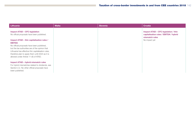| Lithuania                                                                                             | <b>Malta</b> | <b>Slovenia</b> | <b>Croatia</b>                                                                                   |
|-------------------------------------------------------------------------------------------------------|--------------|-----------------|--------------------------------------------------------------------------------------------------|
| <b>Impact ATAD – CFC legislation</b><br>No official proposals have been published.                    |              |                 | Impact ATAD – CFC legislation / thin<br>capitalisation rules / EBITDA / hybrid<br>mismatch rules |
| Impact ATAD – thin capitalisation rules /                                                             |              |                 | No impact yet                                                                                    |
| <b>EBITDA</b>                                                                                         |              |                 |                                                                                                  |
| No official proposals have been published,                                                            |              |                 |                                                                                                  |
| but the tax authorities are of the opinion that<br>Lithuania has effective thin capitalisation rules, |              |                 |                                                                                                  |
| therefore plan to apply them until 2024 as it is                                                      |              |                 |                                                                                                  |
| allowed under Article 11 (6) of ATAD.                                                                 |              |                 |                                                                                                  |
|                                                                                                       |              |                 |                                                                                                  |
| <b>Impact ATAD - hybrid mismatch rules</b>                                                            |              |                 |                                                                                                  |
| For hybrid mismatches related to dividends, see                                                       |              |                 |                                                                                                  |
| Section 2.2. No other official proposals have                                                         |              |                 |                                                                                                  |
| been published.                                                                                       |              |                 |                                                                                                  |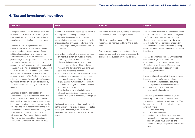#### 6. Tax and investment incentives

| <b>Lithuania</b>                                                                                                                                                                                                                                                                                                                                                                                                                                                                                                                                                                                                                                                                                                                                                                                                                                                                                                                                                                                                                                                                                                                                                                                                                                                                                                                                                                                                                                                                                                                         | <b>Malta</b>                                                                                                                                                                                                                                                                                                                                                                                                                                                                                                                                                                                                                                                                                                                                                                                                                                                                                                                                                                                                                                                                                                                                                                                                                                                                                                                 | <b>Slovenia</b>                                                                                                                                                                                                                                                                                                                                      | <b>Croatia</b>                                                                                                                                                                                                                                                                                                                                                                                                                                                                                                                                                                                                                                                                                                                                                                                                                                                                                                                                                                                                                                                                                                                                                                                                                                                                                                                                                 |
|------------------------------------------------------------------------------------------------------------------------------------------------------------------------------------------------------------------------------------------------------------------------------------------------------------------------------------------------------------------------------------------------------------------------------------------------------------------------------------------------------------------------------------------------------------------------------------------------------------------------------------------------------------------------------------------------------------------------------------------------------------------------------------------------------------------------------------------------------------------------------------------------------------------------------------------------------------------------------------------------------------------------------------------------------------------------------------------------------------------------------------------------------------------------------------------------------------------------------------------------------------------------------------------------------------------------------------------------------------------------------------------------------------------------------------------------------------------------------------------------------------------------------------------|------------------------------------------------------------------------------------------------------------------------------------------------------------------------------------------------------------------------------------------------------------------------------------------------------------------------------------------------------------------------------------------------------------------------------------------------------------------------------------------------------------------------------------------------------------------------------------------------------------------------------------------------------------------------------------------------------------------------------------------------------------------------------------------------------------------------------------------------------------------------------------------------------------------------------------------------------------------------------------------------------------------------------------------------------------------------------------------------------------------------------------------------------------------------------------------------------------------------------------------------------------------------------------------------------------------------------|------------------------------------------------------------------------------------------------------------------------------------------------------------------------------------------------------------------------------------------------------------------------------------------------------------------------------------------------------|----------------------------------------------------------------------------------------------------------------------------------------------------------------------------------------------------------------------------------------------------------------------------------------------------------------------------------------------------------------------------------------------------------------------------------------------------------------------------------------------------------------------------------------------------------------------------------------------------------------------------------------------------------------------------------------------------------------------------------------------------------------------------------------------------------------------------------------------------------------------------------------------------------------------------------------------------------------------------------------------------------------------------------------------------------------------------------------------------------------------------------------------------------------------------------------------------------------------------------------------------------------------------------------------------------------------------------------------------------------|
| Exemption from CIT for the first ten years and<br>reduction of CIT by 50% for the next 6 years<br>may be enjoyed by companies established and<br>operating in Lithuanian free economic zones.<br>The taxable profit of legal entities running<br>investment projects, i.e. investing in the fixed<br>assets intended for the production of new,<br>additional products or the provision of new,<br>additional services or for the increase of<br>production (or service provision) capacities, or for<br>the introduction of a new production (or<br>service provision) process, or for the substantial<br>change of an existing process (or its part), as well<br>as for the introduction of technologies protected<br>by international invention patents, may be<br>reduced by up to 100%. The balance of unused<br>relief may be carried forward to the subsequent<br>four years. Taxable profits may be reduced by<br>the expenses incurred during 2009-2023 tax<br>periods.<br>Expenses, except for depreciation or<br>amortisation costs of fixed assets, incurred in<br>terms of research and development may be<br>deducted from taxable income in triple amount<br>in the corresponding tax year, provided that the<br>R&D activities are in accordance with the usual<br>activities or intended activities of the entity from<br>which income or other economic benefit is or<br>will be derived. Fixed assets that are used for<br>R&D may be depreciated (amortised) under<br>accelerated depreciation (amortisation) rates. | A number of investment incentives are available<br>to enterprises conducting certain prescribed<br>qualifying business activities such as the<br>manufacturing or processing of goods in Malta<br>or the production of feature or television films,<br>advertising programmes, commercials, and/or<br>documentaries.<br>Malta Enterprise offers the following incentives:<br>an incentive for foreign investors already<br>operating in Malta to increase the scope<br>of their existing operations to such areas<br>as legal, financial, back office, logistical,<br>research and development, marketing and<br>sales and prototyping services;<br>an incentive to attract new foreign companies<br>to set up shared services centres in areas<br>such as call centres, software development,<br>digital gaming, human resources, accounts<br>and finance management, market research<br>and internet publication;<br>There is also an exemption in the case<br>$\overline{\phantom{a}}$<br>of royalty or similar income derived from<br>patents in respect of inventions, copyright or<br>trademarks.<br>Tax incentives aimed at particular sectors such<br>as the aviation sector provide specific legislation<br>catering for allowances, exemptions and<br>investment tax credits that are specific to the<br>industry. | Investment incentive of 40% for the investments<br>in certain equipment or intangible assets.<br>100% investments or costs in R&D are<br>recognised as incentive and lower the taxable<br>base.<br>For the unused part of the incentives in the tax<br>period concerned, the taxpayer may reduce the<br>tax base in the subsequent five tax periods. | The investment incentives are prescribed by the<br>Investment Promotion Law (IP Law). The goal of<br>the IP Law is to stimulate economic growth in<br>Croatia and to promote economic development,<br>as well as to increase competitiveness within<br>the Croatian business community by granting<br>certain tax, customs and monetary incentives as<br>listed below.<br>The law is harmonised with the EU Guidelines<br>on National Regional Aid (OJ C 1998,<br>OJ C 2000, OJ C 2006) and the European<br>Commission's Multi-sectorial Framework on<br>Regional Aid for Large Investment Projects<br>(OJ C 2002, OJ C 2003).<br>Investment incentives apply to investments and<br>improvements in the following sectors:<br>Production and processing activities;<br>Development and innovation activities;<br>Business support activities; and<br>High added-value activities.<br>The IP Law provides for preferential CIT rates,<br>depending on the value of the investment and<br>the number of newly employed personnel. The<br>law also provides for the following incentives,<br>amongst others:<br>Customs incentives:<br>Employment incentives;<br>Incentives for the development and inno-<br>vation activities, business support activities<br>and high added-value activities; and<br>Incentives for capital expenses of investment<br>projects. |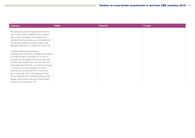| Lithuania                                                                                                                                                                                                                                                                                                                                                                                                                                                                                                                                                                                    | <b>Malta</b> | Slovenia | <b>Croatia</b> |
|----------------------------------------------------------------------------------------------------------------------------------------------------------------------------------------------------------------------------------------------------------------------------------------------------------------------------------------------------------------------------------------------------------------------------------------------------------------------------------------------------------------------------------------------------------------------------------------------|--------------|----------|----------------|
| Moreover, the portion of taxable profit from the<br>use or sale of assets created by the company<br>itself in terms of research and development<br>activities (including royalties and compensations<br>for infringing intellectual property rights), after<br>allowable deductions, is taxable at a rate of 5%.                                                                                                                                                                                                                                                                             |              |          |                |
| Lithuanian entities and permanent<br>establishments situated in Lithuania and donating<br>to the film industry may deduct up to 75% of<br>donation from its taxable income provided that<br>the following conditions are met: (i) at least 80%<br>of the expenses of the film or its part are incurred<br>in Lithuania; and (ii) all expenses incurred in<br>Lithuania are not less than EUR 43,000; and<br>(iii) no more than 20% of the expenses of the<br>film are financed from donations. Moreover, the<br>taxable profit may be reduced by the donated<br>amount but no more than 75%. |              |          |                |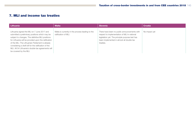## 7. MLI and income tax treaties

| Lithuania                                                                                                                                                                                                                                                                                                                                                                                             | <b>Malta</b>                                                             | <b>Slovenia</b>                                                                                                                                                                                           | <b>Croatia</b> |
|-------------------------------------------------------------------------------------------------------------------------------------------------------------------------------------------------------------------------------------------------------------------------------------------------------------------------------------------------------------------------------------------------------|--------------------------------------------------------------------------|-----------------------------------------------------------------------------------------------------------------------------------------------------------------------------------------------------------|----------------|
| Lithuania signed the MLI on 7 June 2017 and<br>submitted a preliminary positions which may be<br>subject to changes. The definitive MLI positions<br>for Lithuania will be provided upon the ratification<br>of the MLI. The Lithuanian Parliament is already<br>considering a draft bill for the ratification of the<br>MLI. All 54 Lithuania's double-tax agreements will<br>be covered by the MLI. | Malta is currently in the process leading to the<br>ratification of MLI. | There have been no public announcements with<br>respect to implementation of MLI in national<br>legislation yet. The principle purpose test has<br>been implemented in almost all double tax<br>treaties. | No impact yet  |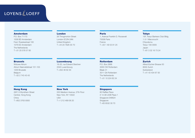# **LOYENS** & LOEFF

#### Amsterdam

P.O. Box 71170 1008 BD Amsterdam Fred. Roeskestraat 100 1076 ED Amsterdam The Netherlands T +31 20 578 57 85

#### London

26 Throgmorton Street London EC2N 2AN United Kingdom T +44 20 7826 30 70

#### Paris

1, Avenue Franklin D. Roosevelt 75008 Paris France T +33 1 49 53 91 25

#### **Tokyo**

15F, Tokyo Bankers Club Bldg. 1-3-1 Marunouchi Chiyoda-ku Tokyo 100-0005 Japan T +81 3 32 16 73 24

#### **Brussels**

Woluwe Atrium Atrium Neerveldstraat 101-103 1200 Brussels Belgium T +32 2 743 43 43

## Luxembourg

18-20, rue Edward Steichen 2540 Luxembourg T +352 46 62 30

## Rotterdam

P.O. Box 2888 3000 CW Rotterdam Blaak 31 3011 GA Rotterdam The Netherlands T +31 10 224 62 24

### **Zurich**

Alfred-Escher-Strasse 50 8002 Zurich **Switzerland** T +41 43 434 67 00

## Hong Kong

28/F, 8 Wyndham Street Central, Hong Kong China T +852 3763 9300

## New York

555 Madison Avenue, 27th Floor New York, NY 10022 USA T +1 212 489 06 20

## Singapore

80 Raffles Place # 14-06 UOB Plaza 1 Singapore 048624 Singapore T +65 6532 30 70